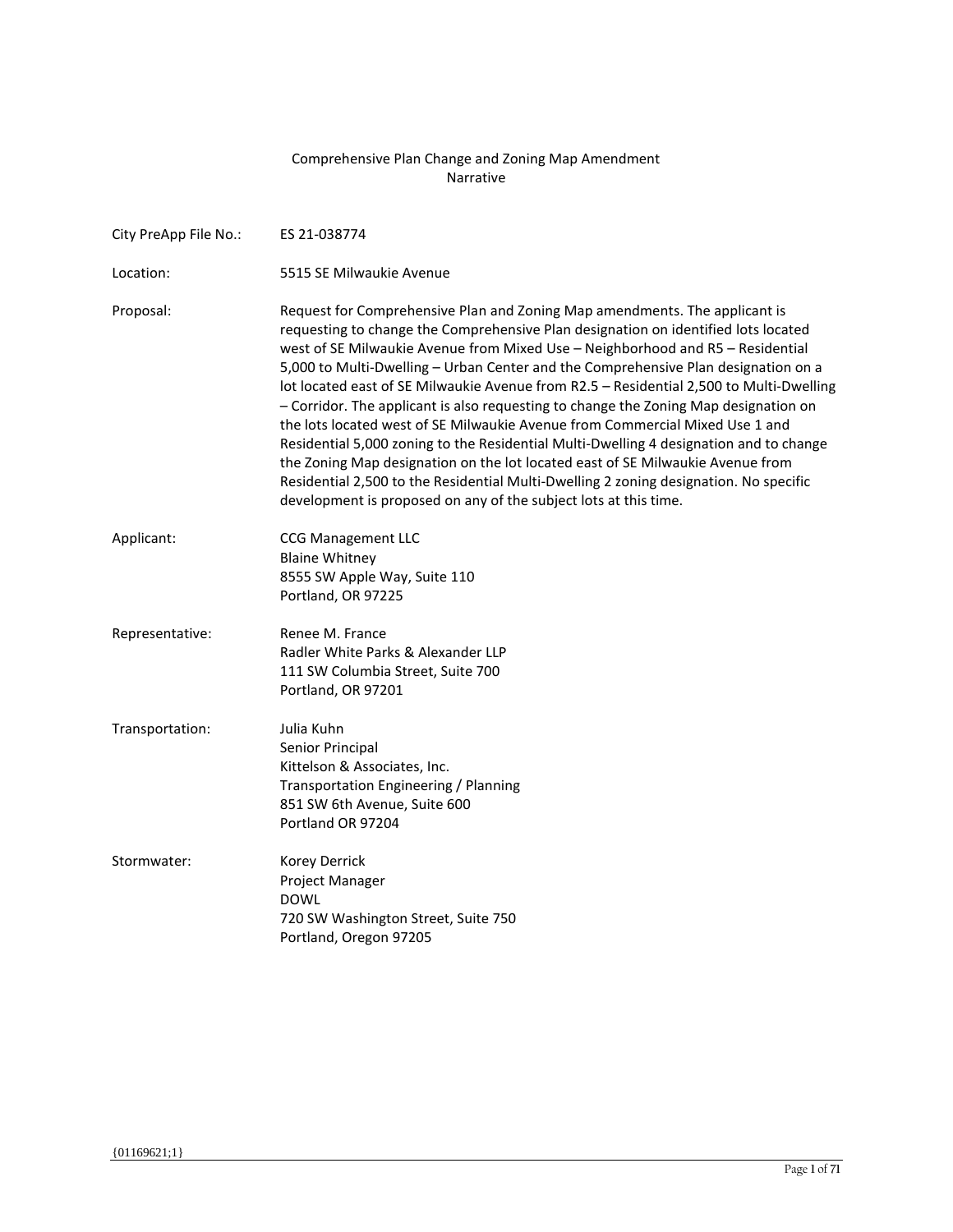# Comprehensive Plan Change and Zoning Map Amendment Narrative

| City PreApp File No.: | ES 21-038774                                                                                                                                                                                                                                                                                                                                                                                                                                                                                                                                                                                                                                                                                                                                                                                                                                                                                                                                         |
|-----------------------|------------------------------------------------------------------------------------------------------------------------------------------------------------------------------------------------------------------------------------------------------------------------------------------------------------------------------------------------------------------------------------------------------------------------------------------------------------------------------------------------------------------------------------------------------------------------------------------------------------------------------------------------------------------------------------------------------------------------------------------------------------------------------------------------------------------------------------------------------------------------------------------------------------------------------------------------------|
| Location:             | 5515 SE Milwaukie Avenue                                                                                                                                                                                                                                                                                                                                                                                                                                                                                                                                                                                                                                                                                                                                                                                                                                                                                                                             |
| Proposal:             | Request for Comprehensive Plan and Zoning Map amendments. The applicant is<br>requesting to change the Comprehensive Plan designation on identified lots located<br>west of SE Milwaukie Avenue from Mixed Use - Neighborhood and R5 - Residential<br>5,000 to Multi-Dwelling - Urban Center and the Comprehensive Plan designation on a<br>lot located east of SE Milwaukie Avenue from R2.5 - Residential 2,500 to Multi-Dwelling<br>- Corridor. The applicant is also requesting to change the Zoning Map designation on<br>the lots located west of SE Milwaukie Avenue from Commercial Mixed Use 1 and<br>Residential 5,000 zoning to the Residential Multi-Dwelling 4 designation and to change<br>the Zoning Map designation on the lot located east of SE Milwaukie Avenue from<br>Residential 2,500 to the Residential Multi-Dwelling 2 zoning designation. No specific<br>development is proposed on any of the subject lots at this time. |
| Applicant:            | <b>CCG Management LLC</b><br><b>Blaine Whitney</b><br>8555 SW Apple Way, Suite 110<br>Portland, OR 97225                                                                                                                                                                                                                                                                                                                                                                                                                                                                                                                                                                                                                                                                                                                                                                                                                                             |
| Representative:       | Renee M. France<br>Radler White Parks & Alexander LLP<br>111 SW Columbia Street, Suite 700<br>Portland, OR 97201                                                                                                                                                                                                                                                                                                                                                                                                                                                                                                                                                                                                                                                                                                                                                                                                                                     |
| Transportation:       | Julia Kuhn<br>Senior Principal<br>Kittelson & Associates, Inc.<br>Transportation Engineering / Planning<br>851 SW 6th Avenue, Suite 600<br>Portland OR 97204                                                                                                                                                                                                                                                                                                                                                                                                                                                                                                                                                                                                                                                                                                                                                                                         |
| Stormwater:           | Korey Derrick<br>Project Manager<br><b>DOWL</b><br>720 SW Washington Street, Suite 750<br>Portland, Oregon 97205                                                                                                                                                                                                                                                                                                                                                                                                                                                                                                                                                                                                                                                                                                                                                                                                                                     |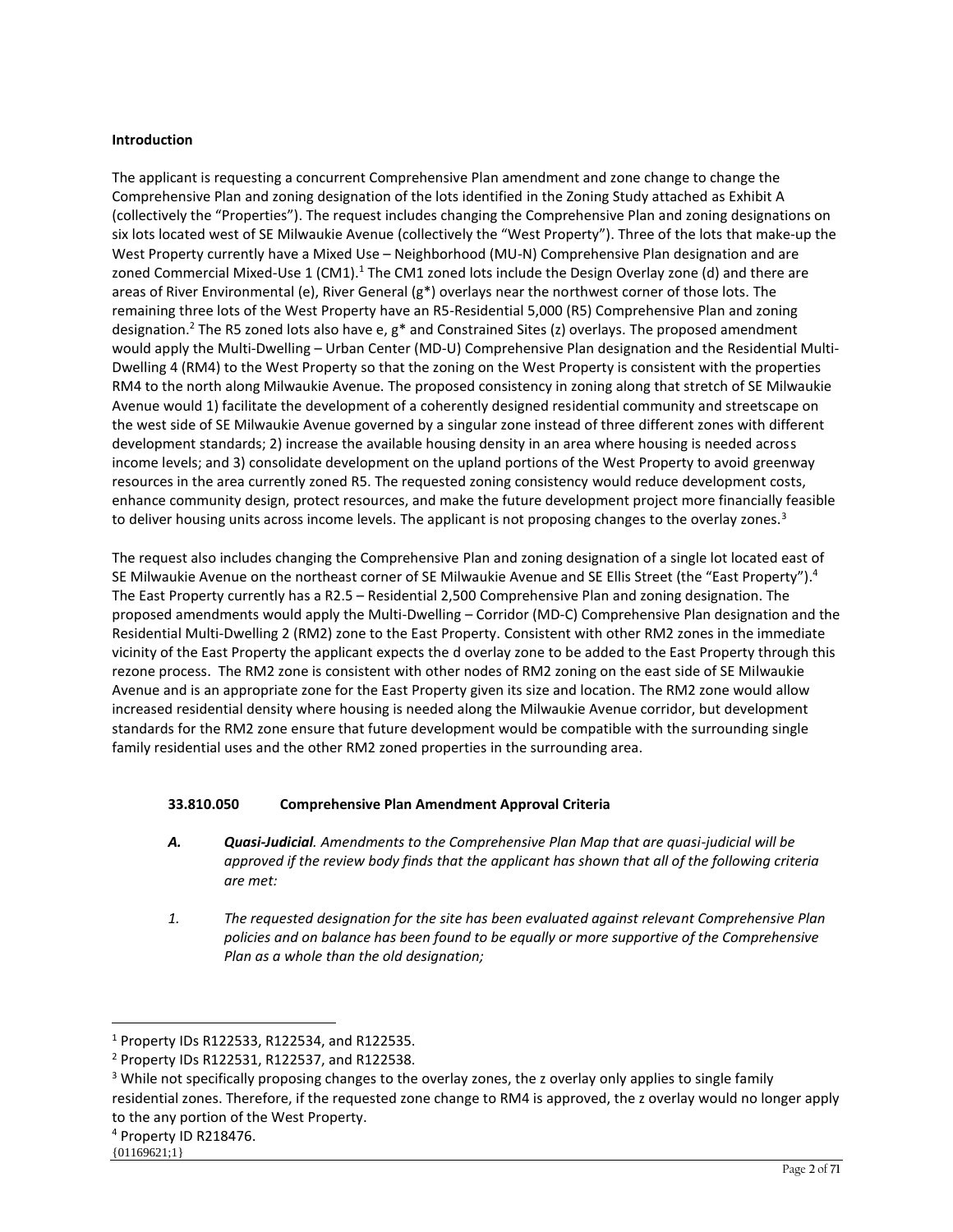### **Introduction**

The applicant is requesting a concurrent Comprehensive Plan amendment and zone change to change the Comprehensive Plan and zoning designation of the lots identified in the Zoning Study attached as Exhibit A (collectively the "Properties"). The request includes changing the Comprehensive Plan and zoning designations on six lots located west of SE Milwaukie Avenue (collectively the "West Property"). Three of the lots that make-up the West Property currently have a Mixed Use – Neighborhood (MU-N) Comprehensive Plan designation and are zoned Commercial Mixed-Use 1 (CM1).<sup>1</sup> The CM1 zoned lots include the Design Overlay zone (d) and there are areas of River Environmental (e), River General (g\*) overlays near the northwest corner of those lots. The remaining three lots of the West Property have an R5-Residential 5,000 (R5) Comprehensive Plan and zoning designation.<sup>2</sup> The R5 zoned lots also have e,  $g^*$  and Constrained Sites (z) overlays. The proposed amendment would apply the Multi-Dwelling – Urban Center (MD-U) Comprehensive Plan designation and the Residential Multi-Dwelling 4 (RM4) to the West Property so that the zoning on the West Property is consistent with the properties RM4 to the north along Milwaukie Avenue. The proposed consistency in zoning along that stretch of SE Milwaukie Avenue would 1) facilitate the development of a coherently designed residential community and streetscape on the west side of SE Milwaukie Avenue governed by a singular zone instead of three different zones with different development standards; 2) increase the available housing density in an area where housing is needed across income levels; and 3) consolidate development on the upland portions of the West Property to avoid greenway resources in the area currently zoned R5. The requested zoning consistency would reduce development costs, enhance community design, protect resources, and make the future development project more financially feasible to deliver housing units across income levels. The applicant is not proposing changes to the overlay zones.<sup>3</sup>

The request also includes changing the Comprehensive Plan and zoning designation of a single lot located east of SE Milwaukie Avenue on the northeast corner of SE Milwaukie Avenue and SE Ellis Street (the "East Property"). 4 The East Property currently has a R2.5 – Residential 2,500 Comprehensive Plan and zoning designation. The proposed amendments would apply the Multi-Dwelling – Corridor (MD-C) Comprehensive Plan designation and the Residential Multi-Dwelling 2 (RM2) zone to the East Property. Consistent with other RM2 zones in the immediate vicinity of the East Property the applicant expects the d overlay zone to be added to the East Property through this rezone process. The RM2 zone is consistent with other nodes of RM2 zoning on the east side of SE Milwaukie Avenue and is an appropriate zone for the East Property given its size and location. The RM2 zone would allow increased residential density where housing is needed along the Milwaukie Avenue corridor, but development standards for the RM2 zone ensure that future development would be compatible with the surrounding single family residential uses and the other RM2 zoned properties in the surrounding area.

### **33.810.050 Comprehensive Plan Amendment Approval Criteria**

- *A. Quasi-Judicial. Amendments to the Comprehensive Plan Map that are quasi-judicial will be approved if the review body finds that the applicant has shown that all of the following criteria are met:*
- *1. The requested designation for the site has been evaluated against relevant Comprehensive Plan policies and on balance has been found to be equally or more supportive of the Comprehensive Plan as a whole than the old designation;*

<sup>1</sup> Property IDs R122533, R122534, and R122535.

<sup>2</sup> Property IDs R122531, R122537, and R122538.

<sup>&</sup>lt;sup>3</sup> While not specifically proposing changes to the overlay zones, the z overlay only applies to single family residential zones. Therefore, if the requested zone change to RM4 is approved, the z overlay would no longer apply to the any portion of the West Property.

<sup>4</sup> Property ID R218476.

 ${01169621;1}$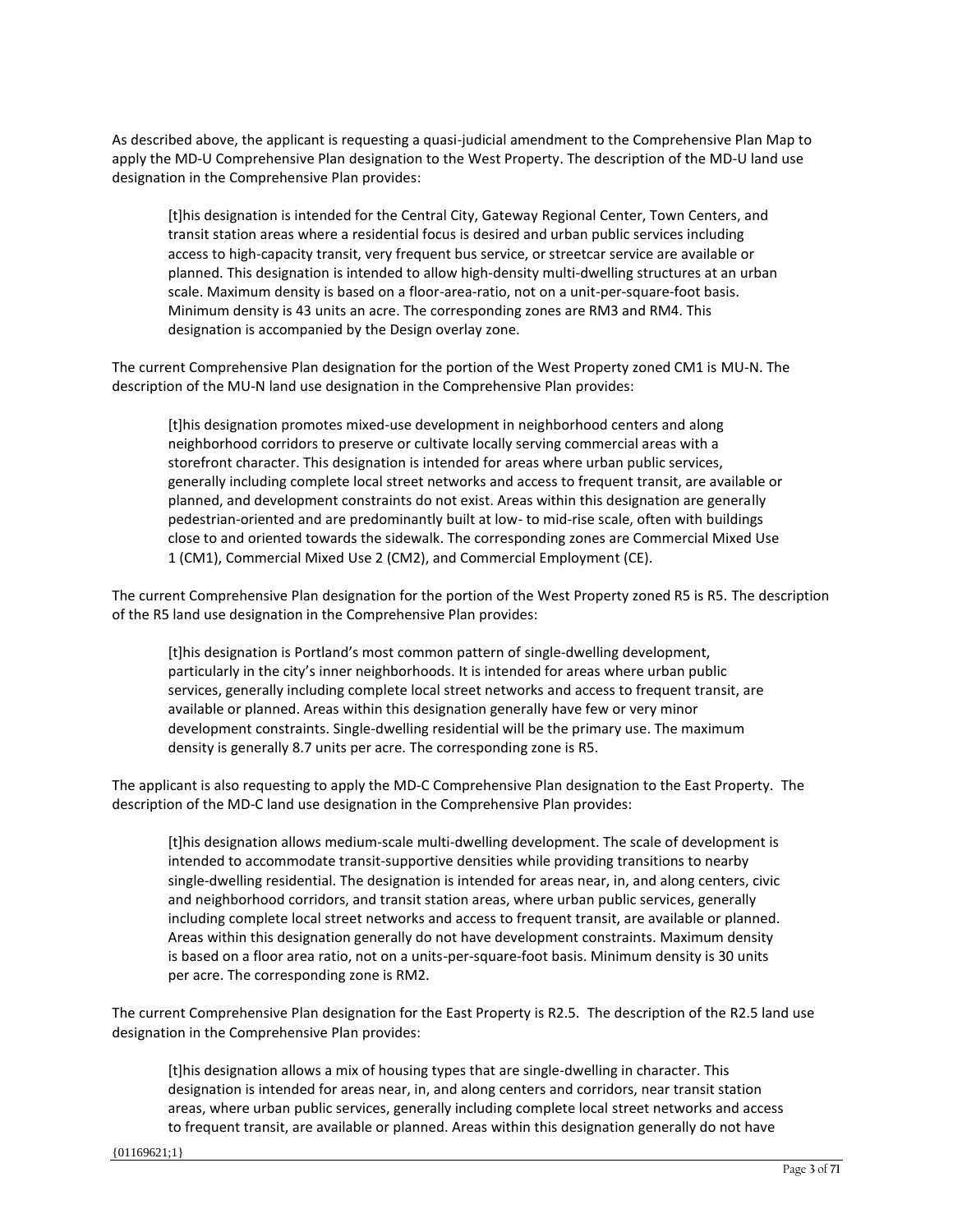As described above, the applicant is requesting a quasi-judicial amendment to the Comprehensive Plan Map to apply the MD-U Comprehensive Plan designation to the West Property. The description of the MD-U land use designation in the Comprehensive Plan provides:

[t]his designation is intended for the Central City, Gateway Regional Center, Town Centers, and transit station areas where a residential focus is desired and urban public services including access to high-capacity transit, very frequent bus service, or streetcar service are available or planned. This designation is intended to allow high-density multi-dwelling structures at an urban scale. Maximum density is based on a floor-area-ratio, not on a unit-per-square-foot basis. Minimum density is 43 units an acre. The corresponding zones are RM3 and RM4. This designation is accompanied by the Design overlay zone.

The current Comprehensive Plan designation for the portion of the West Property zoned CM1 is MU-N. The description of the MU-N land use designation in the Comprehensive Plan provides:

[t]his designation promotes mixed-use development in neighborhood centers and along neighborhood corridors to preserve or cultivate locally serving commercial areas with a storefront character. This designation is intended for areas where urban public services, generally including complete local street networks and access to frequent transit, are available or planned, and development constraints do not exist. Areas within this designation are generally pedestrian-oriented and are predominantly built at low- to mid-rise scale, often with buildings close to and oriented towards the sidewalk. The corresponding zones are Commercial Mixed Use 1 (CM1), Commercial Mixed Use 2 (CM2), and Commercial Employment (CE).

The current Comprehensive Plan designation for the portion of the West Property zoned R5 is R5. The description of the R5 land use designation in the Comprehensive Plan provides:

[t]his designation is Portland's most common pattern of single-dwelling development, particularly in the city's inner neighborhoods. It is intended for areas where urban public services, generally including complete local street networks and access to frequent transit, are available or planned. Areas within this designation generally have few or very minor development constraints. Single-dwelling residential will be the primary use. The maximum density is generally 8.7 units per acre. The corresponding zone is R5.

The applicant is also requesting to apply the MD-C Comprehensive Plan designation to the East Property. The description of the MD-C land use designation in the Comprehensive Plan provides:

[t]his designation allows medium-scale multi-dwelling development. The scale of development is intended to accommodate transit-supportive densities while providing transitions to nearby single-dwelling residential. The designation is intended for areas near, in, and along centers, civic and neighborhood corridors, and transit station areas, where urban public services, generally including complete local street networks and access to frequent transit, are available or planned. Areas within this designation generally do not have development constraints. Maximum density is based on a floor area ratio, not on a units-per-square-foot basis. Minimum density is 30 units per acre. The corresponding zone is RM2.

The current Comprehensive Plan designation for the East Property is R2.5. The description of the R2.5 land use designation in the Comprehensive Plan provides:

[t]his designation allows a mix of housing types that are single-dwelling in character. This designation is intended for areas near, in, and along centers and corridors, near transit station areas, where urban public services, generally including complete local street networks and access to frequent transit, are available or planned. Areas within this designation generally do not have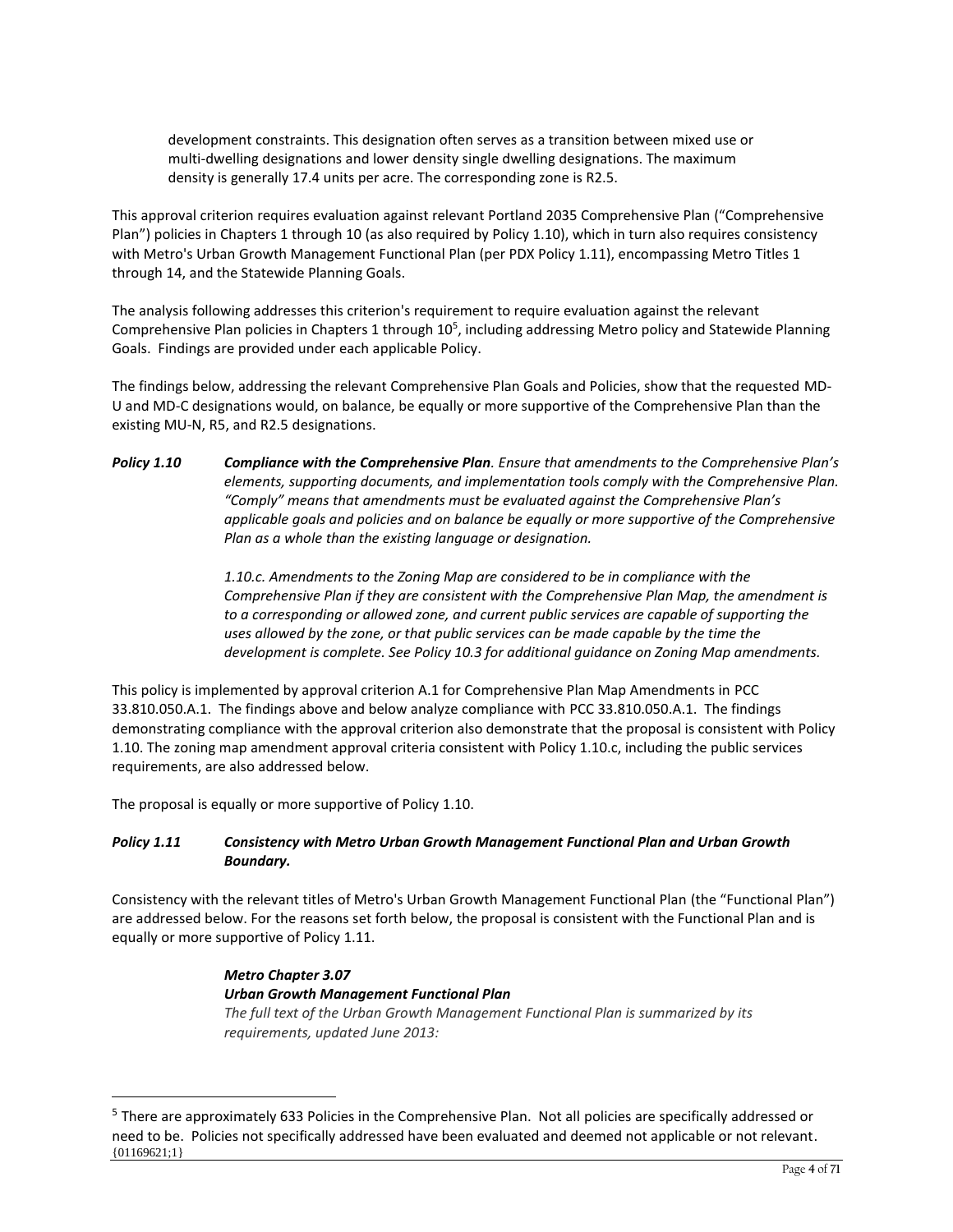development constraints. This designation often serves as a transition between mixed use or multi-dwelling designations and lower density single dwelling designations. The maximum density is generally 17.4 units per acre. The corresponding zone is R2.5.

This approval criterion requires evaluation against relevant Portland 2035 Comprehensive Plan ("Comprehensive Plan") policies in Chapters 1 through 10 (as also required by Policy 1.10), which in turn also requires consistency with Metro's Urban Growth Management Functional Plan (per PDX Policy 1.11), encompassing Metro Titles 1 through 14, and the Statewide Planning Goals.

The analysis following addresses this criterion's requirement to require evaluation against the relevant Comprehensive Plan policies in Chapters 1 through 10<sup>5</sup>, including addressing Metro policy and Statewide Planning Goals. Findings are provided under each applicable Policy.

The findings below, addressing the relevant Comprehensive Plan Goals and Policies, show that the requested MD-U and MD-C designations would, on balance, be equally or more supportive of the Comprehensive Plan than the existing MU-N, R5, and R2.5 designations.

*Policy 1.10 Compliance with the Comprehensive Plan. Ensure that amendments to the Comprehensive Plan's elements, supporting documents, and implementation tools comply with the Comprehensive Plan. "Comply" means that amendments must be evaluated against the Comprehensive Plan's applicable goals and policies and on balance be equally or more supportive of the Comprehensive Plan as a whole than the existing language or designation.* 

> *1.10.c. Amendments to the Zoning Map are considered to be in compliance with the Comprehensive Plan if they are consistent with the Comprehensive Plan Map, the amendment is to a corresponding or allowed zone, and current public services are capable of supporting the uses allowed by the zone, or that public services can be made capable by the time the development is complete. See Policy 10.3 for additional guidance on Zoning Map amendments.*

This policy is implemented by approval criterion A.1 for Comprehensive Plan Map Amendments in PCC 33.810.050.A.1. The findings above and below analyze compliance with PCC 33.810.050.A.1. The findings demonstrating compliance with the approval criterion also demonstrate that the proposal is consistent with Policy 1.10. The zoning map amendment approval criteria consistent with Policy 1.10.c, including the public services requirements, are also addressed below.

The proposal is equally or more supportive of Policy 1.10.

# *Policy 1.11 Consistency with Metro Urban Growth Management Functional Plan and Urban Growth Boundary.*

Consistency with the relevant titles of Metro's Urban Growth Management Functional Plan (the "Functional Plan") are addressed below. For the reasons set forth below, the proposal is consistent with the Functional Plan and is equally or more supportive of Policy 1.11.

### *Metro Chapter 3.07 Urban Growth Management Functional Plan The full text of the Urban Growth Management Functional Plan is summarized by its requirements, updated June 2013:*

<sup>{01169621;1}</sup> <sup>5</sup> There are approximately 633 Policies in the Comprehensive Plan. Not all policies are specifically addressed or need to be. Policies not specifically addressed have been evaluated and deemed not applicable or not relevant.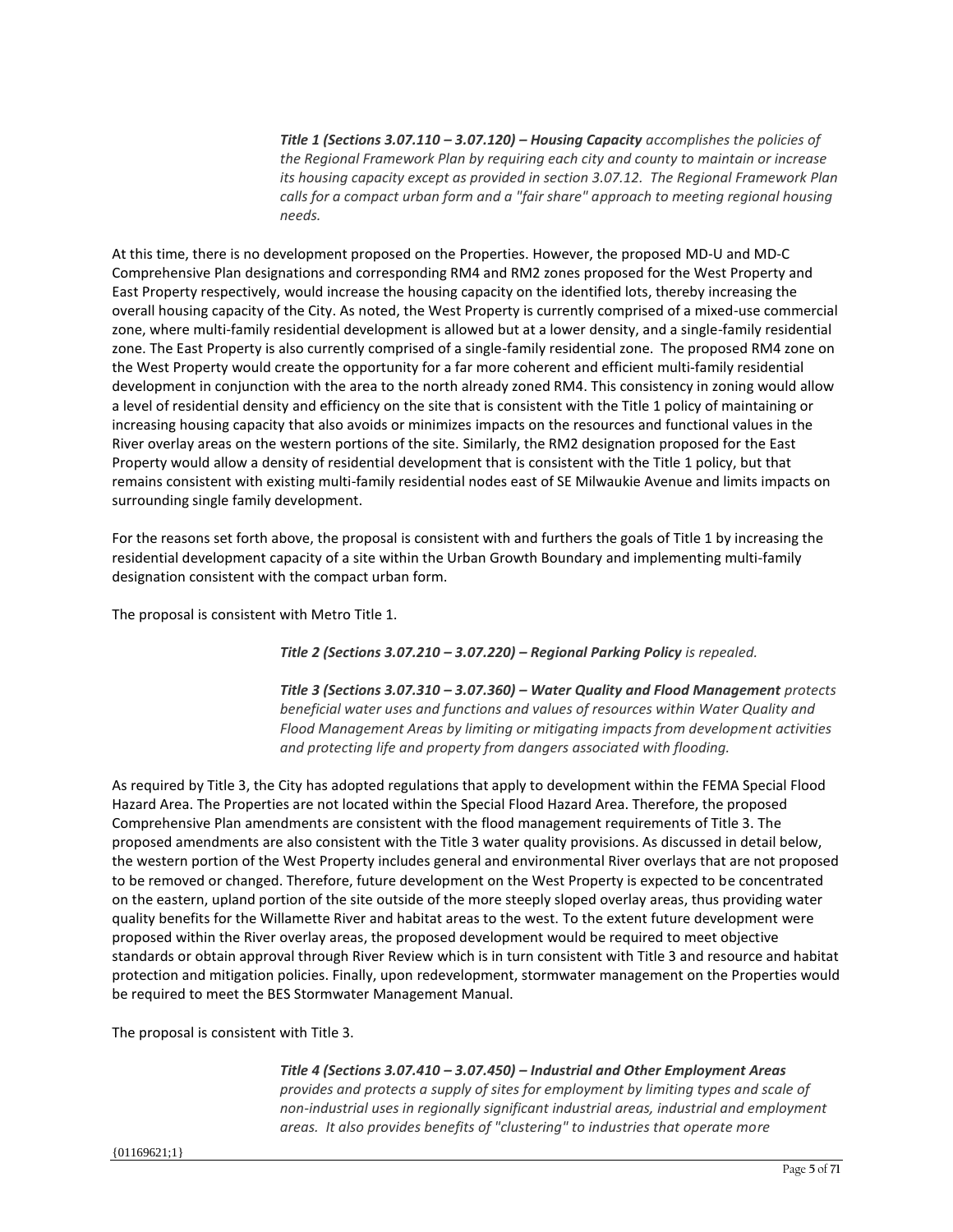*Title 1 (Sections 3.07.110 – 3.07.120) – Housing Capacity accomplishes the policies of the Regional Framework Plan by requiring each city and county to maintain or increase its housing capacity except as provided in section 3.07.12. The Regional Framework Plan calls for a compact urban form and a "fair share" approach to meeting regional housing needs.*

At this time, there is no development proposed on the Properties. However, the proposed MD-U and MD-C Comprehensive Plan designations and corresponding RM4 and RM2 zones proposed for the West Property and East Property respectively, would increase the housing capacity on the identified lots, thereby increasing the overall housing capacity of the City. As noted, the West Property is currently comprised of a mixed-use commercial zone, where multi-family residential development is allowed but at a lower density, and a single-family residential zone. The East Property is also currently comprised of a single-family residential zone. The proposed RM4 zone on the West Property would create the opportunity for a far more coherent and efficient multi-family residential development in conjunction with the area to the north already zoned RM4. This consistency in zoning would allow a level of residential density and efficiency on the site that is consistent with the Title 1 policy of maintaining or increasing housing capacity that also avoids or minimizes impacts on the resources and functional values in the River overlay areas on the western portions of the site. Similarly, the RM2 designation proposed for the East Property would allow a density of residential development that is consistent with the Title 1 policy, but that remains consistent with existing multi-family residential nodes east of SE Milwaukie Avenue and limits impacts on surrounding single family development.

For the reasons set forth above, the proposal is consistent with and furthers the goals of Title 1 by increasing the residential development capacity of a site within the Urban Growth Boundary and implementing multi-family designation consistent with the compact urban form.

The proposal is consistent with Metro Title 1.

*Title 2 (Sections 3.07.210 – 3.07.220) – Regional Parking Policy is repealed.*

*Title 3 (Sections 3.07.310 – 3.07.360) – Water Quality and Flood Management protects beneficial water uses and functions and values of resources within Water Quality and Flood Management Areas by limiting or mitigating impacts from development activities and protecting life and property from dangers associated with flooding.*

As required by Title 3, the City has adopted regulations that apply to development within the FEMA Special Flood Hazard Area. The Properties are not located within the Special Flood Hazard Area. Therefore, the proposed Comprehensive Plan amendments are consistent with the flood management requirements of Title 3. The proposed amendments are also consistent with the Title 3 water quality provisions. As discussed in detail below, the western portion of the West Property includes general and environmental River overlays that are not proposed to be removed or changed. Therefore, future development on the West Property is expected to be concentrated on the eastern, upland portion of the site outside of the more steeply sloped overlay areas, thus providing water quality benefits for the Willamette River and habitat areas to the west. To the extent future development were proposed within the River overlay areas, the proposed development would be required to meet objective standards or obtain approval through River Review which is in turn consistent with Title 3 and resource and habitat protection and mitigation policies. Finally, upon redevelopment, stormwater management on the Properties would be required to meet the BES Stormwater Management Manual.

The proposal is consistent with Title 3.

*Title 4 (Sections 3.07.410 – 3.07.450) – Industrial and Other Employment Areas provides and protects a supply of sites for employment by limiting types and scale of non-industrial uses in regionally significant industrial areas, industrial and employment areas. It also provides benefits of "clustering" to industries that operate more*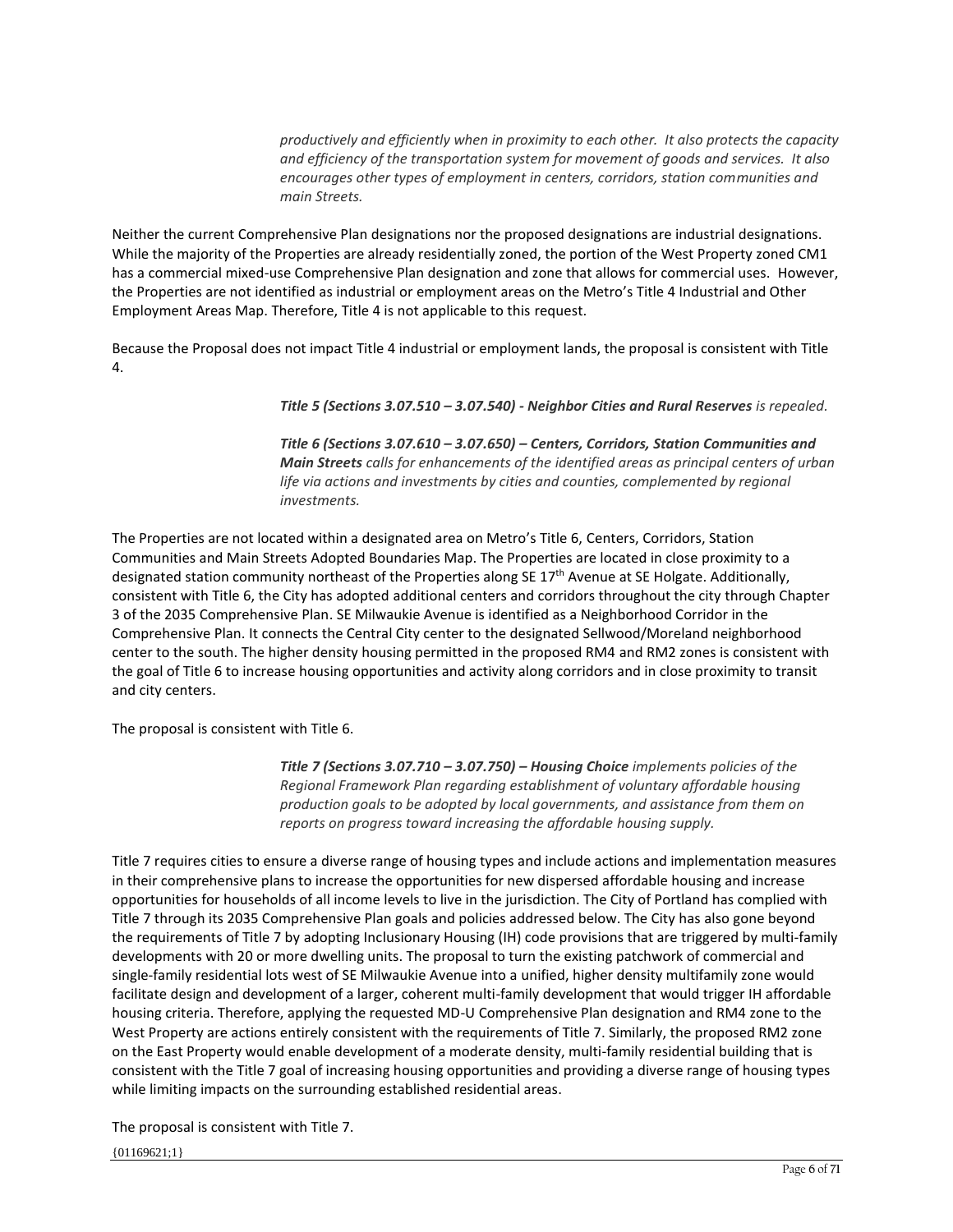*productively and efficiently when in proximity to each other. It also protects the capacity and efficiency of the transportation system for movement of goods and services. It also encourages other types of employment in centers, corridors, station communities and main Streets.*

Neither the current Comprehensive Plan designations nor the proposed designations are industrial designations. While the majority of the Properties are already residentially zoned, the portion of the West Property zoned CM1 has a commercial mixed-use Comprehensive Plan designation and zone that allows for commercial uses. However, the Properties are not identified as industrial or employment areas on the Metro's Title 4 Industrial and Other Employment Areas Map. Therefore, Title 4 is not applicable to this request.

Because the Proposal does not impact Title 4 industrial or employment lands, the proposal is consistent with Title 4.

*Title 5 (Sections 3.07.510 – 3.07.540) - Neighbor Cities and Rural Reserves is repealed.*

*Title 6 (Sections 3.07.610 – 3.07.650) – Centers, Corridors, Station Communities and Main Streets calls for enhancements of the identified areas as principal centers of urban life via actions and investments by cities and counties, complemented by regional investments.*

The Properties are not located within a designated area on Metro's Title 6, Centers, Corridors, Station Communities and Main Streets Adopted Boundaries Map. The Properties are located in close proximity to a designated station community northeast of the Properties along SE 17<sup>th</sup> Avenue at SE Holgate. Additionally, consistent with Title 6, the City has adopted additional centers and corridors throughout the city through Chapter 3 of the 2035 Comprehensive Plan. SE Milwaukie Avenue is identified as a Neighborhood Corridor in the Comprehensive Plan. It connects the Central City center to the designated Sellwood/Moreland neighborhood center to the south. The higher density housing permitted in the proposed RM4 and RM2 zones is consistent with the goal of Title 6 to increase housing opportunities and activity along corridors and in close proximity to transit and city centers.

The proposal is consistent with Title 6.

*Title 7 (Sections 3.07.710 – 3.07.750) – Housing Choice implements policies of the Regional Framework Plan regarding establishment of voluntary affordable housing production goals to be adopted by local governments, and assistance from them on reports on progress toward increasing the affordable housing supply.*

Title 7 requires cities to ensure a diverse range of housing types and include actions and implementation measures in their comprehensive plans to increase the opportunities for new dispersed affordable housing and increase opportunities for households of all income levels to live in the jurisdiction. The City of Portland has complied with Title 7 through its 2035 Comprehensive Plan goals and policies addressed below. The City has also gone beyond the requirements of Title 7 by adopting Inclusionary Housing (IH) code provisions that are triggered by multi-family developments with 20 or more dwelling units. The proposal to turn the existing patchwork of commercial and single-family residential lots west of SE Milwaukie Avenue into a unified, higher density multifamily zone would facilitate design and development of a larger, coherent multi-family development that would trigger IH affordable housing criteria. Therefore, applying the requested MD-U Comprehensive Plan designation and RM4 zone to the West Property are actions entirely consistent with the requirements of Title 7. Similarly, the proposed RM2 zone on the East Property would enable development of a moderate density, multi-family residential building that is consistent with the Title 7 goal of increasing housing opportunities and providing a diverse range of housing types while limiting impacts on the surrounding established residential areas.

The proposal is consistent with Title 7.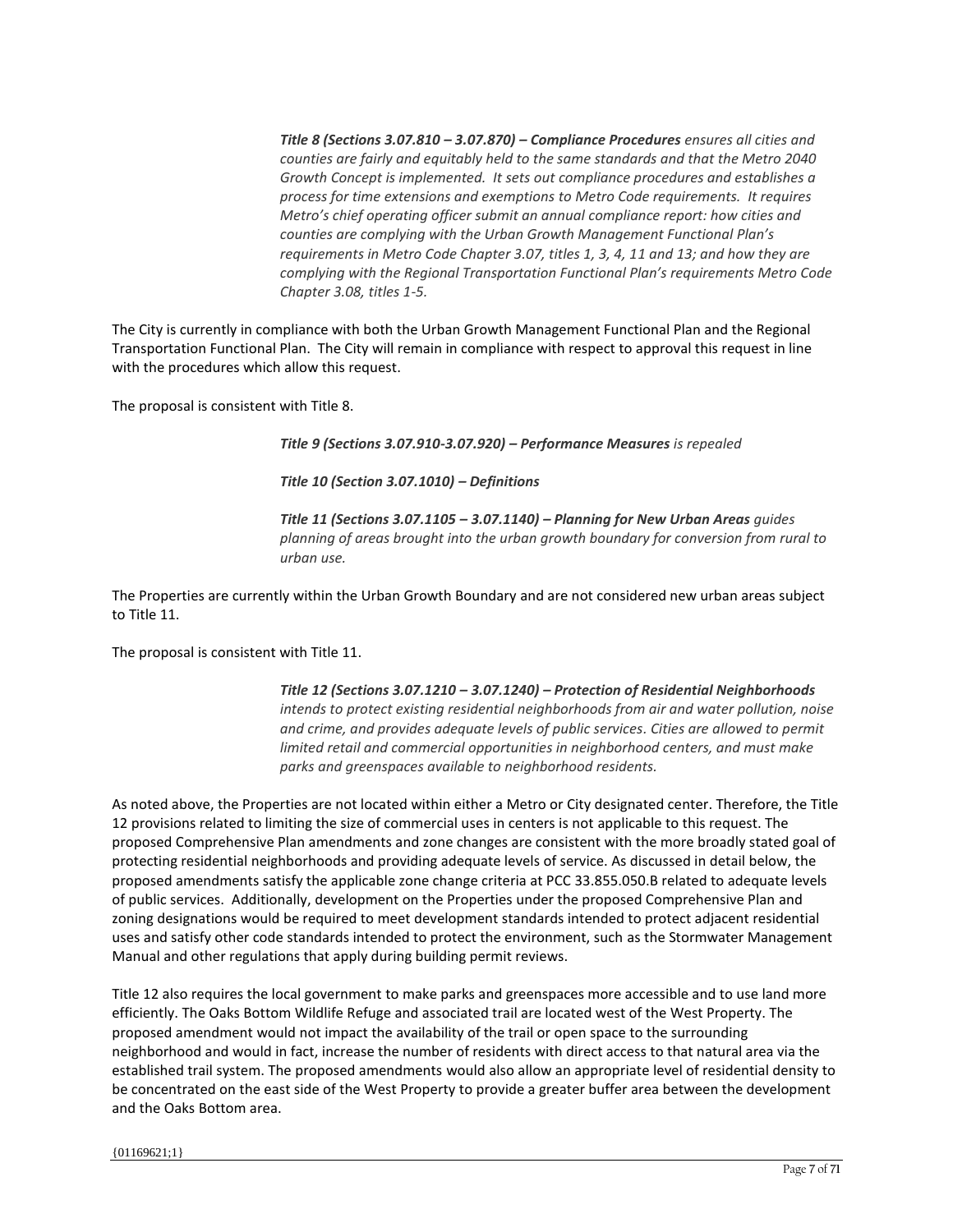*Title 8 (Sections 3.07.810 – 3.07.870) – Compliance Procedures ensures all cities and counties are fairly and equitably held to the same standards and that the Metro 2040 Growth Concept is implemented. It sets out compliance procedures and establishes a process for time extensions and exemptions to Metro Code requirements. It requires Metro's chief operating officer submit an annual compliance report: how cities and counties are complying with the Urban Growth Management Functional Plan's requirements in Metro Code Chapter 3.07, titles 1, 3, 4, 11 and 13; and how they are complying with the Regional Transportation Functional Plan's requirements Metro Code Chapter 3.08, titles 1-5.*

The City is currently in compliance with both the Urban Growth Management Functional Plan and the Regional Transportation Functional Plan. The City will remain in compliance with respect to approval this request in line with the procedures which allow this request.

The proposal is consistent with Title 8.

*Title 9 (Sections 3.07.910-3.07.920) – Performance Measures is repealed*

*Title 10 (Section 3.07.1010) – Definitions*

*Title 11 (Sections 3.07.1105 – 3.07.1140) – Planning for New Urban Areas guides planning of areas brought into the urban growth boundary for conversion from rural to urban use.*

The Properties are currently within the Urban Growth Boundary and are not considered new urban areas subject to Title 11.

The proposal is consistent with Title 11.

*Title 12 (Sections 3.07.1210 – 3.07.1240) – Protection of Residential Neighborhoods intends to protect existing residential neighborhoods from air and water pollution, noise and crime, and provides adequate levels of public services. Cities are allowed to permit limited retail and commercial opportunities in neighborhood centers, and must make parks and greenspaces available to neighborhood residents.* 

As noted above, the Properties are not located within either a Metro or City designated center. Therefore, the Title 12 provisions related to limiting the size of commercial uses in centers is not applicable to this request. The proposed Comprehensive Plan amendments and zone changes are consistent with the more broadly stated goal of protecting residential neighborhoods and providing adequate levels of service. As discussed in detail below, the proposed amendments satisfy the applicable zone change criteria at PCC 33.855.050.B related to adequate levels of public services. Additionally, development on the Properties under the proposed Comprehensive Plan and zoning designations would be required to meet development standards intended to protect adjacent residential uses and satisfy other code standards intended to protect the environment, such as the Stormwater Management Manual and other regulations that apply during building permit reviews.

Title 12 also requires the local government to make parks and greenspaces more accessible and to use land more efficiently. The Oaks Bottom Wildlife Refuge and associated trail are located west of the West Property. The proposed amendment would not impact the availability of the trail or open space to the surrounding neighborhood and would in fact, increase the number of residents with direct access to that natural area via the established trail system. The proposed amendments would also allow an appropriate level of residential density to be concentrated on the east side of the West Property to provide a greater buffer area between the development and the Oaks Bottom area.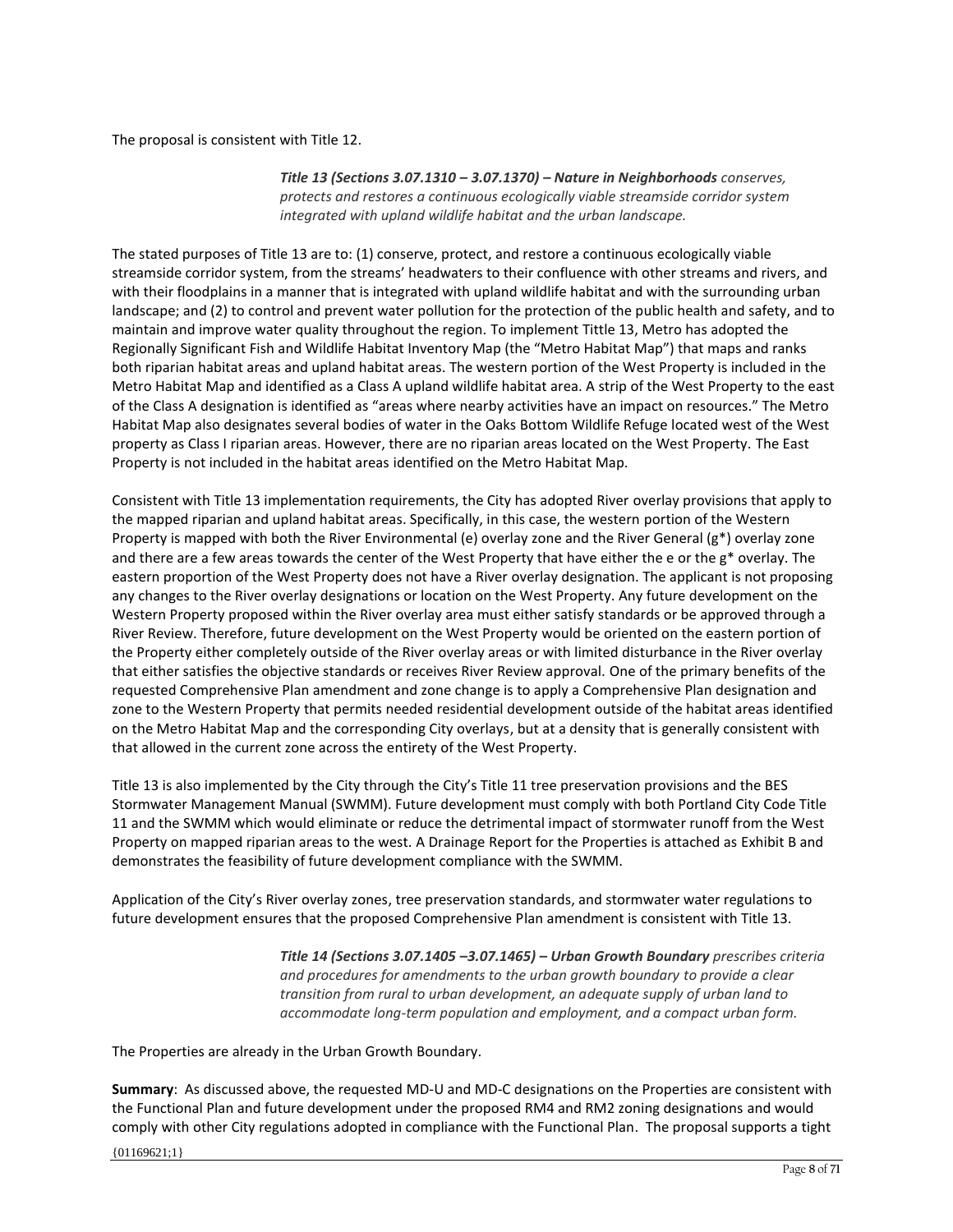The proposal is consistent with Title 12.

*Title 13 (Sections 3.07.1310 – 3.07.1370) – Nature in Neighborhoods conserves, protects and restores a continuous ecologically viable streamside corridor system integrated with upland wildlife habitat and the urban landscape.*

The stated purposes of Title 13 are to: (1) conserve, protect, and restore a continuous ecologically viable streamside corridor system, from the streams' headwaters to their confluence with other streams and rivers, and with their floodplains in a manner that is integrated with upland wildlife habitat and with the surrounding urban landscape; and (2) to control and prevent water pollution for the protection of the public health and safety, and to maintain and improve water quality throughout the region. To implement Tittle 13, Metro has adopted the Regionally Significant Fish and Wildlife Habitat Inventory Map (the "Metro Habitat Map") that maps and ranks both riparian habitat areas and upland habitat areas. The western portion of the West Property is included in the Metro Habitat Map and identified as a Class A upland wildlife habitat area. A strip of the West Property to the east of the Class A designation is identified as "areas where nearby activities have an impact on resources." The Metro Habitat Map also designates several bodies of water in the Oaks Bottom Wildlife Refuge located west of the West property as Class I riparian areas. However, there are no riparian areas located on the West Property. The East Property is not included in the habitat areas identified on the Metro Habitat Map.

Consistent with Title 13 implementation requirements, the City has adopted River overlay provisions that apply to the mapped riparian and upland habitat areas. Specifically, in this case, the western portion of the Western Property is mapped with both the River Environmental (e) overlay zone and the River General (g\*) overlay zone and there are a few areas towards the center of the West Property that have either the e or the g\* overlay. The eastern proportion of the West Property does not have a River overlay designation. The applicant is not proposing any changes to the River overlay designations or location on the West Property. Any future development on the Western Property proposed within the River overlay area must either satisfy standards or be approved through a River Review. Therefore, future development on the West Property would be oriented on the eastern portion of the Property either completely outside of the River overlay areas or with limited disturbance in the River overlay that either satisfies the objective standards or receives River Review approval. One of the primary benefits of the requested Comprehensive Plan amendment and zone change is to apply a Comprehensive Plan designation and zone to the Western Property that permits needed residential development outside of the habitat areas identified on the Metro Habitat Map and the corresponding City overlays, but at a density that is generally consistent with that allowed in the current zone across the entirety of the West Property.

Title 13 is also implemented by the City through the City's Title 11 tree preservation provisions and the BES Stormwater Management Manual (SWMM). Future development must comply with both Portland City Code Title 11 and the SWMM which would eliminate or reduce the detrimental impact of stormwater runoff from the West Property on mapped riparian areas to the west. A Drainage Report for the Properties is attached as Exhibit B and demonstrates the feasibility of future development compliance with the SWMM.

Application of the City's River overlay zones, tree preservation standards, and stormwater water regulations to future development ensures that the proposed Comprehensive Plan amendment is consistent with Title 13.

> *Title 14 (Sections 3.07.1405 –3.07.1465) – Urban Growth Boundary prescribes criteria and procedures for amendments to the urban growth boundary to provide a clear transition from rural to urban development, an adequate supply of urban land to accommodate long-term population and employment, and a compact urban form.*

The Properties are already in the Urban Growth Boundary.

**Summary**: As discussed above, the requested MD-U and MD-C designations on the Properties are consistent with the Functional Plan and future development under the proposed RM4 and RM2 zoning designations and would comply with other City regulations adopted in compliance with the Functional Plan. The proposal supports a tight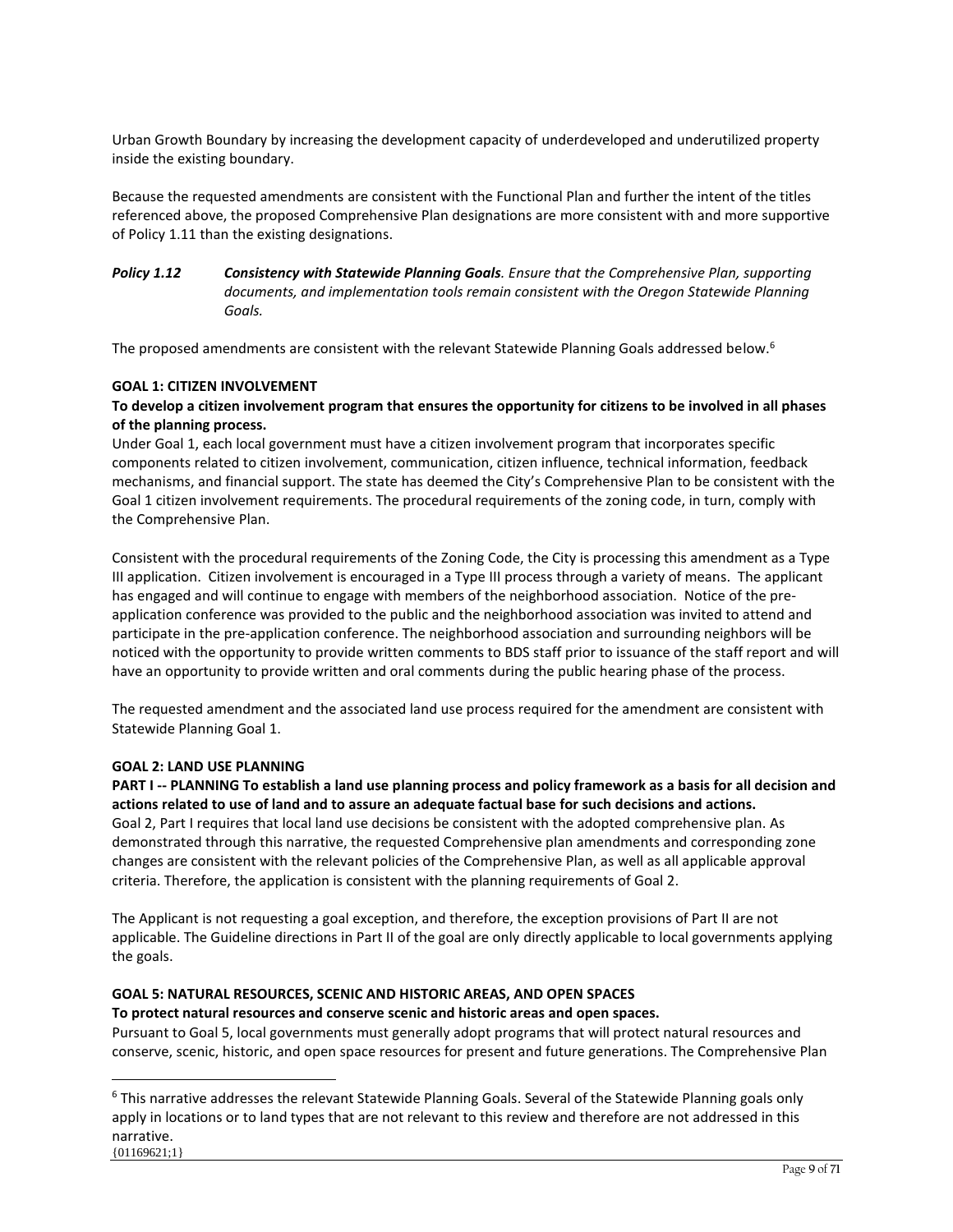Urban Growth Boundary by increasing the development capacity of underdeveloped and underutilized property inside the existing boundary.

Because the requested amendments are consistent with the Functional Plan and further the intent of the titles referenced above, the proposed Comprehensive Plan designations are more consistent with and more supportive of Policy 1.11 than the existing designations.

# *Policy 1.12 Consistency with Statewide Planning Goals. Ensure that the Comprehensive Plan, supporting documents, and implementation tools remain consistent with the Oregon Statewide Planning Goals.*

The proposed amendments are consistent with the relevant Statewide Planning Goals addressed below.<sup>6</sup>

### **GOAL 1: CITIZEN INVOLVEMENT**

### **To develop a citizen involvement program that ensures the opportunity for citizens to be involved in all phases of the planning process.**

Under Goal 1, each local government must have a citizen involvement program that incorporates specific components related to citizen involvement, communication, citizen influence, technical information, feedback mechanisms, and financial support. The state has deemed the City's Comprehensive Plan to be consistent with the Goal 1 citizen involvement requirements. The procedural requirements of the zoning code, in turn, comply with the Comprehensive Plan.

Consistent with the procedural requirements of the Zoning Code, the City is processing this amendment as a Type III application. Citizen involvement is encouraged in a Type III process through a variety of means. The applicant has engaged and will continue to engage with members of the neighborhood association. Notice of the preapplication conference was provided to the public and the neighborhood association was invited to attend and participate in the pre-application conference. The neighborhood association and surrounding neighbors will be noticed with the opportunity to provide written comments to BDS staff prior to issuance of the staff report and will have an opportunity to provide written and oral comments during the public hearing phase of the process.

The requested amendment and the associated land use process required for the amendment are consistent with Statewide Planning Goal 1.

#### **GOAL 2: LAND USE PLANNING**

**PART I -- PLANNING To establish a land use planning process and policy framework as a basis for all decision and actions related to use of land and to assure an adequate factual base for such decisions and actions.** Goal 2, Part I requires that local land use decisions be consistent with the adopted comprehensive plan. As demonstrated through this narrative, the requested Comprehensive plan amendments and corresponding zone changes are consistent with the relevant policies of the Comprehensive Plan, as well as all applicable approval criteria. Therefore, the application is consistent with the planning requirements of Goal 2.

The Applicant is not requesting a goal exception, and therefore, the exception provisions of Part II are not applicable. The Guideline directions in Part II of the goal are only directly applicable to local governments applying the goals.

#### **GOAL 5: NATURAL RESOURCES, SCENIC AND HISTORIC AREAS, AND OPEN SPACES**

#### **To protect natural resources and conserve scenic and historic areas and open spaces.**

Pursuant to Goal 5, local governments must generally adopt programs that will protect natural resources and conserve, scenic, historic, and open space resources for present and future generations. The Comprehensive Plan

<sup>{01169621;1}</sup> <sup>6</sup> This narrative addresses the relevant Statewide Planning Goals. Several of the Statewide Planning goals only apply in locations or to land types that are not relevant to this review and therefore are not addressed in this narrative.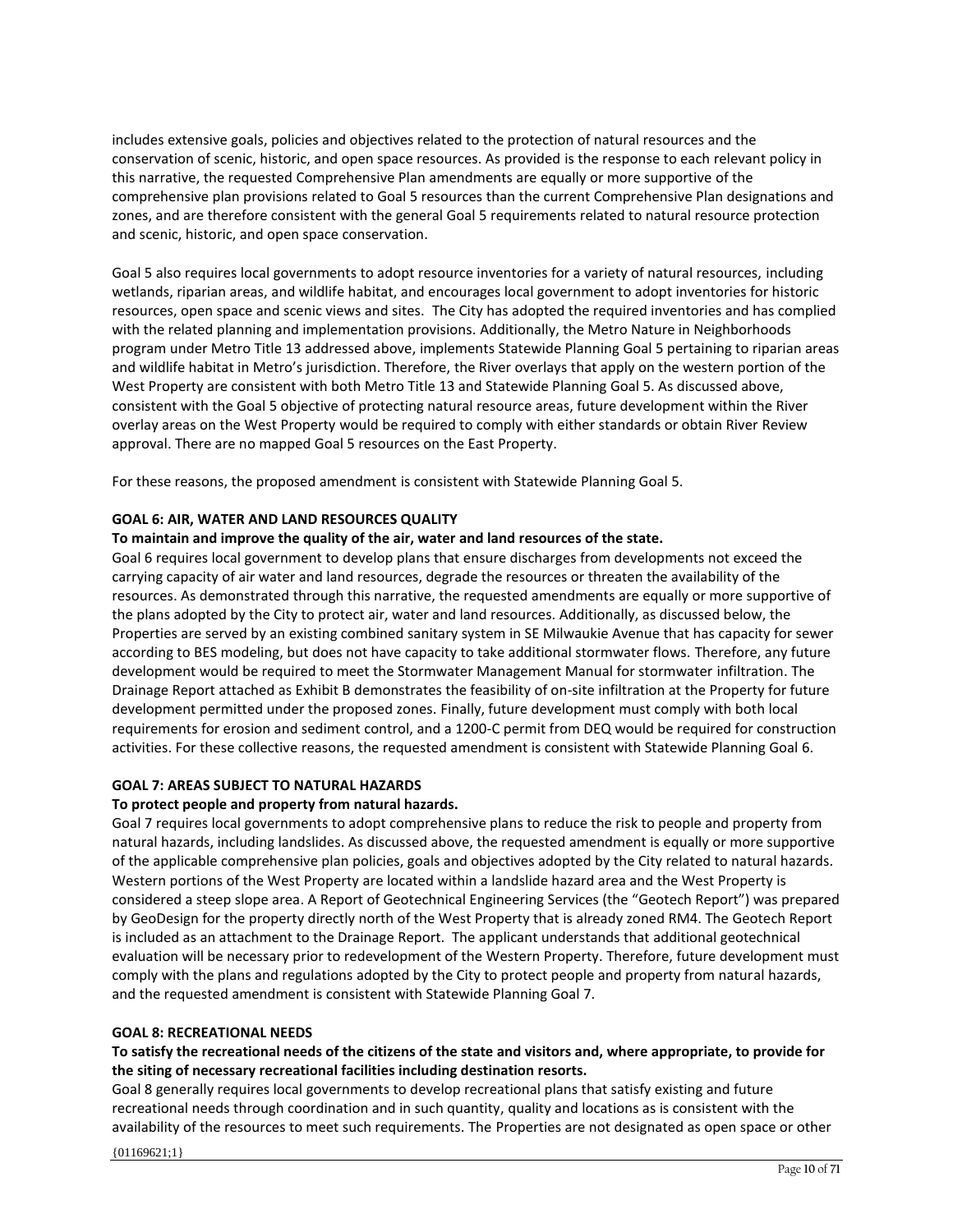includes extensive goals, policies and objectives related to the protection of natural resources and the conservation of scenic, historic, and open space resources. As provided is the response to each relevant policy in this narrative, the requested Comprehensive Plan amendments are equally or more supportive of the comprehensive plan provisions related to Goal 5 resources than the current Comprehensive Plan designations and zones, and are therefore consistent with the general Goal 5 requirements related to natural resource protection and scenic, historic, and open space conservation.

Goal 5 also requires local governments to adopt resource inventories for a variety of natural resources, including wetlands, riparian areas, and wildlife habitat, and encourages local government to adopt inventories for historic resources, open space and scenic views and sites. The City has adopted the required inventories and has complied with the related planning and implementation provisions. Additionally, the Metro Nature in Neighborhoods program under Metro Title 13 addressed above, implements Statewide Planning Goal 5 pertaining to riparian areas and wildlife habitat in Metro's jurisdiction. Therefore, the River overlays that apply on the western portion of the West Property are consistent with both Metro Title 13 and Statewide Planning Goal 5. As discussed above, consistent with the Goal 5 objective of protecting natural resource areas, future development within the River overlay areas on the West Property would be required to comply with either standards or obtain River Review approval. There are no mapped Goal 5 resources on the East Property.

For these reasons, the proposed amendment is consistent with Statewide Planning Goal 5.

### **GOAL 6: AIR, WATER AND LAND RESOURCES QUALITY**

### **To maintain and improve the quality of the air, water and land resources of the state.**

Goal 6 requires local government to develop plans that ensure discharges from developments not exceed the carrying capacity of air water and land resources, degrade the resources or threaten the availability of the resources. As demonstrated through this narrative, the requested amendments are equally or more supportive of the plans adopted by the City to protect air, water and land resources. Additionally, as discussed below, the Properties are served by an existing combined sanitary system in SE Milwaukie Avenue that has capacity for sewer according to BES modeling, but does not have capacity to take additional stormwater flows. Therefore, any future development would be required to meet the Stormwater Management Manual for stormwater infiltration. The Drainage Report attached as Exhibit B demonstrates the feasibility of on-site infiltration at the Property for future development permitted under the proposed zones. Finally, future development must comply with both local requirements for erosion and sediment control, and a 1200-C permit from DEQ would be required for construction activities. For these collective reasons, the requested amendment is consistent with Statewide Planning Goal 6.

### **GOAL 7: AREAS SUBJECT TO NATURAL HAZARDS**

#### **To protect people and property from natural hazards.**

Goal 7 requires local governments to adopt comprehensive plans to reduce the risk to people and property from natural hazards, including landslides. As discussed above, the requested amendment is equally or more supportive of the applicable comprehensive plan policies, goals and objectives adopted by the City related to natural hazards. Western portions of the West Property are located within a landslide hazard area and the West Property is considered a steep slope area. A Report of Geotechnical Engineering Services (the "Geotech Report") was prepared by GeoDesign for the property directly north of the West Property that is already zoned RM4. The Geotech Report is included as an attachment to the Drainage Report. The applicant understands that additional geotechnical evaluation will be necessary prior to redevelopment of the Western Property. Therefore, future development must comply with the plans and regulations adopted by the City to protect people and property from natural hazards, and the requested amendment is consistent with Statewide Planning Goal 7.

#### **GOAL 8: RECREATIONAL NEEDS**

### **To satisfy the recreational needs of the citizens of the state and visitors and, where appropriate, to provide for the siting of necessary recreational facilities including destination resorts.**

Goal 8 generally requires local governments to develop recreational plans that satisfy existing and future recreational needs through coordination and in such quantity, quality and locations as is consistent with the availability of the resources to meet such requirements. The Properties are not designated as open space or other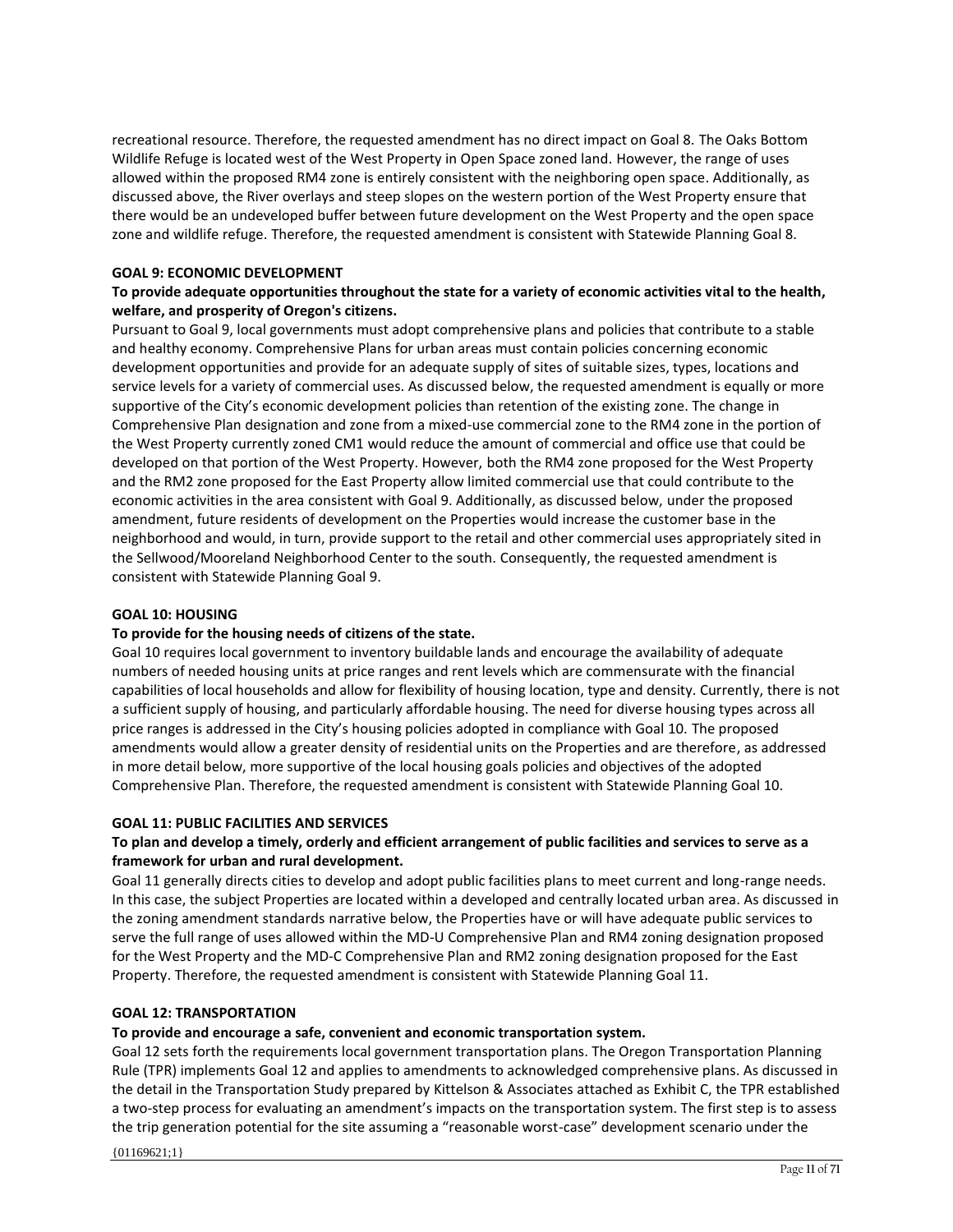recreational resource. Therefore, the requested amendment has no direct impact on Goal 8. The Oaks Bottom Wildlife Refuge is located west of the West Property in Open Space zoned land. However, the range of uses allowed within the proposed RM4 zone is entirely consistent with the neighboring open space. Additionally, as discussed above, the River overlays and steep slopes on the western portion of the West Property ensure that there would be an undeveloped buffer between future development on the West Property and the open space zone and wildlife refuge. Therefore, the requested amendment is consistent with Statewide Planning Goal 8.

### **GOAL 9: ECONOMIC DEVELOPMENT**

# **To provide adequate opportunities throughout the state for a variety of economic activities vital to the health, welfare, and prosperity of Oregon's citizens.**

Pursuant to Goal 9, local governments must adopt comprehensive plans and policies that contribute to a stable and healthy economy. Comprehensive Plans for urban areas must contain policies concerning economic development opportunities and provide for an adequate supply of sites of suitable sizes, types, locations and service levels for a variety of commercial uses. As discussed below, the requested amendment is equally or more supportive of the City's economic development policies than retention of the existing zone. The change in Comprehensive Plan designation and zone from a mixed-use commercial zone to the RM4 zone in the portion of the West Property currently zoned CM1 would reduce the amount of commercial and office use that could be developed on that portion of the West Property. However, both the RM4 zone proposed for the West Property and the RM2 zone proposed for the East Property allow limited commercial use that could contribute to the economic activities in the area consistent with Goal 9. Additionally, as discussed below, under the proposed amendment, future residents of development on the Properties would increase the customer base in the neighborhood and would, in turn, provide support to the retail and other commercial uses appropriately sited in the Sellwood/Mooreland Neighborhood Center to the south. Consequently, the requested amendment is consistent with Statewide Planning Goal 9.

### **GOAL 10: HOUSING**

### **To provide for the housing needs of citizens of the state.**

Goal 10 requires local government to inventory buildable lands and encourage the availability of adequate numbers of needed housing units at price ranges and rent levels which are commensurate with the financial capabilities of local households and allow for flexibility of housing location, type and density. Currently, there is not a sufficient supply of housing, and particularly affordable housing. The need for diverse housing types across all price ranges is addressed in the City's housing policies adopted in compliance with Goal 10. The proposed amendments would allow a greater density of residential units on the Properties and are therefore, as addressed in more detail below, more supportive of the local housing goals policies and objectives of the adopted Comprehensive Plan. Therefore, the requested amendment is consistent with Statewide Planning Goal 10.

#### **GOAL 11: PUBLIC FACILITIES AND SERVICES**

### **To plan and develop a timely, orderly and efficient arrangement of public facilities and services to serve as a framework for urban and rural development.**

Goal 11 generally directs cities to develop and adopt public facilities plans to meet current and long-range needs. In this case, the subject Properties are located within a developed and centrally located urban area. As discussed in the zoning amendment standards narrative below, the Properties have or will have adequate public services to serve the full range of uses allowed within the MD-U Comprehensive Plan and RM4 zoning designation proposed for the West Property and the MD-C Comprehensive Plan and RM2 zoning designation proposed for the East Property. Therefore, the requested amendment is consistent with Statewide Planning Goal 11.

#### **GOAL 12: TRANSPORTATION**

#### **To provide and encourage a safe, convenient and economic transportation system.**

Goal 12 sets forth the requirements local government transportation plans. The Oregon Transportation Planning Rule (TPR) implements Goal 12 and applies to amendments to acknowledged comprehensive plans. As discussed in the detail in the Transportation Study prepared by Kittelson & Associates attached as Exhibit C, the TPR established a two-step process for evaluating an amendment's impacts on the transportation system. The first step is to assess the trip generation potential for the site assuming a "reasonable worst-case" development scenario under the

{01169621;1}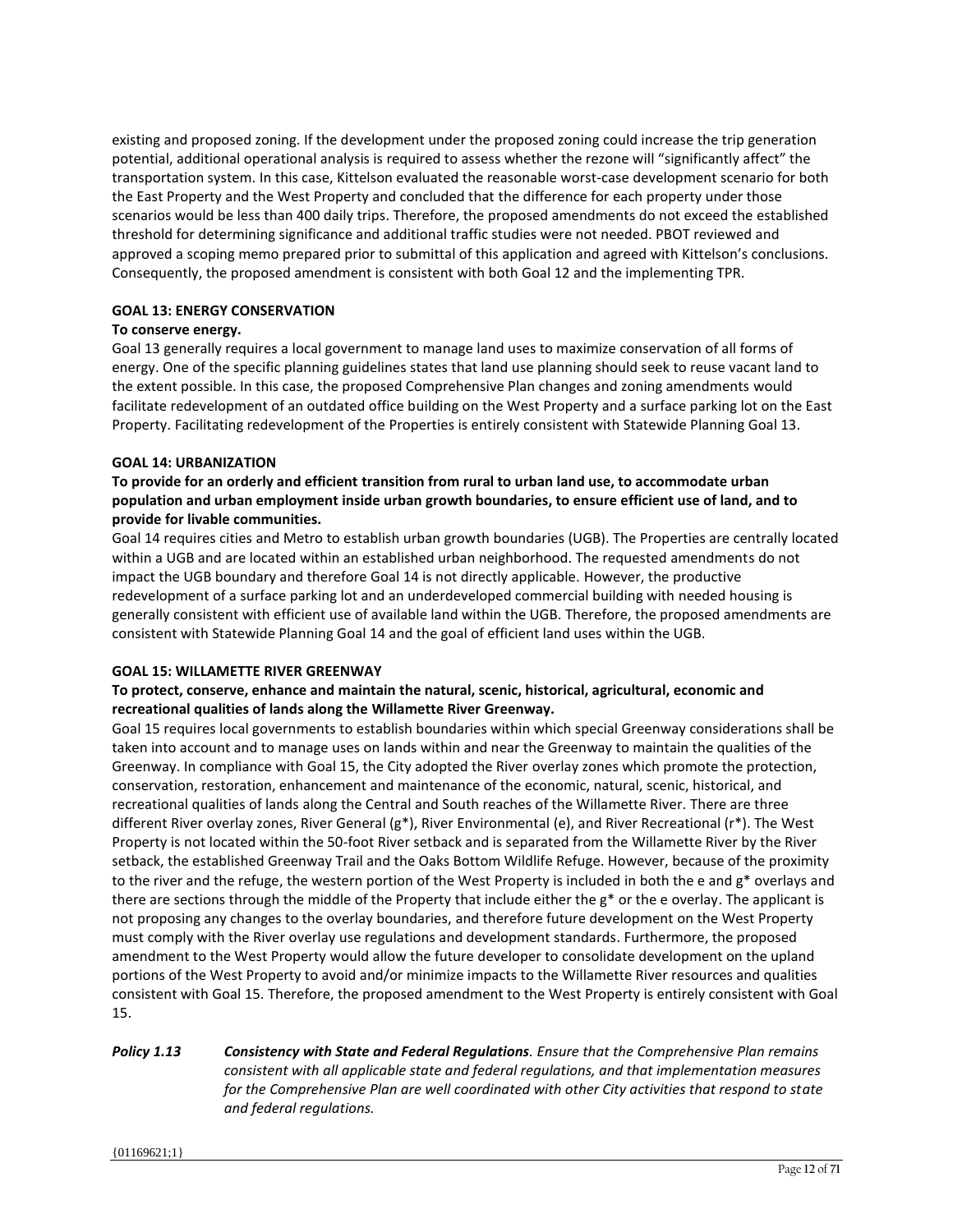existing and proposed zoning. If the development under the proposed zoning could increase the trip generation potential, additional operational analysis is required to assess whether the rezone will "significantly affect" the transportation system. In this case, Kittelson evaluated the reasonable worst-case development scenario for both the East Property and the West Property and concluded that the difference for each property under those scenarios would be less than 400 daily trips. Therefore, the proposed amendments do not exceed the established threshold for determining significance and additional traffic studies were not needed. PBOT reviewed and approved a scoping memo prepared prior to submittal of this application and agreed with Kittelson's conclusions. Consequently, the proposed amendment is consistent with both Goal 12 and the implementing TPR.

### **GOAL 13: ENERGY CONSERVATION**

### **To conserve energy.**

Goal 13 generally requires a local government to manage land uses to maximize conservation of all forms of energy. One of the specific planning guidelines states that land use planning should seek to reuse vacant land to the extent possible. In this case, the proposed Comprehensive Plan changes and zoning amendments would facilitate redevelopment of an outdated office building on the West Property and a surface parking lot on the East Property. Facilitating redevelopment of the Properties is entirely consistent with Statewide Planning Goal 13.

### **GOAL 14: URBANIZATION**

### **To provide for an orderly and efficient transition from rural to urban land use, to accommodate urban population and urban employment inside urban growth boundaries, to ensure efficient use of land, and to provide for livable communities.**

Goal 14 requires cities and Metro to establish urban growth boundaries (UGB). The Properties are centrally located within a UGB and are located within an established urban neighborhood. The requested amendments do not impact the UGB boundary and therefore Goal 14 is not directly applicable. However, the productive redevelopment of a surface parking lot and an underdeveloped commercial building with needed housing is generally consistent with efficient use of available land within the UGB. Therefore, the proposed amendments are consistent with Statewide Planning Goal 14 and the goal of efficient land uses within the UGB.

### **GOAL 15: WILLAMETTE RIVER GREENWAY**

### **To protect, conserve, enhance and maintain the natural, scenic, historical, agricultural, economic and recreational qualities of lands along the Willamette River Greenway.**

Goal 15 requires local governments to establish boundaries within which special Greenway considerations shall be taken into account and to manage uses on lands within and near the Greenway to maintain the qualities of the Greenway. In compliance with Goal 15, the City adopted the River overlay zones which promote the protection, conservation, restoration, enhancement and maintenance of the economic, natural, scenic, historical, and recreational qualities of lands along the Central and South reaches of the Willamette River. There are three different River overlay zones, River General (g\*), River Environmental (e), and River Recreational (r\*). The West Property is not located within the 50-foot River setback and is separated from the Willamette River by the River setback, the established Greenway Trail and the Oaks Bottom Wildlife Refuge. However, because of the proximity to the river and the refuge, the western portion of the West Property is included in both the e and g\* overlays and there are sections through the middle of the Property that include either the  $g^*$  or the e overlay. The applicant is not proposing any changes to the overlay boundaries, and therefore future development on the West Property must comply with the River overlay use regulations and development standards. Furthermore, the proposed amendment to the West Property would allow the future developer to consolidate development on the upland portions of the West Property to avoid and/or minimize impacts to the Willamette River resources and qualities consistent with Goal 15. Therefore, the proposed amendment to the West Property is entirely consistent with Goal 15.

# *Policy 1.13 Consistency with State and Federal Regulations. Ensure that the Comprehensive Plan remains consistent with all applicable state and federal regulations, and that implementation measures for the Comprehensive Plan are well coordinated with other City activities that respond to state and federal regulations.*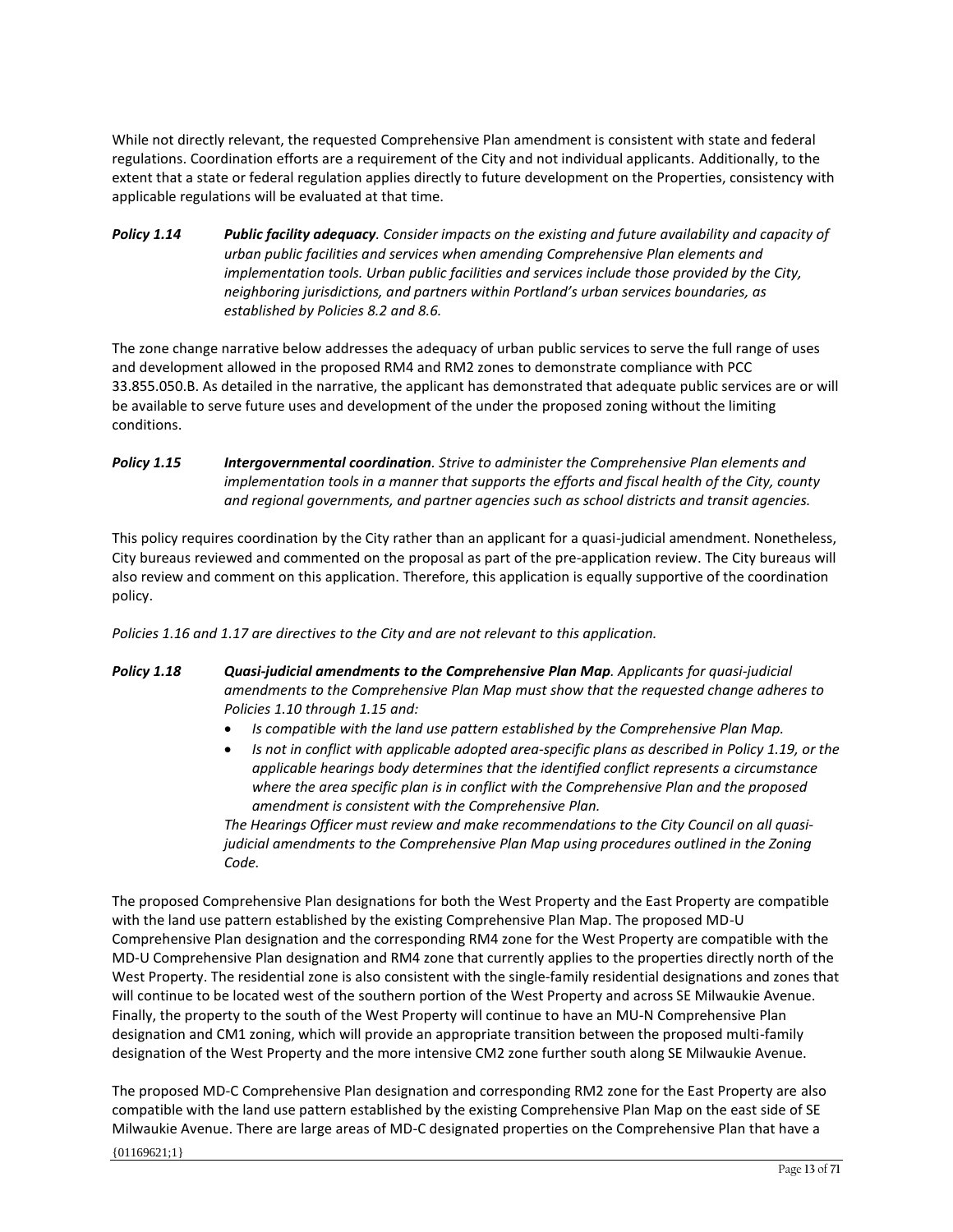While not directly relevant, the requested Comprehensive Plan amendment is consistent with state and federal regulations. Coordination efforts are a requirement of the City and not individual applicants. Additionally, to the extent that a state or federal regulation applies directly to future development on the Properties, consistency with applicable regulations will be evaluated at that time.

*Policy 1.14 Public facility adequacy. Consider impacts on the existing and future availability and capacity of urban public facilities and services when amending Comprehensive Plan elements and implementation tools. Urban public facilities and services include those provided by the City, neighboring jurisdictions, and partners within Portland's urban services boundaries, as established by Policies 8.2 and 8.6.* 

The zone change narrative below addresses the adequacy of urban public services to serve the full range of uses and development allowed in the proposed RM4 and RM2 zones to demonstrate compliance with PCC 33.855.050.B. As detailed in the narrative, the applicant has demonstrated that adequate public services are or will be available to serve future uses and development of the under the proposed zoning without the limiting conditions.

*Policy 1.15 Intergovernmental coordination. Strive to administer the Comprehensive Plan elements and implementation tools in a manner that supports the efforts and fiscal health of the City, county and regional governments, and partner agencies such as school districts and transit agencies.* 

This policy requires coordination by the City rather than an applicant for a quasi-judicial amendment. Nonetheless, City bureaus reviewed and commented on the proposal as part of the pre-application review. The City bureaus will also review and comment on this application. Therefore, this application is equally supportive of the coordination policy.

*Policies 1.16 and 1.17 are directives to the City and are not relevant to this application.* 

- *Policy 1.18 Quasi‐judicial amendments to the Comprehensive Plan Map. Applicants for quasi‐judicial amendments to the Comprehensive Plan Map must show that the requested change adheres to Policies 1.10 through 1.15 and:* 
	- *Is compatible with the land use pattern established by the Comprehensive Plan Map.*
	- *Is not in conflict with applicable adopted area‐specific plans as described in Policy 1.19, or the applicable hearings body determines that the identified conflict represents a circumstance where the area specific plan is in conflict with the Comprehensive Plan and the proposed amendment is consistent with the Comprehensive Plan.*

*The Hearings Officer must review and make recommendations to the City Council on all quasi‐ judicial amendments to the Comprehensive Plan Map using procedures outlined in the Zoning Code.*

The proposed Comprehensive Plan designations for both the West Property and the East Property are compatible with the land use pattern established by the existing Comprehensive Plan Map. The proposed MD-U Comprehensive Plan designation and the corresponding RM4 zone for the West Property are compatible with the MD-U Comprehensive Plan designation and RM4 zone that currently applies to the properties directly north of the West Property. The residential zone is also consistent with the single-family residential designations and zones that will continue to be located west of the southern portion of the West Property and across SE Milwaukie Avenue. Finally, the property to the south of the West Property will continue to have an MU-N Comprehensive Plan designation and CM1 zoning, which will provide an appropriate transition between the proposed multi-family designation of the West Property and the more intensive CM2 zone further south along SE Milwaukie Avenue.

The proposed MD-C Comprehensive Plan designation and corresponding RM2 zone for the East Property are also compatible with the land use pattern established by the existing Comprehensive Plan Map on the east side of SE Milwaukie Avenue. There are large areas of MD-C designated properties on the Comprehensive Plan that have a

{01169621;1}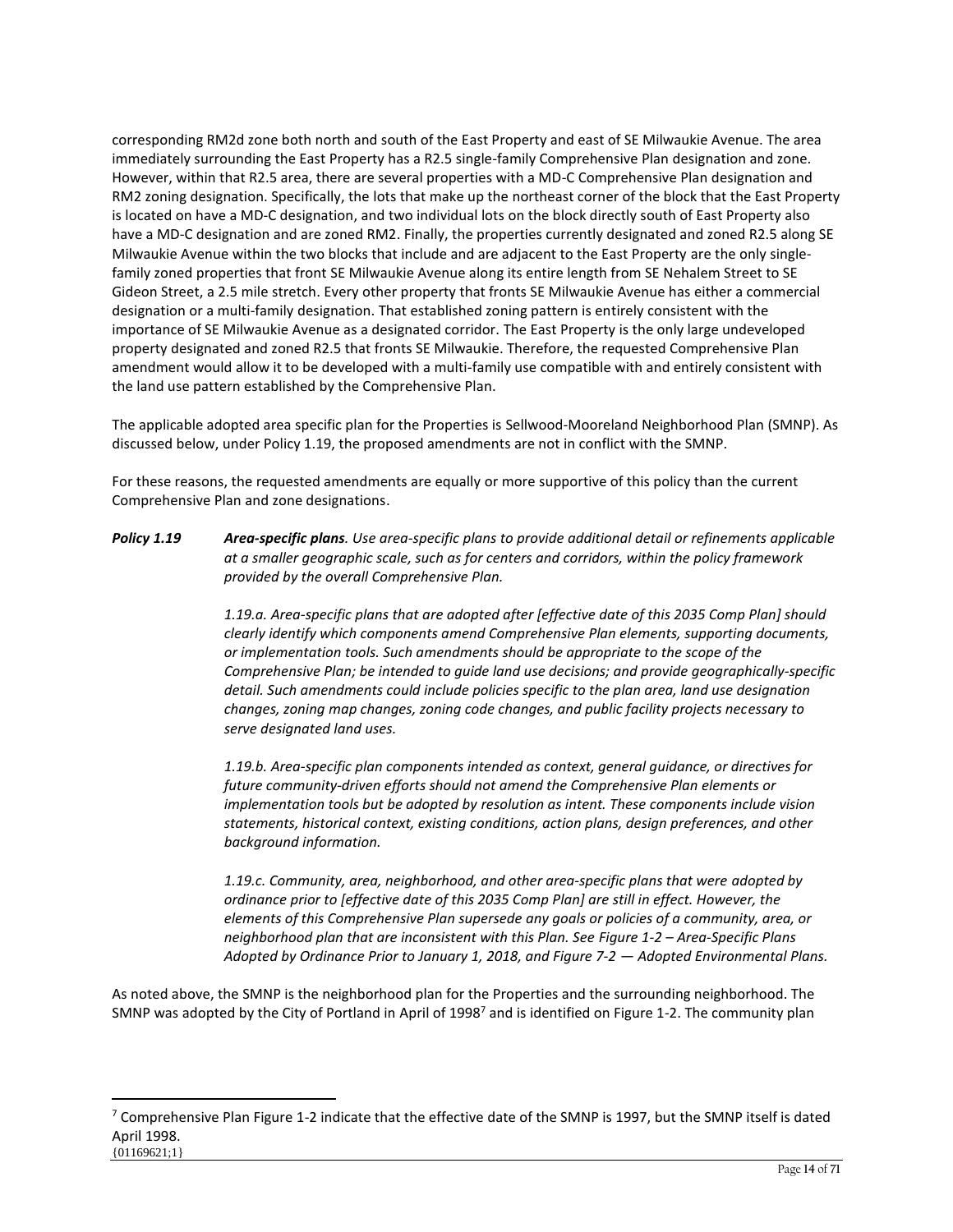corresponding RM2d zone both north and south of the East Property and east of SE Milwaukie Avenue. The area immediately surrounding the East Property has a R2.5 single-family Comprehensive Plan designation and zone. However, within that R2.5 area, there are several properties with a MD-C Comprehensive Plan designation and RM2 zoning designation. Specifically, the lots that make up the northeast corner of the block that the East Property is located on have a MD-C designation, and two individual lots on the block directly south of East Property also have a MD-C designation and are zoned RM2. Finally, the properties currently designated and zoned R2.5 along SE Milwaukie Avenue within the two blocks that include and are adjacent to the East Property are the only singlefamily zoned properties that front SE Milwaukie Avenue along its entire length from SE Nehalem Street to SE Gideon Street, a 2.5 mile stretch. Every other property that fronts SE Milwaukie Avenue has either a commercial designation or a multi-family designation. That established zoning pattern is entirely consistent with the importance of SE Milwaukie Avenue as a designated corridor. The East Property is the only large undeveloped property designated and zoned R2.5 that fronts SE Milwaukie. Therefore, the requested Comprehensive Plan amendment would allow it to be developed with a multi-family use compatible with and entirely consistent with the land use pattern established by the Comprehensive Plan.

The applicable adopted area specific plan for the Properties is Sellwood-Mooreland Neighborhood Plan (SMNP). As discussed below, under Policy 1.19, the proposed amendments are not in conflict with the SMNP.

For these reasons, the requested amendments are equally or more supportive of this policy than the current Comprehensive Plan and zone designations.

*Policy 1.19 Area‐specific plans. Use area‐specific plans to provide additional detail or refinements applicable at a smaller geographic scale, such as for centers and corridors, within the policy framework provided by the overall Comprehensive Plan.* 

> *1.19.a. Area‐specific plans that are adopted after [effective date of this 2035 Comp Plan] should clearly identify which components amend Comprehensive Plan elements, supporting documents, or implementation tools. Such amendments should be appropriate to the scope of the Comprehensive Plan; be intended to guide land use decisions; and provide geographically‐specific detail. Such amendments could include policies specific to the plan area, land use designation changes, zoning map changes, zoning code changes, and public facility projects necessary to serve designated land uses.*

*1.19.b. Area‐specific plan components intended as context, general guidance, or directives for future community‐driven efforts should not amend the Comprehensive Plan elements or implementation tools but be adopted by resolution as intent. These components include vision statements, historical context, existing conditions, action plans, design preferences, and other background information.*

*1.19.c. Community, area, neighborhood, and other area‐specific plans that were adopted by ordinance prior to [effective date of this 2035 Comp Plan] are still in effect. However, the elements of this Comprehensive Plan supersede any goals or policies of a community, area, or neighborhood plan that are inconsistent with this Plan. See Figure 1‐2 – Area‐Specific Plans Adopted by Ordinance Prior to January 1, 2018, and Figure 7‐2 — Adopted Environmental Plans.*

As noted above, the SMNP is the neighborhood plan for the Properties and the surrounding neighborhood. The SMNP was adopted by the City of Portland in April of 1998<sup>7</sup> and is identified on Figure 1-2. The community plan

<sup>{01169621;1}</sup> <sup>7</sup> Comprehensive Plan Figure 1-2 indicate that the effective date of the SMNP is 1997, but the SMNP itself is dated April 1998.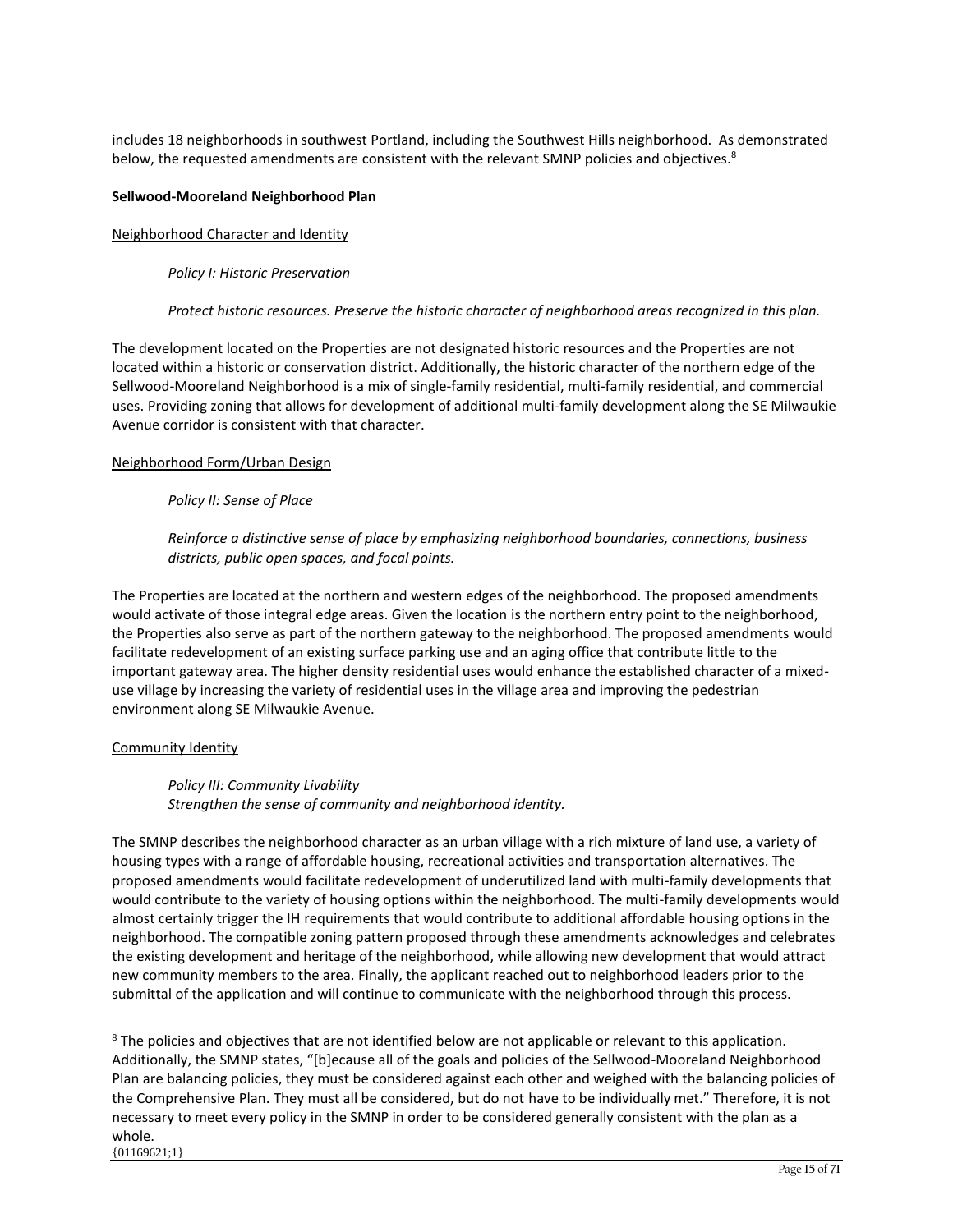includes 18 neighborhoods in southwest Portland, including the Southwest Hills neighborhood. As demonstrated below, the requested amendments are consistent with the relevant SMNP policies and objectives.<sup>8</sup>

### **Sellwood-Mooreland Neighborhood Plan**

### Neighborhood Character and Identity

### *Policy I: Historic Preservation*

### *Protect historic resources. Preserve the historic character of neighborhood areas recognized in this plan.*

The development located on the Properties are not designated historic resources and the Properties are not located within a historic or conservation district. Additionally, the historic character of the northern edge of the Sellwood-Mooreland Neighborhood is a mix of single-family residential, multi-family residential, and commercial uses. Providing zoning that allows for development of additional multi-family development along the SE Milwaukie Avenue corridor is consistent with that character.

### Neighborhood Form/Urban Design

### *Policy II: Sense of Place*

*Reinforce a distinctive sense of place by emphasizing neighborhood boundaries, connections, business districts, public open spaces, and focal points.*

The Properties are located at the northern and western edges of the neighborhood. The proposed amendments would activate of those integral edge areas. Given the location is the northern entry point to the neighborhood, the Properties also serve as part of the northern gateway to the neighborhood. The proposed amendments would facilitate redevelopment of an existing surface parking use and an aging office that contribute little to the important gateway area. The higher density residential uses would enhance the established character of a mixeduse village by increasing the variety of residential uses in the village area and improving the pedestrian environment along SE Milwaukie Avenue.

### Community Identity

*Policy III: Community Livability Strengthen the sense of community and neighborhood identity.*

The SMNP describes the neighborhood character as an urban village with a rich mixture of land use, a variety of housing types with a range of affordable housing, recreational activities and transportation alternatives. The proposed amendments would facilitate redevelopment of underutilized land with multi-family developments that would contribute to the variety of housing options within the neighborhood. The multi-family developments would almost certainly trigger the IH requirements that would contribute to additional affordable housing options in the neighborhood. The compatible zoning pattern proposed through these amendments acknowledges and celebrates the existing development and heritage of the neighborhood, while allowing new development that would attract new community members to the area. Finally, the applicant reached out to neighborhood leaders prior to the submittal of the application and will continue to communicate with the neighborhood through this process.

<sup>{01169621;1}</sup> <sup>8</sup> The policies and objectives that are not identified below are not applicable or relevant to this application. Additionally, the SMNP states, "[b]ecause all of the goals and policies of the Sellwood-Mooreland Neighborhood Plan are balancing policies, they must be considered against each other and weighed with the balancing policies of the Comprehensive Plan. They must all be considered, but do not have to be individually met." Therefore, it is not necessary to meet every policy in the SMNP in order to be considered generally consistent with the plan as a whole.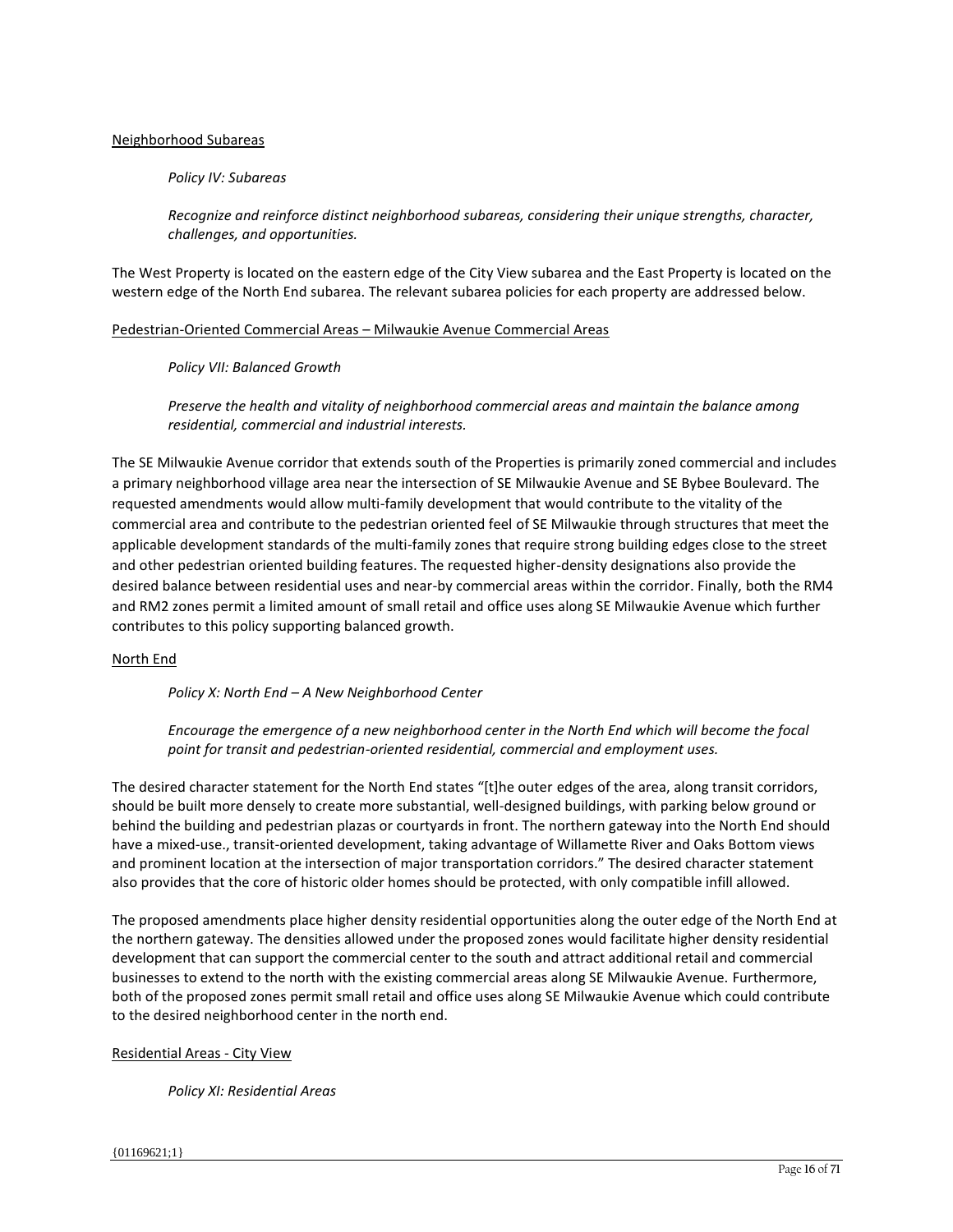### Neighborhood Subareas

### *Policy IV: Subareas*

*Recognize and reinforce distinct neighborhood subareas, considering their unique strengths, character, challenges, and opportunities.* 

The West Property is located on the eastern edge of the City View subarea and the East Property is located on the western edge of the North End subarea. The relevant subarea policies for each property are addressed below.

### Pedestrian-Oriented Commercial Areas – Milwaukie Avenue Commercial Areas

### *Policy VII: Balanced Growth*

*Preserve the health and vitality of neighborhood commercial areas and maintain the balance among residential, commercial and industrial interests.*

The SE Milwaukie Avenue corridor that extends south of the Properties is primarily zoned commercial and includes a primary neighborhood village area near the intersection of SE Milwaukie Avenue and SE Bybee Boulevard. The requested amendments would allow multi-family development that would contribute to the vitality of the commercial area and contribute to the pedestrian oriented feel of SE Milwaukie through structures that meet the applicable development standards of the multi-family zones that require strong building edges close to the street and other pedestrian oriented building features. The requested higher-density designations also provide the desired balance between residential uses and near-by commercial areas within the corridor. Finally, both the RM4 and RM2 zones permit a limited amount of small retail and office uses along SE Milwaukie Avenue which further contributes to this policy supporting balanced growth.

#### North End

*Policy X: North End – A New Neighborhood Center*

*Encourage the emergence of a new neighborhood center in the North End which will become the focal point for transit and pedestrian-oriented residential, commercial and employment uses.* 

The desired character statement for the North End states "[t]he outer edges of the area, along transit corridors, should be built more densely to create more substantial, well-designed buildings, with parking below ground or behind the building and pedestrian plazas or courtyards in front. The northern gateway into the North End should have a mixed-use., transit-oriented development, taking advantage of Willamette River and Oaks Bottom views and prominent location at the intersection of major transportation corridors." The desired character statement also provides that the core of historic older homes should be protected, with only compatible infill allowed.

The proposed amendments place higher density residential opportunities along the outer edge of the North End at the northern gateway. The densities allowed under the proposed zones would facilitate higher density residential development that can support the commercial center to the south and attract additional retail and commercial businesses to extend to the north with the existing commercial areas along SE Milwaukie Avenue. Furthermore, both of the proposed zones permit small retail and office uses along SE Milwaukie Avenue which could contribute to the desired neighborhood center in the north end.

#### Residential Areas - City View

*Policy XI: Residential Areas*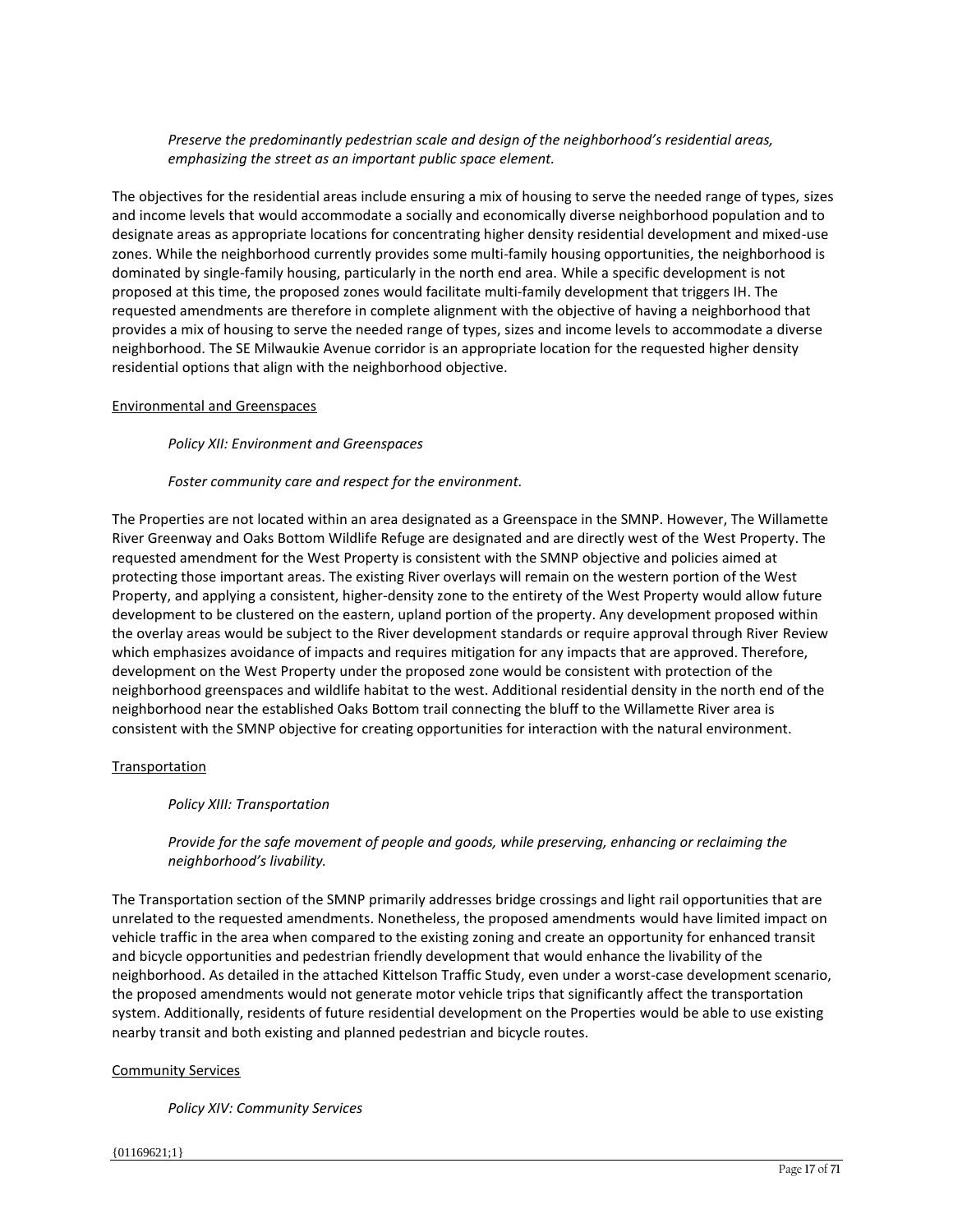*Preserve the predominantly pedestrian scale and design of the neighborhood's residential areas, emphasizing the street as an important public space element.*

The objectives for the residential areas include ensuring a mix of housing to serve the needed range of types, sizes and income levels that would accommodate a socially and economically diverse neighborhood population and to designate areas as appropriate locations for concentrating higher density residential development and mixed-use zones. While the neighborhood currently provides some multi-family housing opportunities, the neighborhood is dominated by single-family housing, particularly in the north end area. While a specific development is not proposed at this time, the proposed zones would facilitate multi-family development that triggers IH. The requested amendments are therefore in complete alignment with the objective of having a neighborhood that provides a mix of housing to serve the needed range of types, sizes and income levels to accommodate a diverse neighborhood. The SE Milwaukie Avenue corridor is an appropriate location for the requested higher density residential options that align with the neighborhood objective.

#### Environmental and Greenspaces

*Policy XII: Environment and Greenspaces*

#### *Foster community care and respect for the environment.*

The Properties are not located within an area designated as a Greenspace in the SMNP. However, The Willamette River Greenway and Oaks Bottom Wildlife Refuge are designated and are directly west of the West Property. The requested amendment for the West Property is consistent with the SMNP objective and policies aimed at protecting those important areas. The existing River overlays will remain on the western portion of the West Property, and applying a consistent, higher-density zone to the entirety of the West Property would allow future development to be clustered on the eastern, upland portion of the property. Any development proposed within the overlay areas would be subject to the River development standards or require approval through River Review which emphasizes avoidance of impacts and requires mitigation for any impacts that are approved. Therefore, development on the West Property under the proposed zone would be consistent with protection of the neighborhood greenspaces and wildlife habitat to the west. Additional residential density in the north end of the neighborhood near the established Oaks Bottom trail connecting the bluff to the Willamette River area is consistent with the SMNP objective for creating opportunities for interaction with the natural environment.

### **Transportation**

#### *Policy XIII: Transportation*

# *Provide for the safe movement of people and goods, while preserving, enhancing or reclaiming the neighborhood's livability.*

The Transportation section of the SMNP primarily addresses bridge crossings and light rail opportunities that are unrelated to the requested amendments. Nonetheless, the proposed amendments would have limited impact on vehicle traffic in the area when compared to the existing zoning and create an opportunity for enhanced transit and bicycle opportunities and pedestrian friendly development that would enhance the livability of the neighborhood. As detailed in the attached Kittelson Traffic Study, even under a worst-case development scenario, the proposed amendments would not generate motor vehicle trips that significantly affect the transportation system. Additionally, residents of future residential development on the Properties would be able to use existing nearby transit and both existing and planned pedestrian and bicycle routes.

#### Community Services

#### *Policy XIV: Community Services*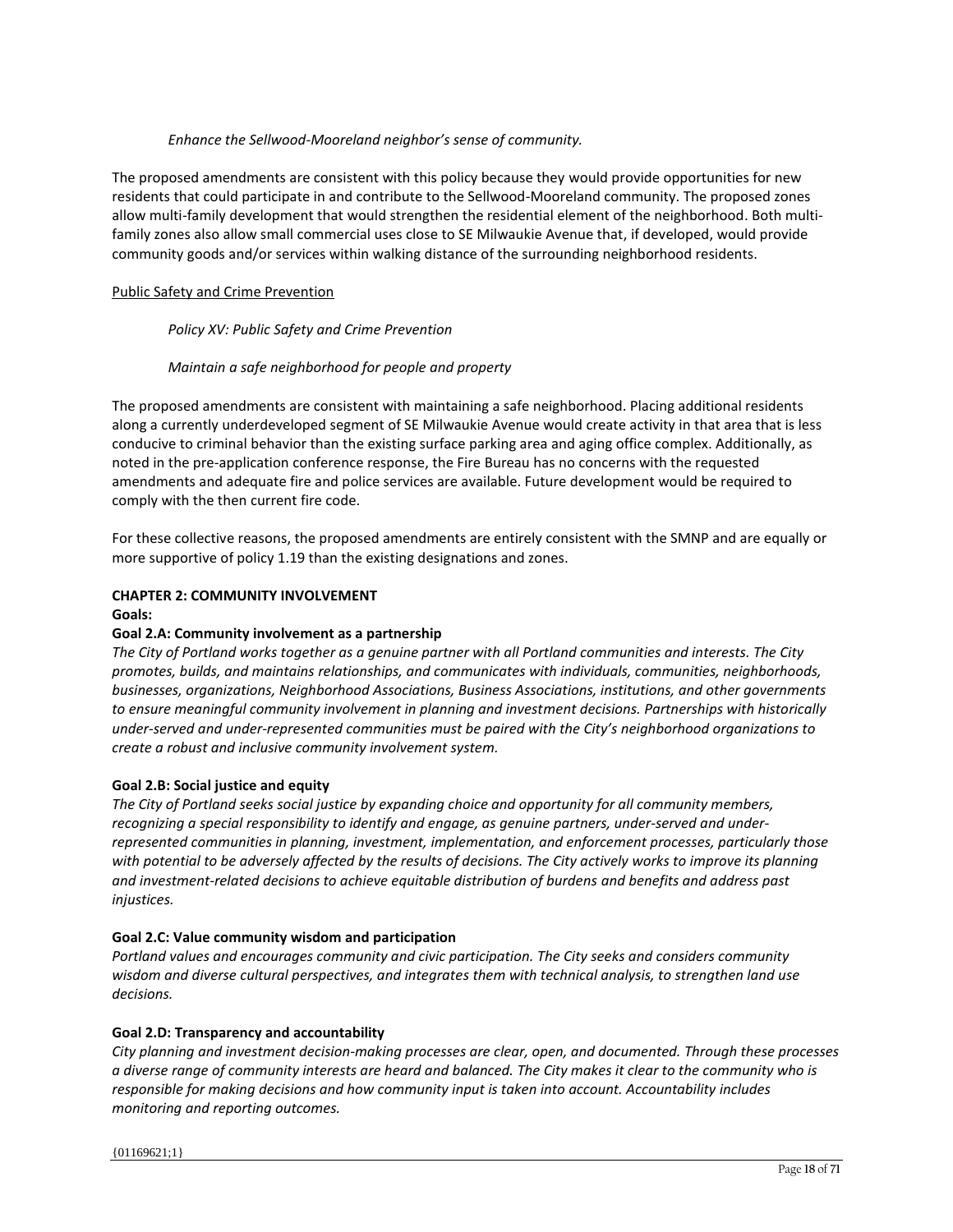### *Enhance the Sellwood-Mooreland neighbor's sense of community.*

The proposed amendments are consistent with this policy because they would provide opportunities for new residents that could participate in and contribute to the Sellwood-Mooreland community. The proposed zones allow multi-family development that would strengthen the residential element of the neighborhood. Both multifamily zones also allow small commercial uses close to SE Milwaukie Avenue that, if developed, would provide community goods and/or services within walking distance of the surrounding neighborhood residents.

### Public Safety and Crime Prevention

### *Policy XV: Public Safety and Crime Prevention*

### *Maintain a safe neighborhood for people and property*

The proposed amendments are consistent with maintaining a safe neighborhood. Placing additional residents along a currently underdeveloped segment of SE Milwaukie Avenue would create activity in that area that is less conducive to criminal behavior than the existing surface parking area and aging office complex. Additionally, as noted in the pre-application conference response, the Fire Bureau has no concerns with the requested amendments and adequate fire and police services are available. Future development would be required to comply with the then current fire code.

For these collective reasons, the proposed amendments are entirely consistent with the SMNP and are equally or more supportive of policy 1.19 than the existing designations and zones.

#### **CHAPTER 2: COMMUNITY INVOLVEMENT**

#### **Goals:**

### **Goal 2.A: Community involvement as a partnership**

*The City of Portland works together as a genuine partner with all Portland communities and interests. The City promotes, builds, and maintains relationships, and communicates with individuals, communities, neighborhoods, businesses, organizations, Neighborhood Associations, Business Associations, institutions, and other governments to ensure meaningful community involvement in planning and investment decisions. Partnerships with historically under‐served and under‐represented communities must be paired with the City's neighborhood organizations to create a robust and inclusive community involvement system.*

#### **Goal 2.B: Social justice and equity**

*The City of Portland seeks social justice by expanding choice and opportunity for all community members, recognizing a special responsibility to identify and engage, as genuine partners, under‐served and under‐ represented communities in planning, investment, implementation, and enforcement processes, particularly those with potential to be adversely affected by the results of decisions. The City actively works to improve its planning and investment‐related decisions to achieve equitable distribution of burdens and benefits and address past injustices.*

#### **Goal 2.C: Value community wisdom and participation**

*Portland values and encourages community and civic participation. The City seeks and considers community wisdom and diverse cultural perspectives, and integrates them with technical analysis, to strengthen land use decisions.*

### **Goal 2.D: Transparency and accountability**

*City planning and investment decision‐making processes are clear, open, and documented. Through these processes a diverse range of community interests are heard and balanced. The City makes it clear to the community who is responsible for making decisions and how community input is taken into account. Accountability includes monitoring and reporting outcomes.*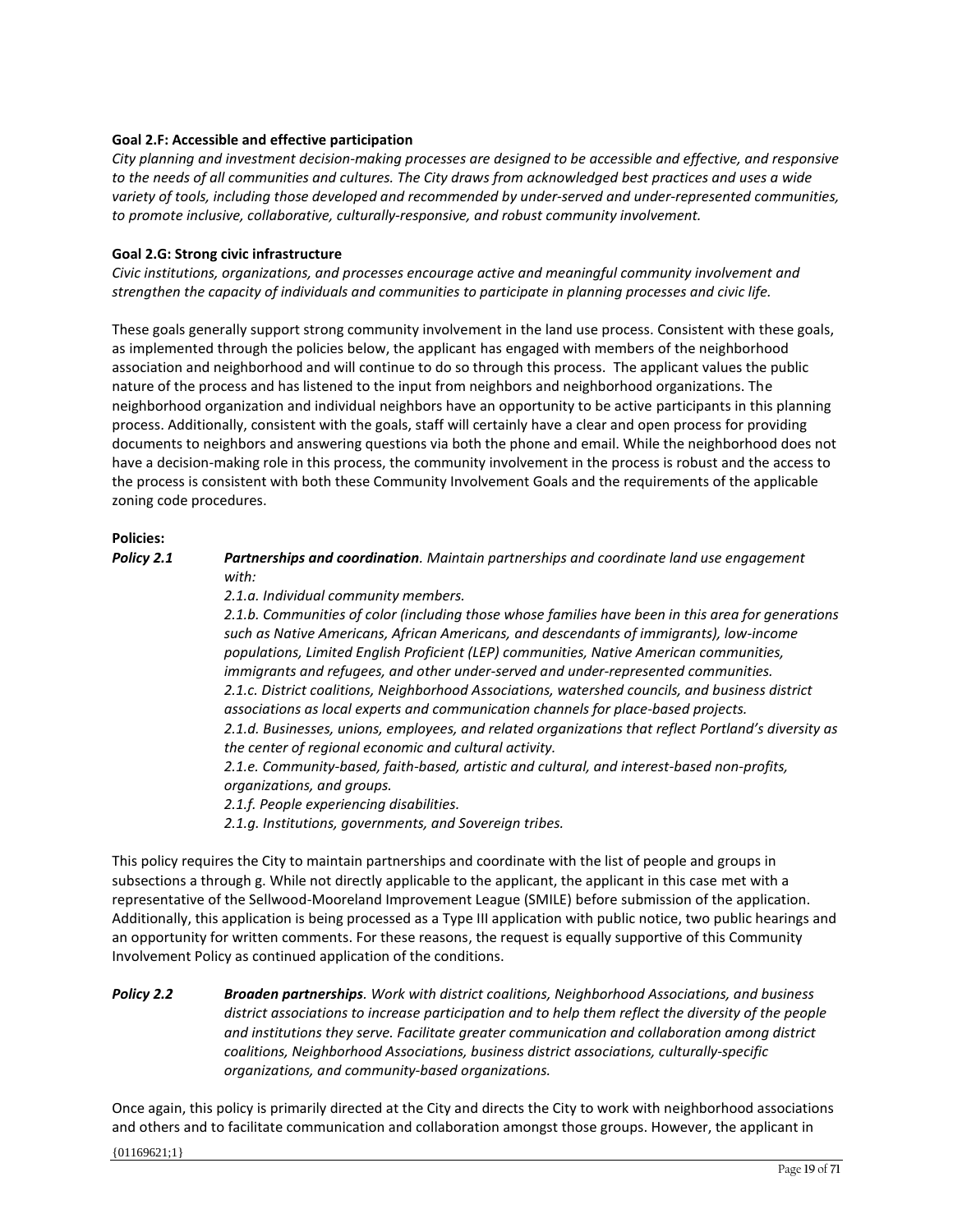### **Goal 2.F: Accessible and effective participation**

*City planning and investment decision‐making processes are designed to be accessible and effective, and responsive to the needs of all communities and cultures. The City draws from acknowledged best practices and uses a wide variety of tools, including those developed and recommended by under‐served and under‐represented communities, to promote inclusive, collaborative, culturally‐responsive, and robust community involvement.* 

### **Goal 2.G: Strong civic infrastructure**

*Civic institutions, organizations, and processes encourage active and meaningful community involvement and strengthen the capacity of individuals and communities to participate in planning processes and civic life.*

These goals generally support strong community involvement in the land use process. Consistent with these goals, as implemented through the policies below, the applicant has engaged with members of the neighborhood association and neighborhood and will continue to do so through this process. The applicant values the public nature of the process and has listened to the input from neighbors and neighborhood organizations. The neighborhood organization and individual neighbors have an opportunity to be active participants in this planning process. Additionally, consistent with the goals, staff will certainly have a clear and open process for providing documents to neighbors and answering questions via both the phone and email. While the neighborhood does not have a decision-making role in this process, the community involvement in the process is robust and the access to the process is consistent with both these Community Involvement Goals and the requirements of the applicable zoning code procedures.

# **Policies:**

*Policy 2.1 Partnerships and coordination. Maintain partnerships and coordinate land use engagement with:* 

*2.1.a. Individual community members.*

*2.1.b. Communities of color (including those whose families have been in this area for generations such as Native Americans, African Americans, and descendants of immigrants), low‐income populations, Limited English Proficient (LEP) communities, Native American communities, immigrants and refugees, and other under‐served and under‐represented communities. 2.1.c. District coalitions, Neighborhood Associations, watershed councils, and business district associations as local experts and communication channels for place‐based projects. 2.1.d. Businesses, unions, employees, and related organizations that reflect Portland's diversity as the center of regional economic and cultural activity. 2.1.e. Community‐based, faith‐based, artistic and cultural, and interest‐based non‐profits, organizations, and groups. 2.1.f. People experiencing disabilities.*

*2.1.g. Institutions, governments, and Sovereign tribes.*

This policy requires the City to maintain partnerships and coordinate with the list of people and groups in subsections a through g. While not directly applicable to the applicant, the applicant in this case met with a representative of the Sellwood-Mooreland Improvement League (SMILE) before submission of the application. Additionally, this application is being processed as a Type III application with public notice, two public hearings and an opportunity for written comments. For these reasons, the request is equally supportive of this Community Involvement Policy as continued application of the conditions.

# *Policy 2.2 Broaden partnerships. Work with district coalitions, Neighborhood Associations, and business district associations to increase participation and to help them reflect the diversity of the people and institutions they serve. Facilitate greater communication and collaboration among district coalitions, Neighborhood Associations, business district associations, culturally‐specific organizations, and community‐based organizations.*

Once again, this policy is primarily directed at the City and directs the City to work with neighborhood associations and others and to facilitate communication and collaboration amongst those groups. However, the applicant in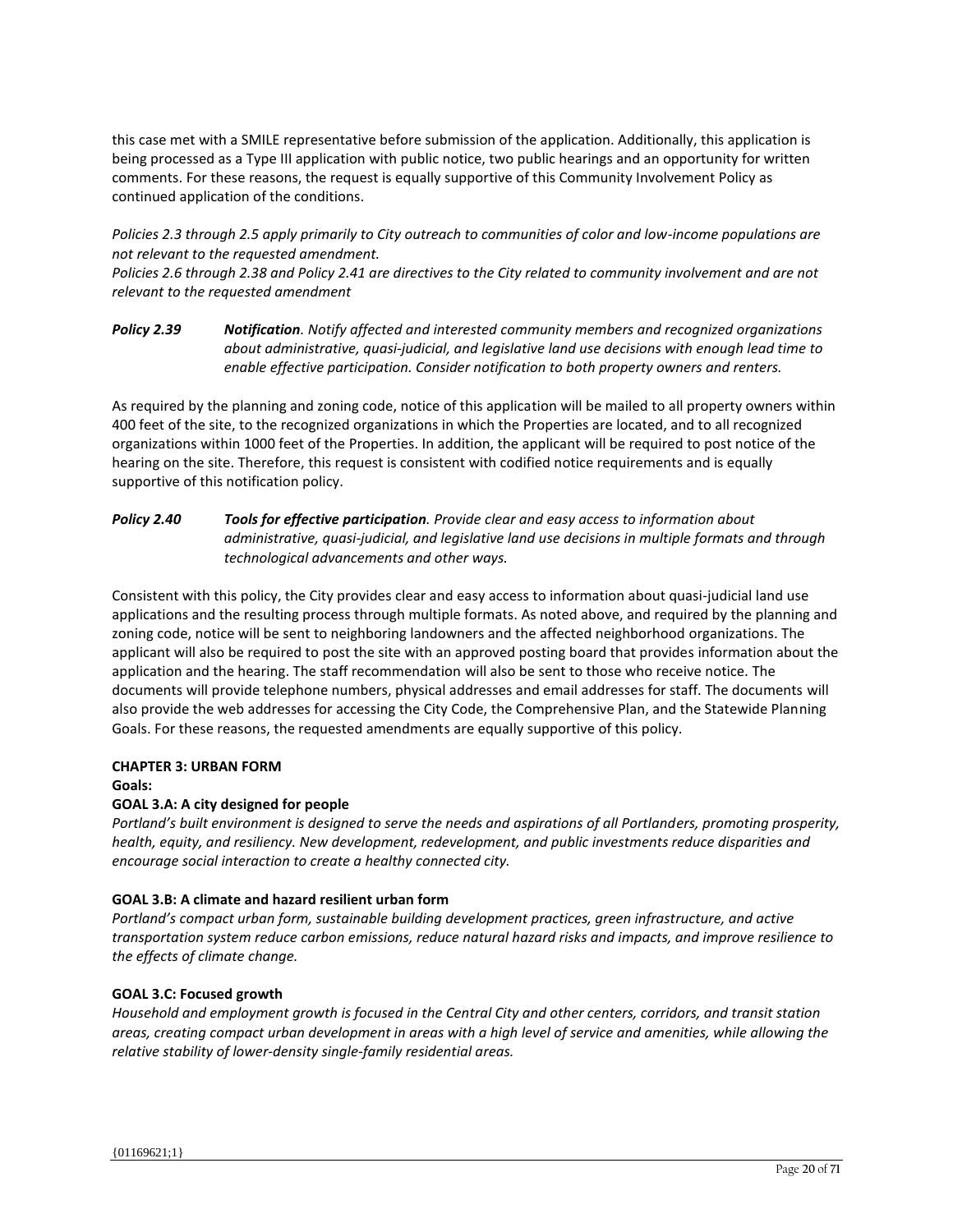this case met with a SMILE representative before submission of the application. Additionally, this application is being processed as a Type III application with public notice, two public hearings and an opportunity for written comments. For these reasons, the request is equally supportive of this Community Involvement Policy as continued application of the conditions.

*Policies 2.3 through 2.5 apply primarily to City outreach to communities of color and low-income populations are not relevant to the requested amendment.*

*Policies 2.6 through 2.38 and Policy 2.41 are directives to the City related to community involvement and are not relevant to the requested amendment*

*Policy 2.39 Notification. Notify affected and interested community members and recognized organizations about administrative, quasi‐judicial, and legislative land use decisions with enough lead time to enable effective participation. Consider notification to both property owners and renters.*

As required by the planning and zoning code, notice of this application will be mailed to all property owners within 400 feet of the site, to the recognized organizations in which the Properties are located, and to all recognized organizations within 1000 feet of the Properties. In addition, the applicant will be required to post notice of the hearing on the site. Therefore, this request is consistent with codified notice requirements and is equally supportive of this notification policy.

*Policy 2.40 Tools for effective participation. Provide clear and easy access to information about administrative, quasi‐judicial, and legislative land use decisions in multiple formats and through technological advancements and other ways.*

Consistent with this policy, the City provides clear and easy access to information about quasi-judicial land use applications and the resulting process through multiple formats. As noted above, and required by the planning and zoning code, notice will be sent to neighboring landowners and the affected neighborhood organizations. The applicant will also be required to post the site with an approved posting board that provides information about the application and the hearing. The staff recommendation will also be sent to those who receive notice. The documents will provide telephone numbers, physical addresses and email addresses for staff. The documents will also provide the web addresses for accessing the City Code, the Comprehensive Plan, and the Statewide Planning Goals. For these reasons, the requested amendments are equally supportive of this policy.

### **CHAPTER 3: URBAN FORM**

**Goals:**

### **GOAL 3.A: A city designed for people**

*Portland's built environment is designed to serve the needs and aspirations of all Portlanders, promoting prosperity, health, equity, and resiliency. New development, redevelopment, and public investments reduce disparities and encourage social interaction to create a healthy connected city.* 

#### **GOAL 3.B: A climate and hazard resilient urban form**

*Portland's compact urban form, sustainable building development practices, green infrastructure, and active transportation system reduce carbon emissions, reduce natural hazard risks and impacts, and improve resilience to the effects of climate change.* 

### **GOAL 3.C: Focused growth**

*Household and employment growth is focused in the Central City and other centers, corridors, and transit station areas, creating compact urban development in areas with a high level of service and amenities, while allowing the relative stability of lower‐density single‐family residential areas.*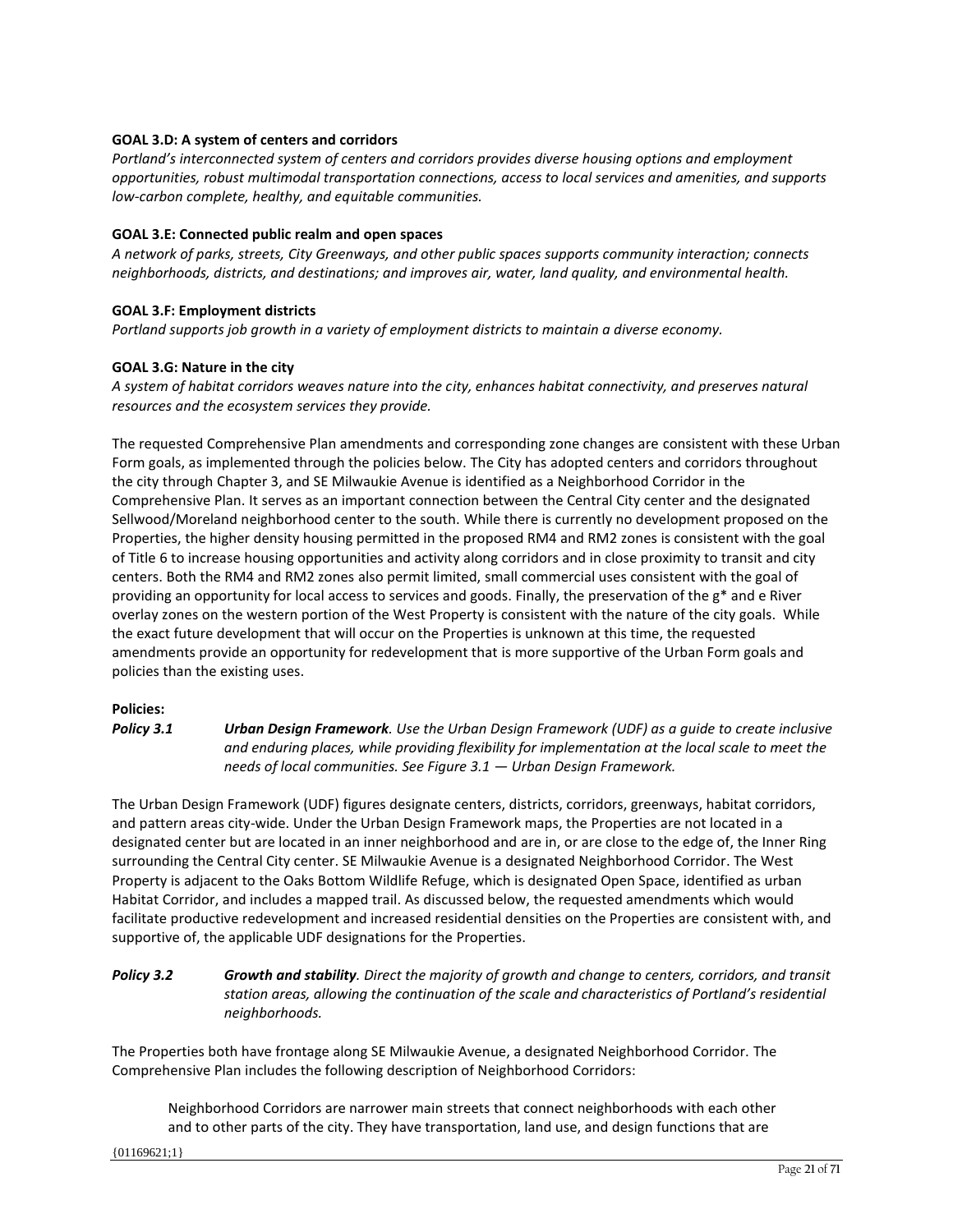### **GOAL 3.D: A system of centers and corridors**

*Portland's interconnected system of centers and corridors provides diverse housing options and employment opportunities, robust multimodal transportation connections, access to local services and amenities, and supports low‐carbon complete, healthy, and equitable communities.* 

### **GOAL 3.E: Connected public realm and open spaces**

*A network of parks, streets, City Greenways, and other public spaces supports community interaction; connects neighborhoods, districts, and destinations; and improves air, water, land quality, and environmental health.* 

### **GOAL 3.F: Employment districts**

*Portland supports job growth in a variety of employment districts to maintain a diverse economy.* 

### **GOAL 3.G: Nature in the city**

*A system of habitat corridors weaves nature into the city, enhances habitat connectivity, and preserves natural resources and the ecosystem services they provide.*

The requested Comprehensive Plan amendments and corresponding zone changes are consistent with these Urban Form goals, as implemented through the policies below. The City has adopted centers and corridors throughout the city through Chapter 3, and SE Milwaukie Avenue is identified as a Neighborhood Corridor in the Comprehensive Plan. It serves as an important connection between the Central City center and the designated Sellwood/Moreland neighborhood center to the south. While there is currently no development proposed on the Properties, the higher density housing permitted in the proposed RM4 and RM2 zones is consistent with the goal of Title 6 to increase housing opportunities and activity along corridors and in close proximity to transit and city centers. Both the RM4 and RM2 zones also permit limited, small commercial uses consistent with the goal of providing an opportunity for local access to services and goods. Finally, the preservation of the  $g^*$  and e River overlay zones on the western portion of the West Property is consistent with the nature of the city goals. While the exact future development that will occur on the Properties is unknown at this time, the requested amendments provide an opportunity for redevelopment that is more supportive of the Urban Form goals and policies than the existing uses.

#### **Policies:**

*Policy 3.1 Urban Design Framework. Use the Urban Design Framework (UDF) as a guide to create inclusive and enduring places, while providing flexibility for implementation at the local scale to meet the needs of local communities. See Figure 3.1 — Urban Design Framework.*

The Urban Design Framework (UDF) figures designate centers, districts, corridors, greenways, habitat corridors, and pattern areas city-wide. Under the Urban Design Framework maps, the Properties are not located in a designated center but are located in an inner neighborhood and are in, or are close to the edge of, the Inner Ring surrounding the Central City center. SE Milwaukie Avenue is a designated Neighborhood Corridor. The West Property is adjacent to the Oaks Bottom Wildlife Refuge, which is designated Open Space, identified as urban Habitat Corridor, and includes a mapped trail. As discussed below, the requested amendments which would facilitate productive redevelopment and increased residential densities on the Properties are consistent with, and supportive of, the applicable UDF designations for the Properties.

*Policy 3.2 Growth and stability. Direct the majority of growth and change to centers, corridors, and transit station areas, allowing the continuation of the scale and characteristics of Portland's residential neighborhoods.*

The Properties both have frontage along SE Milwaukie Avenue, a designated Neighborhood Corridor. The Comprehensive Plan includes the following description of Neighborhood Corridors:

Neighborhood Corridors are narrower main streets that connect neighborhoods with each other and to other parts of the city. They have transportation, land use, and design functions that are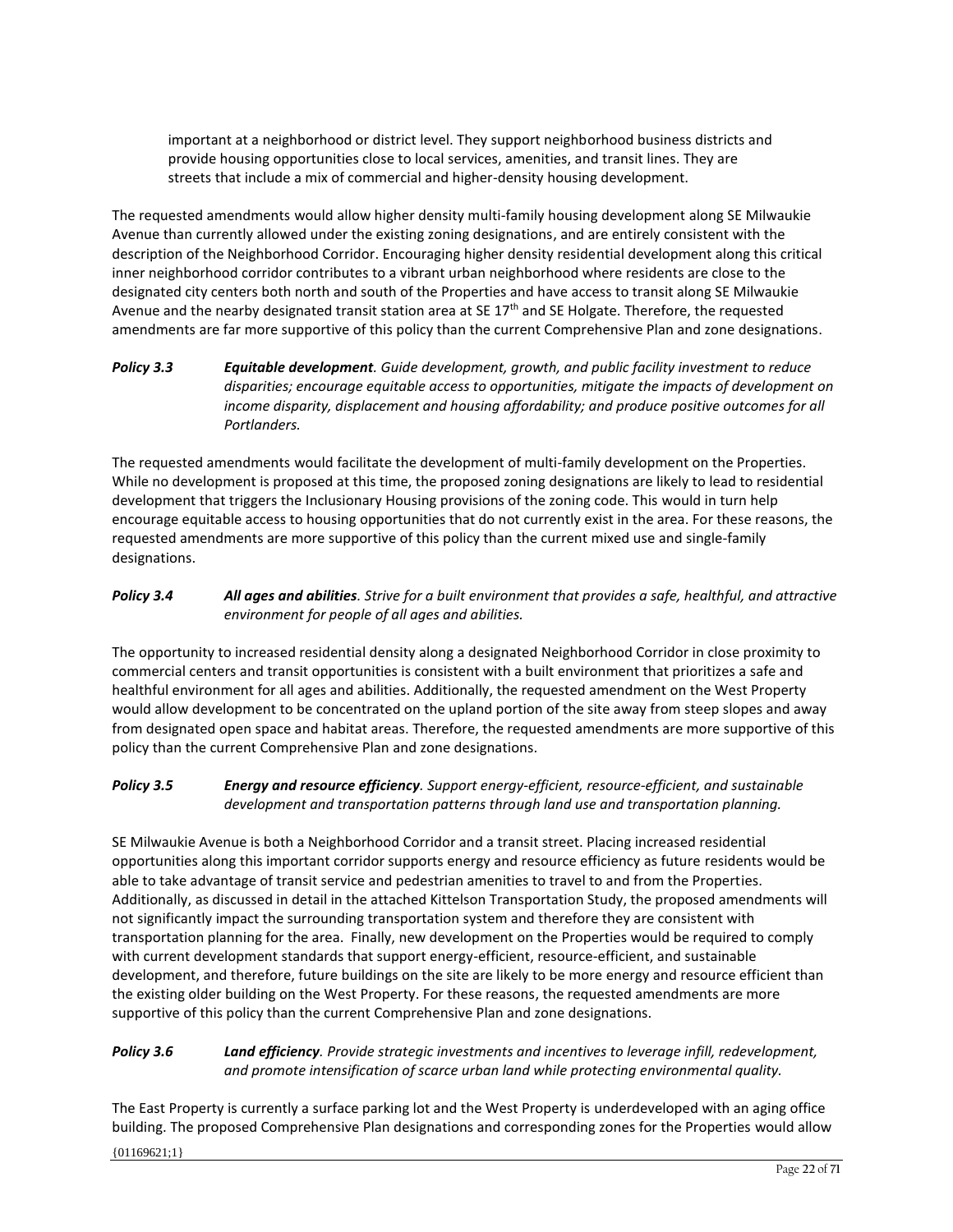important at a neighborhood or district level. They support neighborhood business districts and provide housing opportunities close to local services, amenities, and transit lines. They are streets that include a mix of commercial and higher-density housing development.

The requested amendments would allow higher density multi-family housing development along SE Milwaukie Avenue than currently allowed under the existing zoning designations, and are entirely consistent with the description of the Neighborhood Corridor. Encouraging higher density residential development along this critical inner neighborhood corridor contributes to a vibrant urban neighborhood where residents are close to the designated city centers both north and south of the Properties and have access to transit along SE Milwaukie Avenue and the nearby designated transit station area at SE  $17<sup>th</sup>$  and SE Holgate. Therefore, the requested amendments are far more supportive of this policy than the current Comprehensive Plan and zone designations.

# *Policy 3.3 Equitable development. Guide development, growth, and public facility investment to reduce disparities; encourage equitable access to opportunities, mitigate the impacts of development on income disparity, displacement and housing affordability; and produce positive outcomes for all Portlanders.*

The requested amendments would facilitate the development of multi-family development on the Properties. While no development is proposed at this time, the proposed zoning designations are likely to lead to residential development that triggers the Inclusionary Housing provisions of the zoning code. This would in turn help encourage equitable access to housing opportunities that do not currently exist in the area. For these reasons, the requested amendments are more supportive of this policy than the current mixed use and single-family designations.

# *Policy 3.4 All ages and abilities. Strive for a built environment that provides a safe, healthful, and attractive environment for people of all ages and abilities.*

The opportunity to increased residential density along a designated Neighborhood Corridor in close proximity to commercial centers and transit opportunities is consistent with a built environment that prioritizes a safe and healthful environment for all ages and abilities. Additionally, the requested amendment on the West Property would allow development to be concentrated on the upland portion of the site away from steep slopes and away from designated open space and habitat areas. Therefore, the requested amendments are more supportive of this policy than the current Comprehensive Plan and zone designations.

# *Policy 3.5 Energy and resource efficiency. Support energy‐efficient, resource‐efficient, and sustainable development and transportation patterns through land use and transportation planning.*

SE Milwaukie Avenue is both a Neighborhood Corridor and a transit street. Placing increased residential opportunities along this important corridor supports energy and resource efficiency as future residents would be able to take advantage of transit service and pedestrian amenities to travel to and from the Properties. Additionally, as discussed in detail in the attached Kittelson Transportation Study, the proposed amendments will not significantly impact the surrounding transportation system and therefore they are consistent with transportation planning for the area. Finally, new development on the Properties would be required to comply with current development standards that support energy-efficient, resource-efficient, and sustainable development, and therefore, future buildings on the site are likely to be more energy and resource efficient than the existing older building on the West Property. For these reasons, the requested amendments are more supportive of this policy than the current Comprehensive Plan and zone designations.

# *Policy 3.6 Land efficiency. Provide strategic investments and incentives to leverage infill, redevelopment, and promote intensification of scarce urban land while protecting environmental quality.*

The East Property is currently a surface parking lot and the West Property is underdeveloped with an aging office building. The proposed Comprehensive Plan designations and corresponding zones for the Properties would allow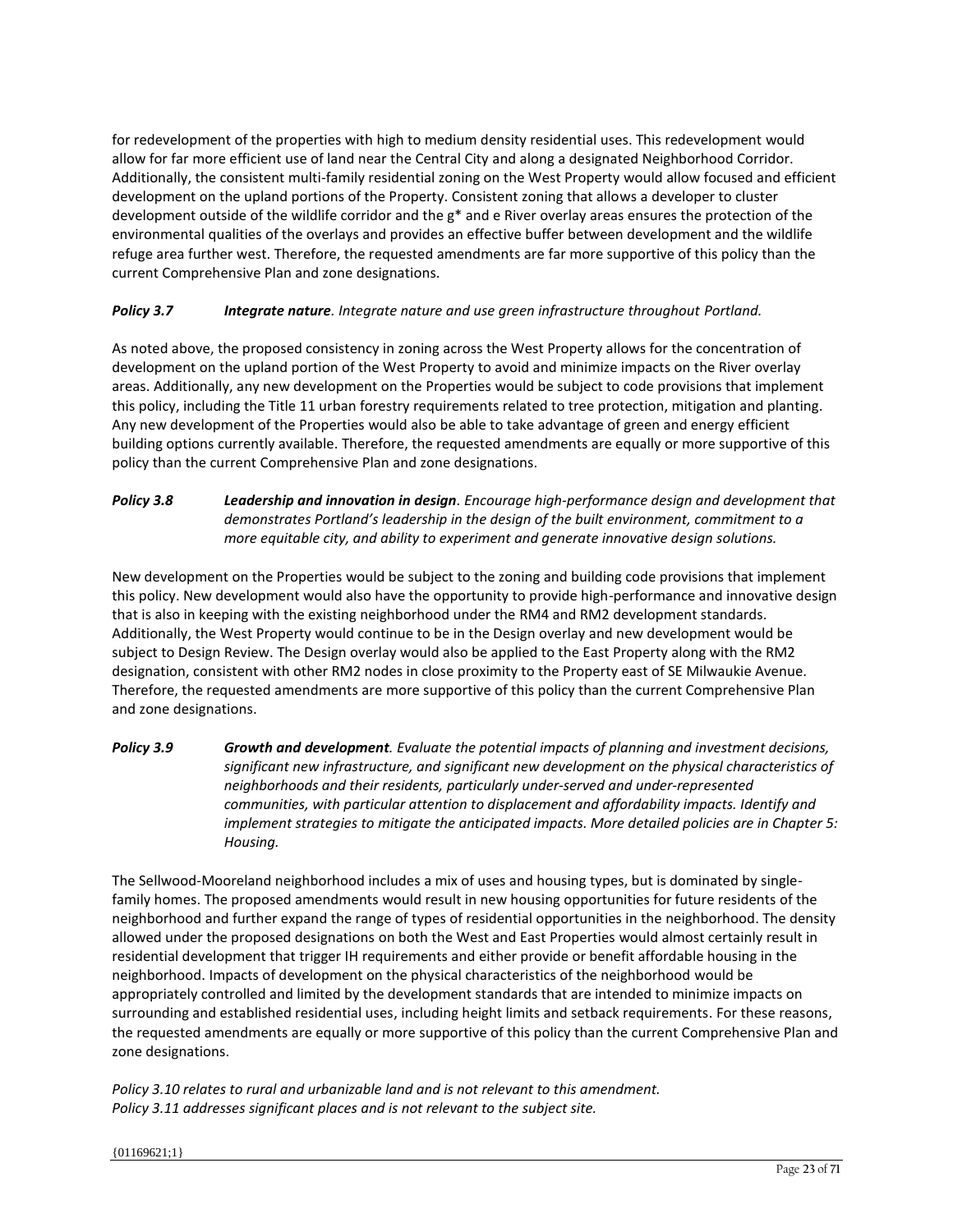for redevelopment of the properties with high to medium density residential uses. This redevelopment would allow for far more efficient use of land near the Central City and along a designated Neighborhood Corridor. Additionally, the consistent multi-family residential zoning on the West Property would allow focused and efficient development on the upland portions of the Property. Consistent zoning that allows a developer to cluster development outside of the wildlife corridor and the  $g^*$  and e River overlay areas ensures the protection of the environmental qualities of the overlays and provides an effective buffer between development and the wildlife refuge area further west. Therefore, the requested amendments are far more supportive of this policy than the current Comprehensive Plan and zone designations.

# *Policy 3.7 Integrate nature. Integrate nature and use green infrastructure throughout Portland.*

As noted above, the proposed consistency in zoning across the West Property allows for the concentration of development on the upland portion of the West Property to avoid and minimize impacts on the River overlay areas. Additionally, any new development on the Properties would be subject to code provisions that implement this policy, including the Title 11 urban forestry requirements related to tree protection, mitigation and planting. Any new development of the Properties would also be able to take advantage of green and energy efficient building options currently available. Therefore, the requested amendments are equally or more supportive of this policy than the current Comprehensive Plan and zone designations.

# *Policy 3.8 Leadership and innovation in design. Encourage high‐performance design and development that demonstrates Portland's leadership in the design of the built environment, commitment to a more equitable city, and ability to experiment and generate innovative design solutions.*

New development on the Properties would be subject to the zoning and building code provisions that implement this policy. New development would also have the opportunity to provide high-performance and innovative design that is also in keeping with the existing neighborhood under the RM4 and RM2 development standards. Additionally, the West Property would continue to be in the Design overlay and new development would be subject to Design Review. The Design overlay would also be applied to the East Property along with the RM2 designation, consistent with other RM2 nodes in close proximity to the Property east of SE Milwaukie Avenue. Therefore, the requested amendments are more supportive of this policy than the current Comprehensive Plan and zone designations.

# *Policy 3.9 Growth and development. Evaluate the potential impacts of planning and investment decisions, significant new infrastructure, and significant new development on the physical characteristics of neighborhoods and their residents, particularly under‐served and under‐represented communities, with particular attention to displacement and affordability impacts. Identify and implement strategies to mitigate the anticipated impacts. More detailed policies are in Chapter 5: Housing.*

The Sellwood-Mooreland neighborhood includes a mix of uses and housing types, but is dominated by singlefamily homes. The proposed amendments would result in new housing opportunities for future residents of the neighborhood and further expand the range of types of residential opportunities in the neighborhood. The density allowed under the proposed designations on both the West and East Properties would almost certainly result in residential development that trigger IH requirements and either provide or benefit affordable housing in the neighborhood. Impacts of development on the physical characteristics of the neighborhood would be appropriately controlled and limited by the development standards that are intended to minimize impacts on surrounding and established residential uses, including height limits and setback requirements. For these reasons, the requested amendments are equally or more supportive of this policy than the current Comprehensive Plan and zone designations.

*Policy 3.10 relates to rural and urbanizable land and is not relevant to this amendment. Policy 3.11 addresses significant places and is not relevant to the subject site.*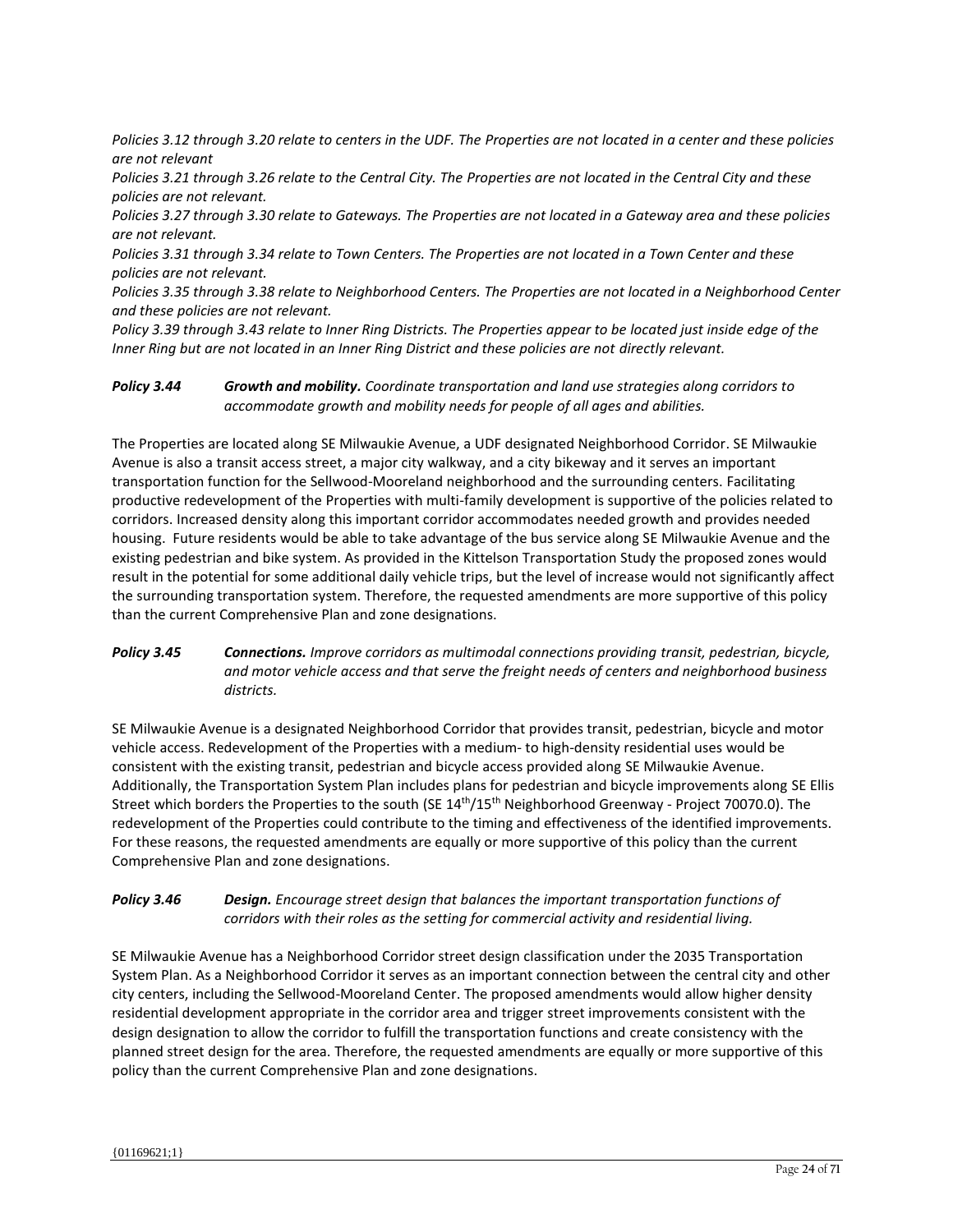*Policies 3.12 through 3.20 relate to centers in the UDF. The Properties are not located in a center and these policies are not relevant*

*Policies 3.21 through 3.26 relate to the Central City. The Properties are not located in the Central City and these policies are not relevant.*

*Policies 3.27 through 3.30 relate to Gateways. The Properties are not located in a Gateway area and these policies are not relevant.*

*Policies 3.31 through 3.34 relate to Town Centers. The Properties are not located in a Town Center and these policies are not relevant.*

*Policies 3.35 through 3.38 relate to Neighborhood Centers. The Properties are not located in a Neighborhood Center and these policies are not relevant.*

*Policy 3.39 through 3.43 relate to Inner Ring Districts. The Properties appear to be located just inside edge of the Inner Ring but are not located in an Inner Ring District and these policies are not directly relevant.*

*Policy 3.44 Growth and mobility. Coordinate transportation and land use strategies along corridors to accommodate growth and mobility needs for people of all ages and abilities.*

The Properties are located along SE Milwaukie Avenue, a UDF designated Neighborhood Corridor. SE Milwaukie Avenue is also a transit access street, a major city walkway, and a city bikeway and it serves an important transportation function for the Sellwood-Mooreland neighborhood and the surrounding centers. Facilitating productive redevelopment of the Properties with multi-family development is supportive of the policies related to corridors. Increased density along this important corridor accommodates needed growth and provides needed housing. Future residents would be able to take advantage of the bus service along SE Milwaukie Avenue and the existing pedestrian and bike system. As provided in the Kittelson Transportation Study the proposed zones would result in the potential for some additional daily vehicle trips, but the level of increase would not significantly affect the surrounding transportation system. Therefore, the requested amendments are more supportive of this policy than the current Comprehensive Plan and zone designations.

*Policy 3.45 Connections. Improve corridors as multimodal connections providing transit, pedestrian, bicycle, and motor vehicle access and that serve the freight needs of centers and neighborhood business districts.*

SE Milwaukie Avenue is a designated Neighborhood Corridor that provides transit, pedestrian, bicycle and motor vehicle access. Redevelopment of the Properties with a medium- to high-density residential uses would be consistent with the existing transit, pedestrian and bicycle access provided along SE Milwaukie Avenue. Additionally, the Transportation System Plan includes plans for pedestrian and bicycle improvements along SE Ellis Street which borders the Properties to the south (SE 14<sup>th</sup>/15<sup>th</sup> Neighborhood Greenway - Project 70070.0). The redevelopment of the Properties could contribute to the timing and effectiveness of the identified improvements. For these reasons, the requested amendments are equally or more supportive of this policy than the current Comprehensive Plan and zone designations.

### *Policy 3.46 Design. Encourage street design that balances the important transportation functions of corridors with their roles as the setting for commercial activity and residential living.*

SE Milwaukie Avenue has a Neighborhood Corridor street design classification under the 2035 Transportation System Plan. As a Neighborhood Corridor it serves as an important connection between the central city and other city centers, including the Sellwood-Mooreland Center. The proposed amendments would allow higher density residential development appropriate in the corridor area and trigger street improvements consistent with the design designation to allow the corridor to fulfill the transportation functions and create consistency with the planned street design for the area. Therefore, the requested amendments are equally or more supportive of this policy than the current Comprehensive Plan and zone designations.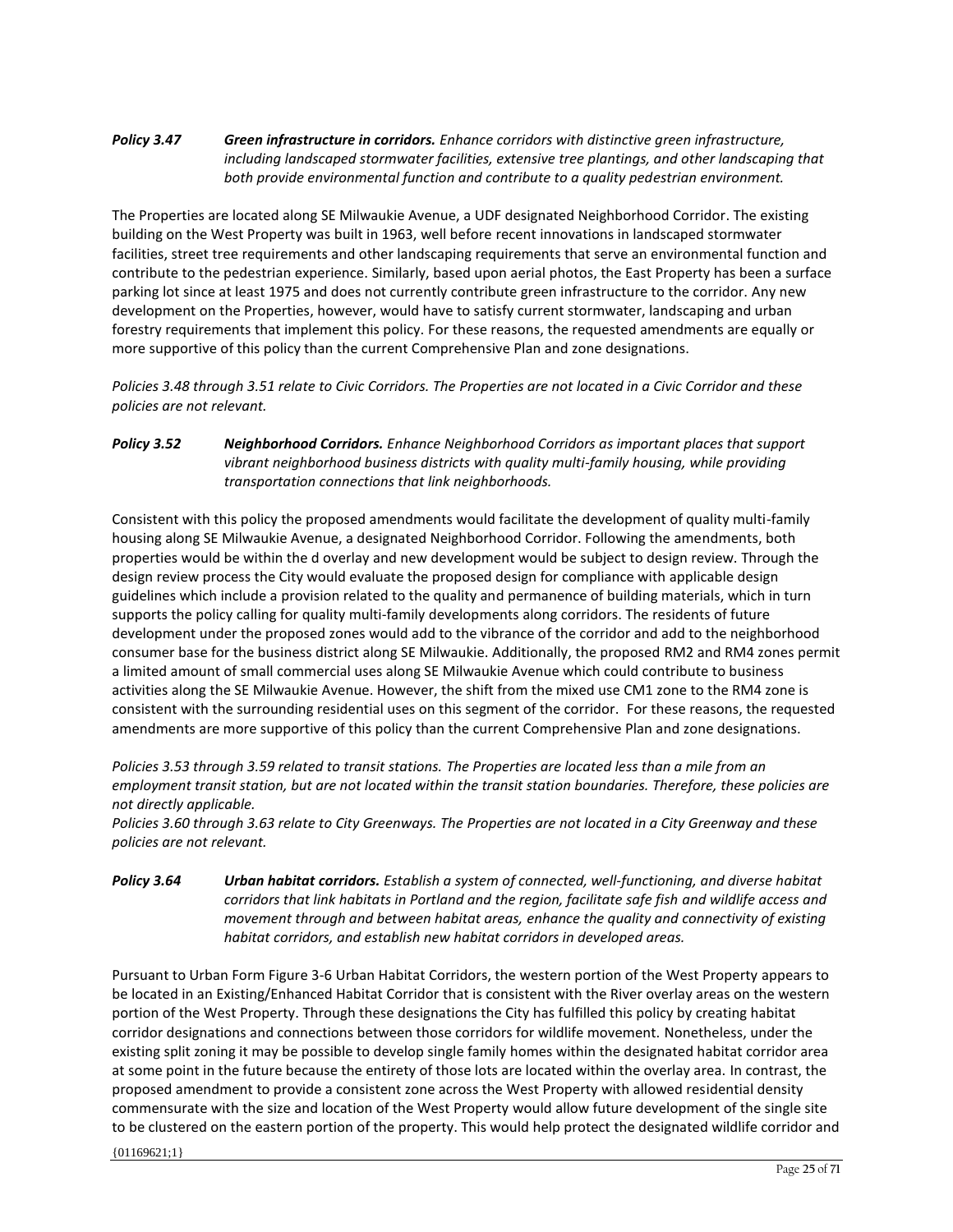# *Policy 3.47 Green infrastructure in corridors. Enhance corridors with distinctive green infrastructure, including landscaped stormwater facilities, extensive tree plantings, and other landscaping that both provide environmental function and contribute to a quality pedestrian environment.*

The Properties are located along SE Milwaukie Avenue, a UDF designated Neighborhood Corridor. The existing building on the West Property was built in 1963, well before recent innovations in landscaped stormwater facilities, street tree requirements and other landscaping requirements that serve an environmental function and contribute to the pedestrian experience. Similarly, based upon aerial photos, the East Property has been a surface parking lot since at least 1975 and does not currently contribute green infrastructure to the corridor. Any new development on the Properties, however, would have to satisfy current stormwater, landscaping and urban forestry requirements that implement this policy. For these reasons, the requested amendments are equally or more supportive of this policy than the current Comprehensive Plan and zone designations.

*Policies 3.48 through 3.51 relate to Civic Corridors. The Properties are not located in a Civic Corridor and these policies are not relevant.*

### *Policy 3.52 Neighborhood Corridors. Enhance Neighborhood Corridors as important places that support vibrant neighborhood business districts with quality multi-family housing, while providing transportation connections that link neighborhoods.*

Consistent with this policy the proposed amendments would facilitate the development of quality multi-family housing along SE Milwaukie Avenue, a designated Neighborhood Corridor. Following the amendments, both properties would be within the d overlay and new development would be subject to design review. Through the design review process the City would evaluate the proposed design for compliance with applicable design guidelines which include a provision related to the quality and permanence of building materials, which in turn supports the policy calling for quality multi-family developments along corridors. The residents of future development under the proposed zones would add to the vibrance of the corridor and add to the neighborhood consumer base for the business district along SE Milwaukie. Additionally, the proposed RM2 and RM4 zones permit a limited amount of small commercial uses along SE Milwaukie Avenue which could contribute to business activities along the SE Milwaukie Avenue. However, the shift from the mixed use CM1 zone to the RM4 zone is consistent with the surrounding residential uses on this segment of the corridor. For these reasons, the requested amendments are more supportive of this policy than the current Comprehensive Plan and zone designations.

*Policies 3.53 through 3.59 related to transit stations. The Properties are located less than a mile from an employment transit station, but are not located within the transit station boundaries. Therefore, these policies are not directly applicable.* 

*Policies 3.60 through 3.63 relate to City Greenways. The Properties are not located in a City Greenway and these policies are not relevant.* 

# *Policy 3.64 Urban habitat corridors. Establish a system of connected, well‐functioning, and diverse habitat corridors that link habitats in Portland and the region, facilitate safe fish and wildlife access and movement through and between habitat areas, enhance the quality and connectivity of existing habitat corridors, and establish new habitat corridors in developed areas.*

Pursuant to Urban Form Figure 3-6 Urban Habitat Corridors, the western portion of the West Property appears to be located in an Existing/Enhanced Habitat Corridor that is consistent with the River overlay areas on the western portion of the West Property. Through these designations the City has fulfilled this policy by creating habitat corridor designations and connections between those corridors for wildlife movement. Nonetheless, under the existing split zoning it may be possible to develop single family homes within the designated habitat corridor area at some point in the future because the entirety of those lots are located within the overlay area. In contrast, the proposed amendment to provide a consistent zone across the West Property with allowed residential density commensurate with the size and location of the West Property would allow future development of the single site to be clustered on the eastern portion of the property. This would help protect the designated wildlife corridor and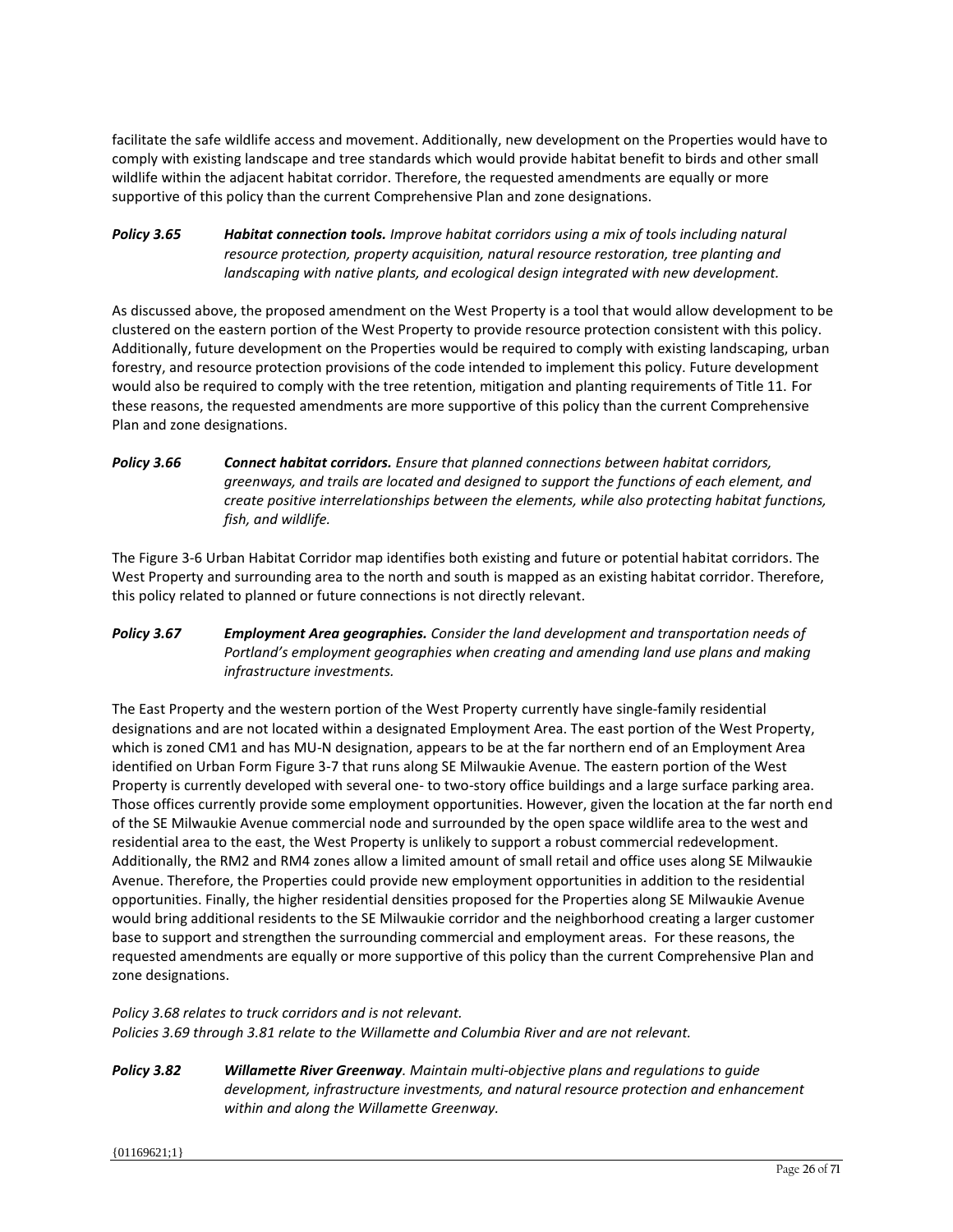facilitate the safe wildlife access and movement. Additionally, new development on the Properties would have to comply with existing landscape and tree standards which would provide habitat benefit to birds and other small wildlife within the adjacent habitat corridor. Therefore, the requested amendments are equally or more supportive of this policy than the current Comprehensive Plan and zone designations.

# *Policy 3.65 Habitat connection tools. Improve habitat corridors using a mix of tools including natural resource protection, property acquisition, natural resource restoration, tree planting and landscaping with native plants, and ecological design integrated with new development.*

As discussed above, the proposed amendment on the West Property is a tool that would allow development to be clustered on the eastern portion of the West Property to provide resource protection consistent with this policy. Additionally, future development on the Properties would be required to comply with existing landscaping, urban forestry, and resource protection provisions of the code intended to implement this policy. Future development would also be required to comply with the tree retention, mitigation and planting requirements of Title 11. For these reasons, the requested amendments are more supportive of this policy than the current Comprehensive Plan and zone designations.

# *Policy 3.66 Connect habitat corridors. Ensure that planned connections between habitat corridors, greenways, and trails are located and designed to support the functions of each element, and create positive interrelationships between the elements, while also protecting habitat functions, fish, and wildlife.*

The Figure 3-6 Urban Habitat Corridor map identifies both existing and future or potential habitat corridors. The West Property and surrounding area to the north and south is mapped as an existing habitat corridor. Therefore, this policy related to planned or future connections is not directly relevant.

# *Policy 3.67 Employment Area geographies. Consider the land development and transportation needs of Portland's employment geographies when creating and amending land use plans and making infrastructure investments.*

The East Property and the western portion of the West Property currently have single-family residential designations and are not located within a designated Employment Area. The east portion of the West Property, which is zoned CM1 and has MU-N designation, appears to be at the far northern end of an Employment Area identified on Urban Form Figure 3-7 that runs along SE Milwaukie Avenue. The eastern portion of the West Property is currently developed with several one- to two-story office buildings and a large surface parking area. Those offices currently provide some employment opportunities. However, given the location at the far north end of the SE Milwaukie Avenue commercial node and surrounded by the open space wildlife area to the west and residential area to the east, the West Property is unlikely to support a robust commercial redevelopment. Additionally, the RM2 and RM4 zones allow a limited amount of small retail and office uses along SE Milwaukie Avenue. Therefore, the Properties could provide new employment opportunities in addition to the residential opportunities. Finally, the higher residential densities proposed for the Properties along SE Milwaukie Avenue would bring additional residents to the SE Milwaukie corridor and the neighborhood creating a larger customer base to support and strengthen the surrounding commercial and employment areas. For these reasons, the requested amendments are equally or more supportive of this policy than the current Comprehensive Plan and zone designations.

# *Policy 3.68 relates to truck corridors and is not relevant.*

*Policies 3.69 through 3.81 relate to the Willamette and Columbia River and are not relevant.*

*Policy 3.82 Willamette River Greenway. Maintain multi-objective plans and regulations to guide development, infrastructure investments, and natural resource protection and enhancement within and along the Willamette Greenway.*

{01169621;1}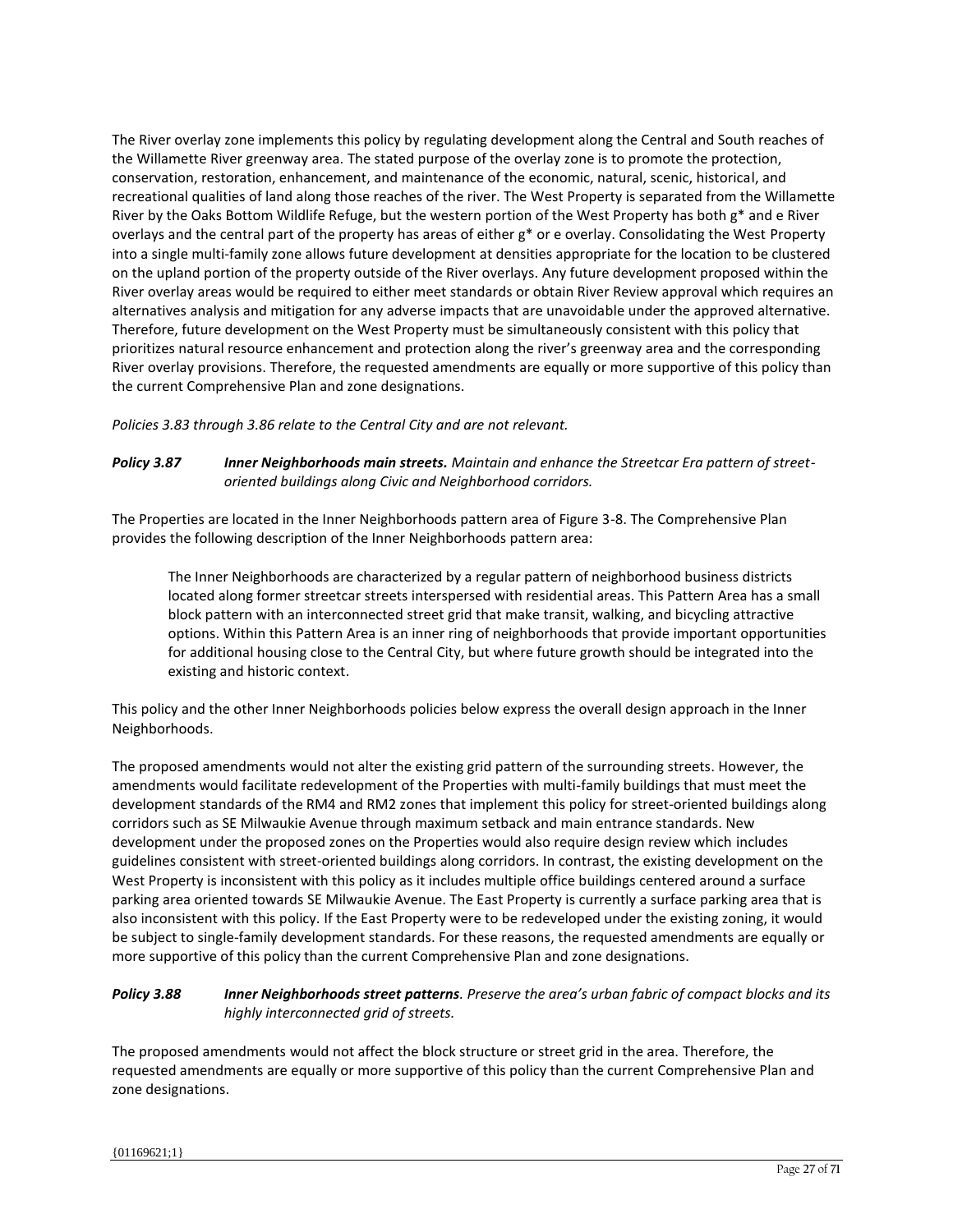The River overlay zone implements this policy by regulating development along the Central and South reaches of the Willamette River greenway area. The stated purpose of the overlay zone is to promote the protection, conservation, restoration, enhancement, and maintenance of the economic, natural, scenic, historical, and recreational qualities of land along those reaches of the river. The West Property is separated from the Willamette River by the Oaks Bottom Wildlife Refuge, but the western portion of the West Property has both  $g^*$  and e River overlays and the central part of the property has areas of either g\* or e overlay. Consolidating the West Property into a single multi-family zone allows future development at densities appropriate for the location to be clustered on the upland portion of the property outside of the River overlays. Any future development proposed within the River overlay areas would be required to either meet standards or obtain River Review approval which requires an alternatives analysis and mitigation for any adverse impacts that are unavoidable under the approved alternative. Therefore, future development on the West Property must be simultaneously consistent with this policy that prioritizes natural resource enhancement and protection along the river's greenway area and the corresponding River overlay provisions. Therefore, the requested amendments are equally or more supportive of this policy than the current Comprehensive Plan and zone designations.

*Policies 3.83 through 3.86 relate to the Central City and are not relevant.* 

*Policy 3.87 Inner Neighborhoods main streets. Maintain and enhance the Streetcar Era pattern of streetoriented buildings along Civic and Neighborhood corridors.* 

The Properties are located in the Inner Neighborhoods pattern area of Figure 3-8. The Comprehensive Plan provides the following description of the Inner Neighborhoods pattern area:

The Inner Neighborhoods are characterized by a regular pattern of neighborhood business districts located along former streetcar streets interspersed with residential areas. This Pattern Area has a small block pattern with an interconnected street grid that make transit, walking, and bicycling attractive options. Within this Pattern Area is an inner ring of neighborhoods that provide important opportunities for additional housing close to the Central City, but where future growth should be integrated into the existing and historic context.

This policy and the other Inner Neighborhoods policies below express the overall design approach in the Inner Neighborhoods.

The proposed amendments would not alter the existing grid pattern of the surrounding streets. However, the amendments would facilitate redevelopment of the Properties with multi-family buildings that must meet the development standards of the RM4 and RM2 zones that implement this policy for street-oriented buildings along corridors such as SE Milwaukie Avenue through maximum setback and main entrance standards. New development under the proposed zones on the Properties would also require design review which includes guidelines consistent with street-oriented buildings along corridors. In contrast, the existing development on the West Property is inconsistent with this policy as it includes multiple office buildings centered around a surface parking area oriented towards SE Milwaukie Avenue. The East Property is currently a surface parking area that is also inconsistent with this policy. If the East Property were to be redeveloped under the existing zoning, it would be subject to single-family development standards. For these reasons, the requested amendments are equally or more supportive of this policy than the current Comprehensive Plan and zone designations.

# *Policy 3.88 Inner Neighborhoods street patterns. Preserve the area's urban fabric of compact blocks and its highly interconnected grid of streets.*

The proposed amendments would not affect the block structure or street grid in the area. Therefore, the requested amendments are equally or more supportive of this policy than the current Comprehensive Plan and zone designations.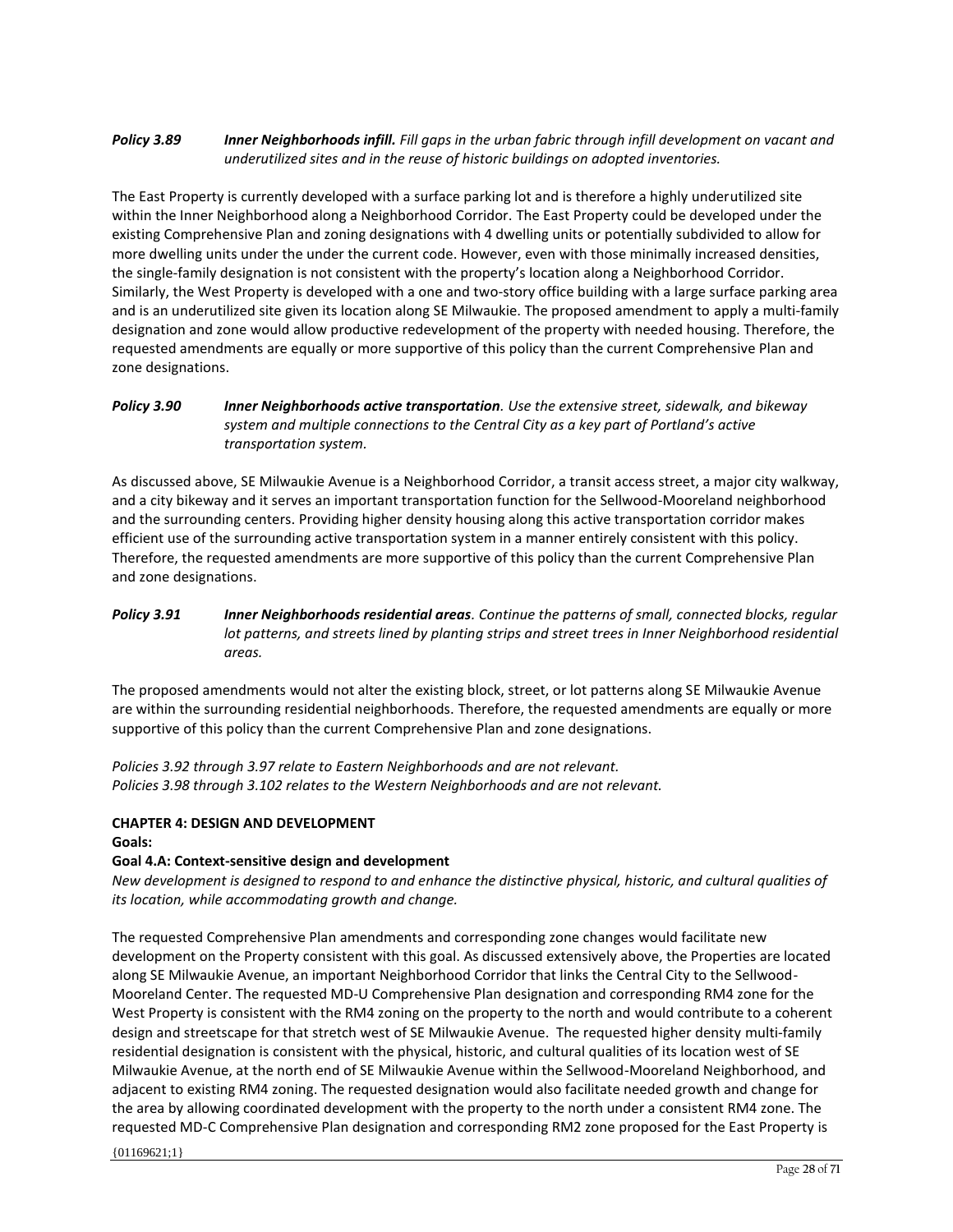## *Policy 3.89 Inner Neighborhoods infill. Fill gaps in the urban fabric through infill development on vacant and underutilized sites and in the reuse of historic buildings on adopted inventories.*

The East Property is currently developed with a surface parking lot and is therefore a highly underutilized site within the Inner Neighborhood along a Neighborhood Corridor. The East Property could be developed under the existing Comprehensive Plan and zoning designations with 4 dwelling units or potentially subdivided to allow for more dwelling units under the under the current code. However, even with those minimally increased densities, the single-family designation is not consistent with the property's location along a Neighborhood Corridor. Similarly, the West Property is developed with a one and two-story office building with a large surface parking area and is an underutilized site given its location along SE Milwaukie. The proposed amendment to apply a multi-family designation and zone would allow productive redevelopment of the property with needed housing. Therefore, the requested amendments are equally or more supportive of this policy than the current Comprehensive Plan and zone designations.

## *Policy 3.90 Inner Neighborhoods active transportation. Use the extensive street, sidewalk, and bikeway system and multiple connections to the Central City as a key part of Portland's active transportation system.*

As discussed above, SE Milwaukie Avenue is a Neighborhood Corridor, a transit access street, a major city walkway, and a city bikeway and it serves an important transportation function for the Sellwood-Mooreland neighborhood and the surrounding centers. Providing higher density housing along this active transportation corridor makes efficient use of the surrounding active transportation system in a manner entirely consistent with this policy. Therefore, the requested amendments are more supportive of this policy than the current Comprehensive Plan and zone designations.

# *Policy 3.91 Inner Neighborhoods residential areas. Continue the patterns of small, connected blocks, regular lot patterns, and streets lined by planting strips and street trees in Inner Neighborhood residential areas.*

The proposed amendments would not alter the existing block, street, or lot patterns along SE Milwaukie Avenue are within the surrounding residential neighborhoods. Therefore, the requested amendments are equally or more supportive of this policy than the current Comprehensive Plan and zone designations.

*Policies 3.92 through 3.97 relate to Eastern Neighborhoods and are not relevant. Policies 3.98 through 3.102 relates to the Western Neighborhoods and are not relevant.*

### **CHAPTER 4: DESIGN AND DEVELOPMENT**

#### **Goals:**

### **Goal 4.A: Context‐sensitive design and development**

*New development is designed to respond to and enhance the distinctive physical, historic, and cultural qualities of its location, while accommodating growth and change.*

The requested Comprehensive Plan amendments and corresponding zone changes would facilitate new development on the Property consistent with this goal. As discussed extensively above, the Properties are located along SE Milwaukie Avenue, an important Neighborhood Corridor that links the Central City to the Sellwood-Mooreland Center. The requested MD-U Comprehensive Plan designation and corresponding RM4 zone for the West Property is consistent with the RM4 zoning on the property to the north and would contribute to a coherent design and streetscape for that stretch west of SE Milwaukie Avenue. The requested higher density multi-family residential designation is consistent with the physical, historic, and cultural qualities of its location west of SE Milwaukie Avenue, at the north end of SE Milwaukie Avenue within the Sellwood-Mooreland Neighborhood, and adjacent to existing RM4 zoning. The requested designation would also facilitate needed growth and change for the area by allowing coordinated development with the property to the north under a consistent RM4 zone. The requested MD-C Comprehensive Plan designation and corresponding RM2 zone proposed for the East Property is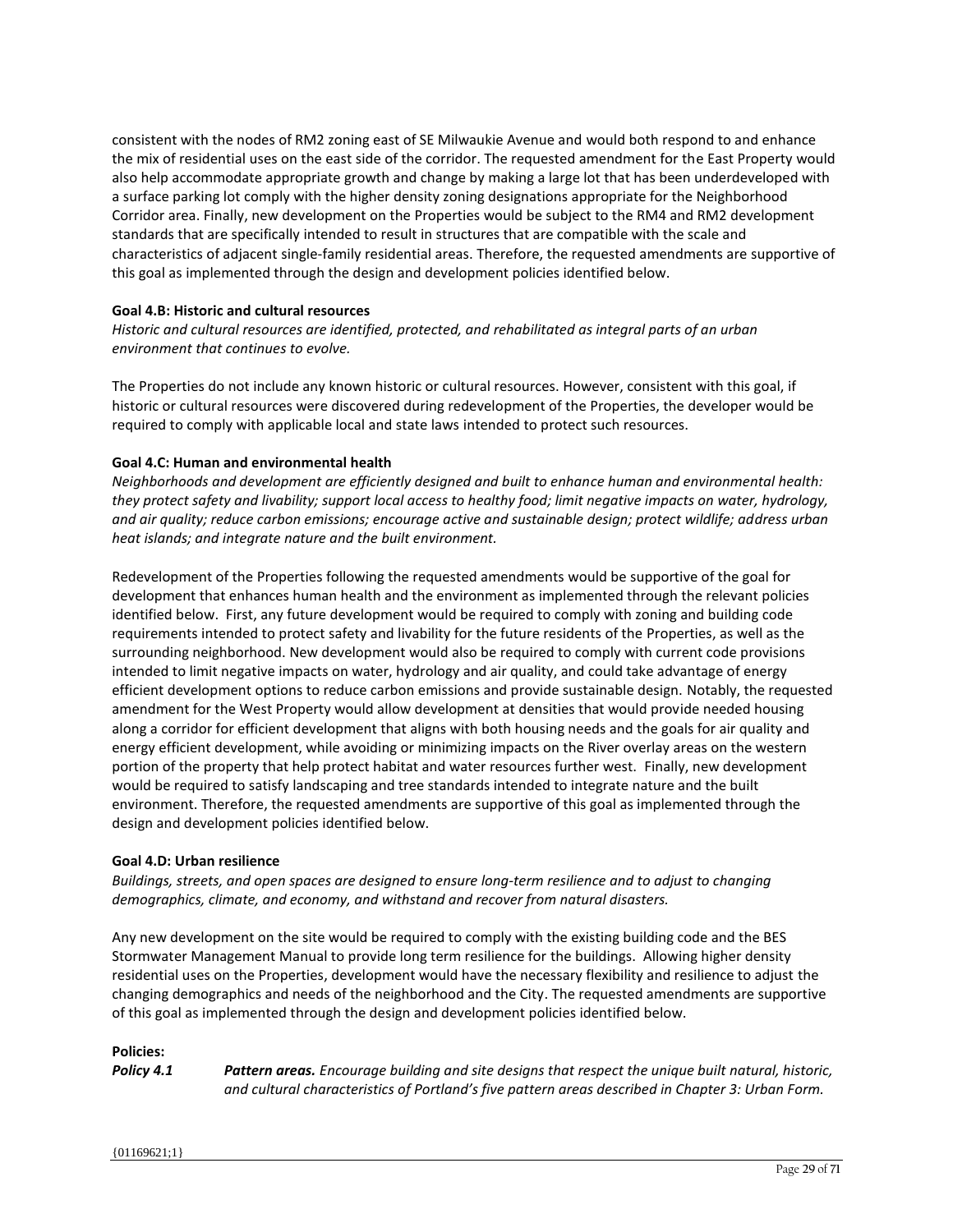consistent with the nodes of RM2 zoning east of SE Milwaukie Avenue and would both respond to and enhance the mix of residential uses on the east side of the corridor. The requested amendment for the East Property would also help accommodate appropriate growth and change by making a large lot that has been underdeveloped with a surface parking lot comply with the higher density zoning designations appropriate for the Neighborhood Corridor area. Finally, new development on the Properties would be subject to the RM4 and RM2 development standards that are specifically intended to result in structures that are compatible with the scale and characteristics of adjacent single-family residential areas. Therefore, the requested amendments are supportive of this goal as implemented through the design and development policies identified below.

### **Goal 4.B: Historic and cultural resources**

*Historic and cultural resources are identified, protected, and rehabilitated as integral parts of an urban environment that continues to evolve.*

The Properties do not include any known historic or cultural resources. However, consistent with this goal, if historic or cultural resources were discovered during redevelopment of the Properties, the developer would be required to comply with applicable local and state laws intended to protect such resources.

### **Goal 4.C: Human and environmental health**

*Neighborhoods and development are efficiently designed and built to enhance human and environmental health: they protect safety and livability; support local access to healthy food; limit negative impacts on water, hydrology, and air quality; reduce carbon emissions; encourage active and sustainable design; protect wildlife; address urban heat islands; and integrate nature and the built environment.*

Redevelopment of the Properties following the requested amendments would be supportive of the goal for development that enhances human health and the environment as implemented through the relevant policies identified below. First, any future development would be required to comply with zoning and building code requirements intended to protect safety and livability for the future residents of the Properties, as well as the surrounding neighborhood. New development would also be required to comply with current code provisions intended to limit negative impacts on water, hydrology and air quality, and could take advantage of energy efficient development options to reduce carbon emissions and provide sustainable design. Notably, the requested amendment for the West Property would allow development at densities that would provide needed housing along a corridor for efficient development that aligns with both housing needs and the goals for air quality and energy efficient development, while avoiding or minimizing impacts on the River overlay areas on the western portion of the property that help protect habitat and water resources further west. Finally, new development would be required to satisfy landscaping and tree standards intended to integrate nature and the built environment. Therefore, the requested amendments are supportive of this goal as implemented through the design and development policies identified below.

#### **Goal 4.D: Urban resilience**

*Buildings, streets, and open spaces are designed to ensure long‐term resilience and to adjust to changing demographics, climate, and economy, and withstand and recover from natural disasters.*

Any new development on the site would be required to comply with the existing building code and the BES Stormwater Management Manual to provide long term resilience for the buildings. Allowing higher density residential uses on the Properties, development would have the necessary flexibility and resilience to adjust the changing demographics and needs of the neighborhood and the City. The requested amendments are supportive of this goal as implemented through the design and development policies identified below.

**Policies:**

*Policy 4.1 Pattern areas. Encourage building and site designs that respect the unique built natural, historic, and cultural characteristics of Portland's five pattern areas described in Chapter 3: Urban Form.*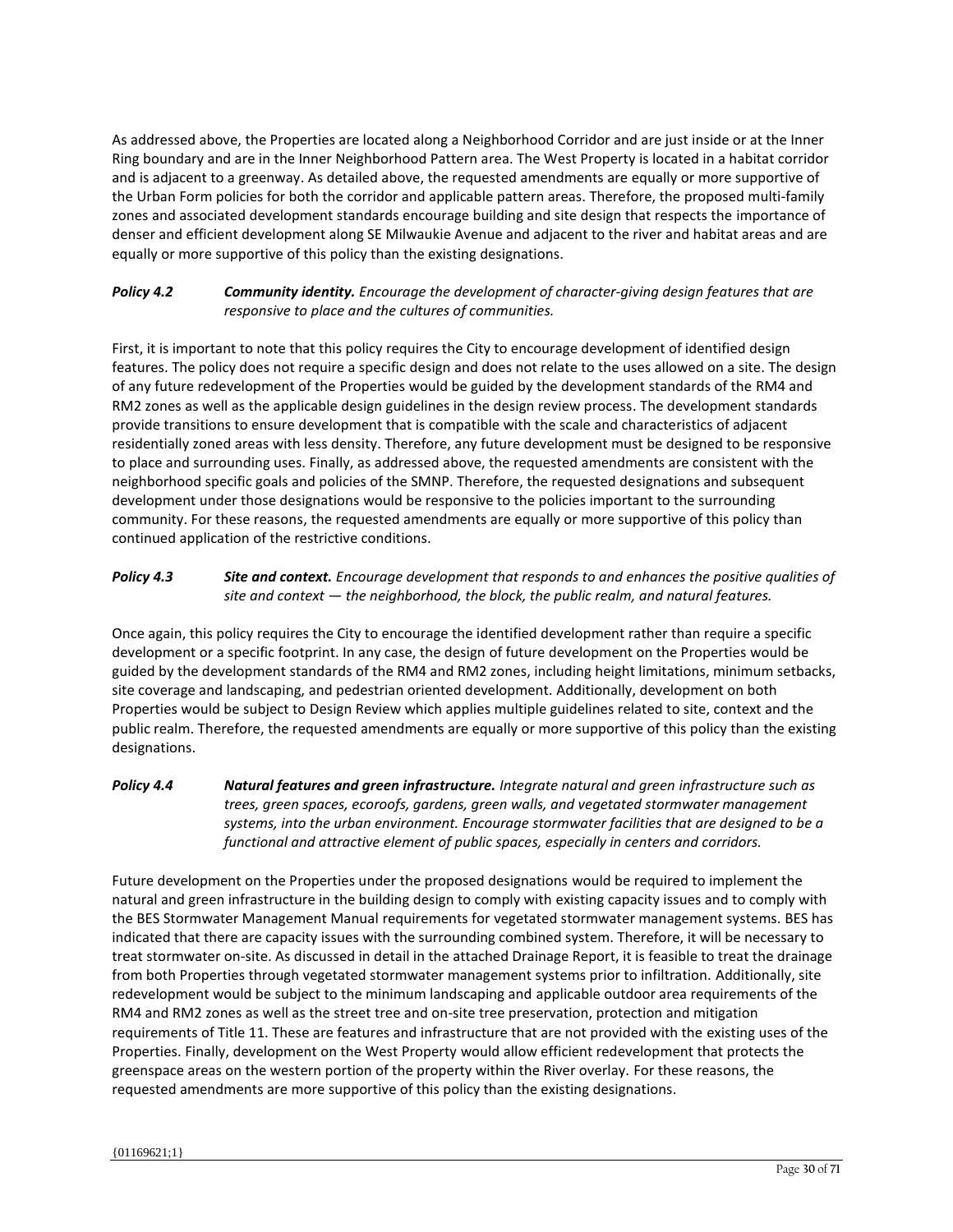As addressed above, the Properties are located along a Neighborhood Corridor and are just inside or at the Inner Ring boundary and are in the Inner Neighborhood Pattern area. The West Property is located in a habitat corridor and is adjacent to a greenway. As detailed above, the requested amendments are equally or more supportive of the Urban Form policies for both the corridor and applicable pattern areas. Therefore, the proposed multi-family zones and associated development standards encourage building and site design that respects the importance of denser and efficient development along SE Milwaukie Avenue and adjacent to the river and habitat areas and are equally or more supportive of this policy than the existing designations.

# *Policy 4.2 Community identity. Encourage the development of character‐giving design features that are responsive to place and the cultures of communities.*

First, it is important to note that this policy requires the City to encourage development of identified design features. The policy does not require a specific design and does not relate to the uses allowed on a site. The design of any future redevelopment of the Properties would be guided by the development standards of the RM4 and RM2 zones as well as the applicable design guidelines in the design review process. The development standards provide transitions to ensure development that is compatible with the scale and characteristics of adjacent residentially zoned areas with less density. Therefore, any future development must be designed to be responsive to place and surrounding uses. Finally, as addressed above, the requested amendments are consistent with the neighborhood specific goals and policies of the SMNP. Therefore, the requested designations and subsequent development under those designations would be responsive to the policies important to the surrounding community. For these reasons, the requested amendments are equally or more supportive of this policy than continued application of the restrictive conditions.

# *Policy 4.3 Site and context. Encourage development that responds to and enhances the positive qualities of site and context — the neighborhood, the block, the public realm, and natural features.*

Once again, this policy requires the City to encourage the identified development rather than require a specific development or a specific footprint. In any case, the design of future development on the Properties would be guided by the development standards of the RM4 and RM2 zones, including height limitations, minimum setbacks, site coverage and landscaping, and pedestrian oriented development. Additionally, development on both Properties would be subject to Design Review which applies multiple guidelines related to site, context and the public realm. Therefore, the requested amendments are equally or more supportive of this policy than the existing designations.

*Policy 4.4 Natural features and green infrastructure. Integrate natural and green infrastructure such as trees, green spaces, ecoroofs, gardens, green walls, and vegetated stormwater management systems, into the urban environment. Encourage stormwater facilities that are designed to be a functional and attractive element of public spaces, especially in centers and corridors.*

Future development on the Properties under the proposed designations would be required to implement the natural and green infrastructure in the building design to comply with existing capacity issues and to comply with the BES Stormwater Management Manual requirements for vegetated stormwater management systems. BES has indicated that there are capacity issues with the surrounding combined system. Therefore, it will be necessary to treat stormwater on-site. As discussed in detail in the attached Drainage Report, it is feasible to treat the drainage from both Properties through vegetated stormwater management systems prior to infiltration. Additionally, site redevelopment would be subject to the minimum landscaping and applicable outdoor area requirements of the RM4 and RM2 zones as well as the street tree and on-site tree preservation, protection and mitigation requirements of Title 11. These are features and infrastructure that are not provided with the existing uses of the Properties. Finally, development on the West Property would allow efficient redevelopment that protects the greenspace areas on the western portion of the property within the River overlay. For these reasons, the requested amendments are more supportive of this policy than the existing designations.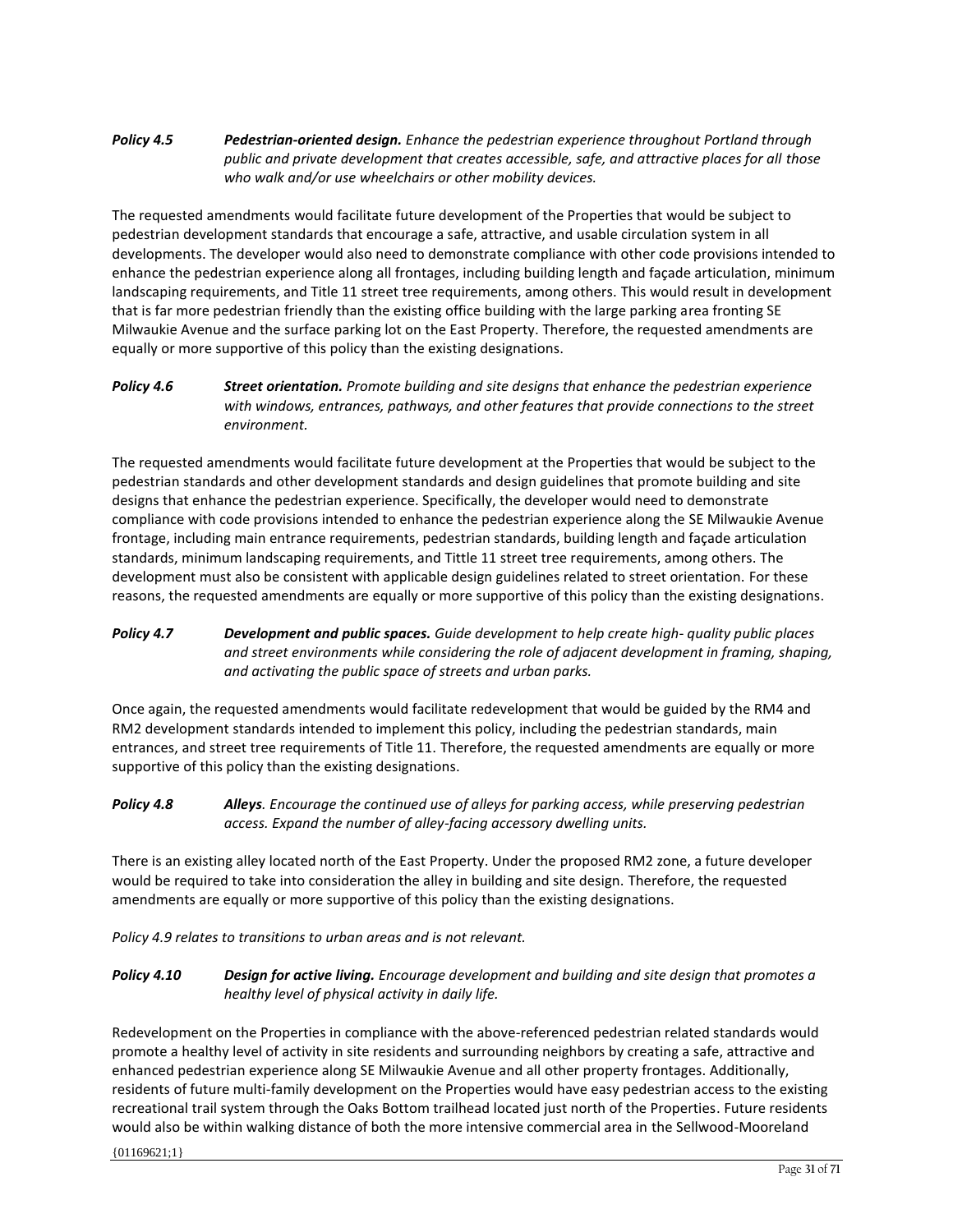# *Policy 4.5 Pedestrian‐oriented design. Enhance the pedestrian experience throughout Portland through public and private development that creates accessible, safe, and attractive places for all those who walk and/or use wheelchairs or other mobility devices.*

The requested amendments would facilitate future development of the Properties that would be subject to pedestrian development standards that encourage a safe, attractive, and usable circulation system in all developments. The developer would also need to demonstrate compliance with other code provisions intended to enhance the pedestrian experience along all frontages, including building length and façade articulation, minimum landscaping requirements, and Title 11 street tree requirements, among others. This would result in development that is far more pedestrian friendly than the existing office building with the large parking area fronting SE Milwaukie Avenue and the surface parking lot on the East Property. Therefore, the requested amendments are equally or more supportive of this policy than the existing designations.

# *Policy 4.6 Street orientation. Promote building and site designs that enhance the pedestrian experience with windows, entrances, pathways, and other features that provide connections to the street environment.*

The requested amendments would facilitate future development at the Properties that would be subject to the pedestrian standards and other development standards and design guidelines that promote building and site designs that enhance the pedestrian experience. Specifically, the developer would need to demonstrate compliance with code provisions intended to enhance the pedestrian experience along the SE Milwaukie Avenue frontage, including main entrance requirements, pedestrian standards, building length and façade articulation standards, minimum landscaping requirements, and Tittle 11 street tree requirements, among others. The development must also be consistent with applicable design guidelines related to street orientation. For these reasons, the requested amendments are equally or more supportive of this policy than the existing designations.

# *Policy 4.7 Development and public spaces. Guide development to help create high‐ quality public places and street environments while considering the role of adjacent development in framing, shaping, and activating the public space of streets and urban parks.*

Once again, the requested amendments would facilitate redevelopment that would be guided by the RM4 and RM2 development standards intended to implement this policy, including the pedestrian standards, main entrances, and street tree requirements of Title 11. Therefore, the requested amendments are equally or more supportive of this policy than the existing designations.

*Policy 4.8 Alleys. Encourage the continued use of alleys for parking access, while preserving pedestrian access. Expand the number of alley-facing accessory dwelling units.*

There is an existing alley located north of the East Property. Under the proposed RM2 zone, a future developer would be required to take into consideration the alley in building and site design. Therefore, the requested amendments are equally or more supportive of this policy than the existing designations.

*Policy 4.9 relates to transitions to urban areas and is not relevant.*

*Policy 4.10 Design for active living. Encourage development and building and site design that promotes a healthy level of physical activity in daily life.*

Redevelopment on the Properties in compliance with the above-referenced pedestrian related standards would promote a healthy level of activity in site residents and surrounding neighbors by creating a safe, attractive and enhanced pedestrian experience along SE Milwaukie Avenue and all other property frontages. Additionally, residents of future multi-family development on the Properties would have easy pedestrian access to the existing recreational trail system through the Oaks Bottom trailhead located just north of the Properties. Future residents would also be within walking distance of both the more intensive commercial area in the Sellwood-Mooreland

{01169621;1}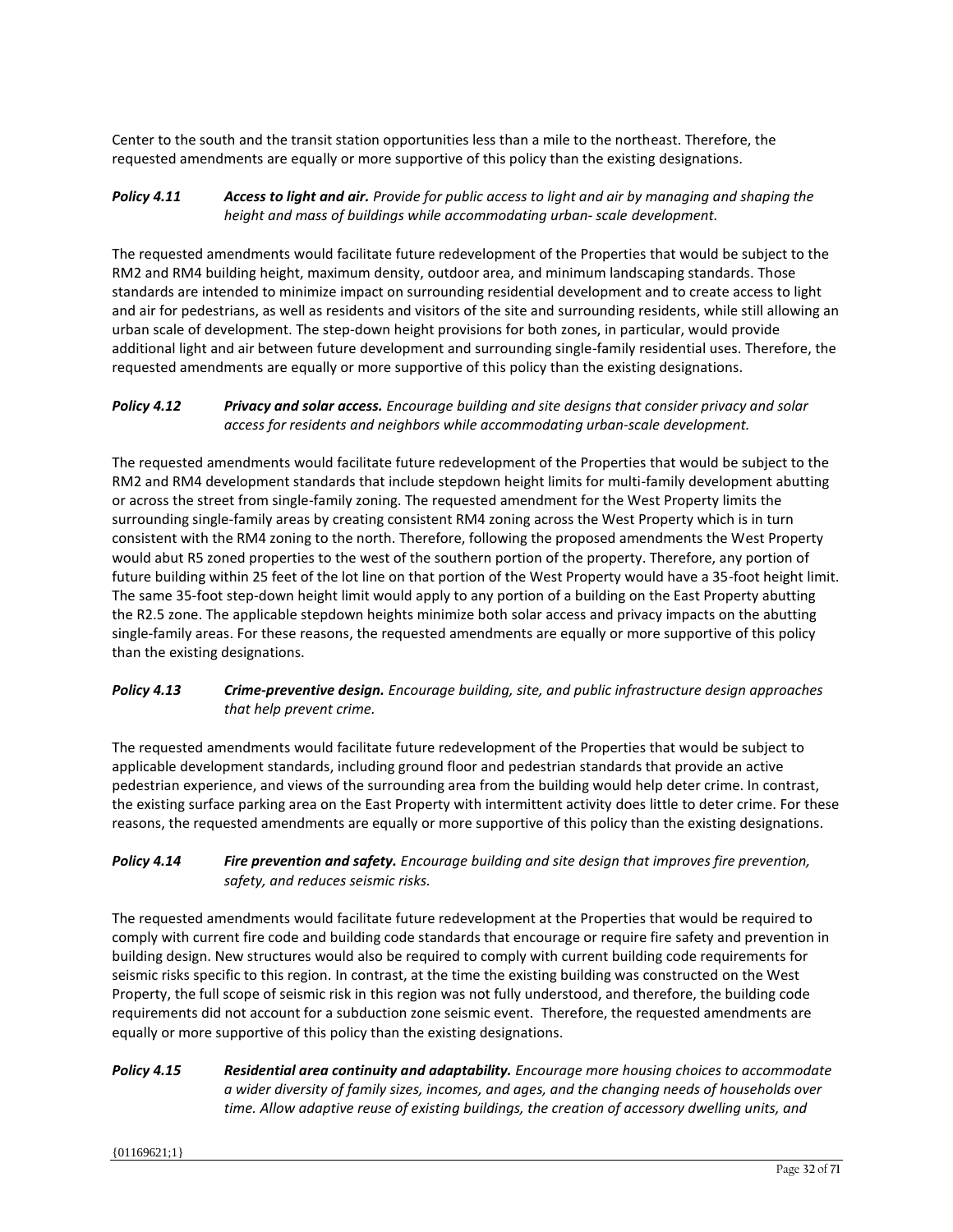Center to the south and the transit station opportunities less than a mile to the northeast. Therefore, the requested amendments are equally or more supportive of this policy than the existing designations.

### *Policy 4.11 Access to light and air. Provide for public access to light and air by managing and shaping the height and mass of buildings while accommodating urban‐ scale development.*

The requested amendments would facilitate future redevelopment of the Properties that would be subject to the RM2 and RM4 building height, maximum density, outdoor area, and minimum landscaping standards. Those standards are intended to minimize impact on surrounding residential development and to create access to light and air for pedestrians, as well as residents and visitors of the site and surrounding residents, while still allowing an urban scale of development. The step-down height provisions for both zones, in particular, would provide additional light and air between future development and surrounding single-family residential uses. Therefore, the requested amendments are equally or more supportive of this policy than the existing designations.

# *Policy 4.12 Privacy and solar access. Encourage building and site designs that consider privacy and solar access for residents and neighbors while accommodating urban‐scale development.*

The requested amendments would facilitate future redevelopment of the Properties that would be subject to the RM2 and RM4 development standards that include stepdown height limits for multi-family development abutting or across the street from single-family zoning. The requested amendment for the West Property limits the surrounding single-family areas by creating consistent RM4 zoning across the West Property which is in turn consistent with the RM4 zoning to the north. Therefore, following the proposed amendments the West Property would abut R5 zoned properties to the west of the southern portion of the property. Therefore, any portion of future building within 25 feet of the lot line on that portion of the West Property would have a 35-foot height limit. The same 35-foot step-down height limit would apply to any portion of a building on the East Property abutting the R2.5 zone. The applicable stepdown heights minimize both solar access and privacy impacts on the abutting single-family areas. For these reasons, the requested amendments are equally or more supportive of this policy than the existing designations.

# *Policy 4.13 Crime‐preventive design. Encourage building, site, and public infrastructure design approaches that help prevent crime.*

The requested amendments would facilitate future redevelopment of the Properties that would be subject to applicable development standards, including ground floor and pedestrian standards that provide an active pedestrian experience, and views of the surrounding area from the building would help deter crime. In contrast, the existing surface parking area on the East Property with intermittent activity does little to deter crime. For these reasons, the requested amendments are equally or more supportive of this policy than the existing designations.

# *Policy 4.14 Fire prevention and safety. Encourage building and site design that improves fire prevention, safety, and reduces seismic risks.*

The requested amendments would facilitate future redevelopment at the Properties that would be required to comply with current fire code and building code standards that encourage or require fire safety and prevention in building design. New structures would also be required to comply with current building code requirements for seismic risks specific to this region. In contrast, at the time the existing building was constructed on the West Property, the full scope of seismic risk in this region was not fully understood, and therefore, the building code requirements did not account for a subduction zone seismic event. Therefore, the requested amendments are equally or more supportive of this policy than the existing designations.

# *Policy 4.15 Residential area continuity and adaptability. Encourage more housing choices to accommodate a wider diversity of family sizes, incomes, and ages, and the changing needs of households over time. Allow adaptive reuse of existing buildings, the creation of accessory dwelling units, and*

{01169621;1}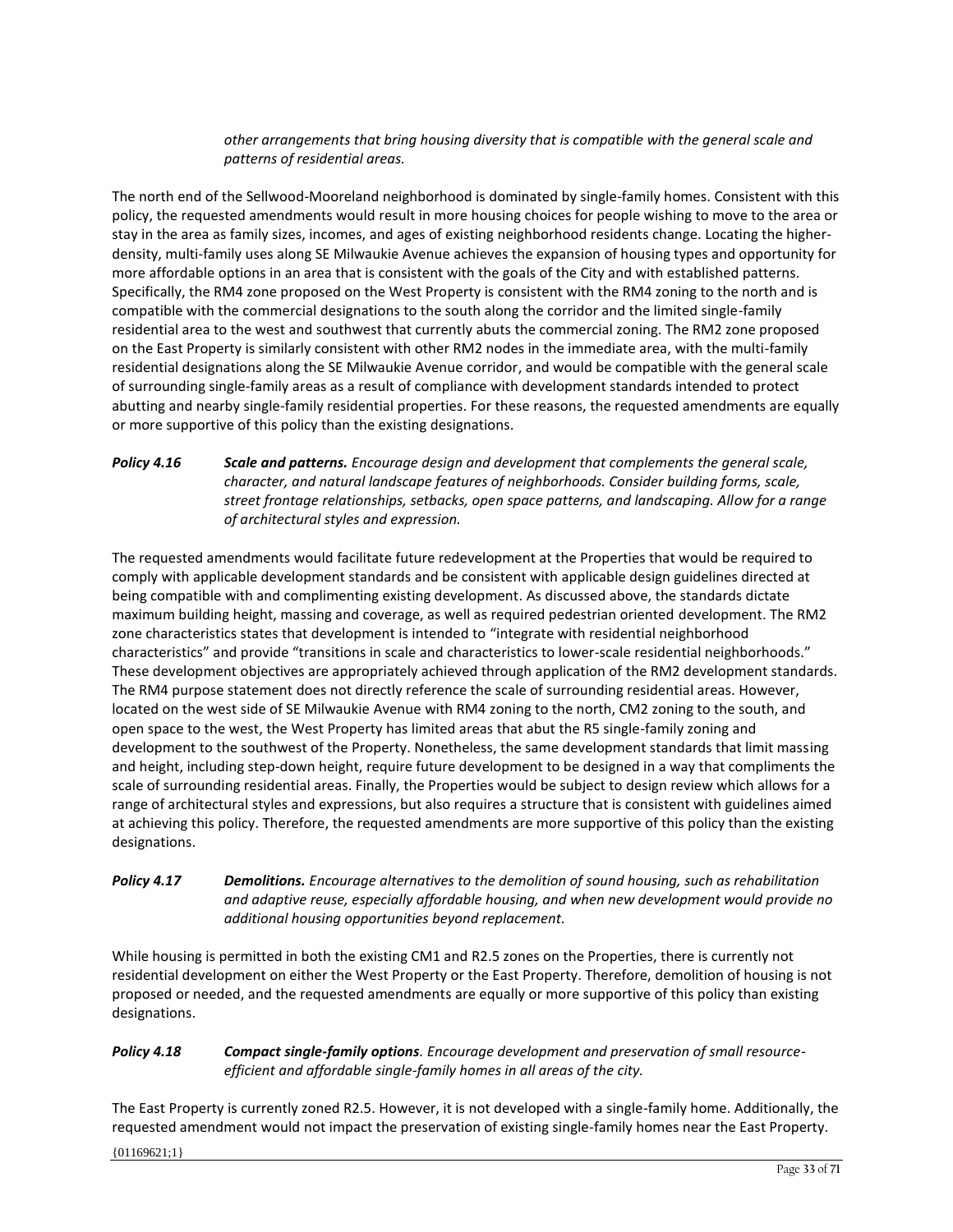*other arrangements that bring housing diversity that is compatible with the general scale and patterns of residential areas.*

The north end of the Sellwood-Mooreland neighborhood is dominated by single-family homes. Consistent with this policy, the requested amendments would result in more housing choices for people wishing to move to the area or stay in the area as family sizes, incomes, and ages of existing neighborhood residents change. Locating the higherdensity, multi-family uses along SE Milwaukie Avenue achieves the expansion of housing types and opportunity for more affordable options in an area that is consistent with the goals of the City and with established patterns. Specifically, the RM4 zone proposed on the West Property is consistent with the RM4 zoning to the north and is compatible with the commercial designations to the south along the corridor and the limited single-family residential area to the west and southwest that currently abuts the commercial zoning. The RM2 zone proposed on the East Property is similarly consistent with other RM2 nodes in the immediate area, with the multi-family residential designations along the SE Milwaukie Avenue corridor, and would be compatible with the general scale of surrounding single-family areas as a result of compliance with development standards intended to protect abutting and nearby single-family residential properties. For these reasons, the requested amendments are equally or more supportive of this policy than the existing designations.

# *Policy 4.16 Scale and patterns. Encourage design and development that complements the general scale, character, and natural landscape features of neighborhoods. Consider building forms, scale, street frontage relationships, setbacks, open space patterns, and landscaping. Allow for a range of architectural styles and expression.*

The requested amendments would facilitate future redevelopment at the Properties that would be required to comply with applicable development standards and be consistent with applicable design guidelines directed at being compatible with and complimenting existing development. As discussed above, the standards dictate maximum building height, massing and coverage, as well as required pedestrian oriented development. The RM2 zone characteristics states that development is intended to "integrate with residential neighborhood characteristics" and provide "transitions in scale and characteristics to lower-scale residential neighborhoods." These development objectives are appropriately achieved through application of the RM2 development standards. The RM4 purpose statement does not directly reference the scale of surrounding residential areas. However, located on the west side of SE Milwaukie Avenue with RM4 zoning to the north, CM2 zoning to the south, and open space to the west, the West Property has limited areas that abut the R5 single-family zoning and development to the southwest of the Property. Nonetheless, the same development standards that limit massing and height, including step-down height, require future development to be designed in a way that compliments the scale of surrounding residential areas. Finally, the Properties would be subject to design review which allows for a range of architectural styles and expressions, but also requires a structure that is consistent with guidelines aimed at achieving this policy. Therefore, the requested amendments are more supportive of this policy than the existing designations.

# *Policy 4.17 Demolitions. Encourage alternatives to the demolition of sound housing, such as rehabilitation and adaptive reuse, especially affordable housing, and when new development would provide no additional housing opportunities beyond replacement.*

While housing is permitted in both the existing CM1 and R2.5 zones on the Properties, there is currently not residential development on either the West Property or the East Property. Therefore, demolition of housing is not proposed or needed, and the requested amendments are equally or more supportive of this policy than existing designations.

# *Policy 4.18 Compact single-family options. Encourage development and preservation of small resourceefficient and affordable single-family homes in all areas of the city.*

The East Property is currently zoned R2.5. However, it is not developed with a single-family home. Additionally, the requested amendment would not impact the preservation of existing single-family homes near the East Property.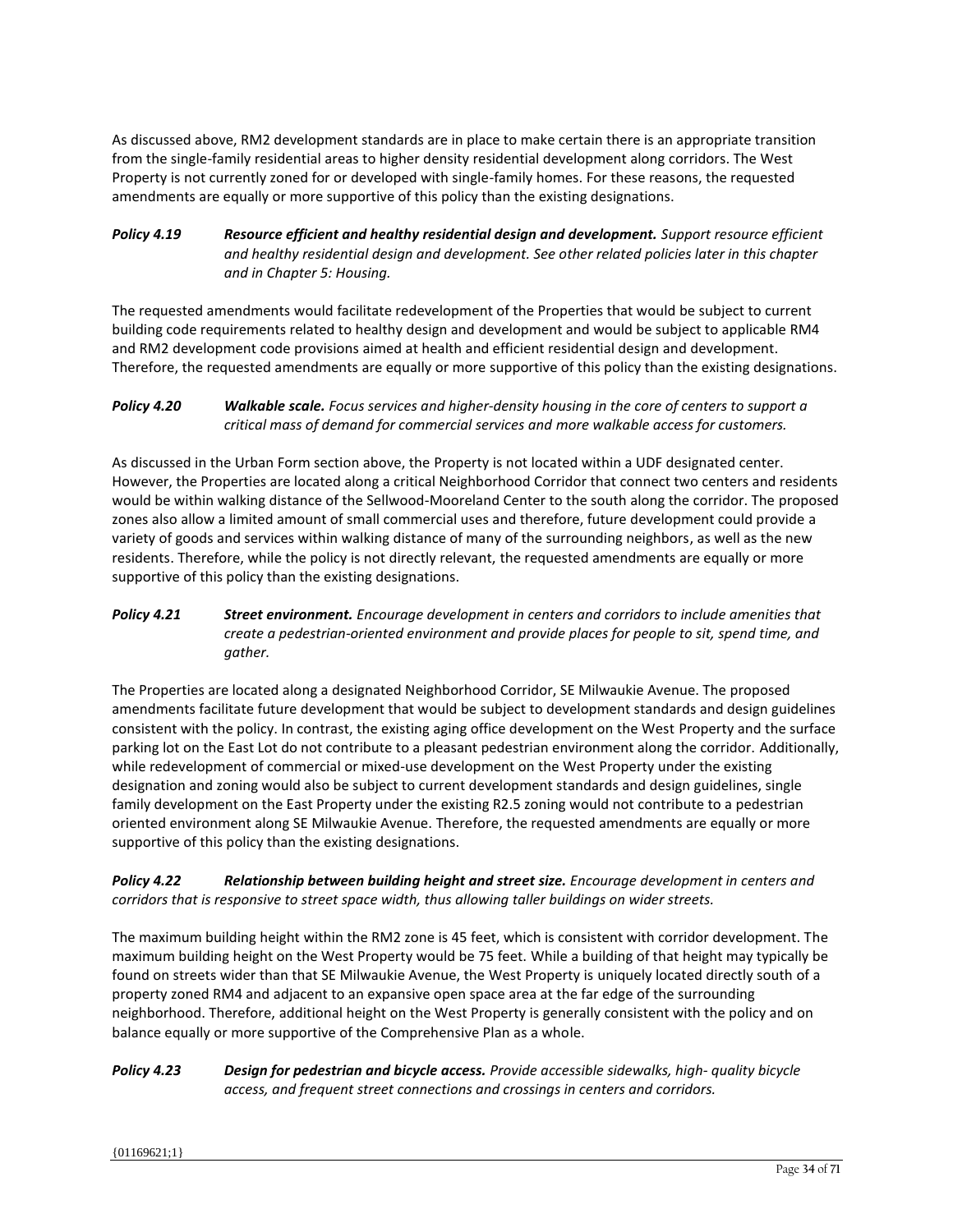As discussed above, RM2 development standards are in place to make certain there is an appropriate transition from the single-family residential areas to higher density residential development along corridors. The West Property is not currently zoned for or developed with single-family homes. For these reasons, the requested amendments are equally or more supportive of this policy than the existing designations.

# *Policy 4.19 Resource efficient and healthy residential design and development. Support resource efficient and healthy residential design and development. See other related policies later in this chapter and in Chapter 5: Housing.*

The requested amendments would facilitate redevelopment of the Properties that would be subject to current building code requirements related to healthy design and development and would be subject to applicable RM4 and RM2 development code provisions aimed at health and efficient residential design and development. Therefore, the requested amendments are equally or more supportive of this policy than the existing designations.

# *Policy 4.20 Walkable scale. Focus services and higher‐density housing in the core of centers to support a critical mass of demand for commercial services and more walkable access for customers.*

As discussed in the Urban Form section above, the Property is not located within a UDF designated center. However, the Properties are located along a critical Neighborhood Corridor that connect two centers and residents would be within walking distance of the Sellwood-Mooreland Center to the south along the corridor. The proposed zones also allow a limited amount of small commercial uses and therefore, future development could provide a variety of goods and services within walking distance of many of the surrounding neighbors, as well as the new residents. Therefore, while the policy is not directly relevant, the requested amendments are equally or more supportive of this policy than the existing designations.

# *Policy 4.21 Street environment. Encourage development in centers and corridors to include amenities that create a pedestrian‐oriented environment and provide places for people to sit, spend time, and gather.*

The Properties are located along a designated Neighborhood Corridor, SE Milwaukie Avenue. The proposed amendments facilitate future development that would be subject to development standards and design guidelines consistent with the policy. In contrast, the existing aging office development on the West Property and the surface parking lot on the East Lot do not contribute to a pleasant pedestrian environment along the corridor. Additionally, while redevelopment of commercial or mixed-use development on the West Property under the existing designation and zoning would also be subject to current development standards and design guidelines, single family development on the East Property under the existing R2.5 zoning would not contribute to a pedestrian oriented environment along SE Milwaukie Avenue. Therefore, the requested amendments are equally or more supportive of this policy than the existing designations.

*Policy 4.22 Relationship between building height and street size. Encourage development in centers and corridors that is responsive to street space width, thus allowing taller buildings on wider streets.*

The maximum building height within the RM2 zone is 45 feet, which is consistent with corridor development. The maximum building height on the West Property would be 75 feet. While a building of that height may typically be found on streets wider than that SE Milwaukie Avenue, the West Property is uniquely located directly south of a property zoned RM4 and adjacent to an expansive open space area at the far edge of the surrounding neighborhood. Therefore, additional height on the West Property is generally consistent with the policy and on balance equally or more supportive of the Comprehensive Plan as a whole.

# *Policy 4.23 Design for pedestrian and bicycle access. Provide accessible sidewalks, high‐ quality bicycle access, and frequent street connections and crossings in centers and corridors.*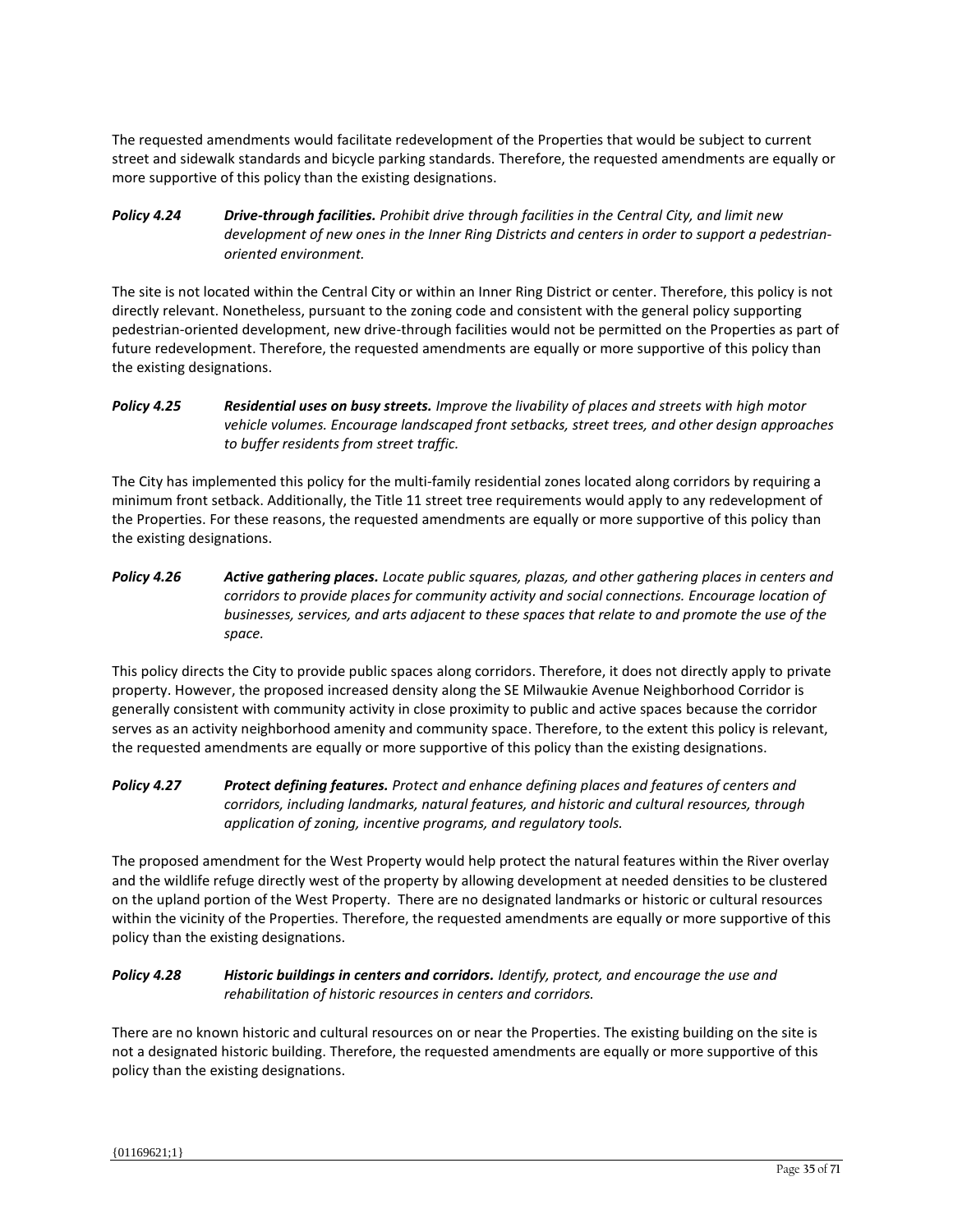The requested amendments would facilitate redevelopment of the Properties that would be subject to current street and sidewalk standards and bicycle parking standards. Therefore, the requested amendments are equally or more supportive of this policy than the existing designations.

*Policy 4.24 Drive‐through facilities. Prohibit drive through facilities in the Central City, and limit new development of new ones in the Inner Ring Districts and centers in order to support a pedestrian‐ oriented environment.*

The site is not located within the Central City or within an Inner Ring District or center. Therefore, this policy is not directly relevant. Nonetheless, pursuant to the zoning code and consistent with the general policy supporting pedestrian-oriented development, new drive-through facilities would not be permitted on the Properties as part of future redevelopment. Therefore, the requested amendments are equally or more supportive of this policy than the existing designations.

*Policy 4.25 Residential uses on busy streets. Improve the livability of places and streets with high motor vehicle volumes. Encourage landscaped front setbacks, street trees, and other design approaches to buffer residents from street traffic.*

The City has implemented this policy for the multi-family residential zones located along corridors by requiring a minimum front setback. Additionally, the Title 11 street tree requirements would apply to any redevelopment of the Properties. For these reasons, the requested amendments are equally or more supportive of this policy than the existing designations.

*Policy 4.26 Active gathering places. Locate public squares, plazas, and other gathering places in centers and corridors to provide places for community activity and social connections. Encourage location of businesses, services, and arts adjacent to these spaces that relate to and promote the use of the space.*

This policy directs the City to provide public spaces along corridors. Therefore, it does not directly apply to private property. However, the proposed increased density along the SE Milwaukie Avenue Neighborhood Corridor is generally consistent with community activity in close proximity to public and active spaces because the corridor serves as an activity neighborhood amenity and community space. Therefore, to the extent this policy is relevant, the requested amendments are equally or more supportive of this policy than the existing designations.

*Policy 4.27 Protect defining features. Protect and enhance defining places and features of centers and corridors, including landmarks, natural features, and historic and cultural resources, through application of zoning, incentive programs, and regulatory tools.*

The proposed amendment for the West Property would help protect the natural features within the River overlay and the wildlife refuge directly west of the property by allowing development at needed densities to be clustered on the upland portion of the West Property. There are no designated landmarks or historic or cultural resources within the vicinity of the Properties. Therefore, the requested amendments are equally or more supportive of this policy than the existing designations.

# *Policy 4.28 Historic buildings in centers and corridors. Identify, protect, and encourage the use and rehabilitation of historic resources in centers and corridors.*

There are no known historic and cultural resources on or near the Properties. The existing building on the site is not a designated historic building. Therefore, the requested amendments are equally or more supportive of this policy than the existing designations.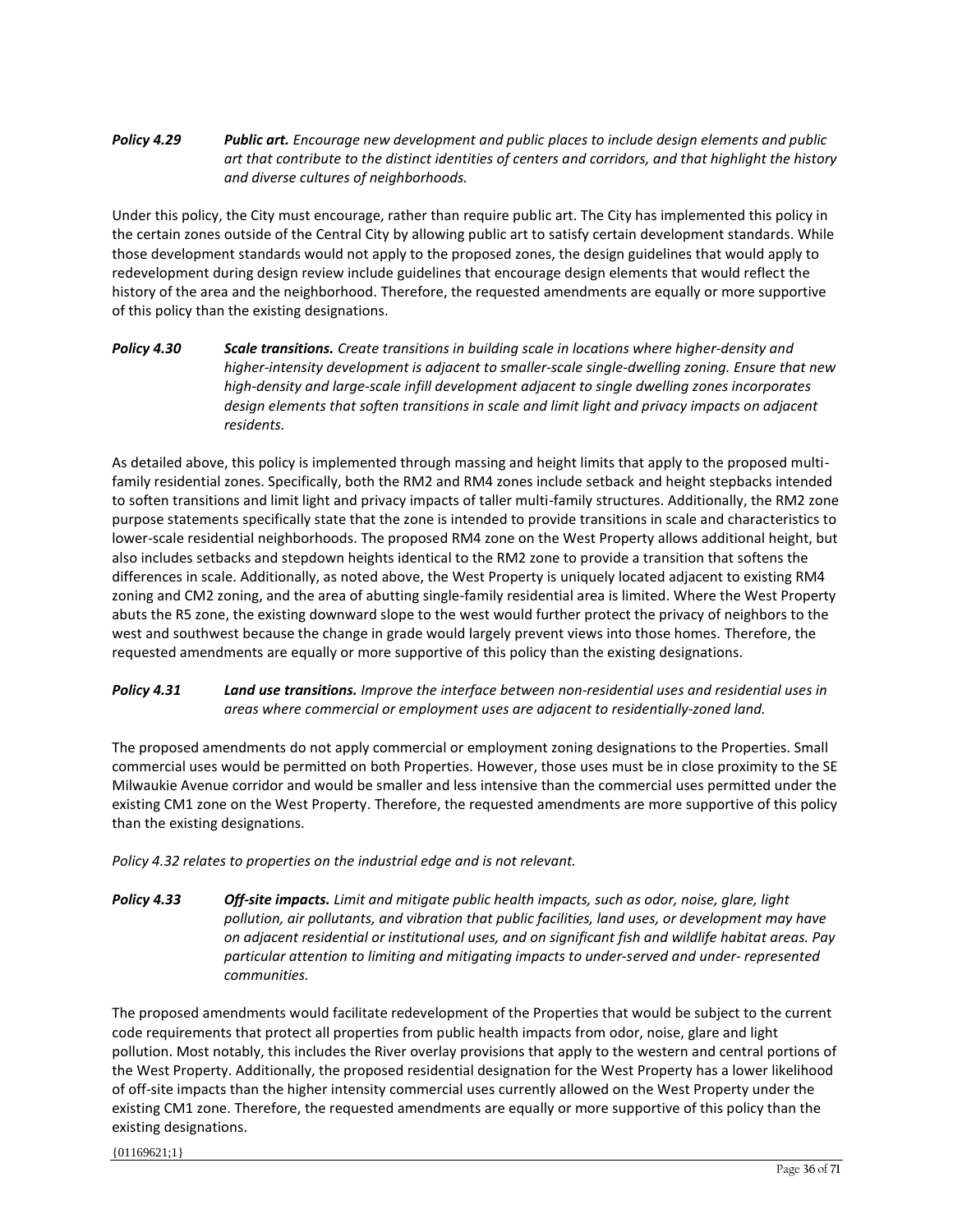# *Policy 4.29 Public art. Encourage new development and public places to include design elements and public art that contribute to the distinct identities of centers and corridors, and that highlight the history and diverse cultures of neighborhoods.*

Under this policy, the City must encourage, rather than require public art. The City has implemented this policy in the certain zones outside of the Central City by allowing public art to satisfy certain development standards. While those development standards would not apply to the proposed zones, the design guidelines that would apply to redevelopment during design review include guidelines that encourage design elements that would reflect the history of the area and the neighborhood. Therefore, the requested amendments are equally or more supportive of this policy than the existing designations.

*Policy 4.30 Scale transitions. Create transitions in building scale in locations where higher‐density and higher‐intensity development is adjacent to smaller‐scale single‐dwelling zoning. Ensure that new high‐density and large‐scale infill development adjacent to single dwelling zones incorporates design elements that soften transitions in scale and limit light and privacy impacts on adjacent residents.*

As detailed above, this policy is implemented through massing and height limits that apply to the proposed multifamily residential zones. Specifically, both the RM2 and RM4 zones include setback and height stepbacks intended to soften transitions and limit light and privacy impacts of taller multi-family structures. Additionally, the RM2 zone purpose statements specifically state that the zone is intended to provide transitions in scale and characteristics to lower-scale residential neighborhoods. The proposed RM4 zone on the West Property allows additional height, but also includes setbacks and stepdown heights identical to the RM2 zone to provide a transition that softens the differences in scale. Additionally, as noted above, the West Property is uniquely located adjacent to existing RM4 zoning and CM2 zoning, and the area of abutting single-family residential area is limited. Where the West Property abuts the R5 zone, the existing downward slope to the west would further protect the privacy of neighbors to the west and southwest because the change in grade would largely prevent views into those homes. Therefore, the requested amendments are equally or more supportive of this policy than the existing designations.

### *Policy 4.31 Land use transitions. Improve the interface between non‐residential uses and residential uses in areas where commercial or employment uses are adjacent to residentially‐zoned land.*

The proposed amendments do not apply commercial or employment zoning designations to the Properties. Small commercial uses would be permitted on both Properties. However, those uses must be in close proximity to the SE Milwaukie Avenue corridor and would be smaller and less intensive than the commercial uses permitted under the existing CM1 zone on the West Property. Therefore, the requested amendments are more supportive of this policy than the existing designations.

*Policy 4.32 relates to properties on the industrial edge and is not relevant.*

*Policy 4.33 Off‐site impacts. Limit and mitigate public health impacts, such as odor, noise, glare, light pollution, air pollutants, and vibration that public facilities, land uses, or development may have on adjacent residential or institutional uses, and on significant fish and wildlife habitat areas. Pay particular attention to limiting and mitigating impacts to under‐served and under‐ represented communities.*

The proposed amendments would facilitate redevelopment of the Properties that would be subject to the current code requirements that protect all properties from public health impacts from odor, noise, glare and light pollution. Most notably, this includes the River overlay provisions that apply to the western and central portions of the West Property. Additionally, the proposed residential designation for the West Property has a lower likelihood of off-site impacts than the higher intensity commercial uses currently allowed on the West Property under the existing CM1 zone. Therefore, the requested amendments are equally or more supportive of this policy than the existing designations.

{01169621;1}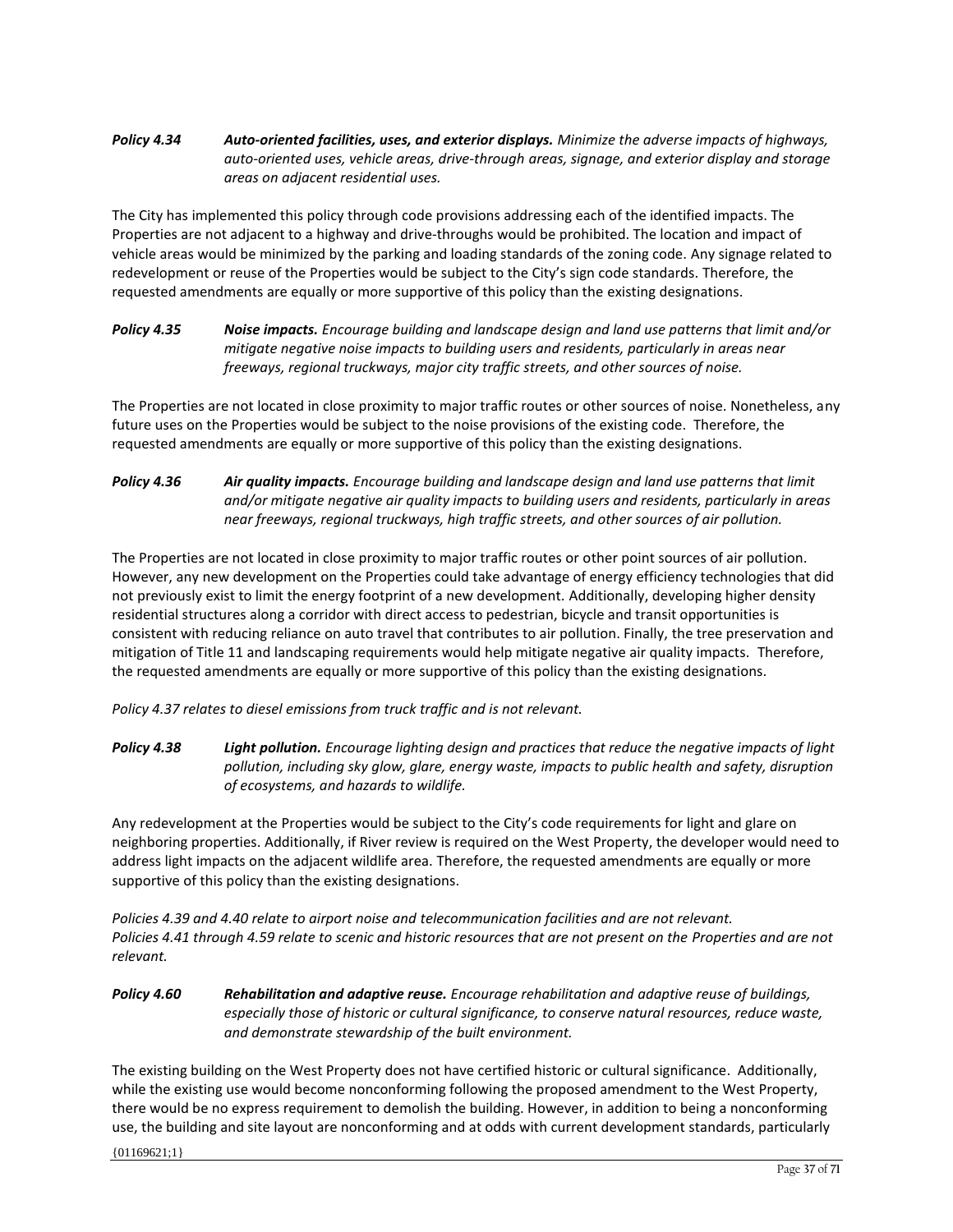# *Policy 4.34 Auto‐oriented facilities, uses, and exterior displays. Minimize the adverse impacts of highways, auto‐oriented uses, vehicle areas, drive‐through areas, signage, and exterior display and storage areas on adjacent residential uses.*

The City has implemented this policy through code provisions addressing each of the identified impacts. The Properties are not adjacent to a highway and drive-throughs would be prohibited. The location and impact of vehicle areas would be minimized by the parking and loading standards of the zoning code. Any signage related to redevelopment or reuse of the Properties would be subject to the City's sign code standards. Therefore, the requested amendments are equally or more supportive of this policy than the existing designations.

*Policy 4.35 Noise impacts. Encourage building and landscape design and land use patterns that limit and/or mitigate negative noise impacts to building users and residents, particularly in areas near freeways, regional truckways, major city traffic streets, and other sources of noise.*

The Properties are not located in close proximity to major traffic routes or other sources of noise. Nonetheless, any future uses on the Properties would be subject to the noise provisions of the existing code. Therefore, the requested amendments are equally or more supportive of this policy than the existing designations.

*Policy 4.36 Air quality impacts. Encourage building and landscape design and land use patterns that limit and/or mitigate negative air quality impacts to building users and residents, particularly in areas near freeways, regional truckways, high traffic streets, and other sources of air pollution.*

The Properties are not located in close proximity to major traffic routes or other point sources of air pollution. However, any new development on the Properties could take advantage of energy efficiency technologies that did not previously exist to limit the energy footprint of a new development. Additionally, developing higher density residential structures along a corridor with direct access to pedestrian, bicycle and transit opportunities is consistent with reducing reliance on auto travel that contributes to air pollution. Finally, the tree preservation and mitigation of Title 11 and landscaping requirements would help mitigate negative air quality impacts. Therefore, the requested amendments are equally or more supportive of this policy than the existing designations.

*Policy 4.37 relates to diesel emissions from truck traffic and is not relevant.*

*Policy 4.38 Light pollution. Encourage lighting design and practices that reduce the negative impacts of light pollution, including sky glow, glare, energy waste, impacts to public health and safety, disruption of ecosystems, and hazards to wildlife.*

Any redevelopment at the Properties would be subject to the City's code requirements for light and glare on neighboring properties. Additionally, if River review is required on the West Property, the developer would need to address light impacts on the adjacent wildlife area. Therefore, the requested amendments are equally or more supportive of this policy than the existing designations.

*Policies 4.39 and 4.40 relate to airport noise and telecommunication facilities and are not relevant. Policies 4.41 through 4.59 relate to scenic and historic resources that are not present on the Properties and are not relevant.*

*Policy 4.60 Rehabilitation and adaptive reuse. Encourage rehabilitation and adaptive reuse of buildings, especially those of historic or cultural significance, to conserve natural resources, reduce waste, and demonstrate stewardship of the built environment.*

The existing building on the West Property does not have certified historic or cultural significance. Additionally, while the existing use would become nonconforming following the proposed amendment to the West Property, there would be no express requirement to demolish the building. However, in addition to being a nonconforming use, the building and site layout are nonconforming and at odds with current development standards, particularly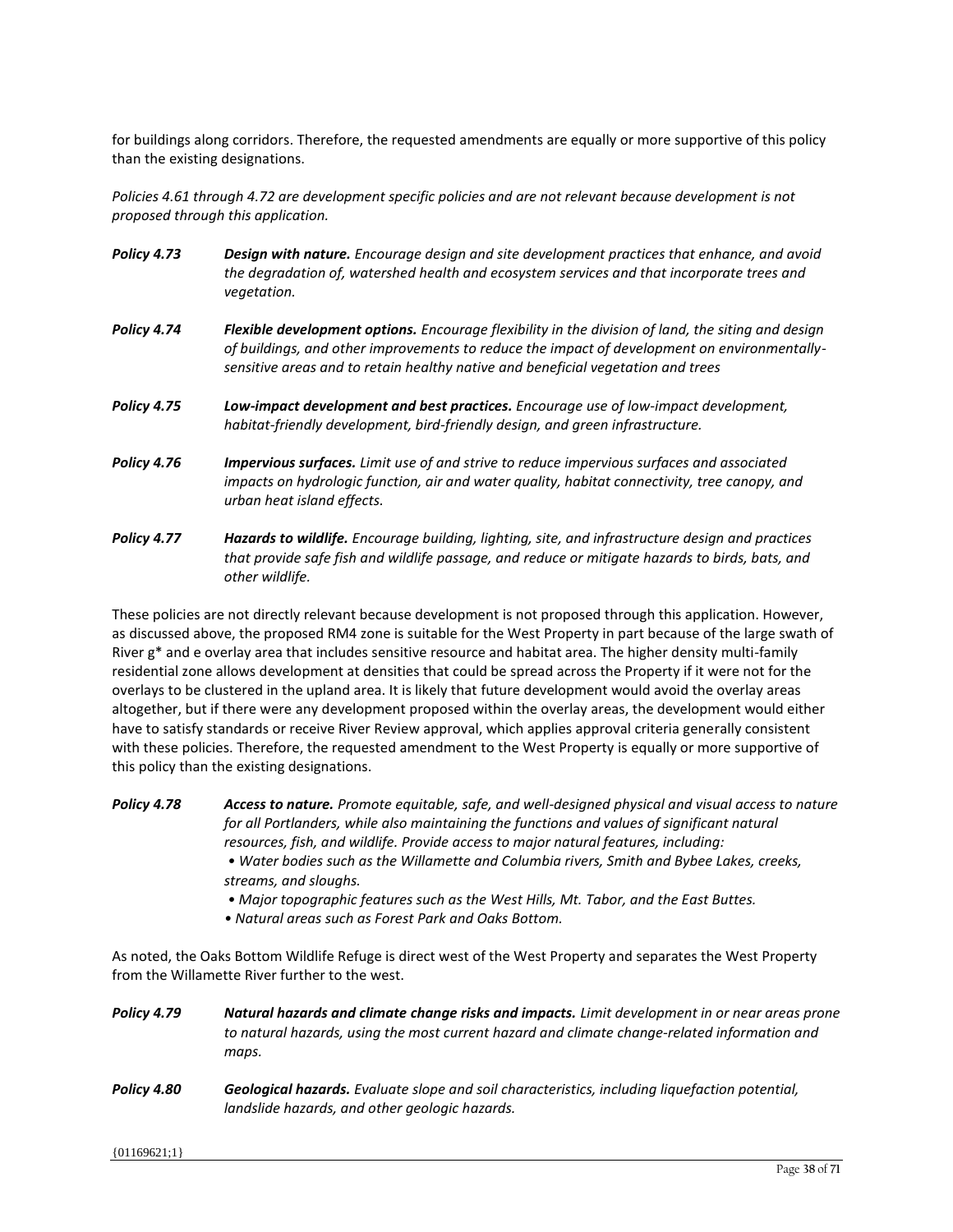for buildings along corridors. Therefore, the requested amendments are equally or more supportive of this policy than the existing designations.

*Policies 4.61 through 4.72 are development specific policies and are not relevant because development is not proposed through this application.* 

- *Policy 4.73 Design with nature. Encourage design and site development practices that enhance, and avoid the degradation of, watershed health and ecosystem services and that incorporate trees and vegetation.*
- *Policy 4.74 Flexible development options. Encourage flexibility in the division of land, the siting and design of buildings, and other improvements to reduce the impact of development on environmentallysensitive areas and to retain healthy native and beneficial vegetation and trees*
- *Policy 4.75 Low-impact development and best practices. Encourage use of low-impact development, habitat-friendly development, bird-friendly design, and green infrastructure.*
- *Policy 4.76 Impervious surfaces. Limit use of and strive to reduce impervious surfaces and associated impacts on hydrologic function, air and water quality, habitat connectivity, tree canopy, and urban heat island effects.*
- *Policy 4.77 Hazards to wildlife. Encourage building, lighting, site, and infrastructure design and practices that provide safe fish and wildlife passage, and reduce or mitigate hazards to birds, bats, and other wildlife.*

These policies are not directly relevant because development is not proposed through this application. However, as discussed above, the proposed RM4 zone is suitable for the West Property in part because of the large swath of River g\* and e overlay area that includes sensitive resource and habitat area. The higher density multi-family residential zone allows development at densities that could be spread across the Property if it were not for the overlays to be clustered in the upland area. It is likely that future development would avoid the overlay areas altogether, but if there were any development proposed within the overlay areas, the development would either have to satisfy standards or receive River Review approval, which applies approval criteria generally consistent with these policies. Therefore, the requested amendment to the West Property is equally or more supportive of this policy than the existing designations.

- *Policy 4.78 Access to nature. Promote equitable, safe, and well-designed physical and visual access to nature for all Portlanders, while also maintaining the functions and values of significant natural resources, fish, and wildlife. Provide access to major natural features, including:*
	- *Water bodies such as the Willamette and Columbia rivers, Smith and Bybee Lakes, creeks, streams, and sloughs.*
	- *Major topographic features such as the West Hills, Mt. Tabor, and the East Buttes.*
	- *Natural areas such as Forest Park and Oaks Bottom.*

As noted, the Oaks Bottom Wildlife Refuge is direct west of the West Property and separates the West Property from the Willamette River further to the west.

- *Policy 4.79 Natural hazards and climate change risks and impacts. Limit development in or near areas prone to natural hazards, using the most current hazard and climate change‐related information and maps.*
- *Policy 4.80 Geological hazards. Evaluate slope and soil characteristics, including liquefaction potential, landslide hazards, and other geologic hazards.*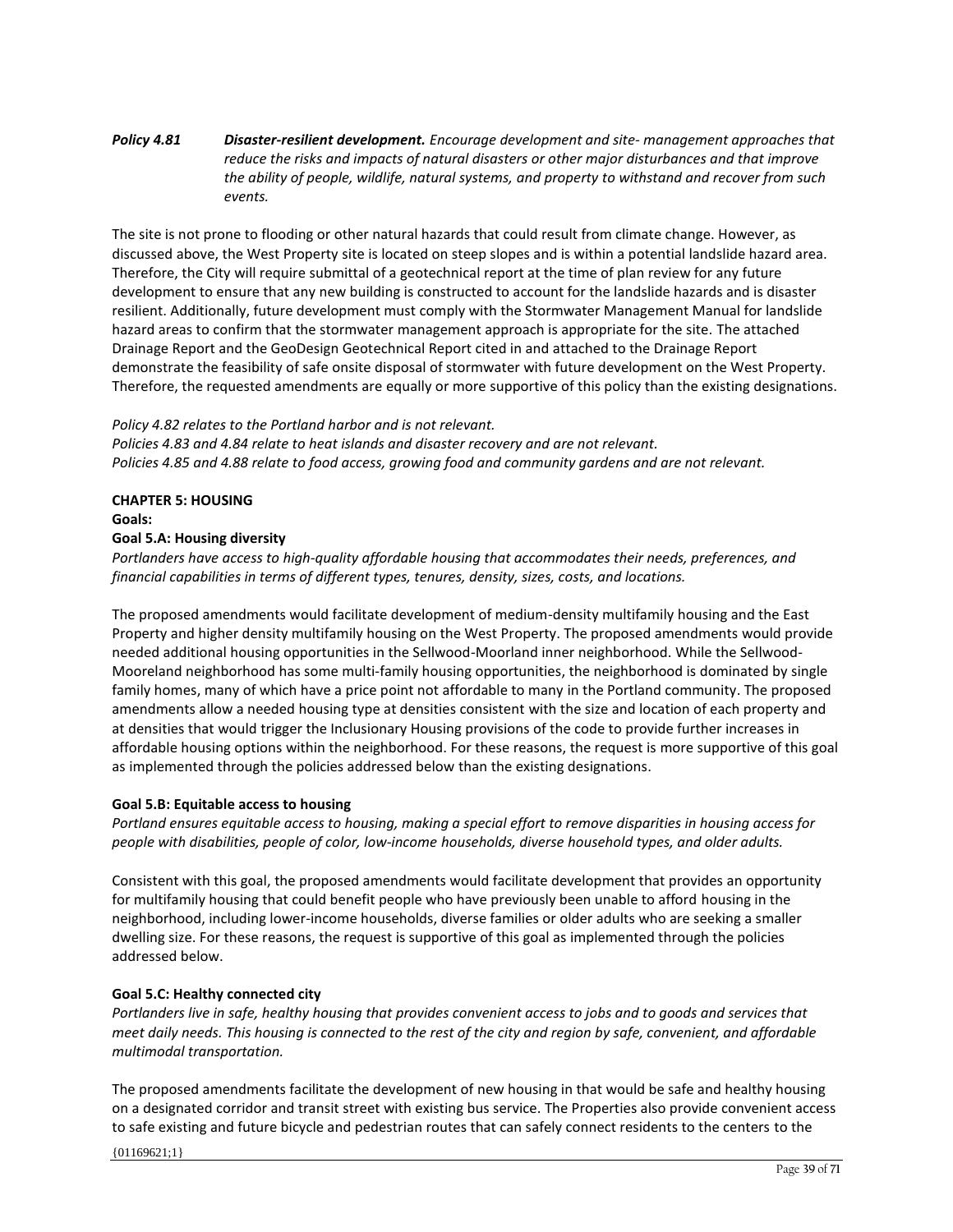# *Policy 4.81 Disaster‐resilient development. Encourage development and site‐ management approaches that reduce the risks and impacts of natural disasters or other major disturbances and that improve the ability of people, wildlife, natural systems, and property to withstand and recover from such events.*

The site is not prone to flooding or other natural hazards that could result from climate change. However, as discussed above, the West Property site is located on steep slopes and is within a potential landslide hazard area. Therefore, the City will require submittal of a geotechnical report at the time of plan review for any future development to ensure that any new building is constructed to account for the landslide hazards and is disaster resilient. Additionally, future development must comply with the Stormwater Management Manual for landslide hazard areas to confirm that the stormwater management approach is appropriate for the site. The attached Drainage Report and the GeoDesign Geotechnical Report cited in and attached to the Drainage Report demonstrate the feasibility of safe onsite disposal of stormwater with future development on the West Property. Therefore, the requested amendments are equally or more supportive of this policy than the existing designations.

### *Policy 4.82 relates to the Portland harbor and is not relevant.*

*Policies 4.83 and 4.84 relate to heat islands and disaster recovery and are not relevant. Policies 4.85 and 4.88 relate to food access, growing food and community gardens and are not relevant.*

### **CHAPTER 5: HOUSING**

**Goals:**

#### **Goal 5.A: Housing diversity**

*Portlanders have access to high‐quality affordable housing that accommodates their needs, preferences, and financial capabilities in terms of different types, tenures, density, sizes, costs, and locations.*

The proposed amendments would facilitate development of medium-density multifamily housing and the East Property and higher density multifamily housing on the West Property. The proposed amendments would provide needed additional housing opportunities in the Sellwood-Moorland inner neighborhood. While the Sellwood-Mooreland neighborhood has some multi-family housing opportunities, the neighborhood is dominated by single family homes, many of which have a price point not affordable to many in the Portland community. The proposed amendments allow a needed housing type at densities consistent with the size and location of each property and at densities that would trigger the Inclusionary Housing provisions of the code to provide further increases in affordable housing options within the neighborhood. For these reasons, the request is more supportive of this goal as implemented through the policies addressed below than the existing designations.

### **Goal 5.B: Equitable access to housing**

*Portland ensures equitable access to housing, making a special effort to remove disparities in housing access for people with disabilities, people of color, low‐income households, diverse household types, and older adults.*

Consistent with this goal, the proposed amendments would facilitate development that provides an opportunity for multifamily housing that could benefit people who have previously been unable to afford housing in the neighborhood, including lower-income households, diverse families or older adults who are seeking a smaller dwelling size. For these reasons, the request is supportive of this goal as implemented through the policies addressed below.

#### **Goal 5.C: Healthy connected city**

*Portlanders live in safe, healthy housing that provides convenient access to jobs and to goods and services that meet daily needs. This housing is connected to the rest of the city and region by safe, convenient, and affordable multimodal transportation.*

The proposed amendments facilitate the development of new housing in that would be safe and healthy housing on a designated corridor and transit street with existing bus service. The Properties also provide convenient access to safe existing and future bicycle and pedestrian routes that can safely connect residents to the centers to the

{01169621;1}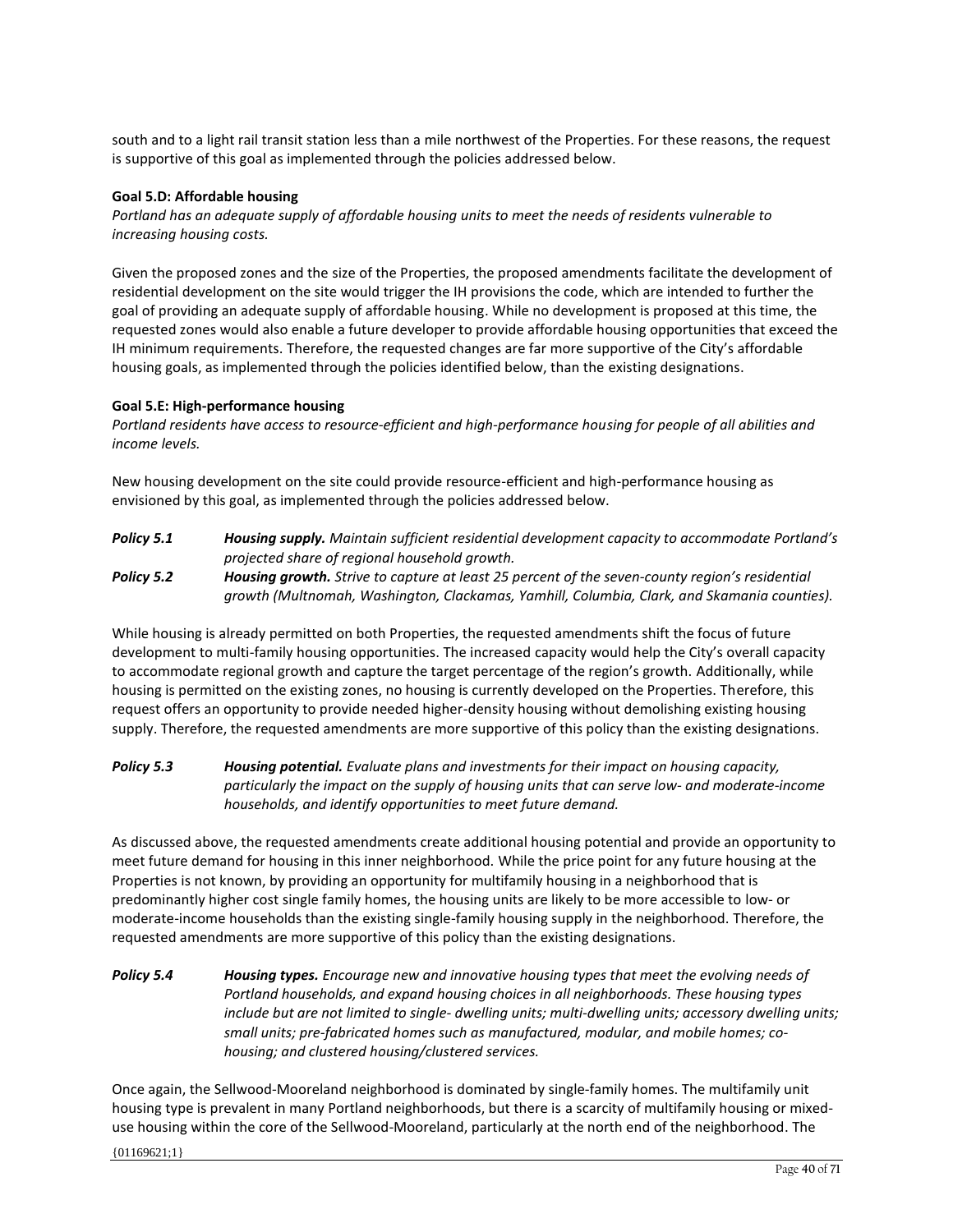south and to a light rail transit station less than a mile northwest of the Properties. For these reasons, the request is supportive of this goal as implemented through the policies addressed below.

### **Goal 5.D: Affordable housing**

*Portland has an adequate supply of affordable housing units to meet the needs of residents vulnerable to increasing housing costs.*

Given the proposed zones and the size of the Properties, the proposed amendments facilitate the development of residential development on the site would trigger the IH provisions the code, which are intended to further the goal of providing an adequate supply of affordable housing. While no development is proposed at this time, the requested zones would also enable a future developer to provide affordable housing opportunities that exceed the IH minimum requirements. Therefore, the requested changes are far more supportive of the City's affordable housing goals, as implemented through the policies identified below, than the existing designations.

### **Goal 5.E: High‐performance housing**

*Portland residents have access to resource‐efficient and high‐performance housing for people of all abilities and income levels.*

New housing development on the site could provide resource-efficient and high-performance housing as envisioned by this goal, as implemented through the policies addressed below.

*Policy 5.1 Housing supply. Maintain sufficient residential development capacity to accommodate Portland's projected share of regional household growth. Policy 5.2 Housing growth. Strive to capture at least 25 percent of the seven‐county region's residential growth (Multnomah, Washington, Clackamas, Yamhill, Columbia, Clark, and Skamania counties).*

While housing is already permitted on both Properties, the requested amendments shift the focus of future development to multi-family housing opportunities. The increased capacity would help the City's overall capacity to accommodate regional growth and capture the target percentage of the region's growth. Additionally, while housing is permitted on the existing zones, no housing is currently developed on the Properties. Therefore, this request offers an opportunity to provide needed higher-density housing without demolishing existing housing supply. Therefore, the requested amendments are more supportive of this policy than the existing designations.

*Policy 5.3 Housing potential. Evaluate plans and investments for their impact on housing capacity, particularly the impact on the supply of housing units that can serve low‐ and moderate‐income households, and identify opportunities to meet future demand.*

As discussed above, the requested amendments create additional housing potential and provide an opportunity to meet future demand for housing in this inner neighborhood. While the price point for any future housing at the Properties is not known, by providing an opportunity for multifamily housing in a neighborhood that is predominantly higher cost single family homes, the housing units are likely to be more accessible to low- or moderate-income households than the existing single-family housing supply in the neighborhood. Therefore, the requested amendments are more supportive of this policy than the existing designations.

*Policy 5.4 Housing types. Encourage new and innovative housing types that meet the evolving needs of Portland households, and expand housing choices in all neighborhoods. These housing types include but are not limited to single‐ dwelling units; multi‐dwelling units; accessory dwelling units; small units; pre‐fabricated homes such as manufactured, modular, and mobile homes; co‐ housing; and clustered housing/clustered services.*

Once again, the Sellwood-Mooreland neighborhood is dominated by single-family homes. The multifamily unit housing type is prevalent in many Portland neighborhoods, but there is a scarcity of multifamily housing or mixeduse housing within the core of the Sellwood-Mooreland, particularly at the north end of the neighborhood. The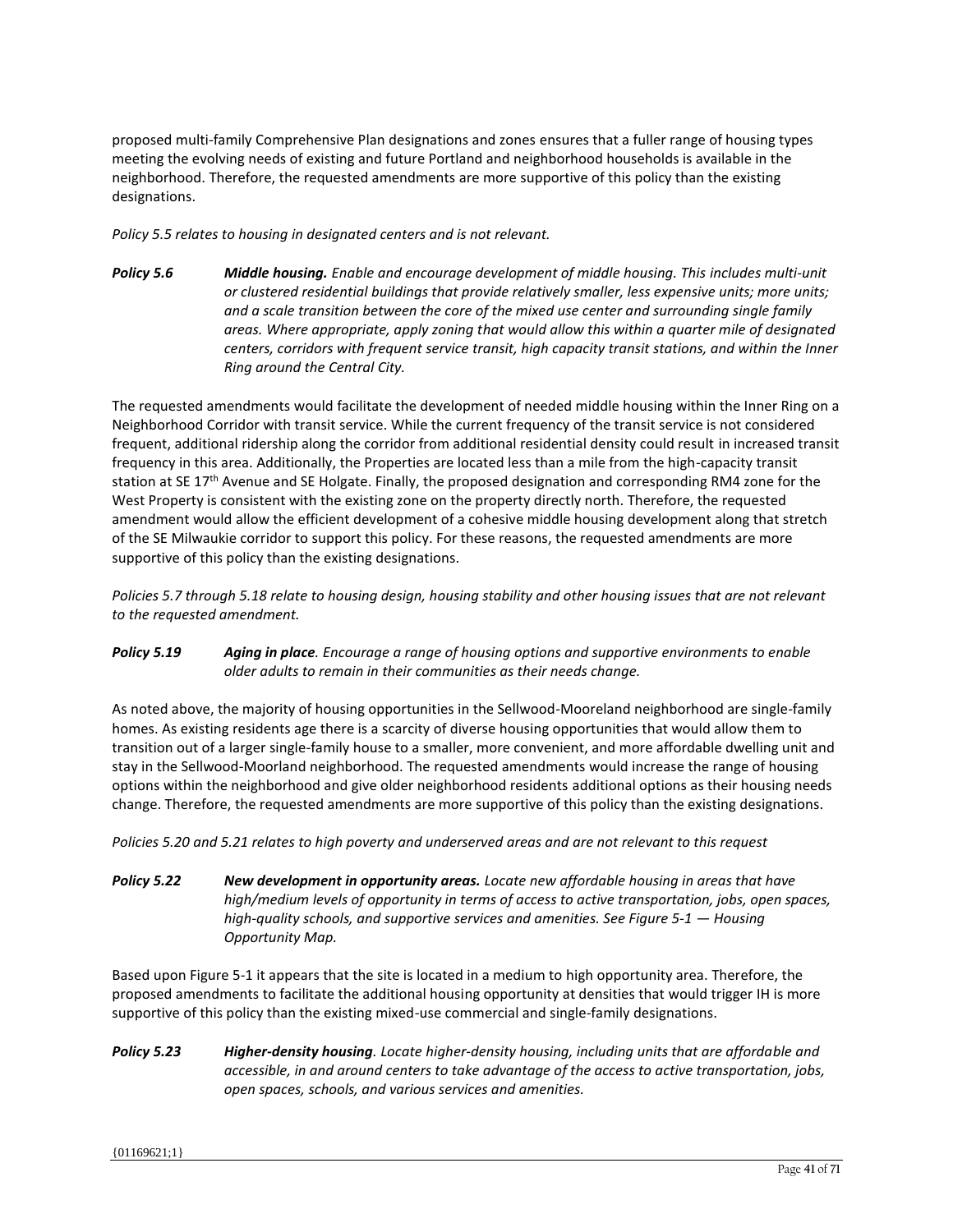proposed multi-family Comprehensive Plan designations and zones ensures that a fuller range of housing types meeting the evolving needs of existing and future Portland and neighborhood households is available in the neighborhood. Therefore, the requested amendments are more supportive of this policy than the existing designations.

*Policy 5.5 relates to housing in designated centers and is not relevant.* 

**Policy 5.6 Middle housing.** Enable and encourage development of middle housing. This includes multi-unit *or clustered residential buildings that provide relatively smaller, less expensive units; more units; and a scale transition between the core of the mixed use center and surrounding single family areas. Where appropriate, apply zoning that would allow this within a quarter mile of designated centers, corridors with frequent service transit, high capacity transit stations, and within the Inner Ring around the Central City.*

The requested amendments would facilitate the development of needed middle housing within the Inner Ring on a Neighborhood Corridor with transit service. While the current frequency of the transit service is not considered frequent, additional ridership along the corridor from additional residential density could result in increased transit frequency in this area. Additionally, the Properties are located less than a mile from the high-capacity transit station at SE 17<sup>th</sup> Avenue and SE Holgate. Finally, the proposed designation and corresponding RM4 zone for the West Property is consistent with the existing zone on the property directly north. Therefore, the requested amendment would allow the efficient development of a cohesive middle housing development along that stretch of the SE Milwaukie corridor to support this policy. For these reasons, the requested amendments are more supportive of this policy than the existing designations.

*Policies 5.7 through 5.18 relate to housing design, housing stability and other housing issues that are not relevant to the requested amendment.*

# *Policy 5.19 Aging in place. Encourage a range of housing options and supportive environments to enable older adults to remain in their communities as their needs change.*

As noted above, the majority of housing opportunities in the Sellwood-Mooreland neighborhood are single-family homes. As existing residents age there is a scarcity of diverse housing opportunities that would allow them to transition out of a larger single-family house to a smaller, more convenient, and more affordable dwelling unit and stay in the Sellwood-Moorland neighborhood. The requested amendments would increase the range of housing options within the neighborhood and give older neighborhood residents additional options as their housing needs change. Therefore, the requested amendments are more supportive of this policy than the existing designations.

*Policies 5.20 and 5.21 relates to high poverty and underserved areas and are not relevant to this request*

*Policy 5.22 New development in opportunity areas. Locate new affordable housing in areas that have high/medium levels of opportunity in terms of access to active transportation, jobs, open spaces, high‐quality schools, and supportive services and amenities. See Figure 5‐1 — Housing Opportunity Map.*

Based upon Figure 5-1 it appears that the site is located in a medium to high opportunity area. Therefore, the proposed amendments to facilitate the additional housing opportunity at densities that would trigger IH is more supportive of this policy than the existing mixed-use commercial and single-family designations.

*Policy 5.23 Higher‐density housing. Locate higher‐density housing, including units that are affordable and accessible, in and around centers to take advantage of the access to active transportation, jobs, open spaces, schools, and various services and amenities.*

{01169621;1}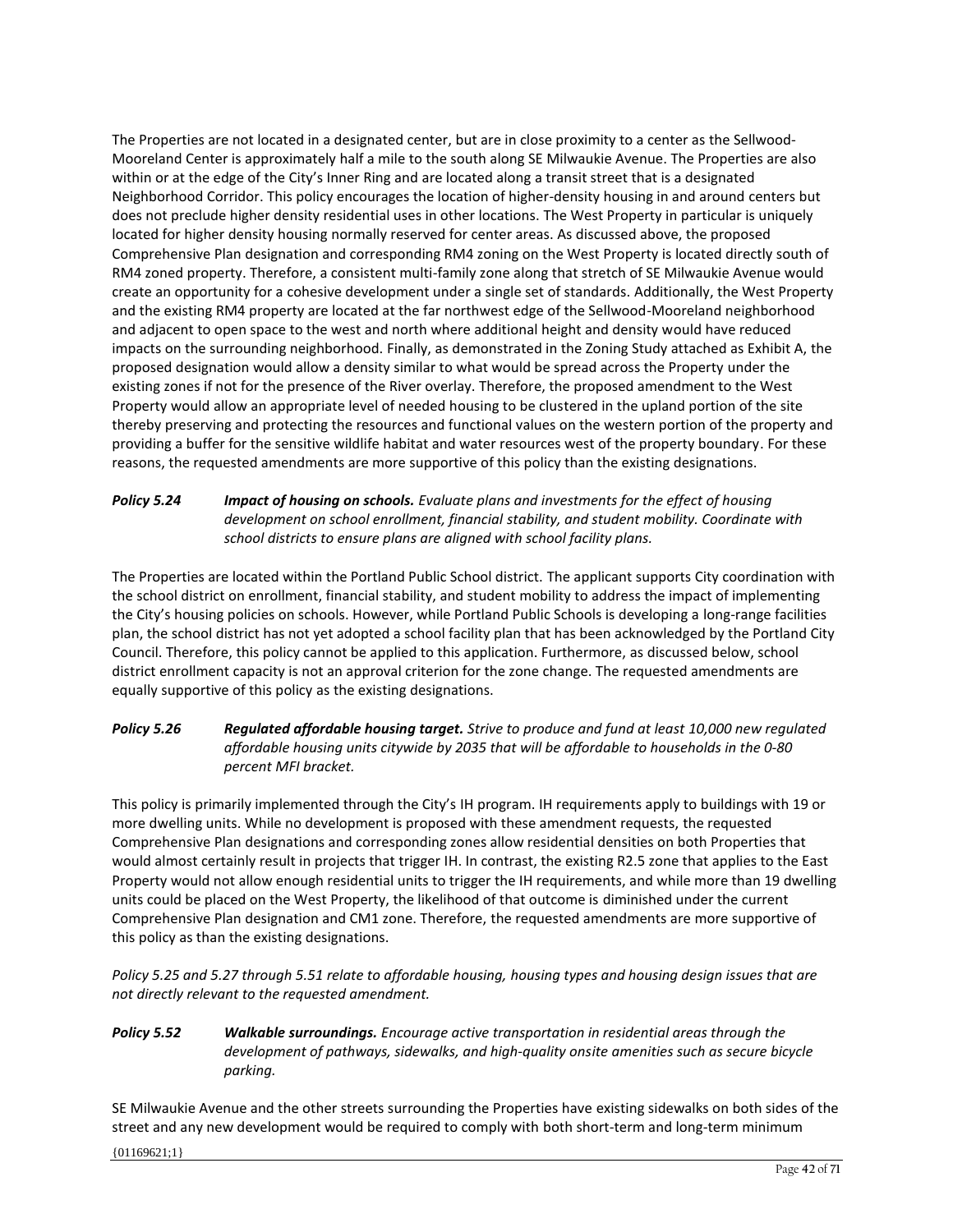The Properties are not located in a designated center, but are in close proximity to a center as the Sellwood-Mooreland Center is approximately half a mile to the south along SE Milwaukie Avenue. The Properties are also within or at the edge of the City's Inner Ring and are located along a transit street that is a designated Neighborhood Corridor. This policy encourages the location of higher-density housing in and around centers but does not preclude higher density residential uses in other locations. The West Property in particular is uniquely located for higher density housing normally reserved for center areas. As discussed above, the proposed Comprehensive Plan designation and corresponding RM4 zoning on the West Property is located directly south of RM4 zoned property. Therefore, a consistent multi-family zone along that stretch of SE Milwaukie Avenue would create an opportunity for a cohesive development under a single set of standards. Additionally, the West Property and the existing RM4 property are located at the far northwest edge of the Sellwood-Mooreland neighborhood and adjacent to open space to the west and north where additional height and density would have reduced impacts on the surrounding neighborhood. Finally, as demonstrated in the Zoning Study attached as Exhibit A, the proposed designation would allow a density similar to what would be spread across the Property under the existing zones if not for the presence of the River overlay. Therefore, the proposed amendment to the West Property would allow an appropriate level of needed housing to be clustered in the upland portion of the site thereby preserving and protecting the resources and functional values on the western portion of the property and providing a buffer for the sensitive wildlife habitat and water resources west of the property boundary. For these reasons, the requested amendments are more supportive of this policy than the existing designations.

# *Policy 5.24 Impact of housing on schools. Evaluate plans and investments for the effect of housing development on school enrollment, financial stability, and student mobility. Coordinate with school districts to ensure plans are aligned with school facility plans.*

The Properties are located within the Portland Public School district. The applicant supports City coordination with the school district on enrollment, financial stability, and student mobility to address the impact of implementing the City's housing policies on schools. However, while Portland Public Schools is developing a long-range facilities plan, the school district has not yet adopted a school facility plan that has been acknowledged by the Portland City Council. Therefore, this policy cannot be applied to this application. Furthermore, as discussed below, school district enrollment capacity is not an approval criterion for the zone change. The requested amendments are equally supportive of this policy as the existing designations.

# *Policy 5.26 Regulated affordable housing target. Strive to produce and fund at least 10,000 new regulated affordable housing units citywide by 2035 that will be affordable to households in the 0‐80 percent MFI bracket.*

This policy is primarily implemented through the City's IH program. IH requirements apply to buildings with 19 or more dwelling units. While no development is proposed with these amendment requests, the requested Comprehensive Plan designations and corresponding zones allow residential densities on both Properties that would almost certainly result in projects that trigger IH. In contrast, the existing R2.5 zone that applies to the East Property would not allow enough residential units to trigger the IH requirements, and while more than 19 dwelling units could be placed on the West Property, the likelihood of that outcome is diminished under the current Comprehensive Plan designation and CM1 zone. Therefore, the requested amendments are more supportive of this policy as than the existing designations.

*Policy 5.25 and 5.27 through 5.51 relate to affordable housing, housing types and housing design issues that are not directly relevant to the requested amendment.*

# *Policy 5.52 Walkable surroundings. Encourage active transportation in residential areas through the development of pathways, sidewalks, and high‐quality onsite amenities such as secure bicycle parking.*

SE Milwaukie Avenue and the other streets surrounding the Properties have existing sidewalks on both sides of the street and any new development would be required to comply with both short-term and long-term minimum

{01169621;1}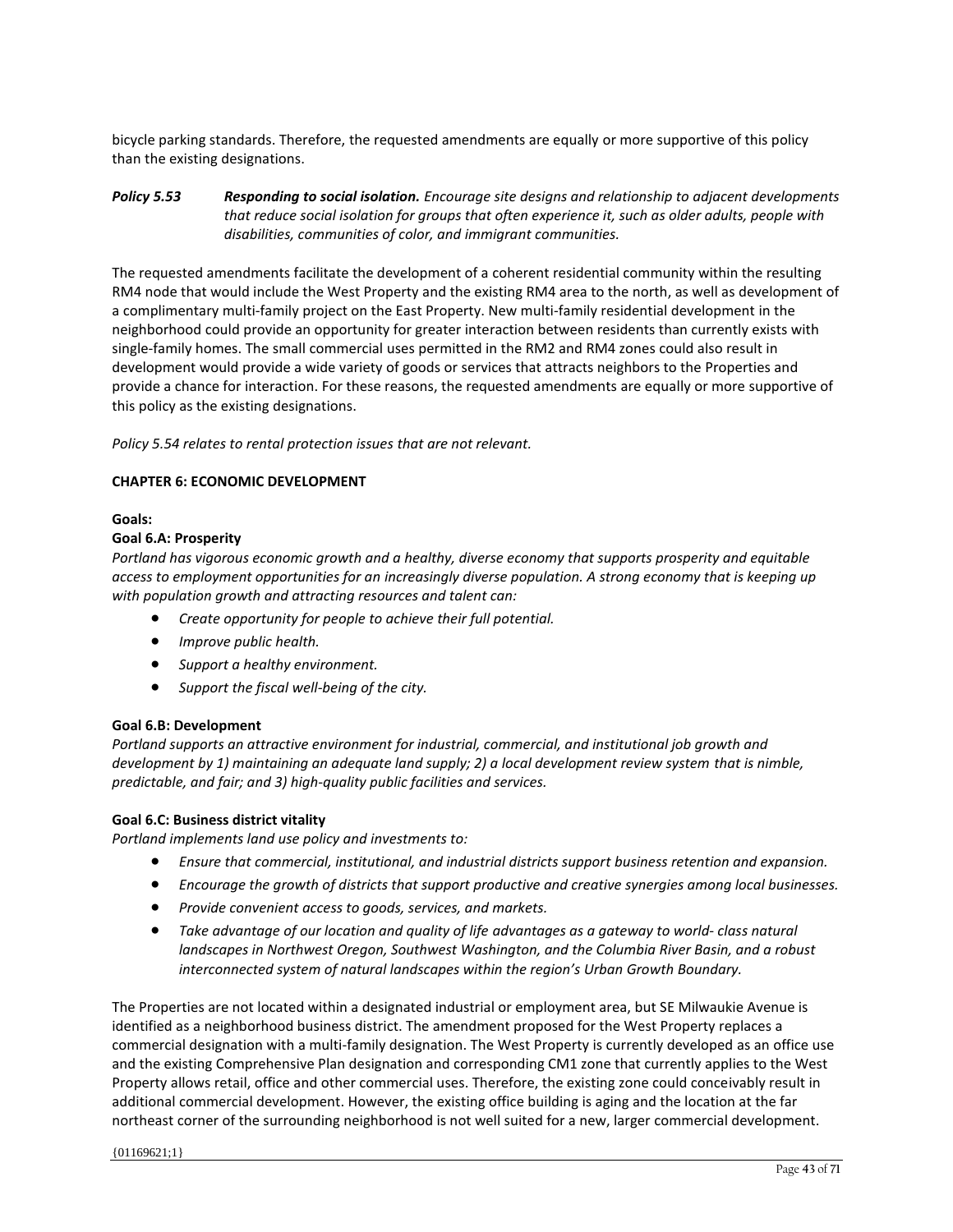bicycle parking standards. Therefore, the requested amendments are equally or more supportive of this policy than the existing designations.

*Policy 5.53 Responding to social isolation. Encourage site designs and relationship to adjacent developments that reduce social isolation for groups that often experience it, such as older adults, people with disabilities, communities of color, and immigrant communities.*

The requested amendments facilitate the development of a coherent residential community within the resulting RM4 node that would include the West Property and the existing RM4 area to the north, as well as development of a complimentary multi-family project on the East Property. New multi-family residential development in the neighborhood could provide an opportunity for greater interaction between residents than currently exists with single-family homes. The small commercial uses permitted in the RM2 and RM4 zones could also result in development would provide a wide variety of goods or services that attracts neighbors to the Properties and provide a chance for interaction. For these reasons, the requested amendments are equally or more supportive of this policy as the existing designations.

*Policy 5.54 relates to rental protection issues that are not relevant.* 

### **CHAPTER 6: ECONOMIC DEVELOPMENT**

#### **Goals:**

### **Goal 6.A: Prosperity**

*Portland has vigorous economic growth and a healthy, diverse economy that supports prosperity and equitable access to employment opportunities for an increasingly diverse population. A strong economy that is keeping up with population growth and attracting resources and talent can:*

- *Create opportunity for people to achieve their full potential.*
- *Improve public health.*
- *Support a healthy environment.*
- *Support the fiscal well‐being of the city.*

### **Goal 6.B: Development**

*Portland supports an attractive environment for industrial, commercial, and institutional job growth and development by 1) maintaining an adequate land supply; 2) a local development review system that is nimble, predictable, and fair; and 3) high‐quality public facilities and services.*

### **Goal 6.C: Business district vitality**

*Portland implements land use policy and investments to:*

- *Ensure that commercial, institutional, and industrial districts support business retention and expansion.*
- *Encourage the growth of districts that support productive and creative synergies among local businesses.*
- *Provide convenient access to goods, services, and markets.*
- *Take advantage of our location and quality of life advantages as a gateway to world‐ class natural landscapes in Northwest Oregon, Southwest Washington, and the Columbia River Basin, and a robust interconnected system of natural landscapes within the region's Urban Growth Boundary.*

The Properties are not located within a designated industrial or employment area, but SE Milwaukie Avenue is identified as a neighborhood business district. The amendment proposed for the West Property replaces a commercial designation with a multi-family designation. The West Property is currently developed as an office use and the existing Comprehensive Plan designation and corresponding CM1 zone that currently applies to the West Property allows retail, office and other commercial uses. Therefore, the existing zone could conceivably result in additional commercial development. However, the existing office building is aging and the location at the far northeast corner of the surrounding neighborhood is not well suited for a new, larger commercial development.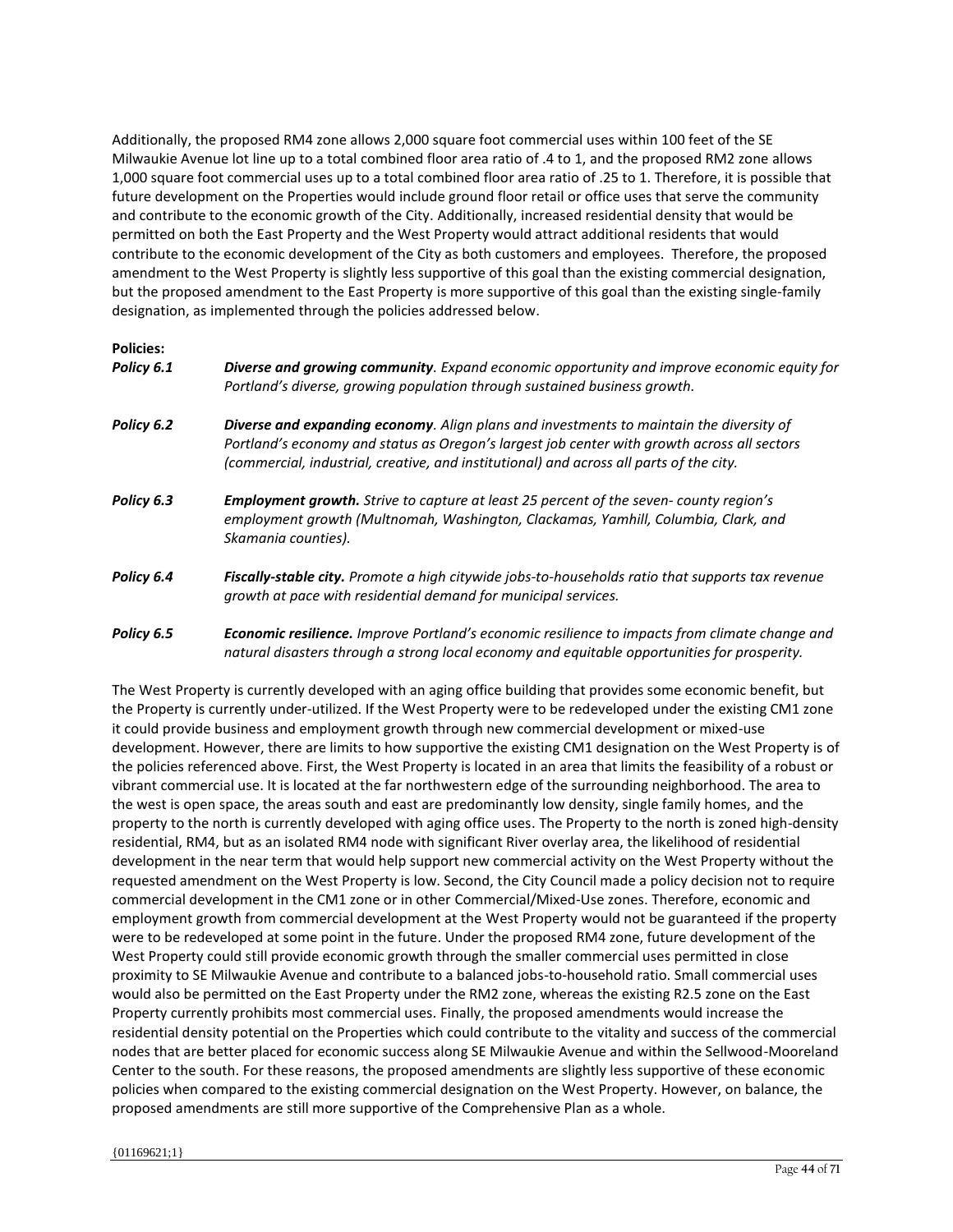Additionally, the proposed RM4 zone allows 2,000 square foot commercial uses within 100 feet of the SE Milwaukie Avenue lot line up to a total combined floor area ratio of .4 to 1, and the proposed RM2 zone allows 1,000 square foot commercial uses up to a total combined floor area ratio of .25 to 1. Therefore, it is possible that future development on the Properties would include ground floor retail or office uses that serve the community and contribute to the economic growth of the City. Additionally, increased residential density that would be permitted on both the East Property and the West Property would attract additional residents that would contribute to the economic development of the City as both customers and employees. Therefore, the proposed amendment to the West Property is slightly less supportive of this goal than the existing commercial designation, but the proposed amendment to the East Property is more supportive of this goal than the existing single-family designation, as implemented through the policies addressed below.

#### **Policies:**

| Policy 6.1 | <b>Diverse and growing community</b> . Expand economic opportunity and improve economic equity for<br>Portland's diverse, growing population through sustained business growth.                                                                                                          |
|------------|------------------------------------------------------------------------------------------------------------------------------------------------------------------------------------------------------------------------------------------------------------------------------------------|
| Policy 6.2 | <b>Diverse and expanding economy.</b> Align plans and investments to maintain the diversity of<br>Portland's economy and status as Oregon's largest job center with growth across all sectors<br>(commercial, industrial, creative, and institutional) and across all parts of the city. |
| Policy 6.3 | <b>Employment growth.</b> Strive to capture at least 25 percent of the seven-county region's<br>employment growth (Multnomah, Washington, Clackamas, Yamhill, Columbia, Clark, and<br>Skamania counties).                                                                                |
| Policy 6.4 | <b>Fiscally-stable city.</b> Promote a high citywide jobs-to-households ratio that supports tax revenue<br>growth at pace with residential demand for municipal services.                                                                                                                |
| Policy 6.5 | <b>Economic resilience.</b> Improve Portland's economic resilience to impacts from climate change and<br>natural disasters through a strong local economy and equitable opportunities for prosperity.                                                                                    |

The West Property is currently developed with an aging office building that provides some economic benefit, but the Property is currently under-utilized. If the West Property were to be redeveloped under the existing CM1 zone it could provide business and employment growth through new commercial development or mixed-use development. However, there are limits to how supportive the existing CM1 designation on the West Property is of the policies referenced above. First, the West Property is located in an area that limits the feasibility of a robust or vibrant commercial use. It is located at the far northwestern edge of the surrounding neighborhood. The area to the west is open space, the areas south and east are predominantly low density, single family homes, and the property to the north is currently developed with aging office uses. The Property to the north is zoned high-density residential, RM4, but as an isolated RM4 node with significant River overlay area, the likelihood of residential development in the near term that would help support new commercial activity on the West Property without the requested amendment on the West Property is low. Second, the City Council made a policy decision not to require commercial development in the CM1 zone or in other Commercial/Mixed-Use zones. Therefore, economic and employment growth from commercial development at the West Property would not be guaranteed if the property were to be redeveloped at some point in the future. Under the proposed RM4 zone, future development of the West Property could still provide economic growth through the smaller commercial uses permitted in close proximity to SE Milwaukie Avenue and contribute to a balanced jobs-to-household ratio. Small commercial uses would also be permitted on the East Property under the RM2 zone, whereas the existing R2.5 zone on the East Property currently prohibits most commercial uses. Finally, the proposed amendments would increase the residential density potential on the Properties which could contribute to the vitality and success of the commercial nodes that are better placed for economic success along SE Milwaukie Avenue and within the Sellwood-Mooreland Center to the south. For these reasons, the proposed amendments are slightly less supportive of these economic policies when compared to the existing commercial designation on the West Property. However, on balance, the proposed amendments are still more supportive of the Comprehensive Plan as a whole.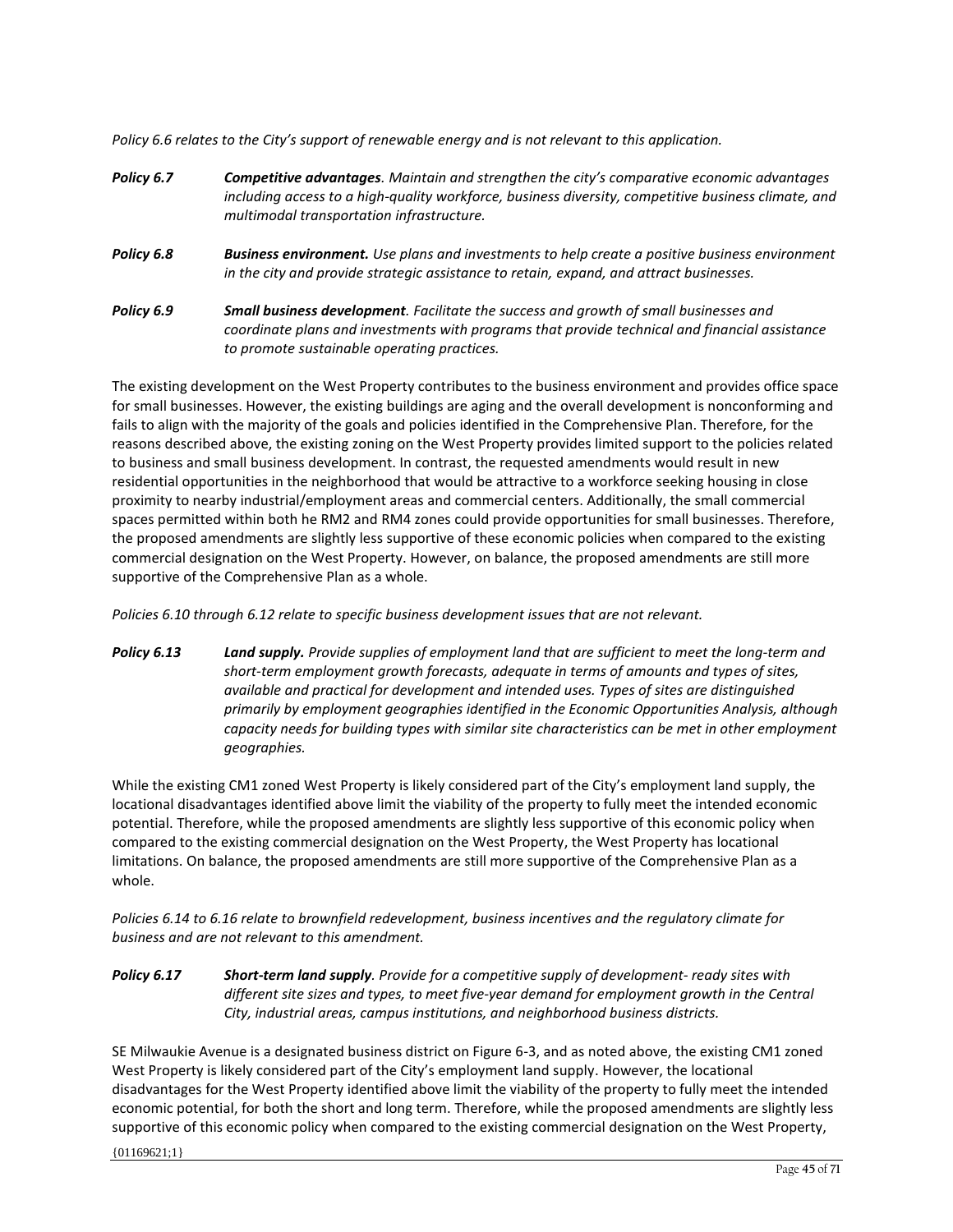*Policy 6.6 relates to the City's support of renewable energy and is not relevant to this application.*

- *Policy 6.7 Competitive advantages. Maintain and strengthen the city's comparative economic advantages including access to a high‐quality workforce, business diversity, competitive business climate, and multimodal transportation infrastructure.*
- *Policy 6.8 Business environment. Use plans and investments to help create a positive business environment in the city and provide strategic assistance to retain, expand, and attract businesses.*
- *Policy 6.9 Small business development. Facilitate the success and growth of small businesses and coordinate plans and investments with programs that provide technical and financial assistance to promote sustainable operating practices.*

The existing development on the West Property contributes to the business environment and provides office space for small businesses. However, the existing buildings are aging and the overall development is nonconforming and fails to align with the majority of the goals and policies identified in the Comprehensive Plan. Therefore, for the reasons described above, the existing zoning on the West Property provides limited support to the policies related to business and small business development. In contrast, the requested amendments would result in new residential opportunities in the neighborhood that would be attractive to a workforce seeking housing in close proximity to nearby industrial/employment areas and commercial centers. Additionally, the small commercial spaces permitted within both he RM2 and RM4 zones could provide opportunities for small businesses. Therefore, the proposed amendments are slightly less supportive of these economic policies when compared to the existing commercial designation on the West Property. However, on balance, the proposed amendments are still more supportive of the Comprehensive Plan as a whole.

*Policies 6.10 through 6.12 relate to specific business development issues that are not relevant.* 

*Policy 6.13 Land supply. Provide supplies of employment land that are sufficient to meet the long‐term and short‐term employment growth forecasts, adequate in terms of amounts and types of sites, available and practical for development and intended uses. Types of sites are distinguished primarily by employment geographies identified in the Economic Opportunities Analysis, although capacity needs for building types with similar site characteristics can be met in other employment geographies.*

While the existing CM1 zoned West Property is likely considered part of the City's employment land supply, the locational disadvantages identified above limit the viability of the property to fully meet the intended economic potential. Therefore, while the proposed amendments are slightly less supportive of this economic policy when compared to the existing commercial designation on the West Property, the West Property has locational limitations. On balance, the proposed amendments are still more supportive of the Comprehensive Plan as a whole.

*Policies 6.14 to 6.16 relate to brownfield redevelopment, business incentives and the regulatory climate for business and are not relevant to this amendment.*

*Policy 6.17 Short‐term land supply. Provide for a competitive supply of development‐ ready sites with different site sizes and types, to meet five‐year demand for employment growth in the Central City, industrial areas, campus institutions, and neighborhood business districts.*

SE Milwaukie Avenue is a designated business district on Figure 6-3, and as noted above, the existing CM1 zoned West Property is likely considered part of the City's employment land supply. However, the locational disadvantages for the West Property identified above limit the viability of the property to fully meet the intended economic potential, for both the short and long term. Therefore, while the proposed amendments are slightly less supportive of this economic policy when compared to the existing commercial designation on the West Property,

{01169621;1}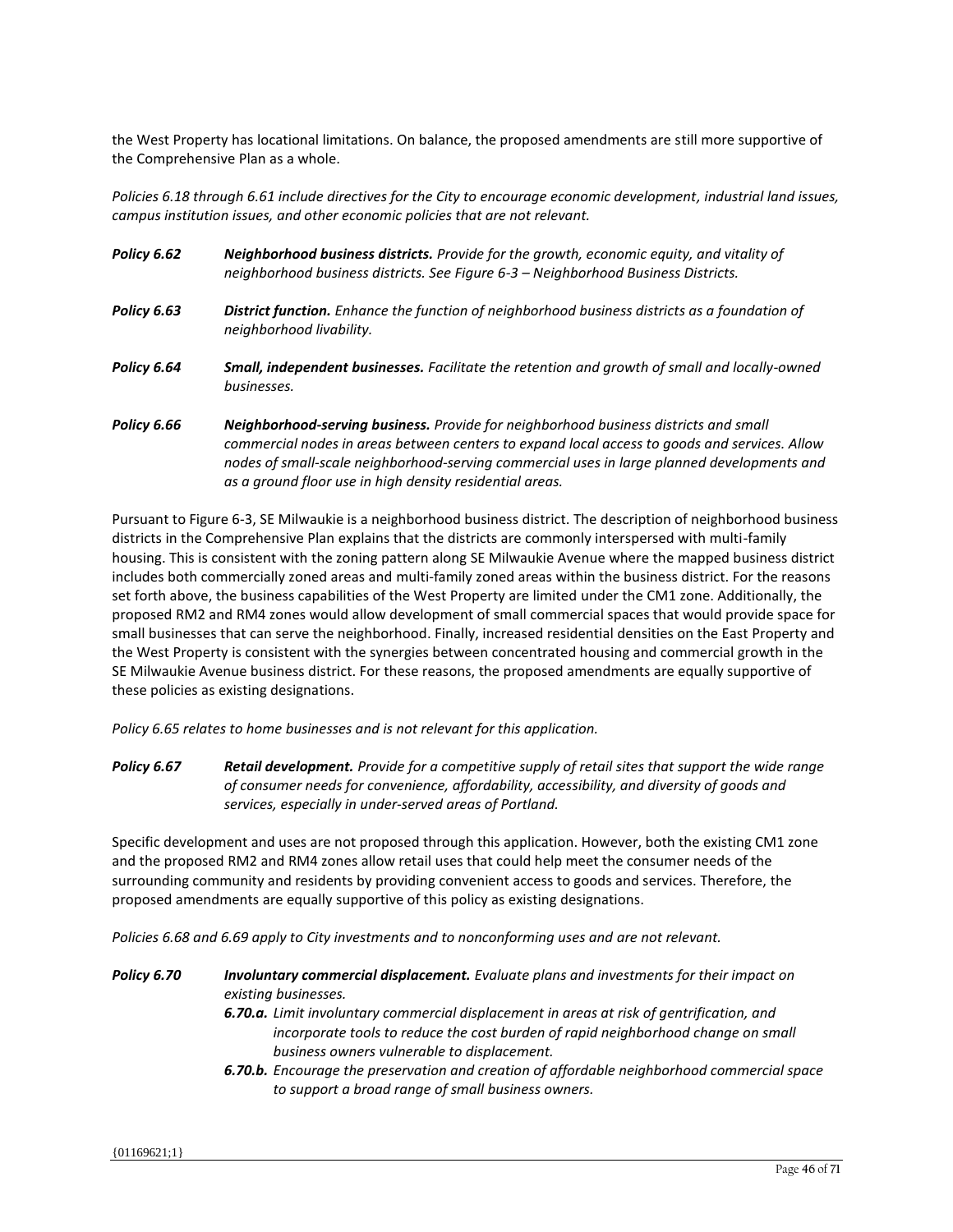the West Property has locational limitations. On balance, the proposed amendments are still more supportive of the Comprehensive Plan as a whole.

*Policies 6.18 through 6.61 include directives for the City to encourage economic development, industrial land issues, campus institution issues, and other economic policies that are not relevant.*

*Policy 6.62 Neighborhood business districts. Provide for the growth, economic equity, and vitality of neighborhood business districts. See Figure 6-3 – Neighborhood Business Districts. Policy 6.63 District function. Enhance the function of neighborhood business districts as a foundation of neighborhood livability. Policy 6.64 Small, independent businesses. Facilitate the retention and growth of small and locally-owned businesses. Policy 6.66 Neighborhood‐serving business. Provide for neighborhood business districts and small commercial nodes in areas between centers to expand local access to goods and services. Allow nodes of small‐scale neighborhood‐serving commercial uses in large planned developments and as a ground floor use in high density residential areas.*

Pursuant to Figure 6-3, SE Milwaukie is a neighborhood business district. The description of neighborhood business districts in the Comprehensive Plan explains that the districts are commonly interspersed with multi-family housing. This is consistent with the zoning pattern along SE Milwaukie Avenue where the mapped business district includes both commercially zoned areas and multi-family zoned areas within the business district. For the reasons set forth above, the business capabilities of the West Property are limited under the CM1 zone. Additionally, the proposed RM2 and RM4 zones would allow development of small commercial spaces that would provide space for small businesses that can serve the neighborhood. Finally, increased residential densities on the East Property and the West Property is consistent with the synergies between concentrated housing and commercial growth in the SE Milwaukie Avenue business district. For these reasons, the proposed amendments are equally supportive of these policies as existing designations.

*Policy 6.65 relates to home businesses and is not relevant for this application.*

*Policy 6.67 Retail development. Provide for a competitive supply of retail sites that support the wide range of consumer needs for convenience, affordability, accessibility, and diversity of goods and services, especially in under‐served areas of Portland.*

Specific development and uses are not proposed through this application. However, both the existing CM1 zone and the proposed RM2 and RM4 zones allow retail uses that could help meet the consumer needs of the surrounding community and residents by providing convenient access to goods and services. Therefore, the proposed amendments are equally supportive of this policy as existing designations.

*Policies 6.68 and 6.69 apply to City investments and to nonconforming uses and are not relevant.* 

- *Policy 6.70 Involuntary commercial displacement. Evaluate plans and investments for their impact on existing businesses. 6.70.a. Limit involuntary commercial displacement in areas at risk of gentrification, and incorporate tools to reduce the cost burden of rapid neighborhood change on small business owners vulnerable to displacement.*
	- *6.70.b. Encourage the preservation and creation of affordable neighborhood commercial space to support a broad range of small business owners.*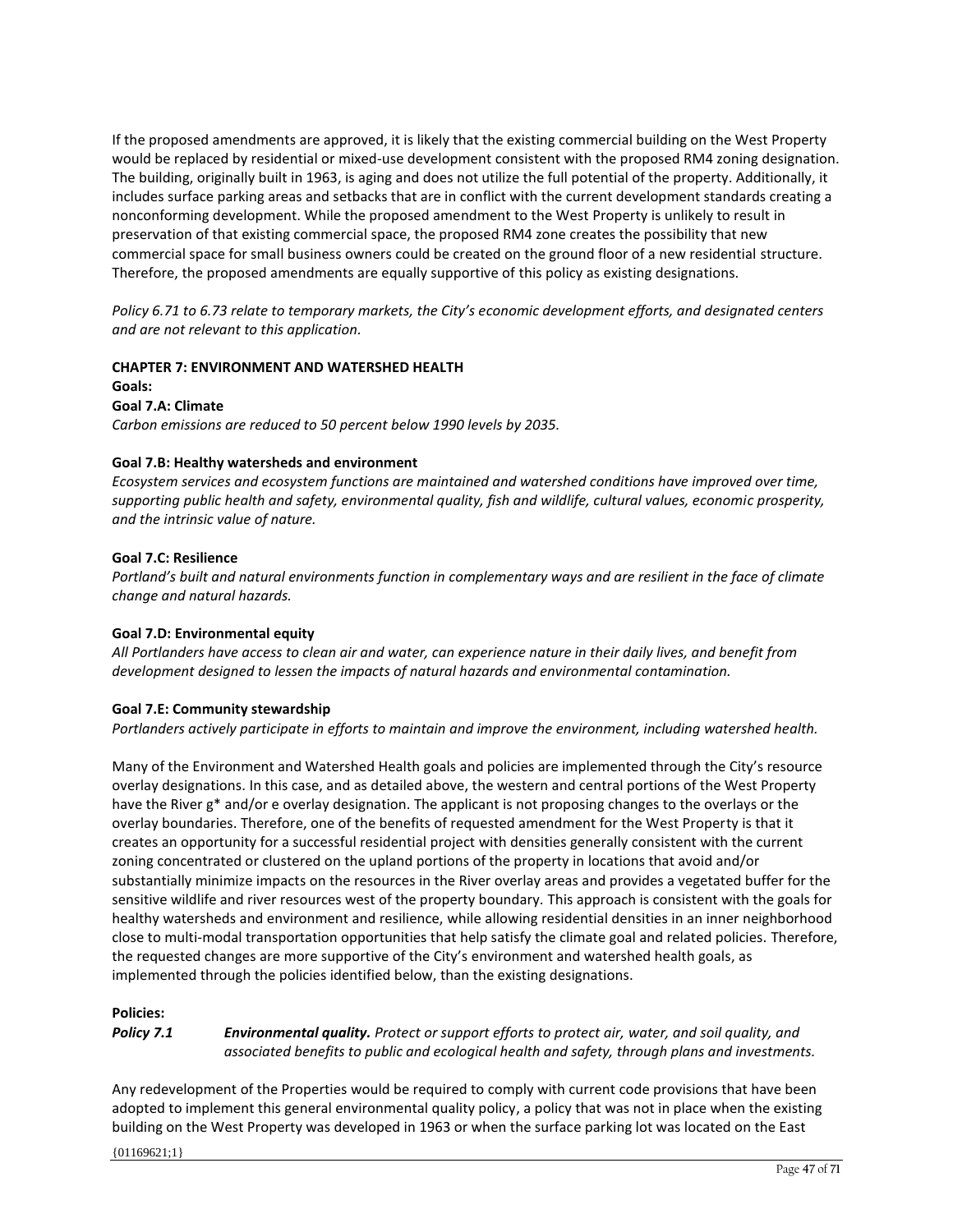If the proposed amendments are approved, it is likely that the existing commercial building on the West Property would be replaced by residential or mixed-use development consistent with the proposed RM4 zoning designation. The building, originally built in 1963, is aging and does not utilize the full potential of the property. Additionally, it includes surface parking areas and setbacks that are in conflict with the current development standards creating a nonconforming development. While the proposed amendment to the West Property is unlikely to result in preservation of that existing commercial space, the proposed RM4 zone creates the possibility that new commercial space for small business owners could be created on the ground floor of a new residential structure. Therefore, the proposed amendments are equally supportive of this policy as existing designations.

*Policy 6.71 to 6.73 relate to temporary markets, the City's economic development efforts, and designated centers and are not relevant to this application.*

# **CHAPTER 7: ENVIRONMENT AND WATERSHED HEALTH**

#### **Goals: Goal 7.A: Climate**

*Carbon emissions are reduced to 50 percent below 1990 levels by 2035.*

### **Goal 7.B: Healthy watersheds and environment**

*Ecosystem services and ecosystem functions are maintained and watershed conditions have improved over time, supporting public health and safety, environmental quality, fish and wildlife, cultural values, economic prosperity, and the intrinsic value of nature.*

### **Goal 7.C: Resilience**

*Portland's built and natural environments function in complementary ways and are resilient in the face of climate change and natural hazards.*

### **Goal 7.D: Environmental equity**

*All Portlanders have access to clean air and water, can experience nature in their daily lives, and benefit from development designed to lessen the impacts of natural hazards and environmental contamination.*

### **Goal 7.E: Community stewardship**

*Portlanders actively participate in efforts to maintain and improve the environment, including watershed health.*

Many of the Environment and Watershed Health goals and policies are implemented through the City's resource overlay designations. In this case, and as detailed above, the western and central portions of the West Property have the River g\* and/or e overlay designation. The applicant is not proposing changes to the overlays or the overlay boundaries. Therefore, one of the benefits of requested amendment for the West Property is that it creates an opportunity for a successful residential project with densities generally consistent with the current zoning concentrated or clustered on the upland portions of the property in locations that avoid and/or substantially minimize impacts on the resources in the River overlay areas and provides a vegetated buffer for the sensitive wildlife and river resources west of the property boundary. This approach is consistent with the goals for healthy watersheds and environment and resilience, while allowing residential densities in an inner neighborhood close to multi-modal transportation opportunities that help satisfy the climate goal and related policies. Therefore, the requested changes are more supportive of the City's environment and watershed health goals, as implemented through the policies identified below, than the existing designations.

### **Policies:**

*Policy 7.1 Environmental quality. Protect or support efforts to protect air, water, and soil quality, and associated benefits to public and ecological health and safety, through plans and investments.*

Any redevelopment of the Properties would be required to comply with current code provisions that have been adopted to implement this general environmental quality policy, a policy that was not in place when the existing building on the West Property was developed in 1963 or when the surface parking lot was located on the East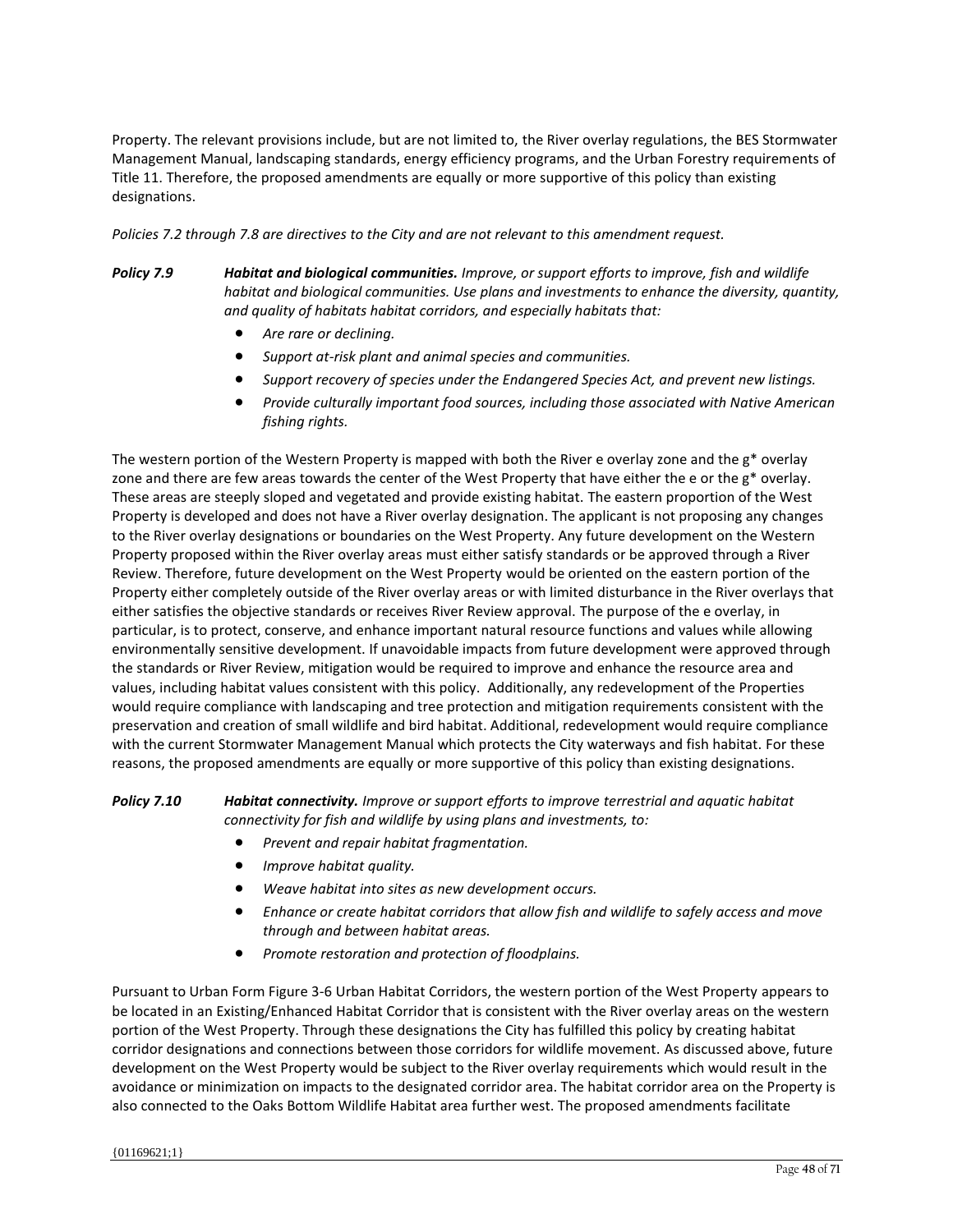Property. The relevant provisions include, but are not limited to, the River overlay regulations, the BES Stormwater Management Manual, landscaping standards, energy efficiency programs, and the Urban Forestry requirements of Title 11. Therefore, the proposed amendments are equally or more supportive of this policy than existing designations.

*Policies 7.2 through 7.8 are directives to the City and are not relevant to this amendment request.*

- *Policy 7.9 Habitat and biological communities. Improve, or support efforts to improve, fish and wildlife habitat and biological communities. Use plans and investments to enhance the diversity, quantity, and quality of habitats habitat corridors, and especially habitats that:*
	- *Are rare or declining.*
	- *Support at‐risk plant and animal species and communities.*
	- *Support recovery of species under the Endangered Species Act, and prevent new listings.*
	- *Provide culturally important food sources, including those associated with Native American fishing rights.*

The western portion of the Western Property is mapped with both the River e overlay zone and the g\* overlay zone and there are few areas towards the center of the West Property that have either the e or the g\* overlay. These areas are steeply sloped and vegetated and provide existing habitat. The eastern proportion of the West Property is developed and does not have a River overlay designation. The applicant is not proposing any changes to the River overlay designations or boundaries on the West Property. Any future development on the Western Property proposed within the River overlay areas must either satisfy standards or be approved through a River Review. Therefore, future development on the West Property would be oriented on the eastern portion of the Property either completely outside of the River overlay areas or with limited disturbance in the River overlays that either satisfies the objective standards or receives River Review approval. The purpose of the e overlay, in particular, is to protect, conserve, and enhance important natural resource functions and values while allowing environmentally sensitive development. If unavoidable impacts from future development were approved through the standards or River Review, mitigation would be required to improve and enhance the resource area and values, including habitat values consistent with this policy. Additionally, any redevelopment of the Properties would require compliance with landscaping and tree protection and mitigation requirements consistent with the preservation and creation of small wildlife and bird habitat. Additional, redevelopment would require compliance with the current Stormwater Management Manual which protects the City waterways and fish habitat. For these reasons, the proposed amendments are equally or more supportive of this policy than existing designations.

*Policy 7.10 Habitat connectivity. Improve or support efforts to improve terrestrial and aquatic habitat connectivity for fish and wildlife by using plans and investments, to:*

- *Prevent and repair habitat fragmentation.*
- *Improve habitat quality.*
- *Weave habitat into sites as new development occurs.*
- *Enhance or create habitat corridors that allow fish and wildlife to safely access and move through and between habitat areas.*
- *Promote restoration and protection of floodplains.*

Pursuant to Urban Form Figure 3-6 Urban Habitat Corridors, the western portion of the West Property appears to be located in an Existing/Enhanced Habitat Corridor that is consistent with the River overlay areas on the western portion of the West Property. Through these designations the City has fulfilled this policy by creating habitat corridor designations and connections between those corridors for wildlife movement. As discussed above, future development on the West Property would be subject to the River overlay requirements which would result in the avoidance or minimization on impacts to the designated corridor area. The habitat corridor area on the Property is also connected to the Oaks Bottom Wildlife Habitat area further west. The proposed amendments facilitate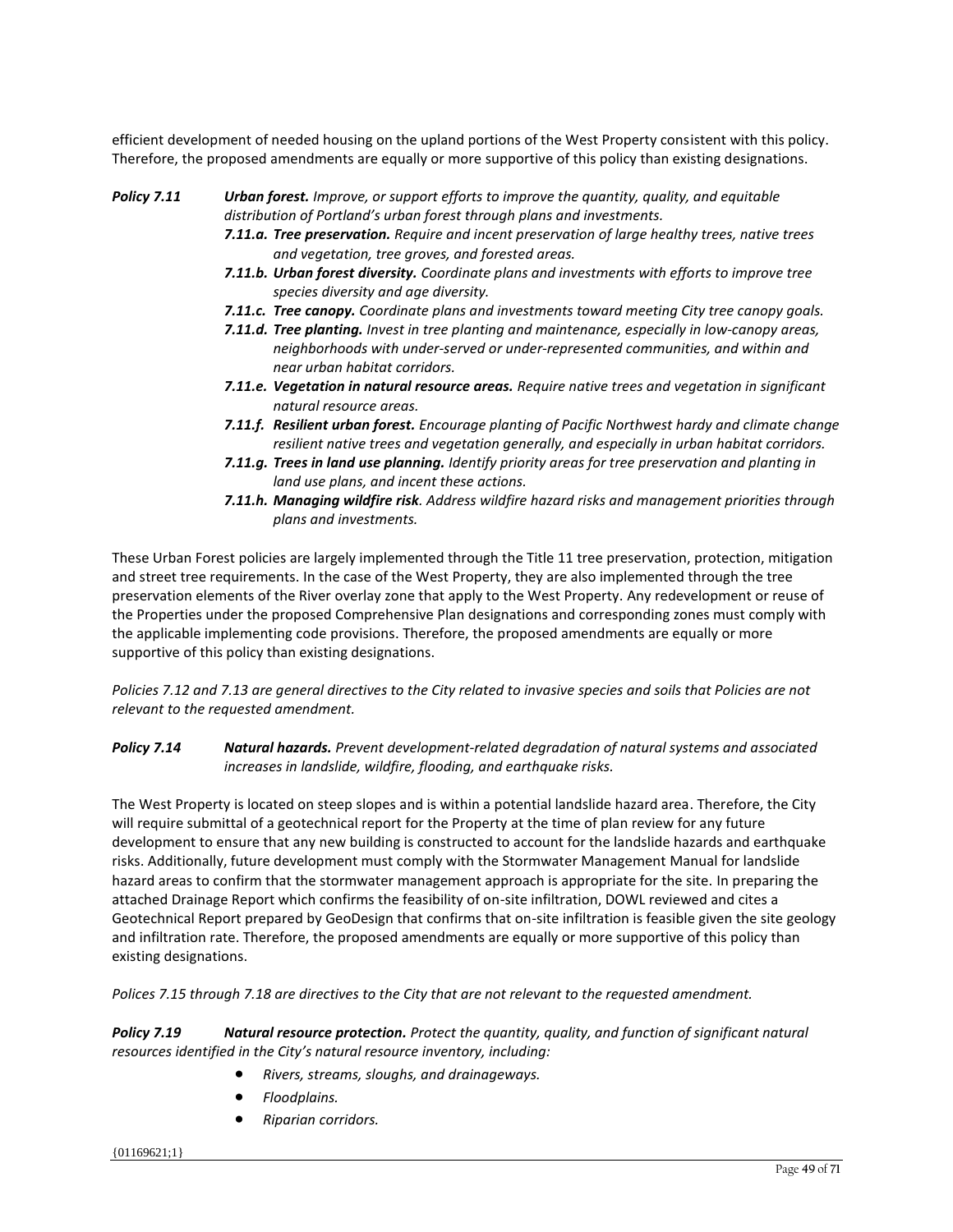efficient development of needed housing on the upland portions of the West Property consistent with this policy. Therefore, the proposed amendments are equally or more supportive of this policy than existing designations.

- *Policy 7.11 Urban forest. Improve, or support efforts to improve the quantity, quality, and equitable distribution of Portland's urban forest through plans and investments.*
	- *7.11.a. Tree preservation. Require and incent preservation of large healthy trees, native trees and vegetation, tree groves, and forested areas.*
	- *7.11.b. Urban forest diversity. Coordinate plans and investments with efforts to improve tree species diversity and age diversity.*
	- *7.11.c. Tree canopy. Coordinate plans and investments toward meeting City tree canopy goals.*
	- *7.11.d. Tree planting. Invest in tree planting and maintenance, especially in low‐canopy areas, neighborhoods with under‐served or under‐represented communities, and within and near urban habitat corridors.*
	- *7.11.e. Vegetation in natural resource areas. Require native trees and vegetation in significant natural resource areas.*
	- *7.11.f. Resilient urban forest. Encourage planting of Pacific Northwest hardy and climate change resilient native trees and vegetation generally, and especially in urban habitat corridors.*
	- *7.11.g. Trees in land use planning. Identify priority areas for tree preservation and planting in land use plans, and incent these actions.*
	- *7.11.h. Managing wildfire risk. Address wildfire hazard risks and management priorities through plans and investments.*

These Urban Forest policies are largely implemented through the Title 11 tree preservation, protection, mitigation and street tree requirements. In the case of the West Property, they are also implemented through the tree preservation elements of the River overlay zone that apply to the West Property. Any redevelopment or reuse of the Properties under the proposed Comprehensive Plan designations and corresponding zones must comply with the applicable implementing code provisions. Therefore, the proposed amendments are equally or more supportive of this policy than existing designations.

*Policies 7.12 and 7.13 are general directives to the City related to invasive species and soils that Policies are not relevant to the requested amendment.*

*Policy 7.14 Natural hazards. Prevent development‐related degradation of natural systems and associated increases in landslide, wildfire, flooding, and earthquake risks.*

The West Property is located on steep slopes and is within a potential landslide hazard area. Therefore, the City will require submittal of a geotechnical report for the Property at the time of plan review for any future development to ensure that any new building is constructed to account for the landslide hazards and earthquake risks. Additionally, future development must comply with the Stormwater Management Manual for landslide hazard areas to confirm that the stormwater management approach is appropriate for the site. In preparing the attached Drainage Report which confirms the feasibility of on-site infiltration, DOWL reviewed and cites a Geotechnical Report prepared by GeoDesign that confirms that on-site infiltration is feasible given the site geology and infiltration rate. Therefore, the proposed amendments are equally or more supportive of this policy than existing designations.

*Polices 7.15 through 7.18 are directives to the City that are not relevant to the requested amendment.*

*Policy 7.19 Natural resource protection. Protect the quantity, quality, and function of significant natural resources identified in the City's natural resource inventory, including:*

- *Rivers, streams, sloughs, and drainageways.*
- *Floodplains.*
- *Riparian corridors.*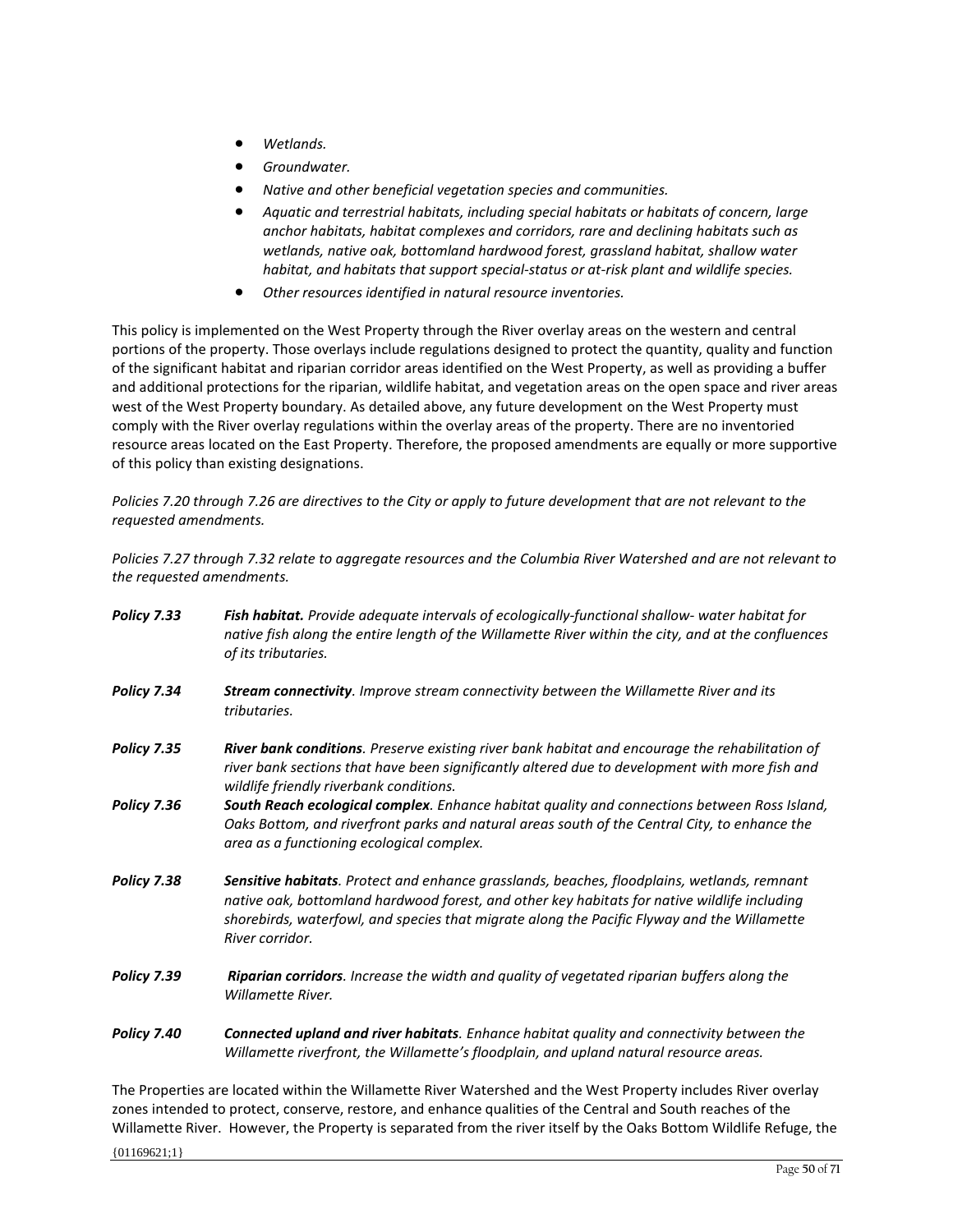- *Wetlands.*
- *Groundwater.*
- *Native and other beneficial vegetation species and communities.*
- *Aquatic and terrestrial habitats, including special habitats or habitats of concern, large anchor habitats, habitat complexes and corridors, rare and declining habitats such as wetlands, native oak, bottomland hardwood forest, grassland habitat, shallow water habitat, and habitats that support special‐status or at‐risk plant and wildlife species.*
- *Other resources identified in natural resource inventories.*

This policy is implemented on the West Property through the River overlay areas on the western and central portions of the property. Those overlays include regulations designed to protect the quantity, quality and function of the significant habitat and riparian corridor areas identified on the West Property, as well as providing a buffer and additional protections for the riparian, wildlife habitat, and vegetation areas on the open space and river areas west of the West Property boundary. As detailed above, any future development on the West Property must comply with the River overlay regulations within the overlay areas of the property. There are no inventoried resource areas located on the East Property. Therefore, the proposed amendments are equally or more supportive of this policy than existing designations.

*Policies 7.20 through 7.26 are directives to the City or apply to future development that are not relevant to the requested amendments.* 

*Policies 7.27 through 7.32 relate to aggregate resources and the Columbia River Watershed and are not relevant to the requested amendments.*

*Policy 7.33 Fish habitat. Provide adequate intervals of ecologically‐functional shallow‐ water habitat for native fish along the entire length of the Willamette River within the city, and at the confluences of its tributaries. Policy 7.34 Stream connectivity. Improve stream connectivity between the Willamette River and its tributaries. Policy 7.35 River bank conditions. Preserve existing river bank habitat and encourage the rehabilitation of river bank sections that have been significantly altered due to development with more fish and wildlife friendly riverbank conditions. Policy 7.36 South Reach ecological complex. Enhance habitat quality and connections between Ross Island, Oaks Bottom, and riverfront parks and natural areas south of the Central City, to enhance the area as a functioning ecological complex. Policy 7.38 Sensitive habitats. Protect and enhance grasslands, beaches, floodplains, wetlands, remnant native oak, bottomland hardwood forest, and other key habitats for native wildlife including shorebirds, waterfowl, and species that migrate along the Pacific Flyway and the Willamette River corridor. Policy 7.39 Riparian corridors. Increase the width and quality of vegetated riparian buffers along the Willamette River. Policy 7.40 Connected upland and river habitats. Enhance habitat quality and connectivity between the Willamette riverfront, the Willamette's floodplain, and upland natural resource areas.*

The Properties are located within the Willamette River Watershed and the West Property includes River overlay zones intended to protect, conserve, restore, and enhance qualities of the Central and South reaches of the Willamette River. However, the Property is separated from the river itself by the Oaks Bottom Wildlife Refuge, the

{01169621;1}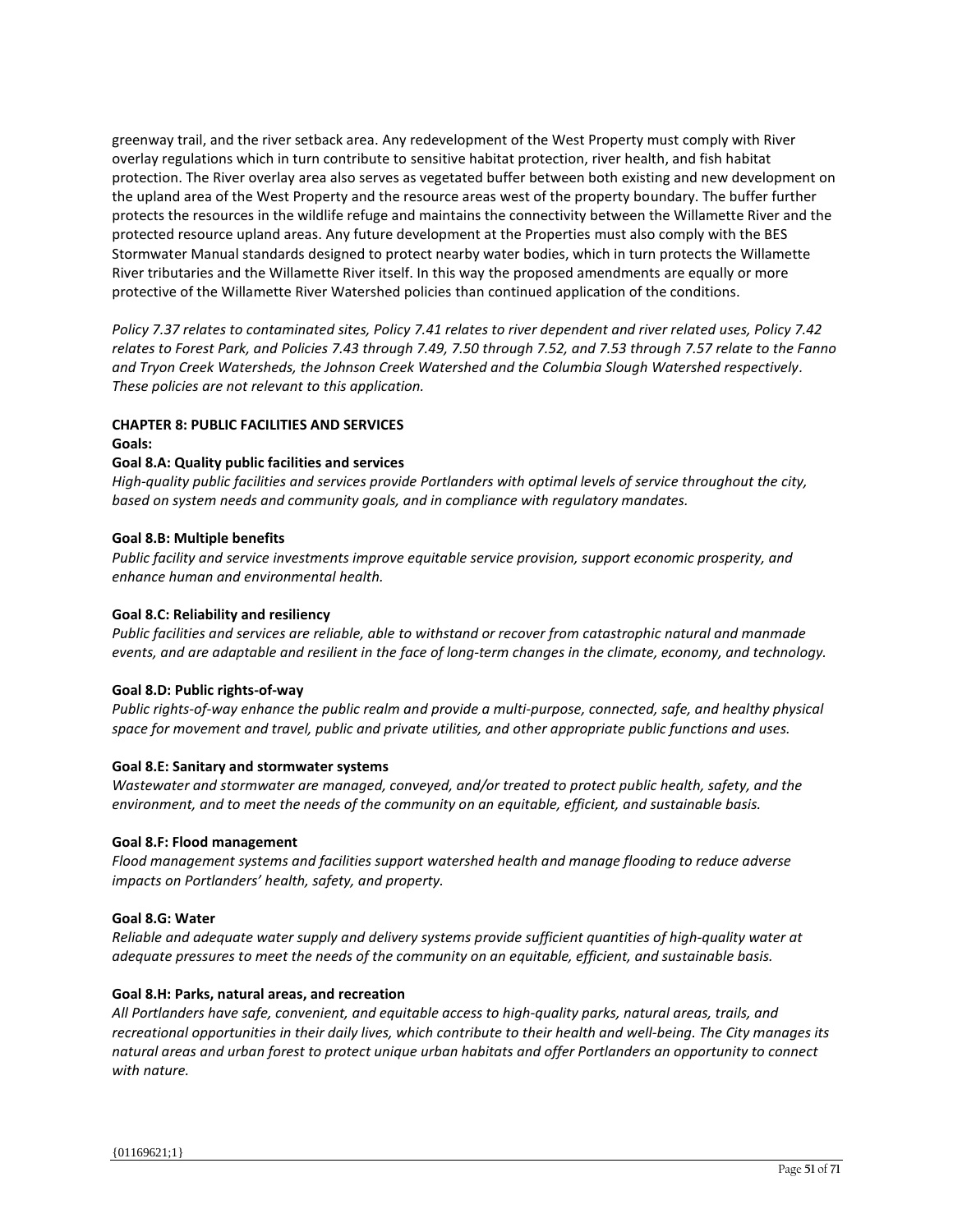greenway trail, and the river setback area. Any redevelopment of the West Property must comply with River overlay regulations which in turn contribute to sensitive habitat protection, river health, and fish habitat protection. The River overlay area also serves as vegetated buffer between both existing and new development on the upland area of the West Property and the resource areas west of the property boundary. The buffer further protects the resources in the wildlife refuge and maintains the connectivity between the Willamette River and the protected resource upland areas. Any future development at the Properties must also comply with the BES Stormwater Manual standards designed to protect nearby water bodies, which in turn protects the Willamette River tributaries and the Willamette River itself. In this way the proposed amendments are equally or more protective of the Willamette River Watershed policies than continued application of the conditions.

*Policy 7.37 relates to contaminated sites, Policy 7.41 relates to river dependent and river related uses, Policy 7.42 relates to Forest Park, and Policies 7.43 through 7.49, 7.50 through 7.52, and 7.53 through 7.57 relate to the Fanno and Tryon Creek Watersheds, the Johnson Creek Watershed and the Columbia Slough Watershed respectively. These policies are not relevant to this application.*

### **CHAPTER 8: PUBLIC FACILITIES AND SERVICES**

#### **Goals:**

#### **Goal 8.A: Quality public facilities and services**

*High‐quality public facilities and services provide Portlanders with optimal levels of service throughout the city, based on system needs and community goals, and in compliance with regulatory mandates.*

#### **Goal 8.B: Multiple benefits**

*Public facility and service investments improve equitable service provision, support economic prosperity, and enhance human and environmental health.*

#### **Goal 8.C: Reliability and resiliency**

*Public facilities and services are reliable, able to withstand or recover from catastrophic natural and manmade events, and are adaptable and resilient in the face of long‐term changes in the climate, economy, and technology.*

#### **Goal 8.D: Public rights‐of‐way**

*Public rights‐of‐way enhance the public realm and provide a multi‐purpose, connected, safe, and healthy physical space for movement and travel, public and private utilities, and other appropriate public functions and uses.*

#### **Goal 8.E: Sanitary and stormwater systems**

*Wastewater and stormwater are managed, conveyed, and/or treated to protect public health, safety, and the environment, and to meet the needs of the community on an equitable, efficient, and sustainable basis.*

#### **Goal 8.F: Flood management**

*Flood management systems and facilities support watershed health and manage flooding to reduce adverse impacts on Portlanders' health, safety, and property.*

#### **Goal 8.G: Water**

*Reliable and adequate water supply and delivery systems provide sufficient quantities of high‐quality water at adequate pressures to meet the needs of the community on an equitable, efficient, and sustainable basis.*

### **Goal 8.H: Parks, natural areas, and recreation**

*All Portlanders have safe, convenient, and equitable access to high‐quality parks, natural areas, trails, and recreational opportunities in their daily lives, which contribute to their health and well‐being. The City manages its natural areas and urban forest to protect unique urban habitats and offer Portlanders an opportunity to connect with nature.*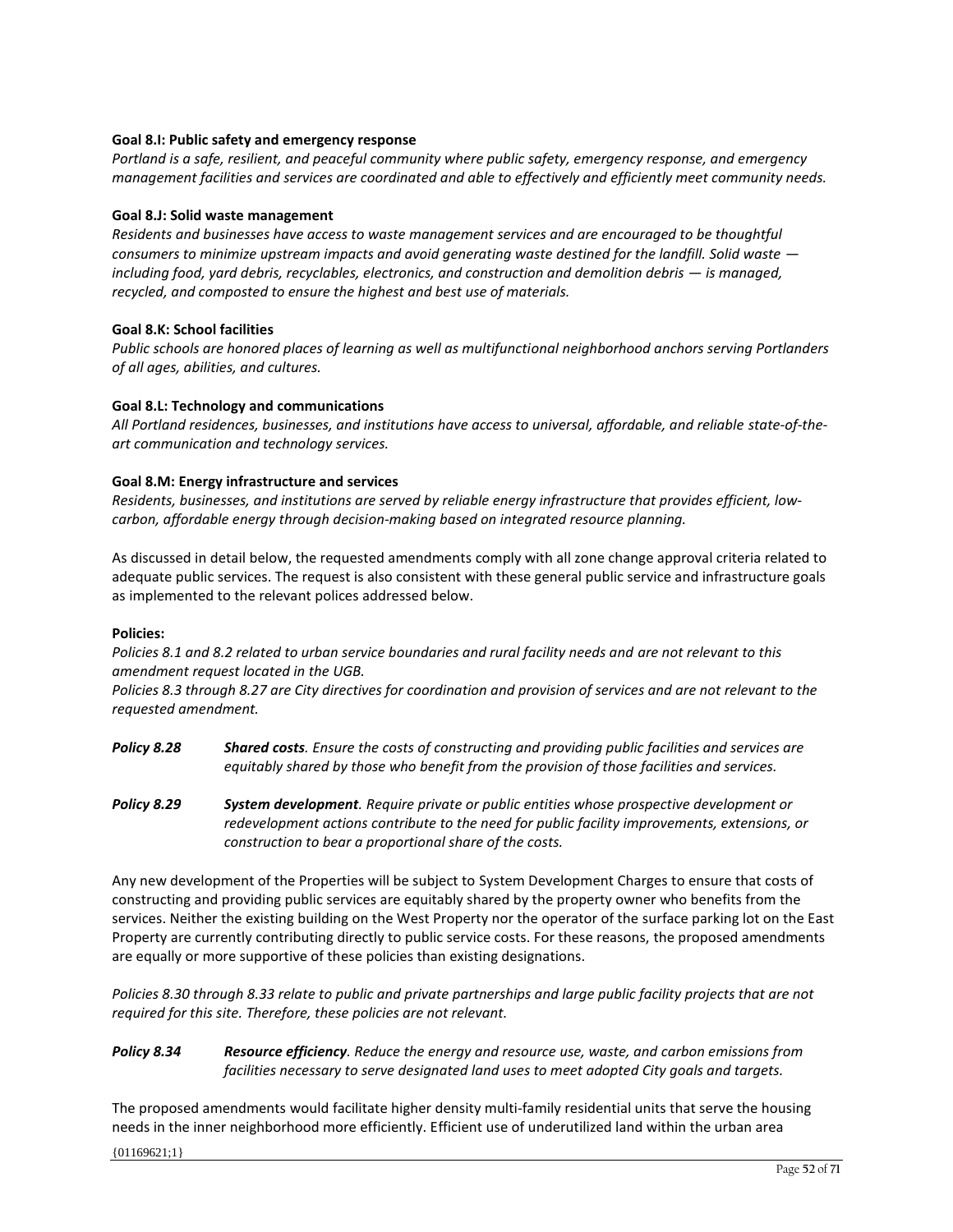### **Goal 8.I: Public safety and emergency response**

*Portland is a safe, resilient, and peaceful community where public safety, emergency response, and emergency management facilities and services are coordinated and able to effectively and efficiently meet community needs.*

### **Goal 8.J: Solid waste management**

*Residents and businesses have access to waste management services and are encouraged to be thoughtful consumers to minimize upstream impacts and avoid generating waste destined for the landfill. Solid waste including food, yard debris, recyclables, electronics, and construction and demolition debris — is managed, recycled, and composted to ensure the highest and best use of materials.*

### **Goal 8.K: School facilities**

*Public schools are honored places of learning as well as multifunctional neighborhood anchors serving Portlanders of all ages, abilities, and cultures.*

### **Goal 8.L: Technology and communications**

*All Portland residences, businesses, and institutions have access to universal, affordable, and reliable state‐of‐the‐ art communication and technology services.*

### **Goal 8.M: Energy infrastructure and services**

*Residents, businesses, and institutions are served by reliable energy infrastructure that provides efficient, low‐ carbon, affordable energy through decision‐making based on integrated resource planning.*

As discussed in detail below, the requested amendments comply with all zone change approval criteria related to adequate public services. The request is also consistent with these general public service and infrastructure goals as implemented to the relevant polices addressed below.

### **Policies:**

*Policies 8.1 and 8.2 related to urban service boundaries and rural facility needs and are not relevant to this amendment request located in the UGB.*

*Policies 8.3 through 8.27 are City directives for coordination and provision of services and are not relevant to the requested amendment.*

- *Policy 8.28 Shared costs. Ensure the costs of constructing and providing public facilities and services are equitably shared by those who benefit from the provision of those facilities and services.*
- *Policy 8.29 System development. Require private or public entities whose prospective development or redevelopment actions contribute to the need for public facility improvements, extensions, or construction to bear a proportional share of the costs.*

Any new development of the Properties will be subject to System Development Charges to ensure that costs of constructing and providing public services are equitably shared by the property owner who benefits from the services. Neither the existing building on the West Property nor the operator of the surface parking lot on the East Property are currently contributing directly to public service costs. For these reasons, the proposed amendments are equally or more supportive of these policies than existing designations.

*Policies 8.30 through 8.33 relate to public and private partnerships and large public facility projects that are not required for this site. Therefore, these policies are not relevant.* 

# *Policy 8.34 Resource efficiency. Reduce the energy and resource use, waste, and carbon emissions from facilities necessary to serve designated land uses to meet adopted City goals and targets.*

The proposed amendments would facilitate higher density multi-family residential units that serve the housing needs in the inner neighborhood more efficiently. Efficient use of underutilized land within the urban area

{01169621;1}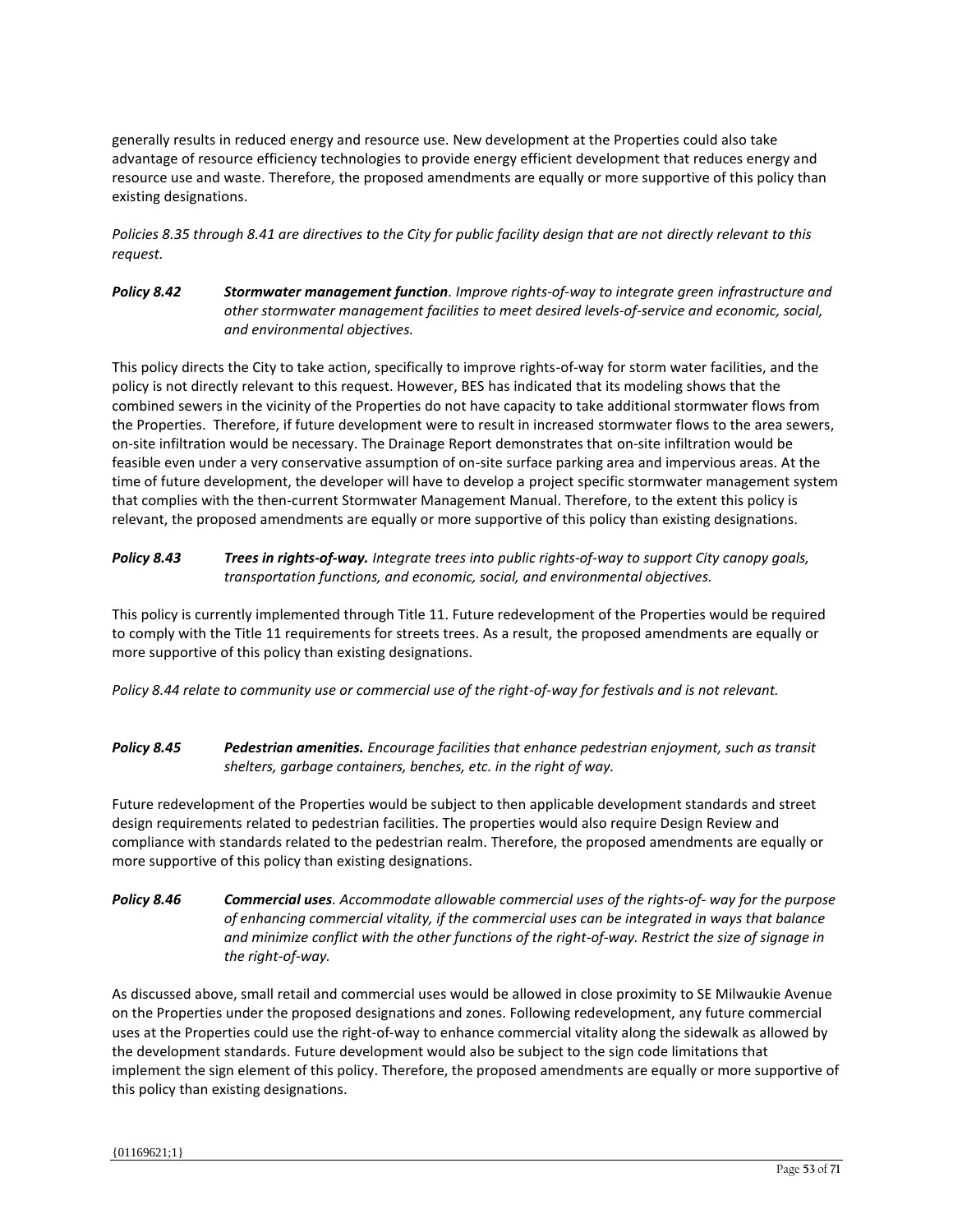generally results in reduced energy and resource use. New development at the Properties could also take advantage of resource efficiency technologies to provide energy efficient development that reduces energy and resource use and waste. Therefore, the proposed amendments are equally or more supportive of this policy than existing designations.

*Policies 8.35 through 8.41 are directives to the City for public facility design that are not directly relevant to this request.*

# *Policy 8.42 Stormwater management function. Improve rights‐of‐way to integrate green infrastructure and other stormwater management facilities to meet desired levels‐of‐service and economic, social, and environmental objectives.*

This policy directs the City to take action, specifically to improve rights-of-way for storm water facilities, and the policy is not directly relevant to this request. However, BES has indicated that its modeling shows that the combined sewers in the vicinity of the Properties do not have capacity to take additional stormwater flows from the Properties. Therefore, if future development were to result in increased stormwater flows to the area sewers, on-site infiltration would be necessary. The Drainage Report demonstrates that on-site infiltration would be feasible even under a very conservative assumption of on-site surface parking area and impervious areas. At the time of future development, the developer will have to develop a project specific stormwater management system that complies with the then-current Stormwater Management Manual. Therefore, to the extent this policy is relevant, the proposed amendments are equally or more supportive of this policy than existing designations.

# *Policy 8.43 Trees in rights‐of‐way. Integrate trees into public rights‐of‐way to support City canopy goals, transportation functions, and economic, social, and environmental objectives.*

This policy is currently implemented through Title 11. Future redevelopment of the Properties would be required to comply with the Title 11 requirements for streets trees. As a result, the proposed amendments are equally or more supportive of this policy than existing designations.

*Policy 8.44 relate to community use or commercial use of the right-of-way for festivals and is not relevant.*

### *Policy 8.45 Pedestrian amenities. Encourage facilities that enhance pedestrian enjoyment, such as transit shelters, garbage containers, benches, etc. in the right of way.*

Future redevelopment of the Properties would be subject to then applicable development standards and street design requirements related to pedestrian facilities. The properties would also require Design Review and compliance with standards related to the pedestrian realm. Therefore, the proposed amendments are equally or more supportive of this policy than existing designations.

# *Policy 8.46 Commercial uses. Accommodate allowable commercial uses of the rights‐of‐ way for the purpose of enhancing commercial vitality, if the commercial uses can be integrated in ways that balance and minimize conflict with the other functions of the right‐of‐way. Restrict the size of signage in the right‐of‐way.*

As discussed above, small retail and commercial uses would be allowed in close proximity to SE Milwaukie Avenue on the Properties under the proposed designations and zones. Following redevelopment, any future commercial uses at the Properties could use the right-of-way to enhance commercial vitality along the sidewalk as allowed by the development standards. Future development would also be subject to the sign code limitations that implement the sign element of this policy. Therefore, the proposed amendments are equally or more supportive of this policy than existing designations.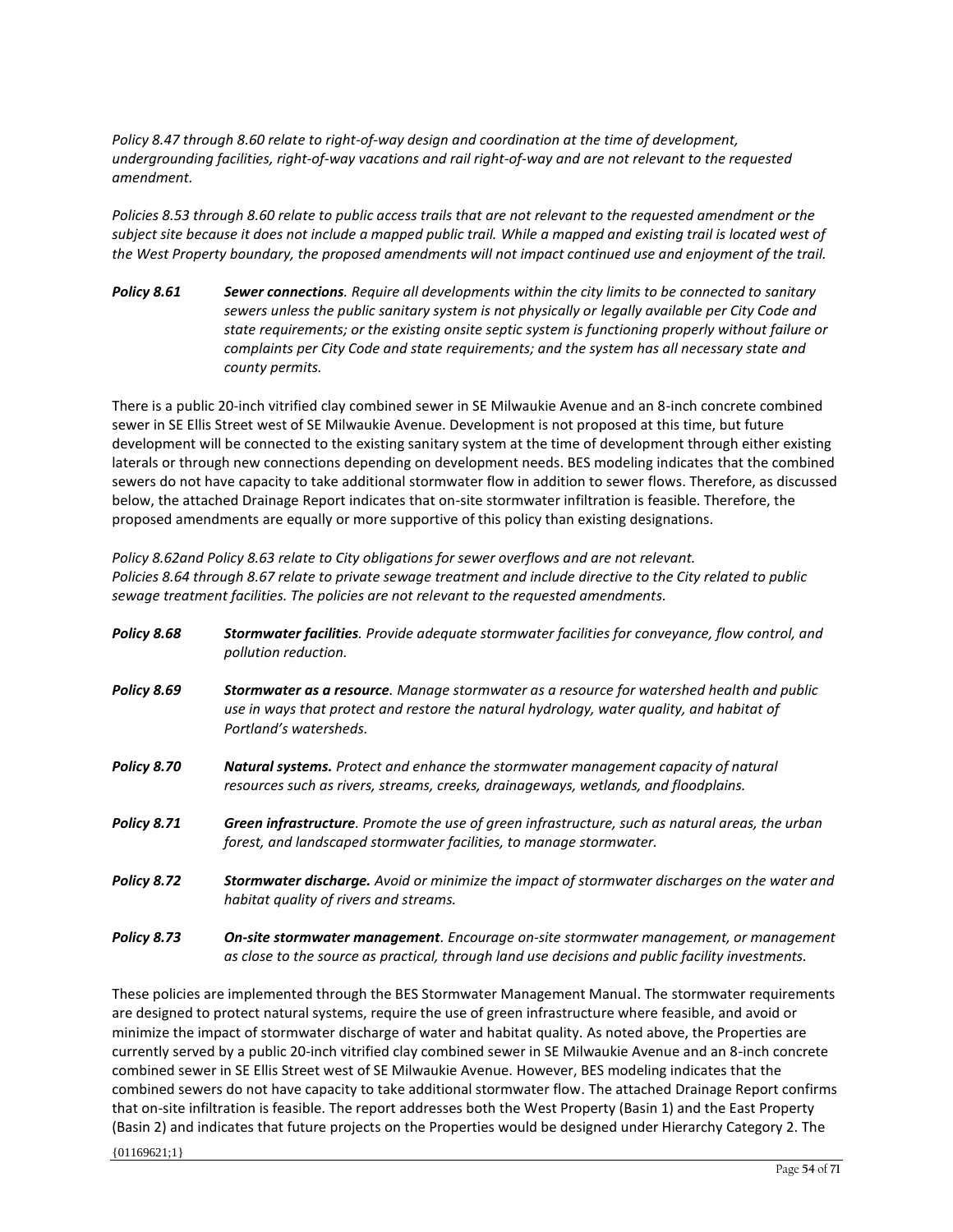*Policy 8.47 through 8.60 relate to right-of-way design and coordination at the time of development, undergrounding facilities, right-of-way vacations and rail right-of-way and are not relevant to the requested amendment.* 

*Policies 8.53 through 8.60 relate to public access trails that are not relevant to the requested amendment or the subject site because it does not include a mapped public trail. While a mapped and existing trail is located west of the West Property boundary, the proposed amendments will not impact continued use and enjoyment of the trail.* 

*Policy 8.61 Sewer connections. Require all developments within the city limits to be connected to sanitary sewers unless the public sanitary system is not physically or legally available per City Code and state requirements; or the existing onsite septic system is functioning properly without failure or complaints per City Code and state requirements; and the system has all necessary state and county permits.*

There is a public 20-inch vitrified clay combined sewer in SE Milwaukie Avenue and an 8-inch concrete combined sewer in SE Ellis Street west of SE Milwaukie Avenue. Development is not proposed at this time, but future development will be connected to the existing sanitary system at the time of development through either existing laterals or through new connections depending on development needs. BES modeling indicates that the combined sewers do not have capacity to take additional stormwater flow in addition to sewer flows. Therefore, as discussed below, the attached Drainage Report indicates that on-site stormwater infiltration is feasible. Therefore, the proposed amendments are equally or more supportive of this policy than existing designations.

*Policy 8.62and Policy 8.63 relate to City obligations for sewer overflows and are not relevant. Policies 8.64 through 8.67 relate to private sewage treatment and include directive to the City related to public sewage treatment facilities. The policies are not relevant to the requested amendments.*

| Policy 8.68 | <b>Stormwater facilities</b> . Provide adequate stormwater facilities for conveyance, flow control, and<br>pollution reduction.                                                                                         |
|-------------|-------------------------------------------------------------------------------------------------------------------------------------------------------------------------------------------------------------------------|
| Policy 8.69 | <b>Stormwater as a resource.</b> Manage stormwater as a resource for watershed health and public<br>use in ways that protect and restore the natural hydrology, water quality, and habitat of<br>Portland's watersheds. |
| Policy 8.70 | <b>Natural systems.</b> Protect and enhance the stormwater management capacity of natural<br>resources such as rivers, streams, creeks, drainageways, wetlands, and floodplains.                                        |
| Policy 8.71 | Green infrastructure. Promote the use of green infrastructure, such as natural areas, the urban<br>forest, and landscaped stormwater facilities, to manage stormwater.                                                  |
| Policy 8.72 | <b>Stormwater discharge.</b> Avoid or minimize the impact of stormwater discharges on the water and<br>habitat quality of rivers and streams.                                                                           |
| Policy 8.73 | <b>On-site stormwater management</b> . Encourage on-site stormwater management, or management                                                                                                                           |

These policies are implemented through the BES Stormwater Management Manual. The stormwater requirements are designed to protect natural systems, require the use of green infrastructure where feasible, and avoid or minimize the impact of stormwater discharge of water and habitat quality. As noted above, the Properties are currently served by a public 20-inch vitrified clay combined sewer in SE Milwaukie Avenue and an 8-inch concrete combined sewer in SE Ellis Street west of SE Milwaukie Avenue. However, BES modeling indicates that the combined sewers do not have capacity to take additional stormwater flow. The attached Drainage Report confirms that on-site infiltration is feasible. The report addresses both the West Property (Basin 1) and the East Property (Basin 2) and indicates that future projects on the Properties would be designed under Hierarchy Category 2. The

*as close to the source as practical, through land use decisions and public facility investments.*

{01169621;1}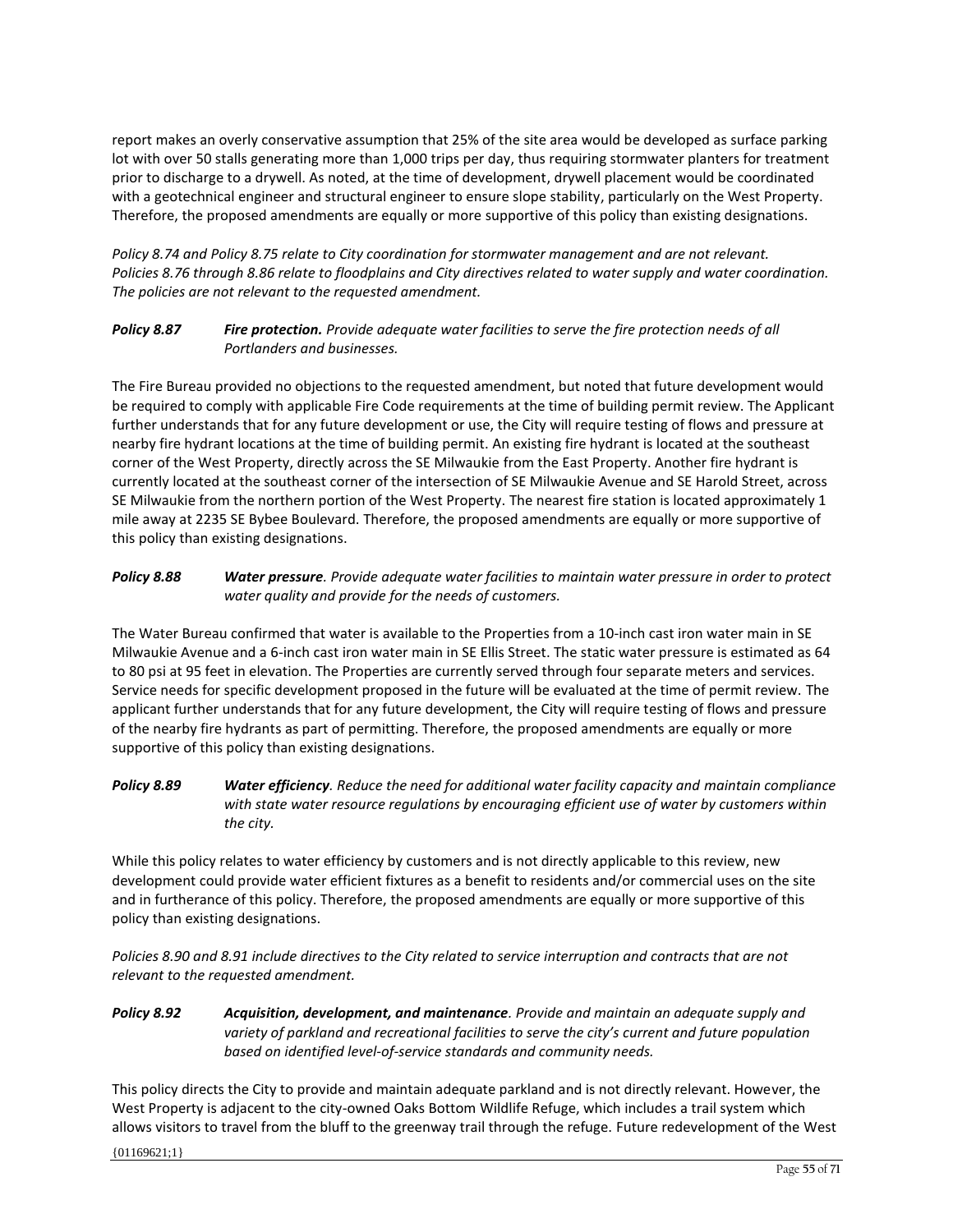report makes an overly conservative assumption that 25% of the site area would be developed as surface parking lot with over 50 stalls generating more than 1,000 trips per day, thus requiring stormwater planters for treatment prior to discharge to a drywell. As noted, at the time of development, drywell placement would be coordinated with a geotechnical engineer and structural engineer to ensure slope stability, particularly on the West Property. Therefore, the proposed amendments are equally or more supportive of this policy than existing designations.

*Policy 8.74 and Policy 8.75 relate to City coordination for stormwater management and are not relevant. Policies 8.76 through 8.86 relate to floodplains and City directives related to water supply and water coordination. The policies are not relevant to the requested amendment.*

# *Policy 8.87 Fire protection. Provide adequate water facilities to serve the fire protection needs of all Portlanders and businesses.*

The Fire Bureau provided no objections to the requested amendment, but noted that future development would be required to comply with applicable Fire Code requirements at the time of building permit review. The Applicant further understands that for any future development or use, the City will require testing of flows and pressure at nearby fire hydrant locations at the time of building permit. An existing fire hydrant is located at the southeast corner of the West Property, directly across the SE Milwaukie from the East Property. Another fire hydrant is currently located at the southeast corner of the intersection of SE Milwaukie Avenue and SE Harold Street, across SE Milwaukie from the northern portion of the West Property. The nearest fire station is located approximately 1 mile away at 2235 SE Bybee Boulevard. Therefore, the proposed amendments are equally or more supportive of this policy than existing designations.

# *Policy 8.88 Water pressure. Provide adequate water facilities to maintain water pressure in order to protect water quality and provide for the needs of customers.*

The Water Bureau confirmed that water is available to the Properties from a 10-inch cast iron water main in SE Milwaukie Avenue and a 6-inch cast iron water main in SE Ellis Street. The static water pressure is estimated as 64 to 80 psi at 95 feet in elevation. The Properties are currently served through four separate meters and services. Service needs for specific development proposed in the future will be evaluated at the time of permit review. The applicant further understands that for any future development, the City will require testing of flows and pressure of the nearby fire hydrants as part of permitting. Therefore, the proposed amendments are equally or more supportive of this policy than existing designations.

*Policy 8.89 Water efficiency. Reduce the need for additional water facility capacity and maintain compliance with state water resource regulations by encouraging efficient use of water by customers within the city.*

While this policy relates to water efficiency by customers and is not directly applicable to this review, new development could provide water efficient fixtures as a benefit to residents and/or commercial uses on the site and in furtherance of this policy. Therefore, the proposed amendments are equally or more supportive of this policy than existing designations.

*Policies 8.90 and 8.91 include directives to the City related to service interruption and contracts that are not relevant to the requested amendment.*

*Policy 8.92 Acquisition, development, and maintenance. Provide and maintain an adequate supply and variety of parkland and recreational facilities to serve the city's current and future population based on identified level‐of‐service standards and community needs.*

This policy directs the City to provide and maintain adequate parkland and is not directly relevant. However, the West Property is adjacent to the city-owned Oaks Bottom Wildlife Refuge, which includes a trail system which allows visitors to travel from the bluff to the greenway trail through the refuge. Future redevelopment of the West

{01169621;1}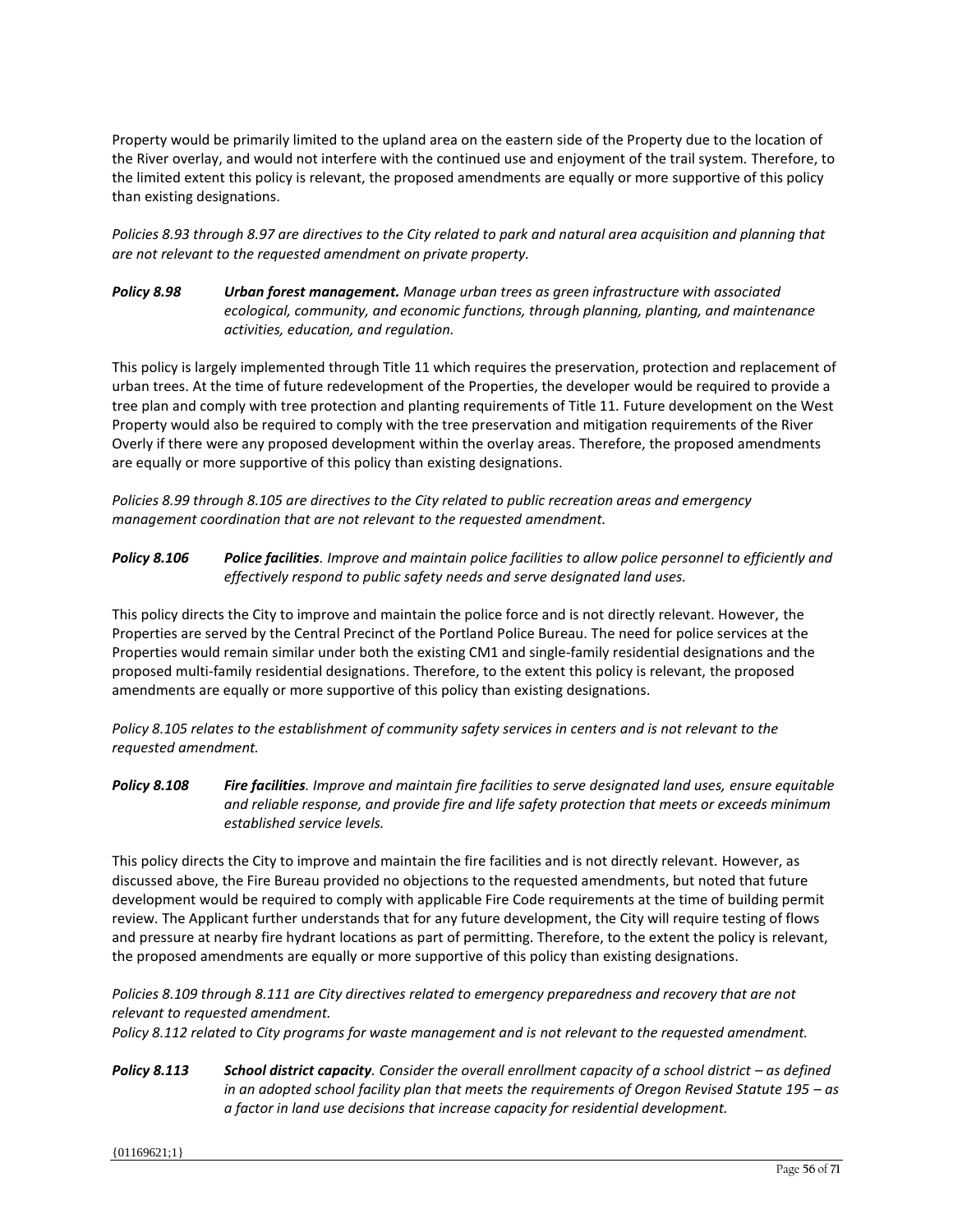Property would be primarily limited to the upland area on the eastern side of the Property due to the location of the River overlay, and would not interfere with the continued use and enjoyment of the trail system. Therefore, to the limited extent this policy is relevant, the proposed amendments are equally or more supportive of this policy than existing designations.

*Policies 8.93 through 8.97 are directives to the City related to park and natural area acquisition and planning that are not relevant to the requested amendment on private property.* 

# *Policy 8.98 Urban forest management. Manage urban trees as green infrastructure with associated ecological, community, and economic functions, through planning, planting, and maintenance activities, education, and regulation.*

This policy is largely implemented through Title 11 which requires the preservation, protection and replacement of urban trees. At the time of future redevelopment of the Properties, the developer would be required to provide a tree plan and comply with tree protection and planting requirements of Title 11. Future development on the West Property would also be required to comply with the tree preservation and mitigation requirements of the River Overly if there were any proposed development within the overlay areas. Therefore, the proposed amendments are equally or more supportive of this policy than existing designations.

*Policies 8.99 through 8.105 are directives to the City related to public recreation areas and emergency management coordination that are not relevant to the requested amendment.*

# *Policy 8.106 Police facilities. Improve and maintain police facilities to allow police personnel to efficiently and effectively respond to public safety needs and serve designated land uses.*

This policy directs the City to improve and maintain the police force and is not directly relevant. However, the Properties are served by the Central Precinct of the Portland Police Bureau. The need for police services at the Properties would remain similar under both the existing CM1 and single-family residential designations and the proposed multi-family residential designations. Therefore, to the extent this policy is relevant, the proposed amendments are equally or more supportive of this policy than existing designations.

*Policy 8.105 relates to the establishment of community safety services in centers and is not relevant to the requested amendment.*

*Policy 8.108 Fire facilities. Improve and maintain fire facilities to serve designated land uses, ensure equitable and reliable response, and provide fire and life safety protection that meets or exceeds minimum established service levels.*

This policy directs the City to improve and maintain the fire facilities and is not directly relevant. However, as discussed above, the Fire Bureau provided no objections to the requested amendments, but noted that future development would be required to comply with applicable Fire Code requirements at the time of building permit review. The Applicant further understands that for any future development, the City will require testing of flows and pressure at nearby fire hydrant locations as part of permitting. Therefore, to the extent the policy is relevant, the proposed amendments are equally or more supportive of this policy than existing designations.

# *Policies 8.109 through 8.111 are City directives related to emergency preparedness and recovery that are not relevant to requested amendment.*

*Policy 8.112 related to City programs for waste management and is not relevant to the requested amendment.*

*Policy 8.113 School district capacity. Consider the overall enrollment capacity of a school district – as defined in an adopted school facility plan that meets the requirements of Oregon Revised Statute 195 – as a factor in land use decisions that increase capacity for residential development.*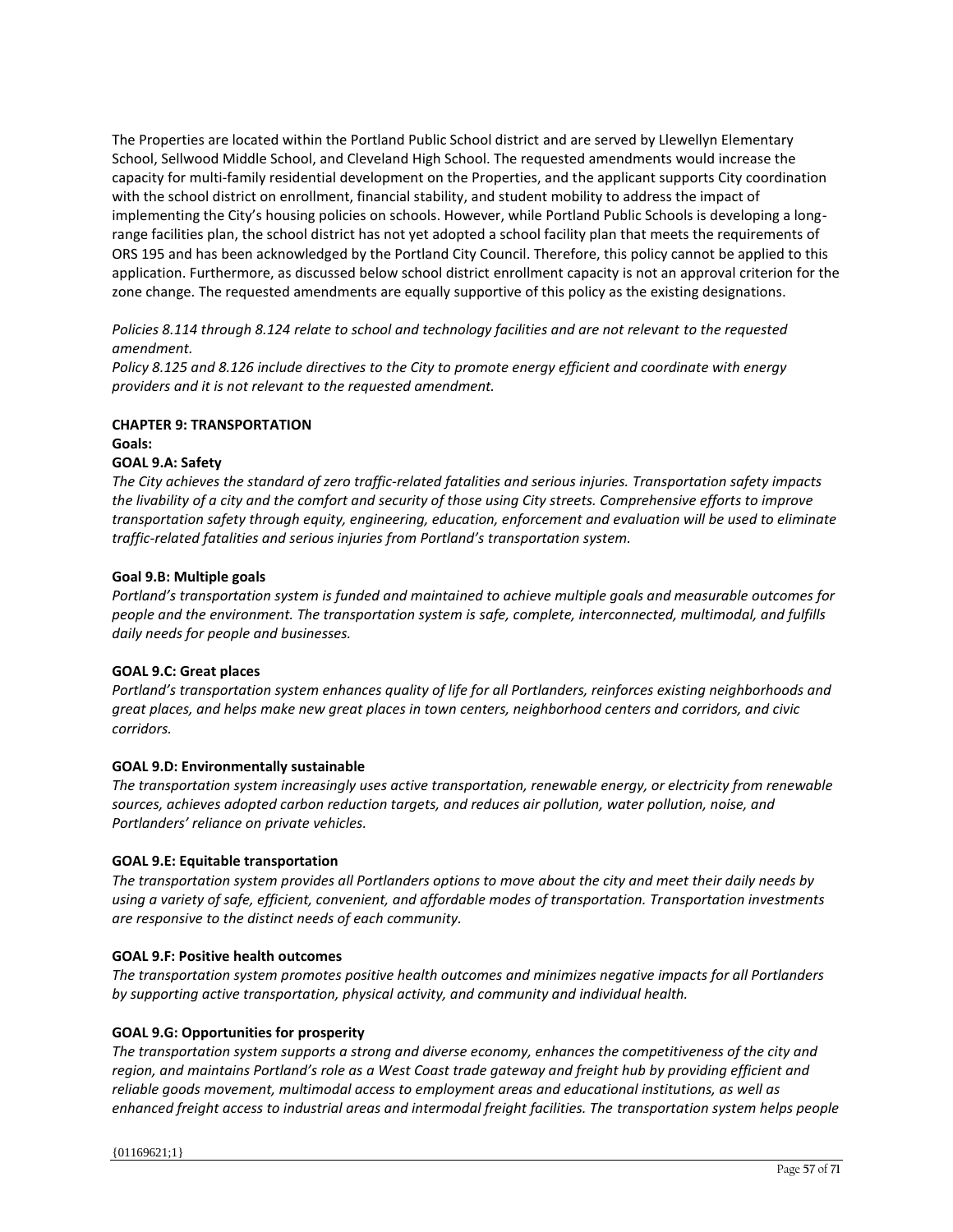The Properties are located within the Portland Public School district and are served by Llewellyn Elementary School, Sellwood Middle School, and Cleveland High School. The requested amendments would increase the capacity for multi-family residential development on the Properties, and the applicant supports City coordination with the school district on enrollment, financial stability, and student mobility to address the impact of implementing the City's housing policies on schools. However, while Portland Public Schools is developing a longrange facilities plan, the school district has not yet adopted a school facility plan that meets the requirements of ORS 195 and has been acknowledged by the Portland City Council. Therefore, this policy cannot be applied to this application. Furthermore, as discussed below school district enrollment capacity is not an approval criterion for the zone change. The requested amendments are equally supportive of this policy as the existing designations.

*Policies 8.114 through 8.124 relate to school and technology facilities and are not relevant to the requested amendment.*

*Policy 8.125 and 8.126 include directives to the City to promote energy efficient and coordinate with energy providers and it is not relevant to the requested amendment.*

### **CHAPTER 9: TRANSPORTATION Goals:**

### **GOAL 9.A: Safety**

*The City achieves the standard of zero traffic‐related fatalities and serious injuries. Transportation safety impacts the livability of a city and the comfort and security of those using City streets. Comprehensive efforts to improve transportation safety through equity, engineering, education, enforcement and evaluation will be used to eliminate traffic‐related fatalities and serious injuries from Portland's transportation system.*

#### **Goal 9.B: Multiple goals**

*Portland's transportation system is funded and maintained to achieve multiple goals and measurable outcomes for people and the environment. The transportation system is safe, complete, interconnected, multimodal, and fulfills daily needs for people and businesses.*

#### **GOAL 9.C: Great places**

*Portland's transportation system enhances quality of life for all Portlanders, reinforces existing neighborhoods and great places, and helps make new great places in town centers, neighborhood centers and corridors, and civic corridors.*

#### **GOAL 9.D: Environmentally sustainable**

*The transportation system increasingly uses active transportation, renewable energy, or electricity from renewable sources, achieves adopted carbon reduction targets, and reduces air pollution, water pollution, noise, and Portlanders' reliance on private vehicles.*

#### **GOAL 9.E: Equitable transportation**

*The transportation system provides all Portlanders options to move about the city and meet their daily needs by using a variety of safe, efficient, convenient, and affordable modes of transportation. Transportation investments are responsive to the distinct needs of each community.*

#### **GOAL 9.F: Positive health outcomes**

*The transportation system promotes positive health outcomes and minimizes negative impacts for all Portlanders by supporting active transportation, physical activity, and community and individual health.*

#### **GOAL 9.G: Opportunities for prosperity**

*The transportation system supports a strong and diverse economy, enhances the competitiveness of the city and region, and maintains Portland's role as a West Coast trade gateway and freight hub by providing efficient and reliable goods movement, multimodal access to employment areas and educational institutions, as well as enhanced freight access to industrial areas and intermodal freight facilities. The transportation system helps people*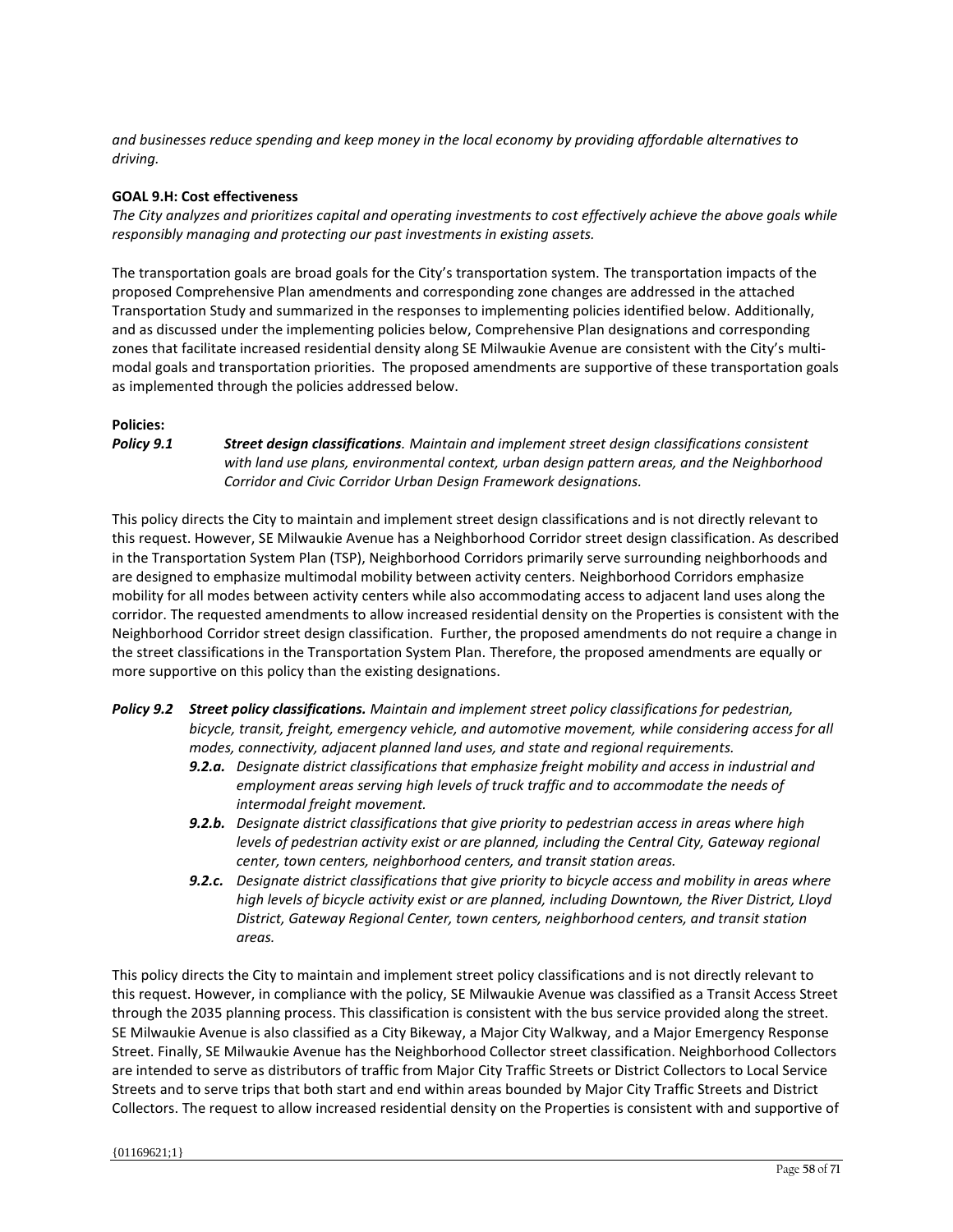*and businesses reduce spending and keep money in the local economy by providing affordable alternatives to driving.*

### **GOAL 9.H: Cost effectiveness**

*The City analyzes and prioritizes capital and operating investments to cost effectively achieve the above goals while responsibly managing and protecting our past investments in existing assets.*

The transportation goals are broad goals for the City's transportation system. The transportation impacts of the proposed Comprehensive Plan amendments and corresponding zone changes are addressed in the attached Transportation Study and summarized in the responses to implementing policies identified below. Additionally, and as discussed under the implementing policies below, Comprehensive Plan designations and corresponding zones that facilitate increased residential density along SE Milwaukie Avenue are consistent with the City's multimodal goals and transportation priorities. The proposed amendments are supportive of these transportation goals as implemented through the policies addressed below.

### **Policies:**

*Policy 9.1 Street design classifications. Maintain and implement street design classifications consistent with land use plans, environmental context, urban design pattern areas, and the Neighborhood Corridor and Civic Corridor Urban Design Framework designations.*

This policy directs the City to maintain and implement street design classifications and is not directly relevant to this request. However, SE Milwaukie Avenue has a Neighborhood Corridor street design classification. As described in the Transportation System Plan (TSP), Neighborhood Corridors primarily serve surrounding neighborhoods and are designed to emphasize multimodal mobility between activity centers. Neighborhood Corridors emphasize mobility for all modes between activity centers while also accommodating access to adjacent land uses along the corridor. The requested amendments to allow increased residential density on the Properties is consistent with the Neighborhood Corridor street design classification. Further, the proposed amendments do not require a change in the street classifications in the Transportation System Plan. Therefore, the proposed amendments are equally or more supportive on this policy than the existing designations.

- *Policy 9.2 Street policy classifications. Maintain and implement street policy classifications for pedestrian, bicycle, transit, freight, emergency vehicle, and automotive movement, while considering access for all modes, connectivity, adjacent planned land uses, and state and regional requirements.*
	- *9.2.a. Designate district classifications that emphasize freight mobility and access in industrial and employment areas serving high levels of truck traffic and to accommodate the needs of intermodal freight movement.*
	- *9.2.b. Designate district classifications that give priority to pedestrian access in areas where high levels of pedestrian activity exist or are planned, including the Central City, Gateway regional center, town centers, neighborhood centers, and transit station areas.*
	- *9.2.c. Designate district classifications that give priority to bicycle access and mobility in areas where high levels of bicycle activity exist or are planned, including Downtown, the River District, Lloyd District, Gateway Regional Center, town centers, neighborhood centers, and transit station areas.*

This policy directs the City to maintain and implement street policy classifications and is not directly relevant to this request. However, in compliance with the policy, SE Milwaukie Avenue was classified as a Transit Access Street through the 2035 planning process. This classification is consistent with the bus service provided along the street. SE Milwaukie Avenue is also classified as a City Bikeway, a Major City Walkway, and a Major Emergency Response Street. Finally, SE Milwaukie Avenue has the Neighborhood Collector street classification. Neighborhood Collectors are intended to serve as distributors of traffic from Major City Traffic Streets or District Collectors to Local Service Streets and to serve trips that both start and end within areas bounded by Major City Traffic Streets and District Collectors. The request to allow increased residential density on the Properties is consistent with and supportive of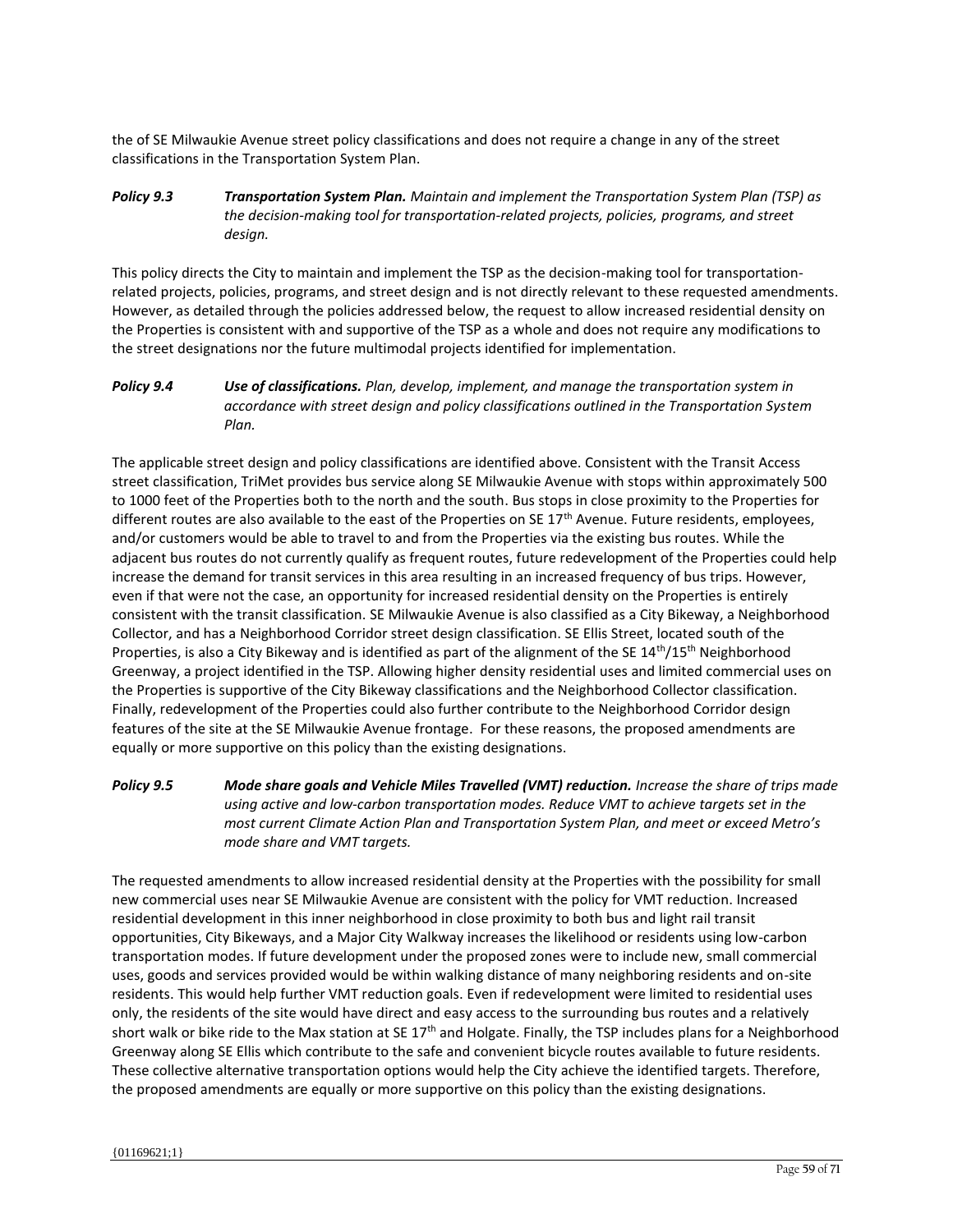the of SE Milwaukie Avenue street policy classifications and does not require a change in any of the street classifications in the Transportation System Plan.

*Policy 9.3 Transportation System Plan. Maintain and implement the Transportation System Plan (TSP) as the decision‐making tool for transportation‐related projects, policies, programs, and street design.*

This policy directs the City to maintain and implement the TSP as the decision-making tool for transportationrelated projects, policies, programs, and street design and is not directly relevant to these requested amendments. However, as detailed through the policies addressed below, the request to allow increased residential density on the Properties is consistent with and supportive of the TSP as a whole and does not require any modifications to the street designations nor the future multimodal projects identified for implementation.

*Policy 9.4 Use of classifications. Plan, develop, implement, and manage the transportation system in accordance with street design and policy classifications outlined in the Transportation System Plan.*

The applicable street design and policy classifications are identified above. Consistent with the Transit Access street classification, TriMet provides bus service along SE Milwaukie Avenue with stops within approximately 500 to 1000 feet of the Properties both to the north and the south. Bus stops in close proximity to the Properties for different routes are also available to the east of the Properties on SE 17<sup>th</sup> Avenue. Future residents, employees, and/or customers would be able to travel to and from the Properties via the existing bus routes. While the adjacent bus routes do not currently qualify as frequent routes, future redevelopment of the Properties could help increase the demand for transit services in this area resulting in an increased frequency of bus trips. However, even if that were not the case, an opportunity for increased residential density on the Properties is entirely consistent with the transit classification. SE Milwaukie Avenue is also classified as a City Bikeway, a Neighborhood Collector, and has a Neighborhood Corridor street design classification. SE Ellis Street, located south of the Properties, is also a City Bikeway and is identified as part of the alignment of the SE 14<sup>th</sup>/15<sup>th</sup> Neighborhood Greenway, a project identified in the TSP. Allowing higher density residential uses and limited commercial uses on the Properties is supportive of the City Bikeway classifications and the Neighborhood Collector classification. Finally, redevelopment of the Properties could also further contribute to the Neighborhood Corridor design features of the site at the SE Milwaukie Avenue frontage. For these reasons, the proposed amendments are equally or more supportive on this policy than the existing designations.

*Policy 9.5 Mode share goals and Vehicle Miles Travelled (VMT) reduction. Increase the share of trips made using active and low‐carbon transportation modes. Reduce VMT to achieve targets set in the most current Climate Action Plan and Transportation System Plan, and meet or exceed Metro's mode share and VMT targets.*

The requested amendments to allow increased residential density at the Properties with the possibility for small new commercial uses near SE Milwaukie Avenue are consistent with the policy for VMT reduction. Increased residential development in this inner neighborhood in close proximity to both bus and light rail transit opportunities, City Bikeways, and a Major City Walkway increases the likelihood or residents using low-carbon transportation modes. If future development under the proposed zones were to include new, small commercial uses, goods and services provided would be within walking distance of many neighboring residents and on-site residents. This would help further VMT reduction goals. Even if redevelopment were limited to residential uses only, the residents of the site would have direct and easy access to the surrounding bus routes and a relatively short walk or bike ride to the Max station at SE  $17<sup>th</sup>$  and Holgate. Finally, the TSP includes plans for a Neighborhood Greenway along SE Ellis which contribute to the safe and convenient bicycle routes available to future residents. These collective alternative transportation options would help the City achieve the identified targets. Therefore, the proposed amendments are equally or more supportive on this policy than the existing designations.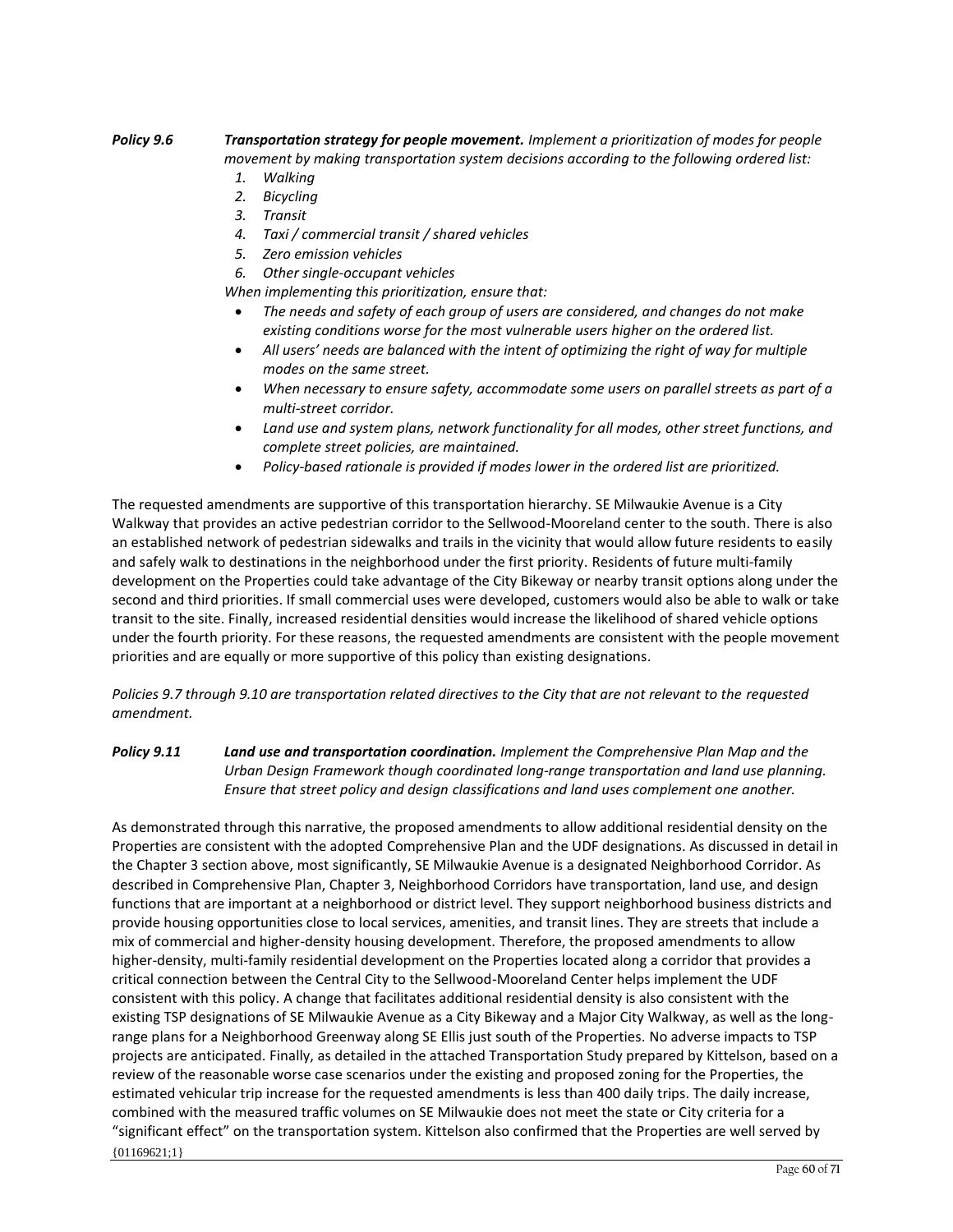# *Policy 9.6 Transportation strategy for people movement. Implement a prioritization of modes for people movement by making transportation system decisions according to the following ordered list:*

- *1. Walking*
- *2. Bicycling*
- *3. Transit*
- *4. Taxi / commercial transit / shared vehicles*
- *5. Zero emission vehicles*
- *6. Other single‐occupant vehicles*

*When implementing this prioritization, ensure that:*

- *The needs and safety of each group of users are considered, and changes do not make existing conditions worse for the most vulnerable users higher on the ordered list.*
- *All users' needs are balanced with the intent of optimizing the right of way for multiple modes on the same street.*
- *When necessary to ensure safety, accommodate some users on parallel streets as part of a multi‐street corridor.*
- *Land use and system plans, network functionality for all modes, other street functions, and complete street policies, are maintained.*
- *Policy‐based rationale is provided if modes lower in the ordered list are prioritized.*

The requested amendments are supportive of this transportation hierarchy. SE Milwaukie Avenue is a City Walkway that provides an active pedestrian corridor to the Sellwood-Mooreland center to the south. There is also an established network of pedestrian sidewalks and trails in the vicinity that would allow future residents to easily and safely walk to destinations in the neighborhood under the first priority. Residents of future multi-family development on the Properties could take advantage of the City Bikeway or nearby transit options along under the second and third priorities. If small commercial uses were developed, customers would also be able to walk or take transit to the site. Finally, increased residential densities would increase the likelihood of shared vehicle options under the fourth priority. For these reasons, the requested amendments are consistent with the people movement priorities and are equally or more supportive of this policy than existing designations.

*Policies 9.7 through 9.10 are transportation related directives to the City that are not relevant to the requested amendment.*

# *Policy 9.11 Land use and transportation coordination. Implement the Comprehensive Plan Map and the Urban Design Framework though coordinated long‐range transportation and land use planning. Ensure that street policy and design classifications and land uses complement one another.*

{01169621;1} As demonstrated through this narrative, the proposed amendments to allow additional residential density on the Properties are consistent with the adopted Comprehensive Plan and the UDF designations. As discussed in detail in the Chapter 3 section above, most significantly, SE Milwaukie Avenue is a designated Neighborhood Corridor. As described in Comprehensive Plan, Chapter 3, Neighborhood Corridors have transportation, land use, and design functions that are important at a neighborhood or district level. They support neighborhood business districts and provide housing opportunities close to local services, amenities, and transit lines. They are streets that include a mix of commercial and higher-density housing development. Therefore, the proposed amendments to allow higher-density, multi-family residential development on the Properties located along a corridor that provides a critical connection between the Central City to the Sellwood-Mooreland Center helps implement the UDF consistent with this policy. A change that facilitates additional residential density is also consistent with the existing TSP designations of SE Milwaukie Avenue as a City Bikeway and a Major City Walkway, as well as the longrange plans for a Neighborhood Greenway along SE Ellis just south of the Properties. No adverse impacts to TSP projects are anticipated. Finally, as detailed in the attached Transportation Study prepared by Kittelson, based on a review of the reasonable worse case scenarios under the existing and proposed zoning for the Properties, the estimated vehicular trip increase for the requested amendments is less than 400 daily trips. The daily increase, combined with the measured traffic volumes on SE Milwaukie does not meet the state or City criteria for a "significant effect" on the transportation system. Kittelson also confirmed that the Properties are well served by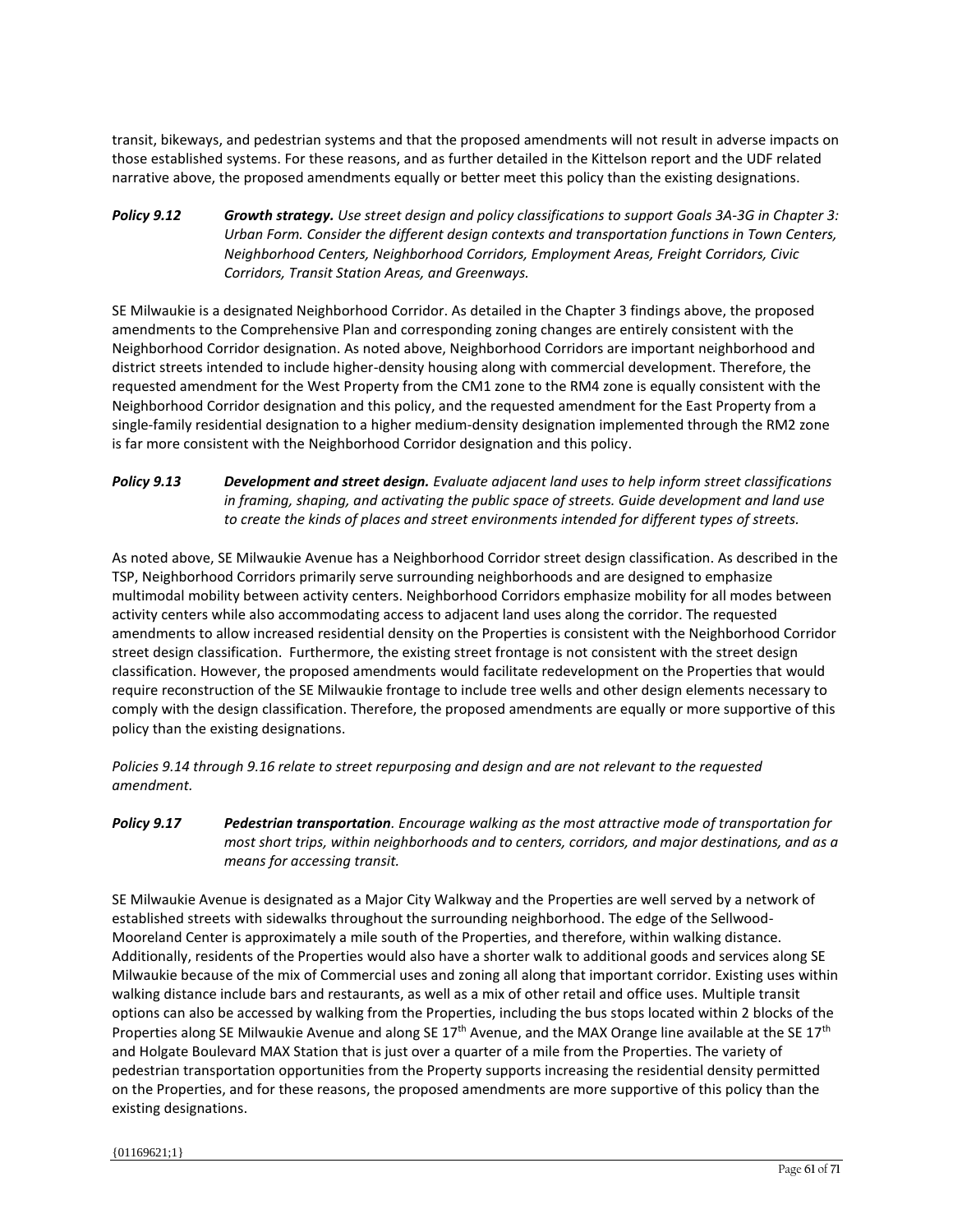transit, bikeways, and pedestrian systems and that the proposed amendments will not result in adverse impacts on those established systems. For these reasons, and as further detailed in the Kittelson report and the UDF related narrative above, the proposed amendments equally or better meet this policy than the existing designations.

# *Policy 9.12 Growth strategy. Use street design and policy classifications to support Goals 3A‐3G in Chapter 3: Urban Form. Consider the different design contexts and transportation functions in Town Centers, Neighborhood Centers, Neighborhood Corridors, Employment Areas, Freight Corridors, Civic Corridors, Transit Station Areas, and Greenways.*

SE Milwaukie is a designated Neighborhood Corridor. As detailed in the Chapter 3 findings above, the proposed amendments to the Comprehensive Plan and corresponding zoning changes are entirely consistent with the Neighborhood Corridor designation. As noted above, Neighborhood Corridors are important neighborhood and district streets intended to include higher-density housing along with commercial development. Therefore, the requested amendment for the West Property from the CM1 zone to the RM4 zone is equally consistent with the Neighborhood Corridor designation and this policy, and the requested amendment for the East Property from a single-family residential designation to a higher medium-density designation implemented through the RM2 zone is far more consistent with the Neighborhood Corridor designation and this policy.

# *Policy 9.13 Development and street design. Evaluate adjacent land uses to help inform street classifications in framing, shaping, and activating the public space of streets. Guide development and land use to create the kinds of places and street environments intended for different types of streets.*

As noted above, SE Milwaukie Avenue has a Neighborhood Corridor street design classification. As described in the TSP, Neighborhood Corridors primarily serve surrounding neighborhoods and are designed to emphasize multimodal mobility between activity centers. Neighborhood Corridors emphasize mobility for all modes between activity centers while also accommodating access to adjacent land uses along the corridor. The requested amendments to allow increased residential density on the Properties is consistent with the Neighborhood Corridor street design classification. Furthermore, the existing street frontage is not consistent with the street design classification. However, the proposed amendments would facilitate redevelopment on the Properties that would require reconstruction of the SE Milwaukie frontage to include tree wells and other design elements necessary to comply with the design classification. Therefore, the proposed amendments are equally or more supportive of this policy than the existing designations.

*Policies 9.14 through 9.16 relate to street repurposing and design and are not relevant to the requested amendment.*

# *Policy 9.17 Pedestrian transportation. Encourage walking as the most attractive mode of transportation for most short trips, within neighborhoods and to centers, corridors, and major destinations, and as a means for accessing transit.*

SE Milwaukie Avenue is designated as a Major City Walkway and the Properties are well served by a network of established streets with sidewalks throughout the surrounding neighborhood. The edge of the Sellwood-Mooreland Center is approximately a mile south of the Properties, and therefore, within walking distance. Additionally, residents of the Properties would also have a shorter walk to additional goods and services along SE Milwaukie because of the mix of Commercial uses and zoning all along that important corridor. Existing uses within walking distance include bars and restaurants, as well as a mix of other retail and office uses. Multiple transit options can also be accessed by walking from the Properties, including the bus stops located within 2 blocks of the Properties along SE Milwaukie Avenue and along SE  $17<sup>th</sup>$  Avenue, and the MAX Orange line available at the SE  $17<sup>th</sup>$ and Holgate Boulevard MAX Station that is just over a quarter of a mile from the Properties. The variety of pedestrian transportation opportunities from the Property supports increasing the residential density permitted on the Properties, and for these reasons, the proposed amendments are more supportive of this policy than the existing designations.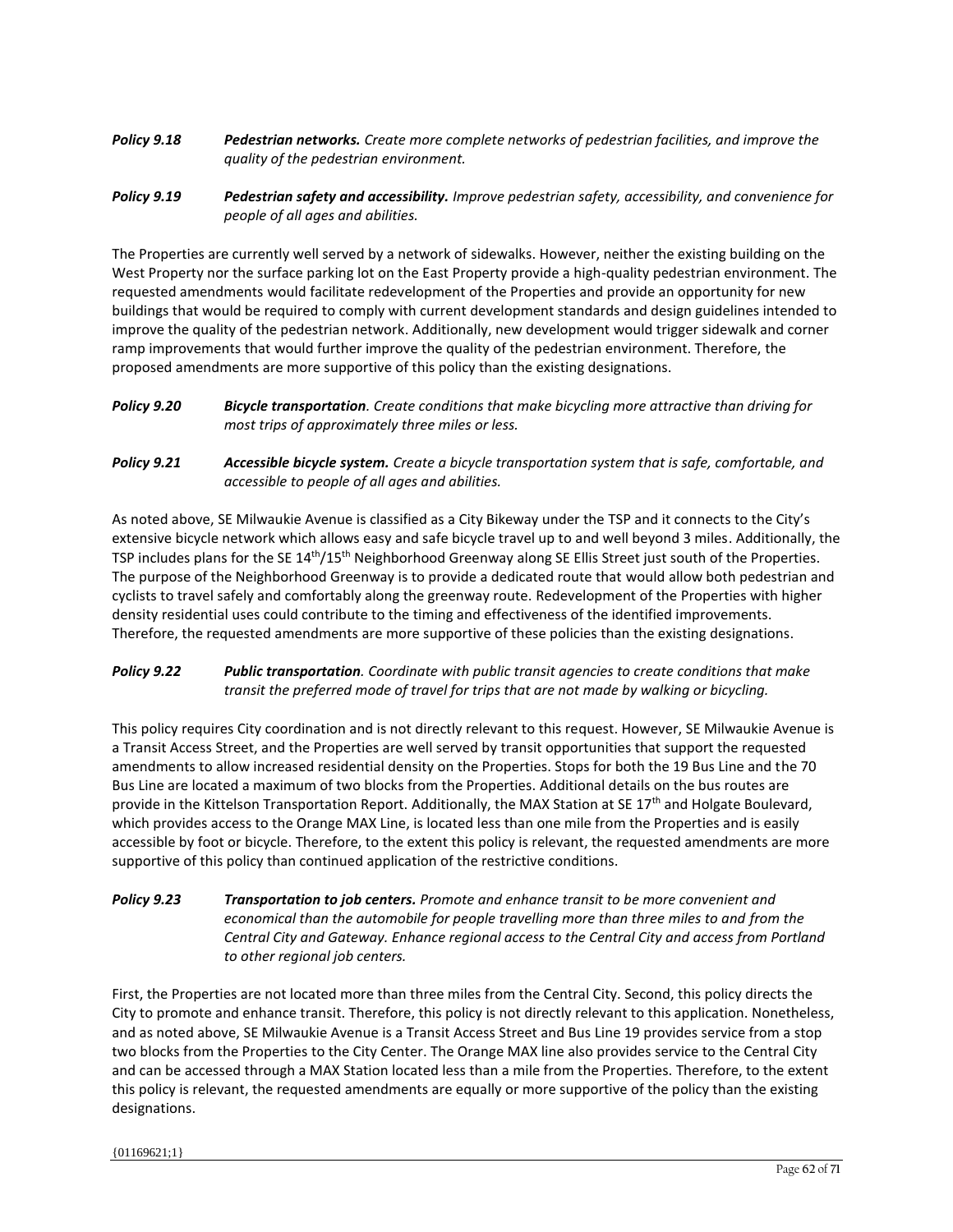- *Policy 9.18 Pedestrian networks. Create more complete networks of pedestrian facilities, and improve the quality of the pedestrian environment.*
- *Policy 9.19 Pedestrian safety and accessibility. Improve pedestrian safety, accessibility, and convenience for people of all ages and abilities.*

The Properties are currently well served by a network of sidewalks. However, neither the existing building on the West Property nor the surface parking lot on the East Property provide a high-quality pedestrian environment. The requested amendments would facilitate redevelopment of the Properties and provide an opportunity for new buildings that would be required to comply with current development standards and design guidelines intended to improve the quality of the pedestrian network. Additionally, new development would trigger sidewalk and corner ramp improvements that would further improve the quality of the pedestrian environment. Therefore, the proposed amendments are more supportive of this policy than the existing designations.

- *Policy 9.20 Bicycle transportation. Create conditions that make bicycling more attractive than driving for most trips of approximately three miles or less.*
- *Policy 9.21 Accessible bicycle system. Create a bicycle transportation system that is safe, comfortable, and accessible to people of all ages and abilities.*

As noted above, SE Milwaukie Avenue is classified as a City Bikeway under the TSP and it connects to the City's extensive bicycle network which allows easy and safe bicycle travel up to and well beyond 3 miles. Additionally, the TSP includes plans for the SE  $14<sup>th</sup>/15<sup>th</sup>$  Neighborhood Greenway along SE Ellis Street just south of the Properties. The purpose of the Neighborhood Greenway is to provide a dedicated route that would allow both pedestrian and cyclists to travel safely and comfortably along the greenway route. Redevelopment of the Properties with higher density residential uses could contribute to the timing and effectiveness of the identified improvements. Therefore, the requested amendments are more supportive of these policies than the existing designations.

# *Policy 9.22 Public transportation. Coordinate with public transit agencies to create conditions that make transit the preferred mode of travel for trips that are not made by walking or bicycling.*

This policy requires City coordination and is not directly relevant to this request. However, SE Milwaukie Avenue is a Transit Access Street, and the Properties are well served by transit opportunities that support the requested amendments to allow increased residential density on the Properties. Stops for both the 19 Bus Line and the 70 Bus Line are located a maximum of two blocks from the Properties. Additional details on the bus routes are provide in the Kittelson Transportation Report. Additionally, the MAX Station at SE  $17<sup>th</sup>$  and Holgate Boulevard, which provides access to the Orange MAX Line, is located less than one mile from the Properties and is easily accessible by foot or bicycle. Therefore, to the extent this policy is relevant, the requested amendments are more supportive of this policy than continued application of the restrictive conditions.

# *Policy 9.23 Transportation to job centers. Promote and enhance transit to be more convenient and economical than the automobile for people travelling more than three miles to and from the Central City and Gateway. Enhance regional access to the Central City and access from Portland to other regional job centers.*

First, the Properties are not located more than three miles from the Central City. Second, this policy directs the City to promote and enhance transit. Therefore, this policy is not directly relevant to this application. Nonetheless, and as noted above, SE Milwaukie Avenue is a Transit Access Street and Bus Line 19 provides service from a stop two blocks from the Properties to the City Center. The Orange MAX line also provides service to the Central City and can be accessed through a MAX Station located less than a mile from the Properties. Therefore, to the extent this policy is relevant, the requested amendments are equally or more supportive of the policy than the existing designations.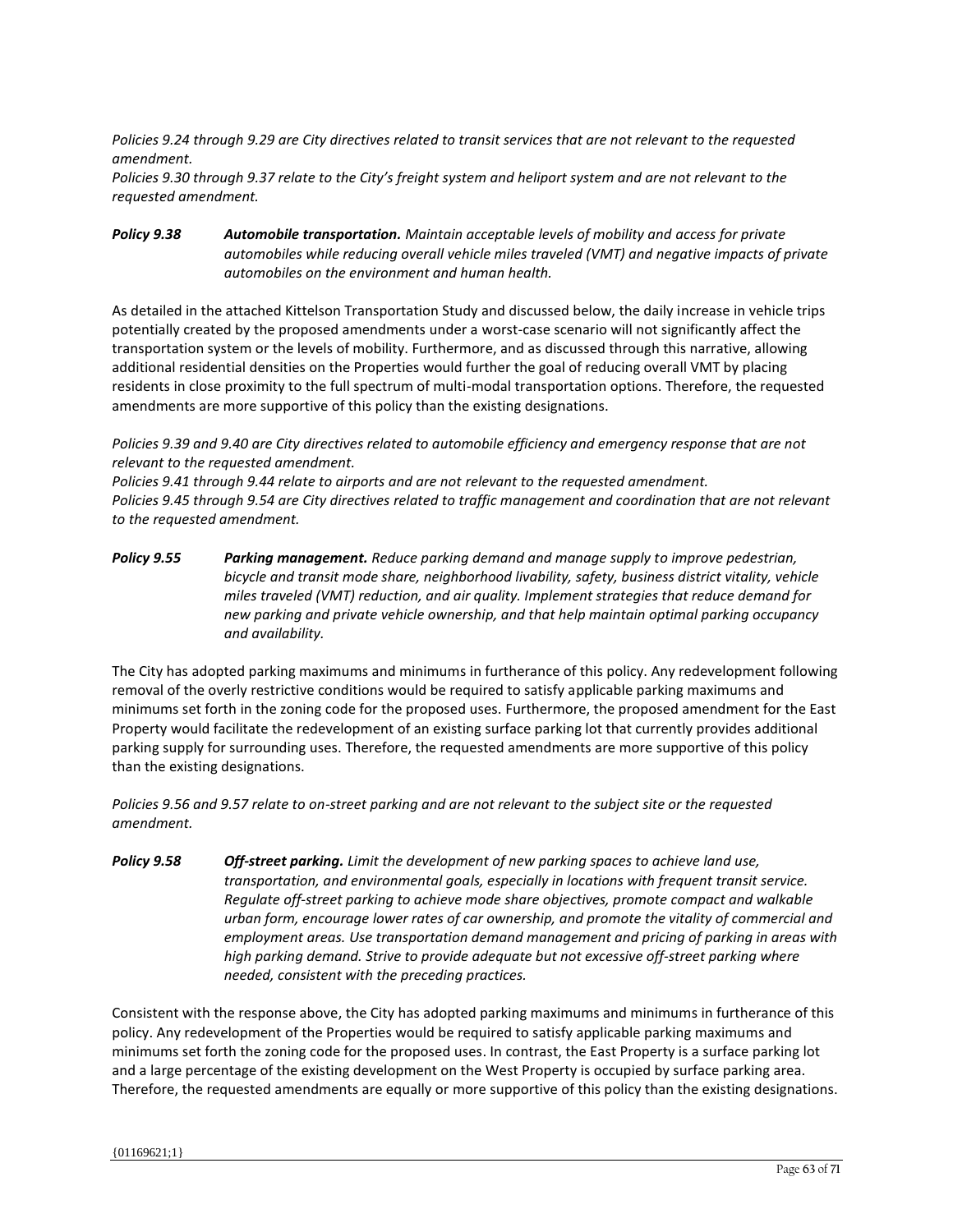*Policies 9.24 through 9.29 are City directives related to transit services that are not relevant to the requested amendment.*

*Policies 9.30 through 9.37 relate to the City's freight system and heliport system and are not relevant to the requested amendment.*

*Policy 9.38 Automobile transportation. Maintain acceptable levels of mobility and access for private automobiles while reducing overall vehicle miles traveled (VMT) and negative impacts of private automobiles on the environment and human health.*

As detailed in the attached Kittelson Transportation Study and discussed below, the daily increase in vehicle trips potentially created by the proposed amendments under a worst-case scenario will not significantly affect the transportation system or the levels of mobility. Furthermore, and as discussed through this narrative, allowing additional residential densities on the Properties would further the goal of reducing overall VMT by placing residents in close proximity to the full spectrum of multi-modal transportation options. Therefore, the requested amendments are more supportive of this policy than the existing designations.

*Policies 9.39 and 9.40 are City directives related to automobile efficiency and emergency response that are not relevant to the requested amendment.*

*Policies 9.41 through 9.44 relate to airports and are not relevant to the requested amendment. Policies 9.45 through 9.54 are City directives related to traffic management and coordination that are not relevant to the requested amendment.* 

*Policy 9.55 Parking management. Reduce parking demand and manage supply to improve pedestrian, bicycle and transit mode share, neighborhood livability, safety, business district vitality, vehicle miles traveled (VMT) reduction, and air quality. Implement strategies that reduce demand for new parking and private vehicle ownership, and that help maintain optimal parking occupancy and availability.*

The City has adopted parking maximums and minimums in furtherance of this policy. Any redevelopment following removal of the overly restrictive conditions would be required to satisfy applicable parking maximums and minimums set forth in the zoning code for the proposed uses. Furthermore, the proposed amendment for the East Property would facilitate the redevelopment of an existing surface parking lot that currently provides additional parking supply for surrounding uses. Therefore, the requested amendments are more supportive of this policy than the existing designations.

*Policies 9.56 and 9.57 relate to on-street parking and are not relevant to the subject site or the requested amendment.* 

*Policy 9.58 Off‐street parking. Limit the development of new parking spaces to achieve land use, transportation, and environmental goals, especially in locations with frequent transit service. Regulate off‐street parking to achieve mode share objectives, promote compact and walkable urban form, encourage lower rates of car ownership, and promote the vitality of commercial and employment areas. Use transportation demand management and pricing of parking in areas with high parking demand. Strive to provide adequate but not excessive off‐street parking where needed, consistent with the preceding practices.*

Consistent with the response above, the City has adopted parking maximums and minimums in furtherance of this policy. Any redevelopment of the Properties would be required to satisfy applicable parking maximums and minimums set forth the zoning code for the proposed uses. In contrast, the East Property is a surface parking lot and a large percentage of the existing development on the West Property is occupied by surface parking area. Therefore, the requested amendments are equally or more supportive of this policy than the existing designations.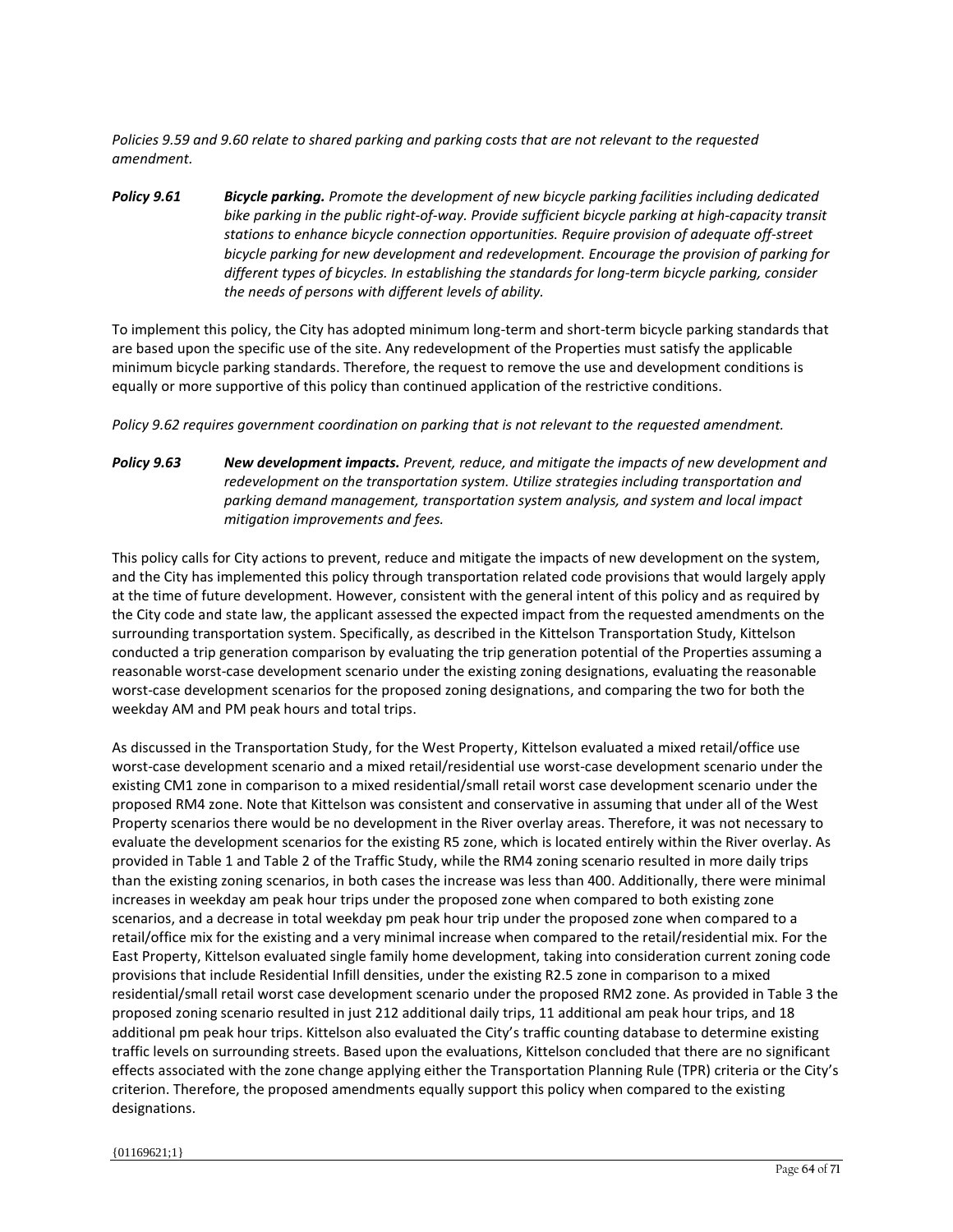*Policies 9.59 and 9.60 relate to shared parking and parking costs that are not relevant to the requested amendment.*

*Policy 9.61 Bicycle parking. Promote the development of new bicycle parking facilities including dedicated bike parking in the public right‐of‐way. Provide sufficient bicycle parking at high‐capacity transit stations to enhance bicycle connection opportunities. Require provision of adequate off‐street bicycle parking for new development and redevelopment. Encourage the provision of parking for different types of bicycles. In establishing the standards for long‐term bicycle parking, consider the needs of persons with different levels of ability.*

To implement this policy, the City has adopted minimum long-term and short-term bicycle parking standards that are based upon the specific use of the site. Any redevelopment of the Properties must satisfy the applicable minimum bicycle parking standards. Therefore, the request to remove the use and development conditions is equally or more supportive of this policy than continued application of the restrictive conditions.

*Policy 9.62 requires government coordination on parking that is not relevant to the requested amendment.*

*Policy 9.63 New development impacts. Prevent, reduce, and mitigate the impacts of new development and redevelopment on the transportation system. Utilize strategies including transportation and parking demand management, transportation system analysis, and system and local impact mitigation improvements and fees.*

This policy calls for City actions to prevent, reduce and mitigate the impacts of new development on the system, and the City has implemented this policy through transportation related code provisions that would largely apply at the time of future development. However, consistent with the general intent of this policy and as required by the City code and state law, the applicant assessed the expected impact from the requested amendments on the surrounding transportation system. Specifically, as described in the Kittelson Transportation Study, Kittelson conducted a trip generation comparison by evaluating the trip generation potential of the Properties assuming a reasonable worst-case development scenario under the existing zoning designations, evaluating the reasonable worst-case development scenarios for the proposed zoning designations, and comparing the two for both the weekday AM and PM peak hours and total trips.

As discussed in the Transportation Study, for the West Property, Kittelson evaluated a mixed retail/office use worst-case development scenario and a mixed retail/residential use worst-case development scenario under the existing CM1 zone in comparison to a mixed residential/small retail worst case development scenario under the proposed RM4 zone. Note that Kittelson was consistent and conservative in assuming that under all of the West Property scenarios there would be no development in the River overlay areas. Therefore, it was not necessary to evaluate the development scenarios for the existing R5 zone, which is located entirely within the River overlay. As provided in Table 1 and Table 2 of the Traffic Study, while the RM4 zoning scenario resulted in more daily trips than the existing zoning scenarios, in both cases the increase was less than 400. Additionally, there were minimal increases in weekday am peak hour trips under the proposed zone when compared to both existing zone scenarios, and a decrease in total weekday pm peak hour trip under the proposed zone when compared to a retail/office mix for the existing and a very minimal increase when compared to the retail/residential mix. For the East Property, Kittelson evaluated single family home development, taking into consideration current zoning code provisions that include Residential Infill densities, under the existing R2.5 zone in comparison to a mixed residential/small retail worst case development scenario under the proposed RM2 zone. As provided in Table 3 the proposed zoning scenario resulted in just 212 additional daily trips, 11 additional am peak hour trips, and 18 additional pm peak hour trips. Kittelson also evaluated the City's traffic counting database to determine existing traffic levels on surrounding streets. Based upon the evaluations, Kittelson concluded that there are no significant effects associated with the zone change applying either the Transportation Planning Rule (TPR) criteria or the City's criterion. Therefore, the proposed amendments equally support this policy when compared to the existing designations.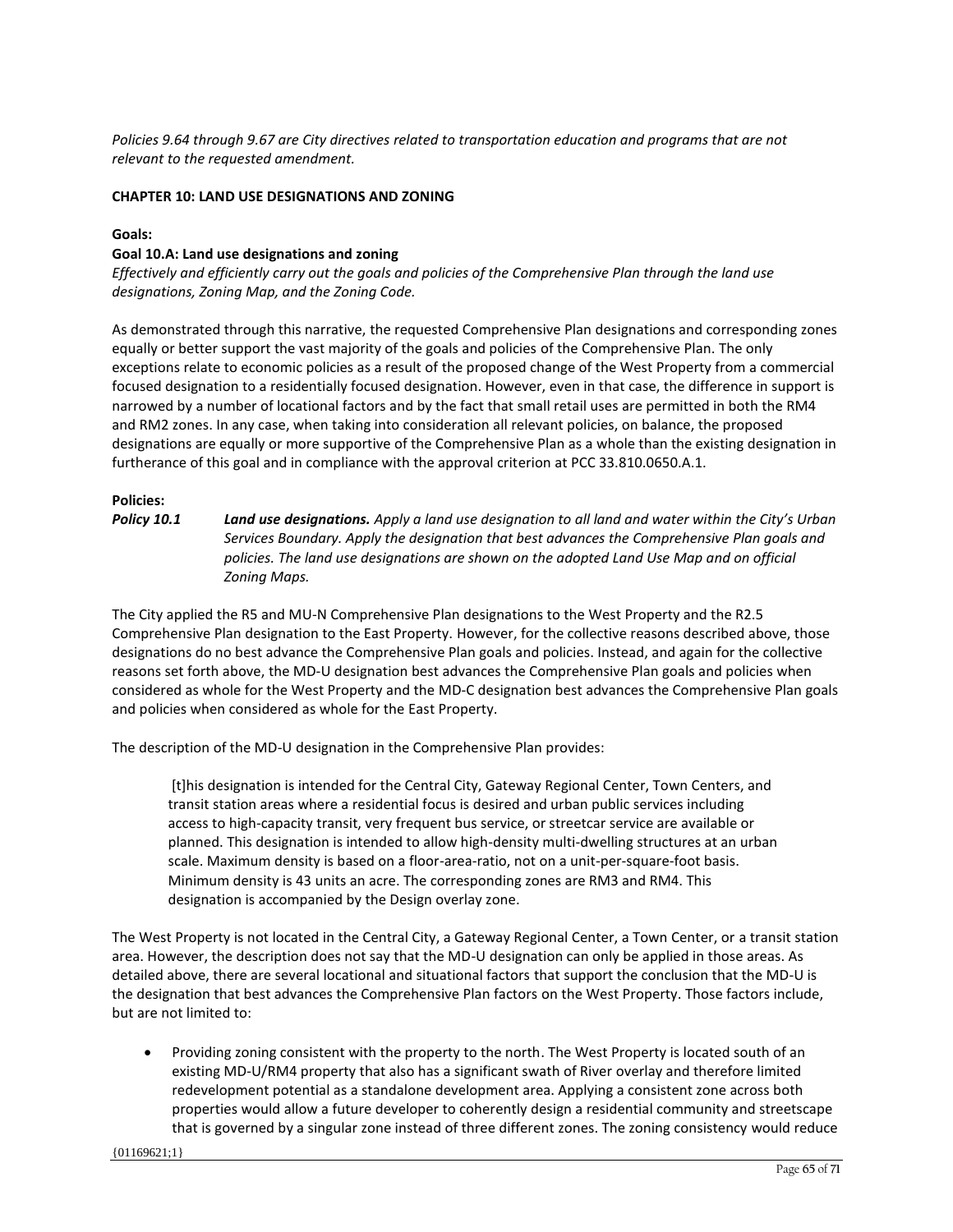*Policies 9.64 through 9.67 are City directives related to transportation education and programs that are not relevant to the requested amendment.*

### **CHAPTER 10: LAND USE DESIGNATIONS AND ZONING**

### **Goals:**

### **Goal 10.A: Land use designations and zoning**

*Effectively and efficiently carry out the goals and policies of the Comprehensive Plan through the land use designations, Zoning Map, and the Zoning Code.*

As demonstrated through this narrative, the requested Comprehensive Plan designations and corresponding zones equally or better support the vast majority of the goals and policies of the Comprehensive Plan. The only exceptions relate to economic policies as a result of the proposed change of the West Property from a commercial focused designation to a residentially focused designation. However, even in that case, the difference in support is narrowed by a number of locational factors and by the fact that small retail uses are permitted in both the RM4 and RM2 zones. In any case, when taking into consideration all relevant policies, on balance, the proposed designations are equally or more supportive of the Comprehensive Plan as a whole than the existing designation in furtherance of this goal and in compliance with the approval criterion at PCC 33.810.0650.A.1.

#### **Policies:**

*Policy 10.1 Land use designations. Apply a land use designation to all land and water within the City's Urban Services Boundary. Apply the designation that best advances the Comprehensive Plan goals and policies. The land use designations are shown on the adopted Land Use Map and on official Zoning Maps.*

The City applied the R5 and MU-N Comprehensive Plan designations to the West Property and the R2.5 Comprehensive Plan designation to the East Property. However, for the collective reasons described above, those designations do no best advance the Comprehensive Plan goals and policies. Instead, and again for the collective reasons set forth above, the MD-U designation best advances the Comprehensive Plan goals and policies when considered as whole for the West Property and the MD-C designation best advances the Comprehensive Plan goals and policies when considered as whole for the East Property.

The description of the MD-U designation in the Comprehensive Plan provides:

[t]his designation is intended for the Central City, Gateway Regional Center, Town Centers, and transit station areas where a residential focus is desired and urban public services including access to high-capacity transit, very frequent bus service, or streetcar service are available or planned. This designation is intended to allow high-density multi-dwelling structures at an urban scale. Maximum density is based on a floor-area-ratio, not on a unit-per-square-foot basis. Minimum density is 43 units an acre. The corresponding zones are RM3 and RM4. This designation is accompanied by the Design overlay zone.

The West Property is not located in the Central City, a Gateway Regional Center, a Town Center, or a transit station area. However, the description does not say that the MD-U designation can only be applied in those areas. As detailed above, there are several locational and situational factors that support the conclusion that the MD-U is the designation that best advances the Comprehensive Plan factors on the West Property. Those factors include, but are not limited to:

• Providing zoning consistent with the property to the north. The West Property is located south of an existing MD-U/RM4 property that also has a significant swath of River overlay and therefore limited redevelopment potential as a standalone development area. Applying a consistent zone across both properties would allow a future developer to coherently design a residential community and streetscape that is governed by a singular zone instead of three different zones. The zoning consistency would reduce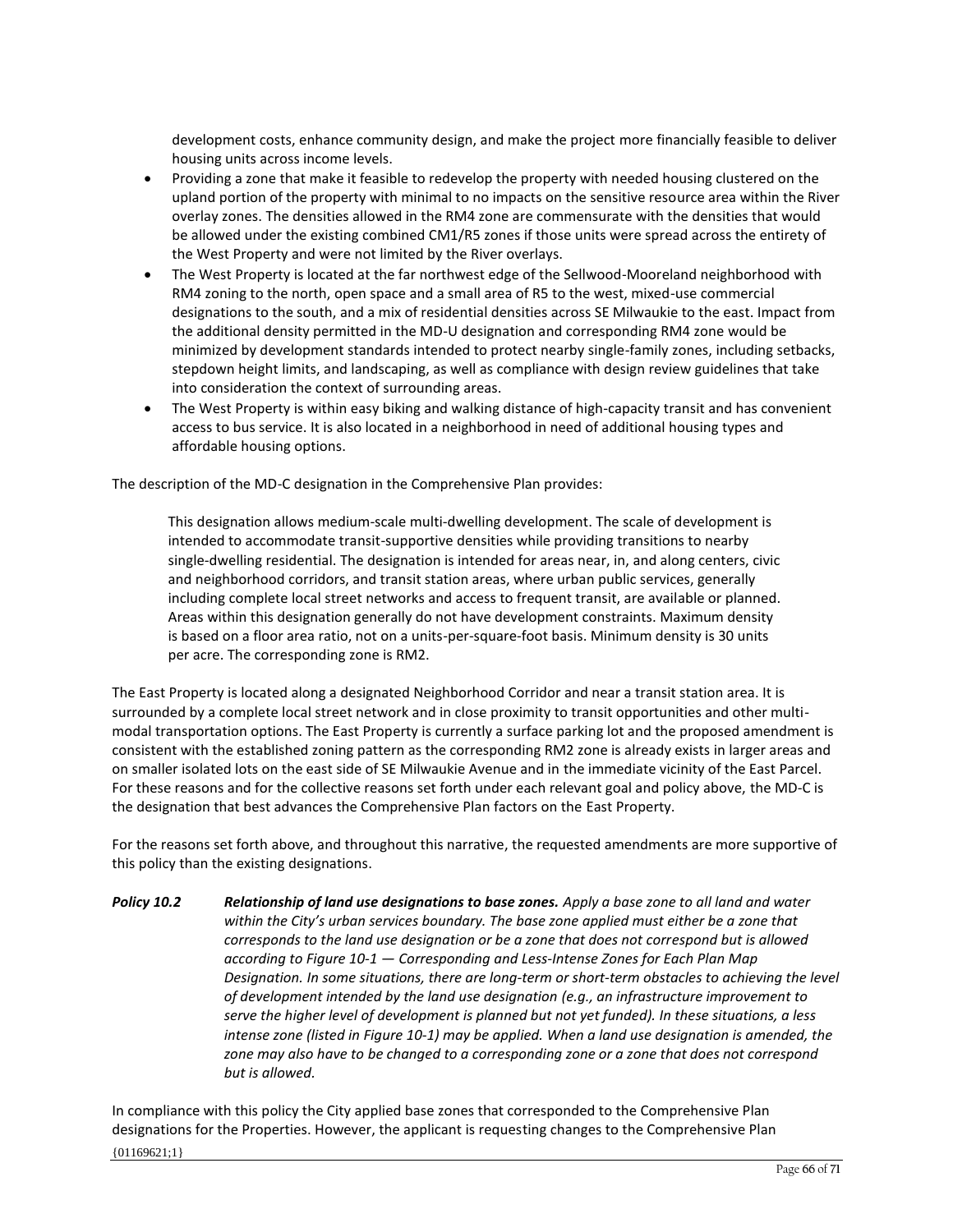development costs, enhance community design, and make the project more financially feasible to deliver housing units across income levels.

- Providing a zone that make it feasible to redevelop the property with needed housing clustered on the upland portion of the property with minimal to no impacts on the sensitive resource area within the River overlay zones. The densities allowed in the RM4 zone are commensurate with the densities that would be allowed under the existing combined CM1/R5 zones if those units were spread across the entirety of the West Property and were not limited by the River overlays.
- The West Property is located at the far northwest edge of the Sellwood-Mooreland neighborhood with RM4 zoning to the north, open space and a small area of R5 to the west, mixed-use commercial designations to the south, and a mix of residential densities across SE Milwaukie to the east. Impact from the additional density permitted in the MD-U designation and corresponding RM4 zone would be minimized by development standards intended to protect nearby single-family zones, including setbacks, stepdown height limits, and landscaping, as well as compliance with design review guidelines that take into consideration the context of surrounding areas.
- The West Property is within easy biking and walking distance of high-capacity transit and has convenient access to bus service. It is also located in a neighborhood in need of additional housing types and affordable housing options.

The description of the MD-C designation in the Comprehensive Plan provides:

This designation allows medium-scale multi-dwelling development. The scale of development is intended to accommodate transit-supportive densities while providing transitions to nearby single-dwelling residential. The designation is intended for areas near, in, and along centers, civic and neighborhood corridors, and transit station areas, where urban public services, generally including complete local street networks and access to frequent transit, are available or planned. Areas within this designation generally do not have development constraints. Maximum density is based on a floor area ratio, not on a units-per-square-foot basis. Minimum density is 30 units per acre. The corresponding zone is RM2.

The East Property is located along a designated Neighborhood Corridor and near a transit station area. It is surrounded by a complete local street network and in close proximity to transit opportunities and other multimodal transportation options. The East Property is currently a surface parking lot and the proposed amendment is consistent with the established zoning pattern as the corresponding RM2 zone is already exists in larger areas and on smaller isolated lots on the east side of SE Milwaukie Avenue and in the immediate vicinity of the East Parcel. For these reasons and for the collective reasons set forth under each relevant goal and policy above, the MD-C is the designation that best advances the Comprehensive Plan factors on the East Property.

For the reasons set forth above, and throughout this narrative, the requested amendments are more supportive of this policy than the existing designations.

*Policy 10.2 Relationship of land use designations to base zones. Apply a base zone to all land and water within the City's urban services boundary. The base zone applied must either be a zone that corresponds to the land use designation or be a zone that does not correspond but is allowed according to Figure 10‐1 — Corresponding and Less‐Intense Zones for Each Plan Map Designation. In some situations, there are long‐term or short‐term obstacles to achieving the level of development intended by the land use designation (e.g., an infrastructure improvement to serve the higher level of development is planned but not yet funded). In these situations, a less intense zone (listed in Figure 10‐1) may be applied. When a land use designation is amended, the zone may also have to be changed to a corresponding zone or a zone that does not correspond but is allowed.*

In compliance with this policy the City applied base zones that corresponded to the Comprehensive Plan designations for the Properties. However, the applicant is requesting changes to the Comprehensive Plan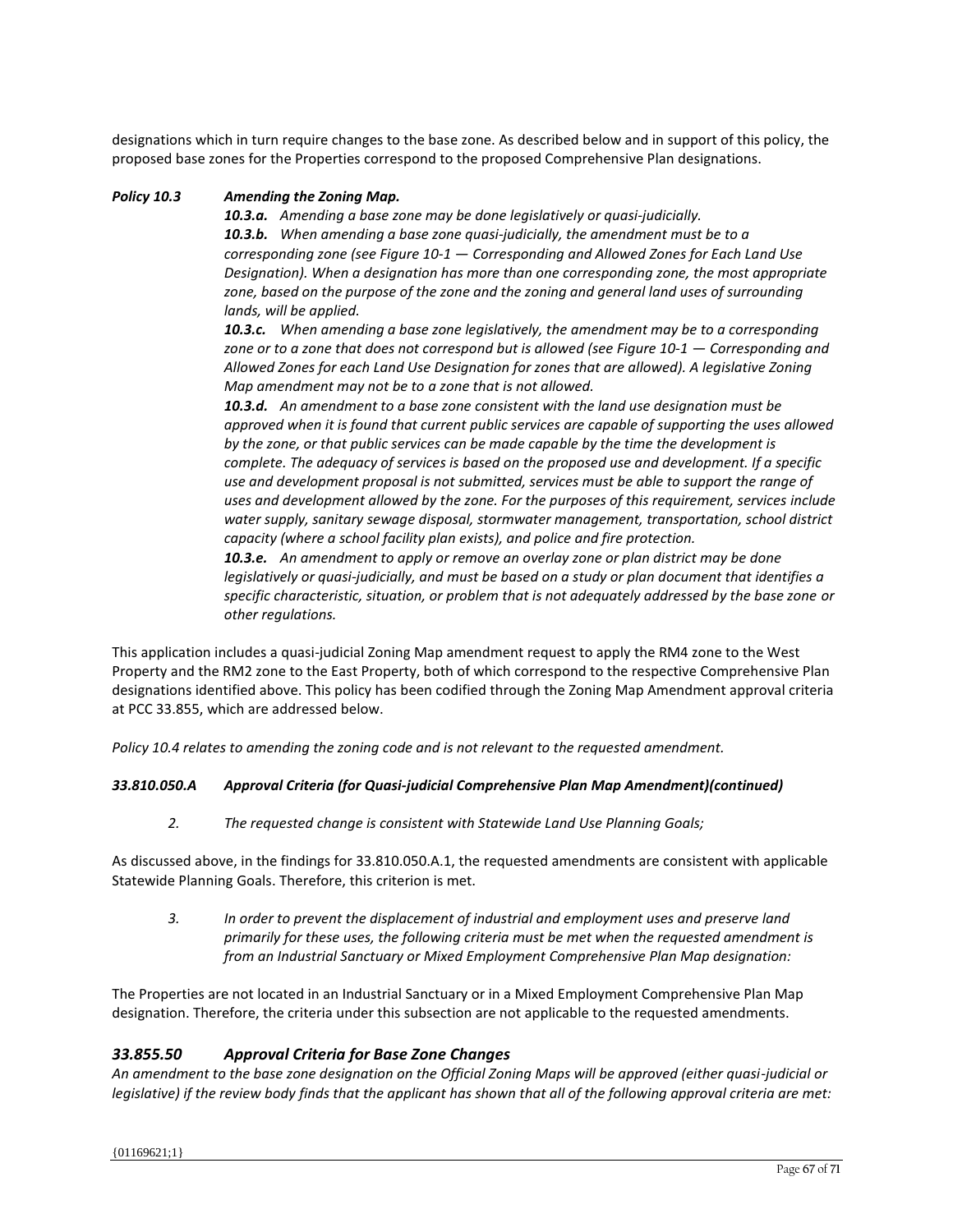designations which in turn require changes to the base zone. As described below and in support of this policy, the proposed base zones for the Properties correspond to the proposed Comprehensive Plan designations.

### *Policy 10.3 Amending the Zoning Map.*

*10.3.a. Amending a base zone may be done legislatively or quasi‐judicially.*

*10.3.b. When amending a base zone quasi‐judicially, the amendment must be to a corresponding zone (see Figure 10‐1 — Corresponding and Allowed Zones for Each Land Use Designation). When a designation has more than one corresponding zone, the most appropriate zone, based on the purpose of the zone and the zoning and general land uses of surrounding lands, will be applied.*

*10.3.c. When amending a base zone legislatively, the amendment may be to a corresponding zone or to a zone that does not correspond but is allowed (see Figure 10‐1 — Corresponding and Allowed Zones for each Land Use Designation for zones that are allowed). A legislative Zoning Map amendment may not be to a zone that is not allowed.*

*10.3.d. An amendment to a base zone consistent with the land use designation must be approved when it is found that current public services are capable of supporting the uses allowed by the zone, or that public services can be made capable by the time the development is complete. The adequacy of services is based on the proposed use and development. If a specific use and development proposal is not submitted, services must be able to support the range of uses and development allowed by the zone. For the purposes of this requirement, services include water supply, sanitary sewage disposal, stormwater management, transportation, school district capacity (where a school facility plan exists), and police and fire protection.*

*10.3.e. An amendment to apply or remove an overlay zone or plan district may be done legislatively or quasi‐judicially, and must be based on a study or plan document that identifies a specific characteristic, situation, or problem that is not adequately addressed by the base zone or other regulations.*

This application includes a quasi-judicial Zoning Map amendment request to apply the RM4 zone to the West Property and the RM2 zone to the East Property, both of which correspond to the respective Comprehensive Plan designations identified above. This policy has been codified through the Zoning Map Amendment approval criteria at PCC 33.855, which are addressed below.

*Policy 10.4 relates to amending the zoning code and is not relevant to the requested amendment.* 

# *33.810.050.A Approval Criteria (for Quasi-judicial Comprehensive Plan Map Amendment)(continued)*

*2. The requested change is consistent with Statewide Land Use Planning Goals;*

As discussed above, in the findings for 33.810.050.A.1, the requested amendments are consistent with applicable Statewide Planning Goals. Therefore, this criterion is met.

*3. In order to prevent the displacement of industrial and employment uses and preserve land primarily for these uses, the following criteria must be met when the requested amendment is from an Industrial Sanctuary or Mixed Employment Comprehensive Plan Map designation:*

The Properties are not located in an Industrial Sanctuary or in a Mixed Employment Comprehensive Plan Map designation. Therefore, the criteria under this subsection are not applicable to the requested amendments.

### *33.855.50 Approval Criteria for Base Zone Changes*

*An amendment to the base zone designation on the Official Zoning Maps will be approved (either quasi-judicial or legislative) if the review body finds that the applicant has shown that all of the following approval criteria are met:*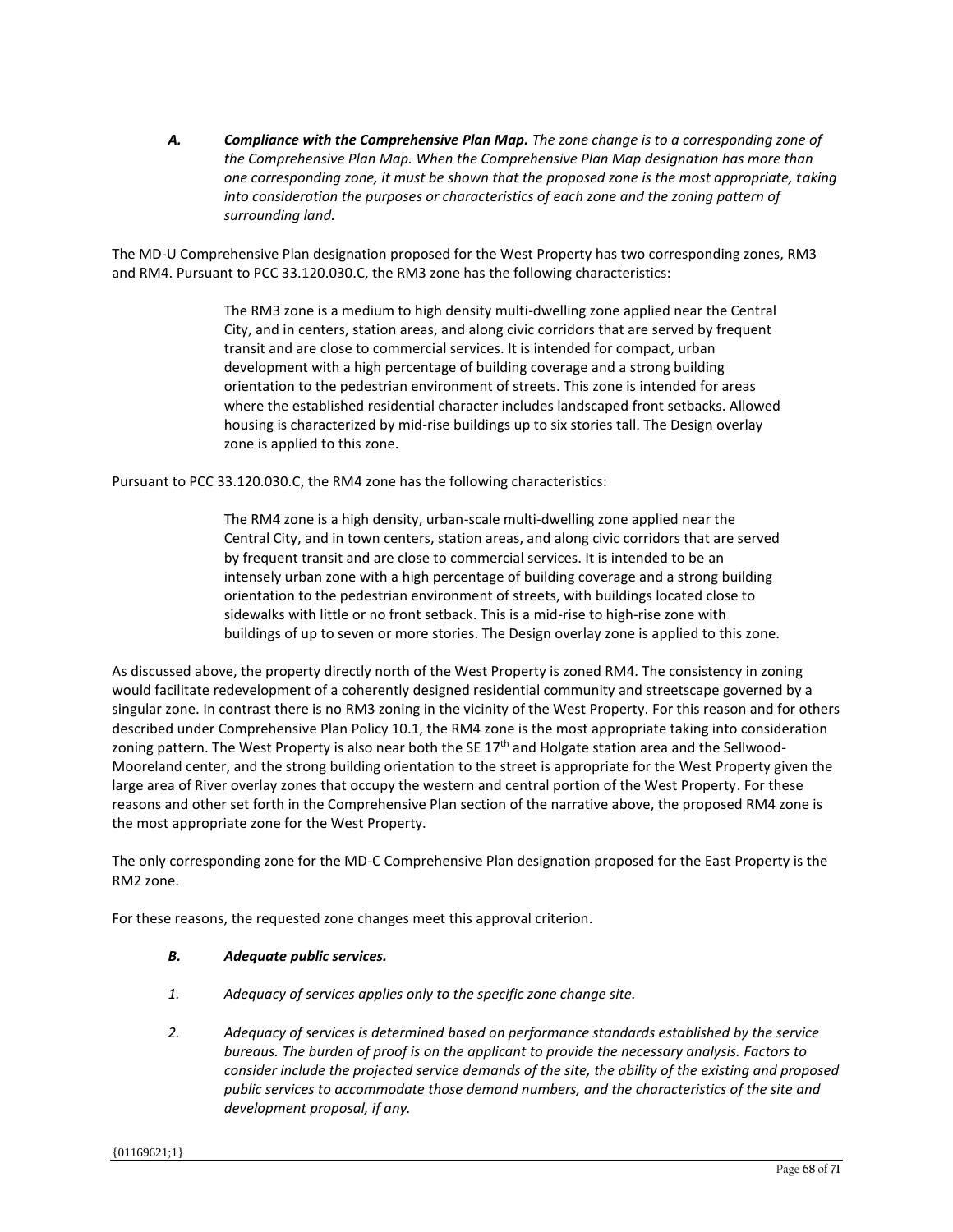*A. Compliance with the Comprehensive Plan Map. The zone change is to a corresponding zone of the Comprehensive Plan Map. When the Comprehensive Plan Map designation has more than one corresponding zone, it must be shown that the proposed zone is the most appropriate, taking into consideration the purposes or characteristics of each zone and the zoning pattern of surrounding land.*

The MD-U Comprehensive Plan designation proposed for the West Property has two corresponding zones, RM3 and RM4. Pursuant to PCC 33.120.030.C, the RM3 zone has the following characteristics:

> The RM3 zone is a medium to high density multi-dwelling zone applied near the Central City, and in centers, station areas, and along civic corridors that are served by frequent transit and are close to commercial services. It is intended for compact, urban development with a high percentage of building coverage and a strong building orientation to the pedestrian environment of streets. This zone is intended for areas where the established residential character includes landscaped front setbacks. Allowed housing is characterized by mid-rise buildings up to six stories tall. The Design overlay zone is applied to this zone.

Pursuant to PCC 33.120.030.C, the RM4 zone has the following characteristics:

The RM4 zone is a high density, urban-scale multi-dwelling zone applied near the Central City, and in town centers, station areas, and along civic corridors that are served by frequent transit and are close to commercial services. It is intended to be an intensely urban zone with a high percentage of building coverage and a strong building orientation to the pedestrian environment of streets, with buildings located close to sidewalks with little or no front setback. This is a mid-rise to high-rise zone with buildings of up to seven or more stories. The Design overlay zone is applied to this zone.

As discussed above, the property directly north of the West Property is zoned RM4. The consistency in zoning would facilitate redevelopment of a coherently designed residential community and streetscape governed by a singular zone. In contrast there is no RM3 zoning in the vicinity of the West Property. For this reason and for others described under Comprehensive Plan Policy 10.1, the RM4 zone is the most appropriate taking into consideration zoning pattern. The West Property is also near both the SE 17<sup>th</sup> and Holgate station area and the Sellwood-Mooreland center, and the strong building orientation to the street is appropriate for the West Property given the large area of River overlay zones that occupy the western and central portion of the West Property. For these reasons and other set forth in the Comprehensive Plan section of the narrative above, the proposed RM4 zone is the most appropriate zone for the West Property.

The only corresponding zone for the MD-C Comprehensive Plan designation proposed for the East Property is the RM2 zone.

For these reasons, the requested zone changes meet this approval criterion.

### *B. Adequate public services.*

- *1. Adequacy of services applies only to the specific zone change site.*
- *2. Adequacy of services is determined based on performance standards established by the service bureaus. The burden of proof is on the applicant to provide the necessary analysis. Factors to consider include the projected service demands of the site, the ability of the existing and proposed public services to accommodate those demand numbers, and the characteristics of the site and development proposal, if any.*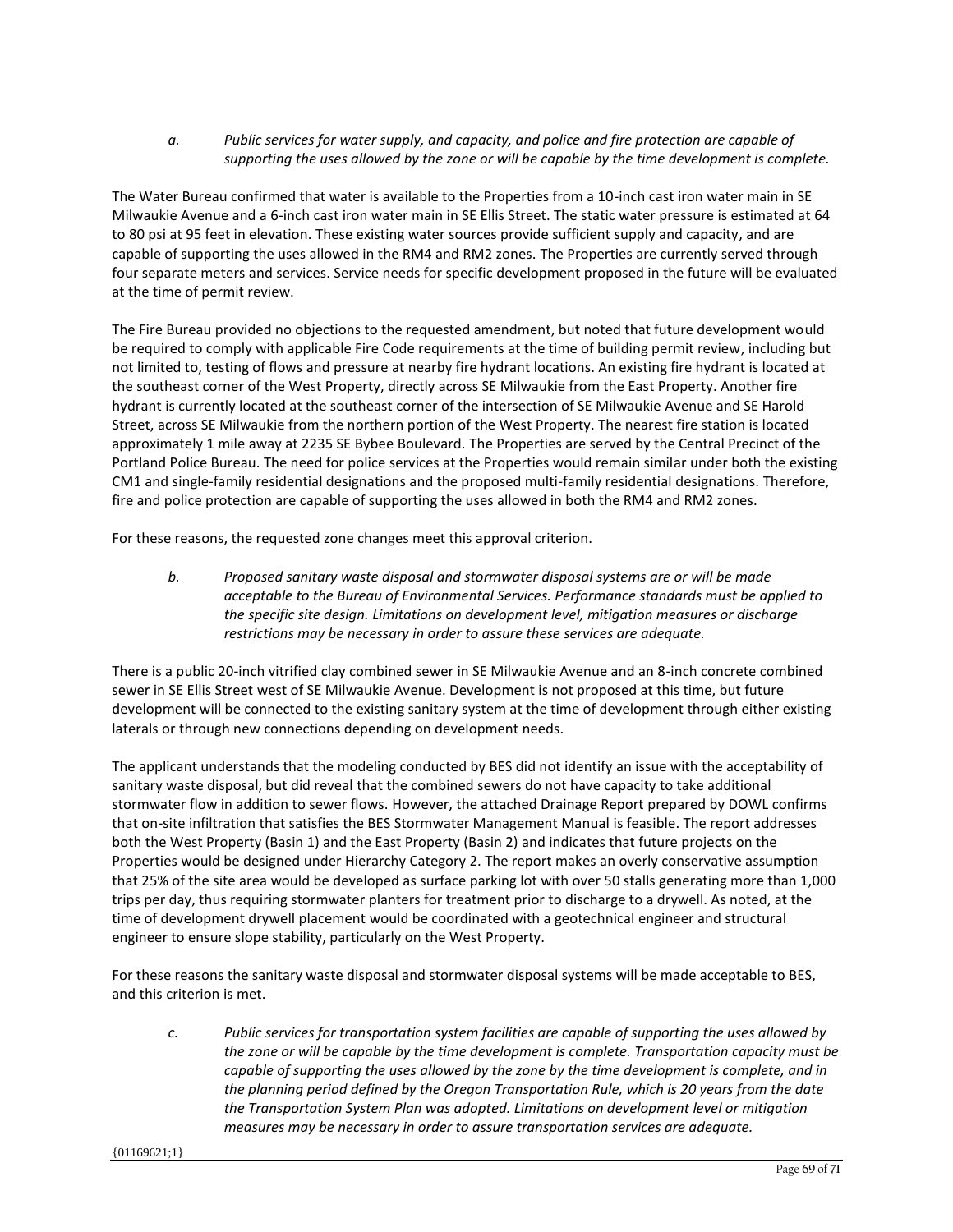# *a. Public services for water supply, and capacity, and police and fire protection are capable of supporting the uses allowed by the zone or will be capable by the time development is complete.*

The Water Bureau confirmed that water is available to the Properties from a 10-inch cast iron water main in SE Milwaukie Avenue and a 6-inch cast iron water main in SE Ellis Street. The static water pressure is estimated at 64 to 80 psi at 95 feet in elevation. These existing water sources provide sufficient supply and capacity, and are capable of supporting the uses allowed in the RM4 and RM2 zones. The Properties are currently served through four separate meters and services. Service needs for specific development proposed in the future will be evaluated at the time of permit review.

The Fire Bureau provided no objections to the requested amendment, but noted that future development would be required to comply with applicable Fire Code requirements at the time of building permit review, including but not limited to, testing of flows and pressure at nearby fire hydrant locations. An existing fire hydrant is located at the southeast corner of the West Property, directly across SE Milwaukie from the East Property. Another fire hydrant is currently located at the southeast corner of the intersection of SE Milwaukie Avenue and SE Harold Street, across SE Milwaukie from the northern portion of the West Property. The nearest fire station is located approximately 1 mile away at 2235 SE Bybee Boulevard. The Properties are served by the Central Precinct of the Portland Police Bureau. The need for police services at the Properties would remain similar under both the existing CM1 and single-family residential designations and the proposed multi-family residential designations. Therefore, fire and police protection are capable of supporting the uses allowed in both the RM4 and RM2 zones.

For these reasons, the requested zone changes meet this approval criterion.

*b. Proposed sanitary waste disposal and stormwater disposal systems are or will be made acceptable to the Bureau of Environmental Services. Performance standards must be applied to the specific site design. Limitations on development level, mitigation measures or discharge restrictions may be necessary in order to assure these services are adequate.*

There is a public 20-inch vitrified clay combined sewer in SE Milwaukie Avenue and an 8-inch concrete combined sewer in SE Ellis Street west of SE Milwaukie Avenue. Development is not proposed at this time, but future development will be connected to the existing sanitary system at the time of development through either existing laterals or through new connections depending on development needs.

The applicant understands that the modeling conducted by BES did not identify an issue with the acceptability of sanitary waste disposal, but did reveal that the combined sewers do not have capacity to take additional stormwater flow in addition to sewer flows. However, the attached Drainage Report prepared by DOWL confirms that on-site infiltration that satisfies the BES Stormwater Management Manual is feasible. The report addresses both the West Property (Basin 1) and the East Property (Basin 2) and indicates that future projects on the Properties would be designed under Hierarchy Category 2. The report makes an overly conservative assumption that 25% of the site area would be developed as surface parking lot with over 50 stalls generating more than 1,000 trips per day, thus requiring stormwater planters for treatment prior to discharge to a drywell. As noted, at the time of development drywell placement would be coordinated with a geotechnical engineer and structural engineer to ensure slope stability, particularly on the West Property.

For these reasons the sanitary waste disposal and stormwater disposal systems will be made acceptable to BES, and this criterion is met.

*c. Public services for transportation system facilities are capable of supporting the uses allowed by the zone or will be capable by the time development is complete. Transportation capacity must be capable of supporting the uses allowed by the zone by the time development is complete, and in the planning period defined by the Oregon Transportation Rule, which is 20 years from the date the Transportation System Plan was adopted. Limitations on development level or mitigation measures may be necessary in order to assure transportation services are adequate.*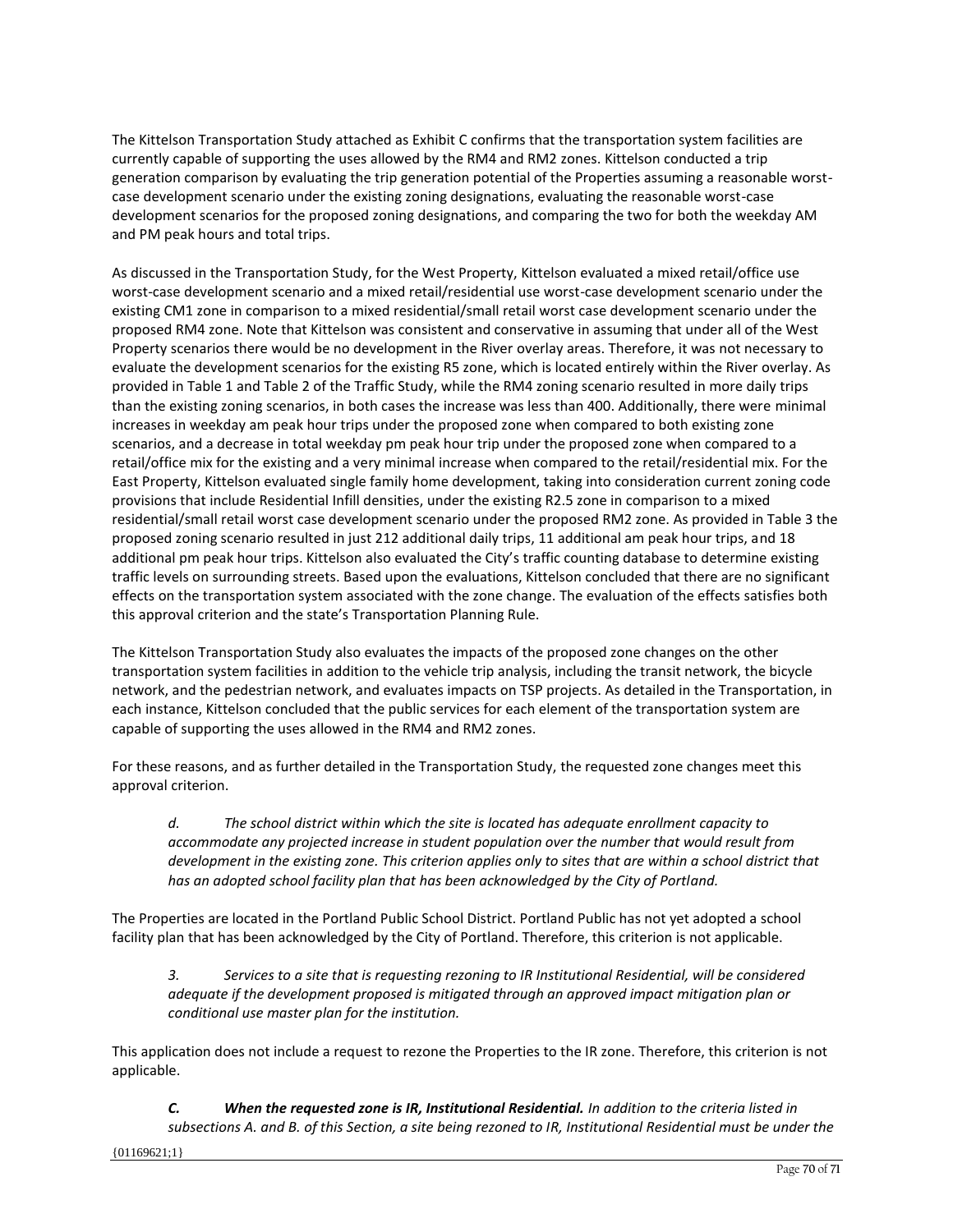The Kittelson Transportation Study attached as Exhibit C confirms that the transportation system facilities are currently capable of supporting the uses allowed by the RM4 and RM2 zones. Kittelson conducted a trip generation comparison by evaluating the trip generation potential of the Properties assuming a reasonable worstcase development scenario under the existing zoning designations, evaluating the reasonable worst-case development scenarios for the proposed zoning designations, and comparing the two for both the weekday AM and PM peak hours and total trips.

As discussed in the Transportation Study, for the West Property, Kittelson evaluated a mixed retail/office use worst-case development scenario and a mixed retail/residential use worst-case development scenario under the existing CM1 zone in comparison to a mixed residential/small retail worst case development scenario under the proposed RM4 zone. Note that Kittelson was consistent and conservative in assuming that under all of the West Property scenarios there would be no development in the River overlay areas. Therefore, it was not necessary to evaluate the development scenarios for the existing R5 zone, which is located entirely within the River overlay. As provided in Table 1 and Table 2 of the Traffic Study, while the RM4 zoning scenario resulted in more daily trips than the existing zoning scenarios, in both cases the increase was less than 400. Additionally, there were minimal increases in weekday am peak hour trips under the proposed zone when compared to both existing zone scenarios, and a decrease in total weekday pm peak hour trip under the proposed zone when compared to a retail/office mix for the existing and a very minimal increase when compared to the retail/residential mix. For the East Property, Kittelson evaluated single family home development, taking into consideration current zoning code provisions that include Residential Infill densities, under the existing R2.5 zone in comparison to a mixed residential/small retail worst case development scenario under the proposed RM2 zone. As provided in Table 3 the proposed zoning scenario resulted in just 212 additional daily trips, 11 additional am peak hour trips, and 18 additional pm peak hour trips. Kittelson also evaluated the City's traffic counting database to determine existing traffic levels on surrounding streets. Based upon the evaluations, Kittelson concluded that there are no significant effects on the transportation system associated with the zone change. The evaluation of the effects satisfies both this approval criterion and the state's Transportation Planning Rule.

The Kittelson Transportation Study also evaluates the impacts of the proposed zone changes on the other transportation system facilities in addition to the vehicle trip analysis, including the transit network, the bicycle network, and the pedestrian network, and evaluates impacts on TSP projects. As detailed in the Transportation, in each instance, Kittelson concluded that the public services for each element of the transportation system are capable of supporting the uses allowed in the RM4 and RM2 zones.

For these reasons, and as further detailed in the Transportation Study, the requested zone changes meet this approval criterion.

*d. The school district within which the site is located has adequate enrollment capacity to accommodate any projected increase in student population over the number that would result from*  development in the existing zone. This criterion applies only to sites that are within a school district that *has an adopted school facility plan that has been acknowledged by the City of Portland.*

The Properties are located in the Portland Public School District. Portland Public has not yet adopted a school facility plan that has been acknowledged by the City of Portland. Therefore, this criterion is not applicable.

*3. Services to a site that is requesting rezoning to IR Institutional Residential, will be considered adequate if the development proposed is mitigated through an approved impact mitigation plan or conditional use master plan for the institution.*

This application does not include a request to rezone the Properties to the IR zone. Therefore, this criterion is not applicable.

*C. When the requested zone is IR, Institutional Residential. In addition to the criteria listed in subsections A. and B. of this Section, a site being rezoned to IR, Institutional Residential must be under the*